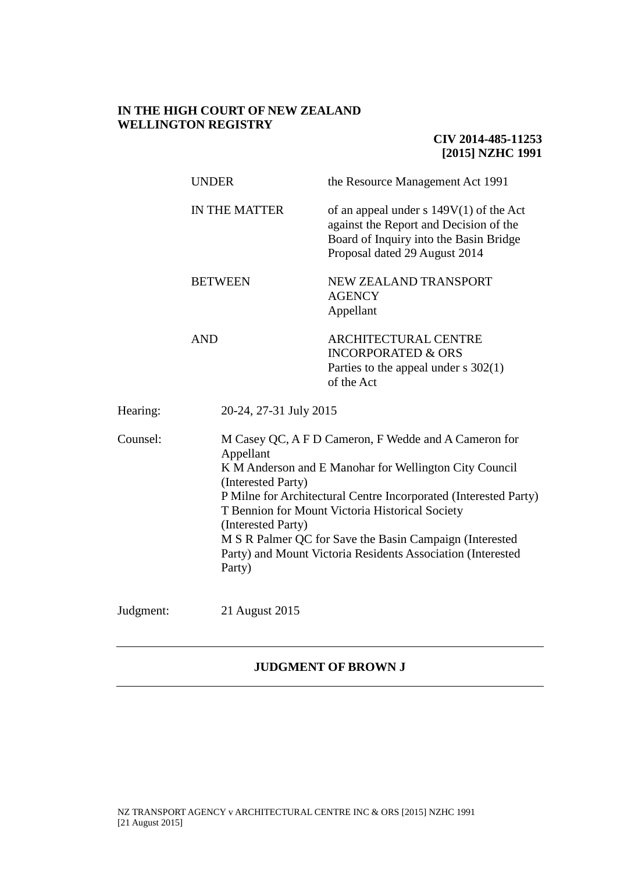# **IN THE HIGH COURT OF NEW ZEALAND WELLINGTON REGISTRY**

**CIV 2014-485-11253 [2015] NZHC 1991**

|           | <b>UNDER</b>                                                    | the Resource Management Act 1991                                                                                                                                                                                                                                                                                                                                |  |
|-----------|-----------------------------------------------------------------|-----------------------------------------------------------------------------------------------------------------------------------------------------------------------------------------------------------------------------------------------------------------------------------------------------------------------------------------------------------------|--|
|           | <b>IN THE MATTER</b>                                            | of an appeal under s $149V(1)$ of the Act<br>against the Report and Decision of the<br>Board of Inquiry into the Basin Bridge<br>Proposal dated 29 August 2014                                                                                                                                                                                                  |  |
|           | <b>BETWEEN</b>                                                  | NEW ZEALAND TRANSPORT<br><b>AGENCY</b><br>Appellant                                                                                                                                                                                                                                                                                                             |  |
|           | <b>AND</b>                                                      | ARCHITECTURAL CENTRE<br><b>INCORPORATED &amp; ORS</b><br>Parties to the appeal under $s$ 302(1)<br>of the Act                                                                                                                                                                                                                                                   |  |
| Hearing:  | 20-24, 27-31 July 2015                                          |                                                                                                                                                                                                                                                                                                                                                                 |  |
| Counsel:  | Appellant<br>(Interested Party)<br>(Interested Party)<br>Party) | M Casey QC, A F D Cameron, F Wedde and A Cameron for<br>K M Anderson and E Manohar for Wellington City Council<br>P Milne for Architectural Centre Incorporated (Interested Party)<br>T Bennion for Mount Victoria Historical Society<br>M S R Palmer QC for Save the Basin Campaign (Interested<br>Party) and Mount Victoria Residents Association (Interested |  |
| Judgment: | 21 August 2015                                                  |                                                                                                                                                                                                                                                                                                                                                                 |  |

# **JUDGMENT OF BROWN J**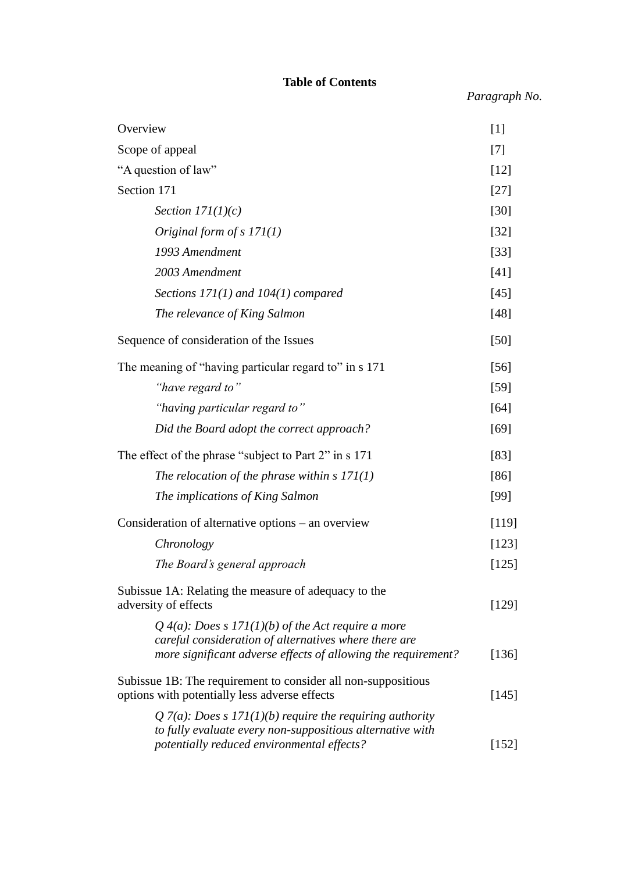# **Table of Contents**

*Paragraph No.*

| Overview                                                                                                                                                                     | $[1]$   |
|------------------------------------------------------------------------------------------------------------------------------------------------------------------------------|---------|
| Scope of appeal                                                                                                                                                              | $[7]$   |
| "A question of law"                                                                                                                                                          |         |
| Section 171                                                                                                                                                                  |         |
| Section $171(1)(c)$                                                                                                                                                          | $[30]$  |
| Original form of $s$ 171(1)                                                                                                                                                  | $[32]$  |
| 1993 Amendment                                                                                                                                                               | $[33]$  |
| 2003 Amendment                                                                                                                                                               | $[41]$  |
| Sections $171(1)$ and $104(1)$ compared                                                                                                                                      | $[45]$  |
| The relevance of King Salmon                                                                                                                                                 | $[48]$  |
| Sequence of consideration of the Issues                                                                                                                                      | [50]    |
| The meaning of "having particular regard to" in s 171                                                                                                                        | $[56]$  |
| "have regard to"                                                                                                                                                             | $[59]$  |
| "having particular regard to"                                                                                                                                                | [64]    |
| Did the Board adopt the correct approach?                                                                                                                                    | [69]    |
| The effect of the phrase "subject to Part 2" in s 171                                                                                                                        |         |
| The relocation of the phrase within s $171(1)$                                                                                                                               | $[86]$  |
| The implications of King Salmon                                                                                                                                              | [99]    |
| Consideration of alternative options – an overview                                                                                                                           | [119]   |
| Chronology                                                                                                                                                                   | [123]   |
| The Board's general approach                                                                                                                                                 | $[125]$ |
| Subissue 1A: Relating the measure of adequacy to the<br>adversity of effects                                                                                                 |         |
| Q 4(a): Does s 171(1)(b) of the Act require a more<br>careful consideration of alternatives where there are<br>more significant adverse effects of allowing the requirement? | [136]   |
| Subissue 1B: The requirement to consider all non-suppositious<br>options with potentially less adverse effects                                                               | [145]   |
| Q 7(a): Does s 171(1)(b) require the requiring authority<br>to fully evaluate every non-suppositious alternative with<br>potentially reduced environmental effects?          | [152]   |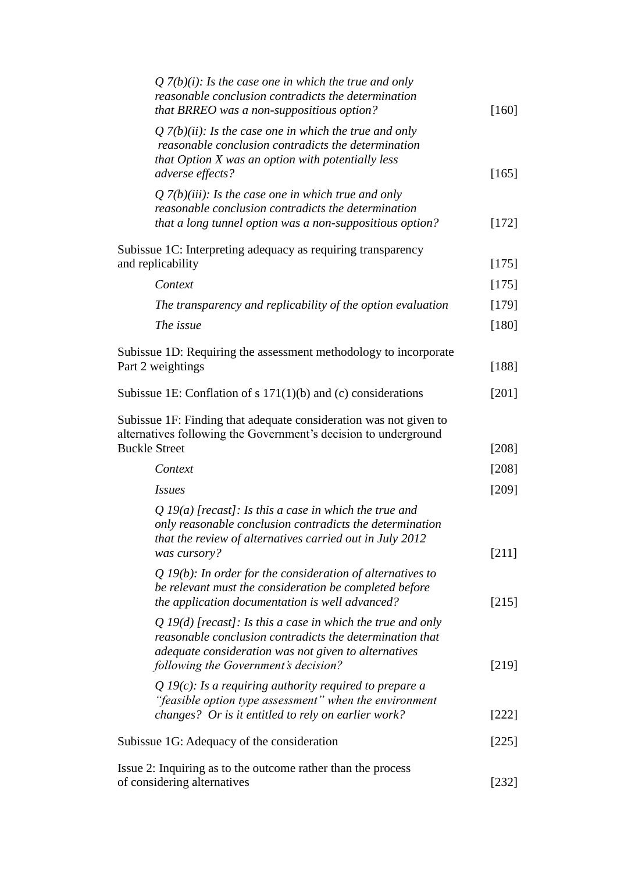| Q $7(b)(i)$ : Is the case one in which the true and only<br>reasonable conclusion contradicts the determination<br>that BRREO was a non-suppositious option?                                                            | $[160]$        |
|-------------------------------------------------------------------------------------------------------------------------------------------------------------------------------------------------------------------------|----------------|
| Q $7(b)(ii)$ : Is the case one in which the true and only<br>reasonable conclusion contradicts the determination<br>that Option X was an option with potentially less<br>adverse effects?                               | $[165]$        |
| Q $7(b)(iii)$ : Is the case one in which true and only<br>reasonable conclusion contradicts the determination<br>that a long tunnel option was a non-suppositious option?                                               | $[172]$        |
| Subissue 1C: Interpreting adequacy as requiring transparency<br>and replicability                                                                                                                                       |                |
| Context                                                                                                                                                                                                                 | $[175]$        |
| The transparency and replicability of the option evaluation                                                                                                                                                             | $[179]$        |
| The issue                                                                                                                                                                                                               | $[180]$        |
| Subissue 1D: Requiring the assessment methodology to incorporate<br>Part 2 weightings                                                                                                                                   | $[188]$        |
| Subissue 1E: Conflation of $s 171(1)(b)$ and (c) considerations                                                                                                                                                         | $[201]$        |
| Subissue 1F: Finding that adequate consideration was not given to<br>alternatives following the Government's decision to underground<br><b>Buckle Street</b>                                                            |                |
|                                                                                                                                                                                                                         | $[208]$        |
| Context                                                                                                                                                                                                                 | $[208]$        |
| <b>Issues</b><br>Q 19(a) [recast]: Is this a case in which the true and<br>only reasonable conclusion contradicts the determination<br>that the review of alternatives carried out in July 2012                         | [209]          |
| was cursory?<br>$Q_1(9(b))$ : In order for the consideration of alternatives to<br>be relevant must the consideration be completed before<br>the application documentation is well advanced?                            | [211]<br>[215] |
| Q 19(d) [recast]: Is this a case in which the true and only<br>reasonable conclusion contradicts the determination that<br>adequate consideration was not given to alternatives<br>following the Government's decision? | [219]          |
| Q 19(c): Is a requiring authority required to prepare a<br>"feasible option type assessment" when the environment<br>changes? Or is it entitled to rely on earlier work?                                                | $[222]$        |
|                                                                                                                                                                                                                         |                |
| Subissue 1G: Adequacy of the consideration                                                                                                                                                                              | $[225]$        |
| Issue 2: Inquiring as to the outcome rather than the process<br>of considering alternatives                                                                                                                             | $[232]$        |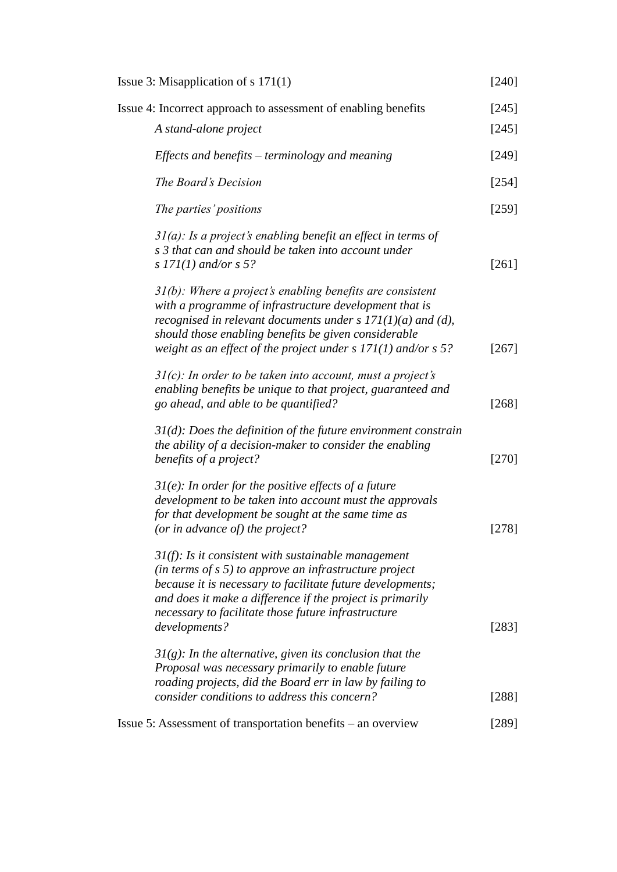| Issue 3: Misapplication of $s$ 171(1)                                                                                                                                                                                                                                                                                 | $[240]$ |
|-----------------------------------------------------------------------------------------------------------------------------------------------------------------------------------------------------------------------------------------------------------------------------------------------------------------------|---------|
| Issue 4: Incorrect approach to assessment of enabling benefits                                                                                                                                                                                                                                                        | [245]   |
| A stand-alone project                                                                                                                                                                                                                                                                                                 | [245]   |
| Effects and benefits $-$ terminology and meaning                                                                                                                                                                                                                                                                      | [249]   |
| The Board's Decision                                                                                                                                                                                                                                                                                                  | [254]   |
| The parties' positions                                                                                                                                                                                                                                                                                                | $[259]$ |
| $3I(a)$ : Is a project's enabling benefit an effect in terms of<br>s 3 that can and should be taken into account under<br>s $171(1)$ and/or s 5?                                                                                                                                                                      | $[261]$ |
| $31(b)$ : Where a project's enabling benefits are consistent<br>with a programme of infrastructure development that is<br>recognised in relevant documents under s $171(1)(a)$ and (d),<br>should those enabling benefits be given considerable<br>weight as an effect of the project under $s$ 171(1) and/or $s$ 5?  | $[267]$ |
| $31(c)$ : In order to be taken into account, must a project's<br>enabling benefits be unique to that project, guaranteed and<br>go ahead, and able to be quantified?                                                                                                                                                  | $[268]$ |
| $31(d)$ : Does the definition of the future environment constrain<br>the ability of a decision-maker to consider the enabling<br>benefits of a project?                                                                                                                                                               | $[270]$ |
| $3I(e)$ : In order for the positive effects of a future<br>development to be taken into account must the approvals<br>for that development be sought at the same time as<br>(or in advance of) the project?                                                                                                           | [278]   |
| $31(f)$ : Is it consistent with sustainable management<br>(in terms of $s$ 5) to approve an infrastructure project<br>because it is necessary to facilitate future developments;<br>and does it make a difference if the project is primarily<br>necessary to facilitate those future infrastructure<br>developments? | $[283]$ |
| $3I(g)$ : In the alternative, given its conclusion that the<br>Proposal was necessary primarily to enable future<br>roading projects, did the Board err in law by failing to<br>consider conditions to address this concern?                                                                                          | $[288]$ |
| Issue 5: Assessment of transportation benefits – an overview                                                                                                                                                                                                                                                          | $[289]$ |
|                                                                                                                                                                                                                                                                                                                       |         |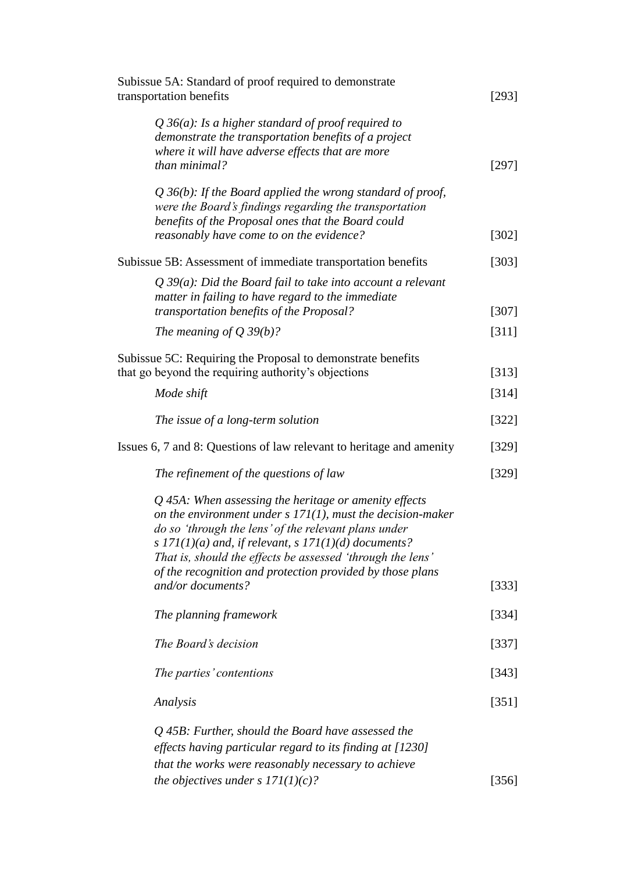| Subissue 5A: Standard of proof required to demonstrate<br>transportation benefits                                                                                                                                                                                                                                                                                      |         |
|------------------------------------------------------------------------------------------------------------------------------------------------------------------------------------------------------------------------------------------------------------------------------------------------------------------------------------------------------------------------|---------|
| Q 36(a): Is a higher standard of proof required to<br>demonstrate the transportation benefits of a project<br>where it will have adverse effects that are more<br>than minimal?                                                                                                                                                                                        | [297]   |
| $Q$ 36(b): If the Board applied the wrong standard of proof,<br>were the Board's findings regarding the transportation<br>benefits of the Proposal ones that the Board could<br>reasonably have come to on the evidence?                                                                                                                                               | $[302]$ |
| Subissue 5B: Assessment of immediate transportation benefits                                                                                                                                                                                                                                                                                                           | [303]   |
| $Q$ 39(a): Did the Board fail to take into account a relevant<br>matter in failing to have regard to the immediate                                                                                                                                                                                                                                                     |         |
| transportation benefits of the Proposal?                                                                                                                                                                                                                                                                                                                               | $[307]$ |
| The meaning of $Q$ 39(b)?                                                                                                                                                                                                                                                                                                                                              | [311]   |
| Subissue 5C: Requiring the Proposal to demonstrate benefits                                                                                                                                                                                                                                                                                                            |         |
| that go beyond the requiring authority's objections                                                                                                                                                                                                                                                                                                                    | [313]   |
| Mode shift                                                                                                                                                                                                                                                                                                                                                             | [314]   |
| The issue of a long-term solution                                                                                                                                                                                                                                                                                                                                      | $[322]$ |
| Issues 6, 7 and 8: Questions of law relevant to heritage and amenity                                                                                                                                                                                                                                                                                                   | [329]   |
| The refinement of the questions of law                                                                                                                                                                                                                                                                                                                                 | [329]   |
| $Q$ 45A: When assessing the heritage or amenity effects<br>on the environment under $s$ 171(1), must the decision-maker<br>do so 'through the lens' of the relevant plans under<br>s $171(1)(a)$ and, if relevant, s $171(1)(d)$ documents?<br>That is, should the effects be assessed 'through the lens'<br>of the recognition and protection provided by those plans |         |
| and/or documents?                                                                                                                                                                                                                                                                                                                                                      | [333]   |
| The planning framework                                                                                                                                                                                                                                                                                                                                                 | [334]   |
| The Board's decision                                                                                                                                                                                                                                                                                                                                                   | [337]   |
| The parties' contentions                                                                                                                                                                                                                                                                                                                                               | [343]   |
| Analysis                                                                                                                                                                                                                                                                                                                                                               | [351]   |
| Q 45B: Further, should the Board have assessed the<br>effects having particular regard to its finding at [1230]<br>that the works were reasonably necessary to achieve                                                                                                                                                                                                 |         |
| the objectives under s $171(1)(c)?$                                                                                                                                                                                                                                                                                                                                    | [356]   |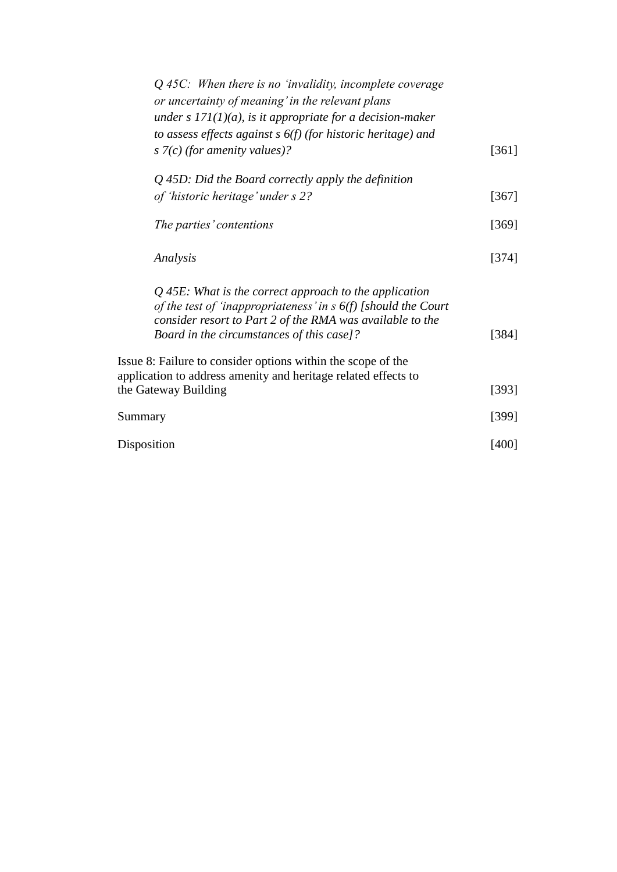|             | $Q$ 45C: When there is no 'invalidity, incomplete coverage<br>or uncertainty of meaning' in the relevant plans<br>under s $171(1)(a)$ , is it appropriate for a decision-maker                                                         |         |
|-------------|----------------------------------------------------------------------------------------------------------------------------------------------------------------------------------------------------------------------------------------|---------|
|             | to assess effects against $s$ 6(f) (for historic heritage) and<br>s $7(c)$ (for amenity values)?                                                                                                                                       | $[361]$ |
|             | $Q$ 45D: Did the Board correctly apply the definition                                                                                                                                                                                  |         |
|             | of 'historic heritage' under s 2?                                                                                                                                                                                                      | $[367]$ |
|             | The parties' contentions                                                                                                                                                                                                               | [369]   |
|             | Analysis                                                                                                                                                                                                                               | [374]   |
|             | $Q$ 45E: What is the correct approach to the application<br>of the test of 'inappropriateness' in $s$ 6(f) [should the Court<br>consider resort to Part 2 of the RMA was available to the<br>Board in the circumstances of this case]? | [384]   |
|             | Issue 8: Failure to consider options within the scope of the<br>application to address amenity and heritage related effects to<br>the Gateway Building                                                                                 | [393]   |
|             |                                                                                                                                                                                                                                        |         |
| Summary     |                                                                                                                                                                                                                                        | [399]   |
| Disposition |                                                                                                                                                                                                                                        | [400]   |
|             |                                                                                                                                                                                                                                        |         |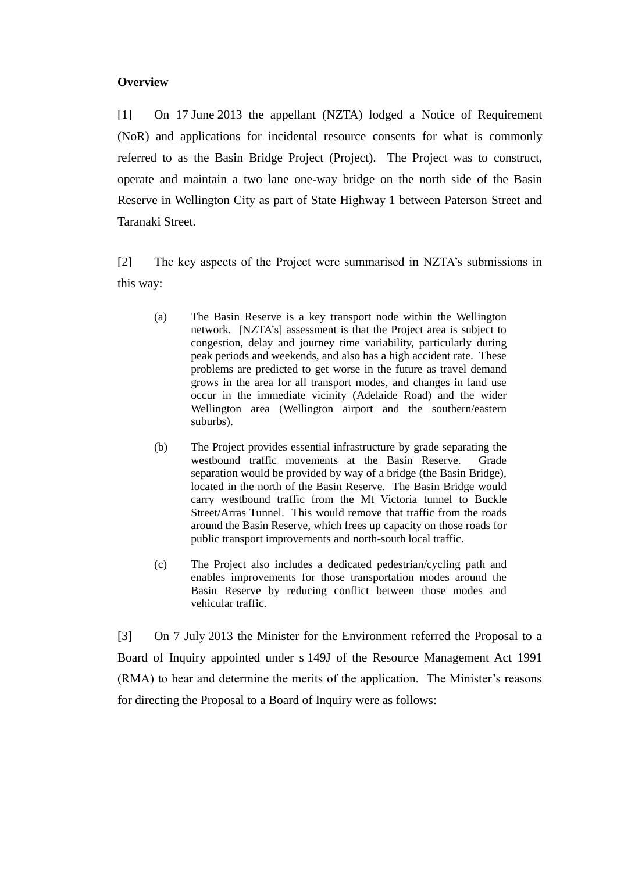### **Overview**

[1] On 17 June 2013 the appellant (NZTA) lodged a Notice of Requirement (NoR) and applications for incidental resource consents for what is commonly referred to as the Basin Bridge Project (Project). The Project was to construct, operate and maintain a two lane one-way bridge on the north side of the Basin Reserve in Wellington City as part of State Highway 1 between Paterson Street and Taranaki Street.

[2] The key aspects of the Project were summarised in NZTA's submissions in this way:

- (a) The Basin Reserve is a key transport node within the Wellington network. [NZTA's] assessment is that the Project area is subject to congestion, delay and journey time variability, particularly during peak periods and weekends, and also has a high accident rate. These problems are predicted to get worse in the future as travel demand grows in the area for all transport modes, and changes in land use occur in the immediate vicinity (Adelaide Road) and the wider Wellington area (Wellington airport and the southern/eastern suburbs).
- (b) The Project provides essential infrastructure by grade separating the westbound traffic movements at the Basin Reserve. Grade separation would be provided by way of a bridge (the Basin Bridge), located in the north of the Basin Reserve. The Basin Bridge would carry westbound traffic from the Mt Victoria tunnel to Buckle Street/Arras Tunnel. This would remove that traffic from the roads around the Basin Reserve, which frees up capacity on those roads for public transport improvements and north-south local traffic.
- (c) The Project also includes a dedicated pedestrian/cycling path and enables improvements for those transportation modes around the Basin Reserve by reducing conflict between those modes and vehicular traffic.

[3] On 7 July 2013 the Minister for the Environment referred the Proposal to a Board of Inquiry appointed under s 149J of the Resource Management Act 1991 (RMA) to hear and determine the merits of the application. The Minister's reasons for directing the Proposal to a Board of Inquiry were as follows: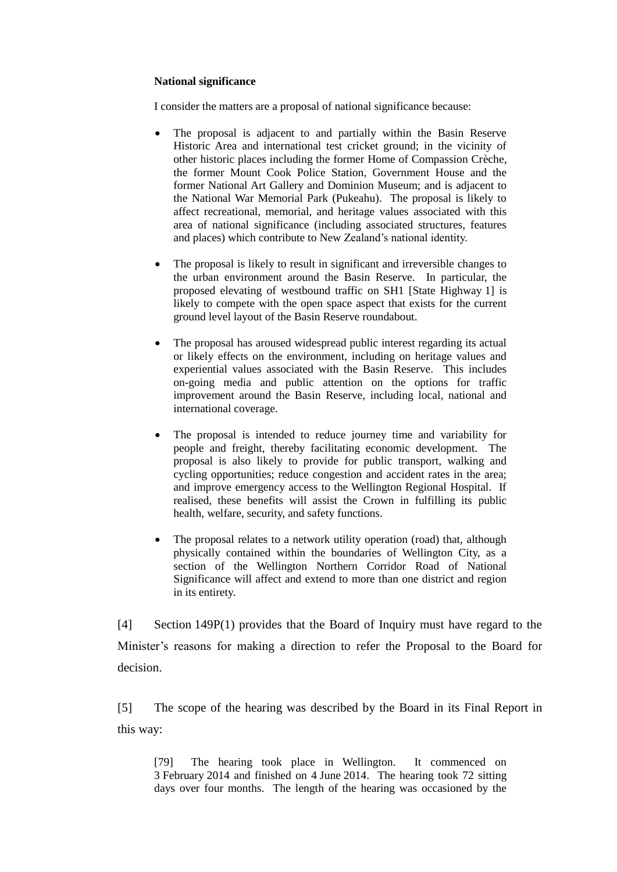#### **National significance**

I consider the matters are a proposal of national significance because:

- The proposal is adjacent to and partially within the Basin Reserve Historic Area and international test cricket ground; in the vicinity of other historic places including the former Home of Compassion Crèche, the former Mount Cook Police Station, Government House and the former National Art Gallery and Dominion Museum; and is adjacent to the National War Memorial Park (Pukeahu). The proposal is likely to affect recreational, memorial, and heritage values associated with this area of national significance (including associated structures, features and places) which contribute to New Zealand's national identity.
- The proposal is likely to result in significant and irreversible changes to the urban environment around the Basin Reserve. In particular, the proposed elevating of westbound traffic on SH1 [State Highway 1] is likely to compete with the open space aspect that exists for the current ground level layout of the Basin Reserve roundabout.
- The proposal has aroused widespread public interest regarding its actual or likely effects on the environment, including on heritage values and experiential values associated with the Basin Reserve. This includes on-going media and public attention on the options for traffic improvement around the Basin Reserve, including local, national and international coverage.
- The proposal is intended to reduce journey time and variability for people and freight, thereby facilitating economic development. The proposal is also likely to provide for public transport, walking and cycling opportunities; reduce congestion and accident rates in the area; and improve emergency access to the Wellington Regional Hospital. If realised, these benefits will assist the Crown in fulfilling its public health, welfare, security, and safety functions.
- The proposal relates to a network utility operation (road) that, although physically contained within the boundaries of Wellington City, as a section of the Wellington Northern Corridor Road of National Significance will affect and extend to more than one district and region in its entirety.

[4] Section 149P(1) provides that the Board of Inquiry must have regard to the Minister's reasons for making a direction to refer the Proposal to the Board for decision.

[5] The scope of the hearing was described by the Board in its Final Report in this way:

[79] The hearing took place in Wellington. It commenced on 3 February 2014 and finished on 4 June 2014. The hearing took 72 sitting days over four months. The length of the hearing was occasioned by the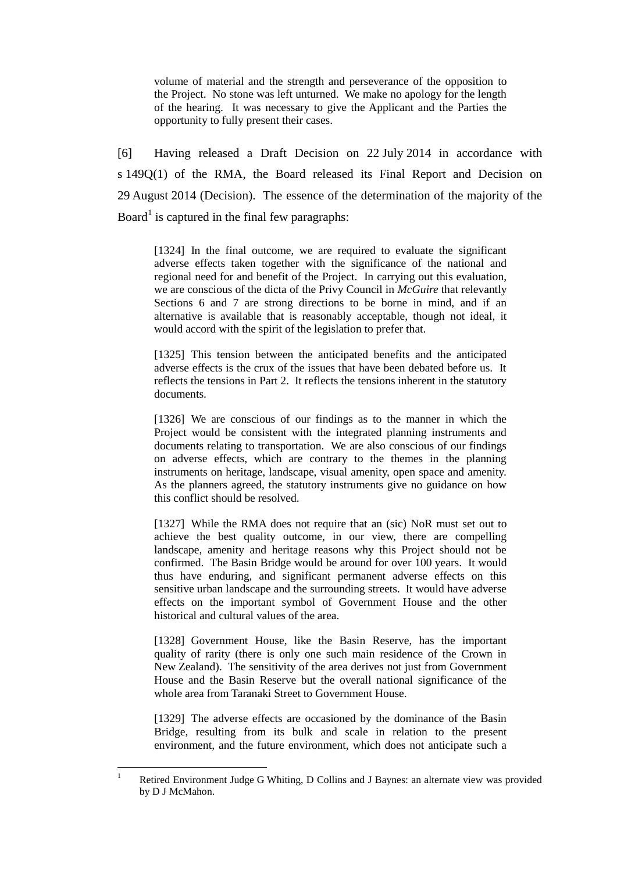volume of material and the strength and perseverance of the opposition to the Project. No stone was left unturned. We make no apology for the length of the hearing. It was necessary to give the Applicant and the Parties the opportunity to fully present their cases.

[6] Having released a Draft Decision on 22 July 2014 in accordance with s 149Q(1) of the RMA, the Board released its Final Report and Decision on 29 August 2014 (Decision). The essence of the determination of the majority of the Board<sup>1</sup> is captured in the final few paragraphs:

[1324] In the final outcome, we are required to evaluate the significant adverse effects taken together with the significance of the national and regional need for and benefit of the Project. In carrying out this evaluation, we are conscious of the dicta of the Privy Council in *McGuire* that relevantly Sections 6 and 7 are strong directions to be borne in mind, and if an alternative is available that is reasonably acceptable, though not ideal, it would accord with the spirit of the legislation to prefer that.

[1325] This tension between the anticipated benefits and the anticipated adverse effects is the crux of the issues that have been debated before us. It reflects the tensions in Part 2. It reflects the tensions inherent in the statutory documents.

[1326] We are conscious of our findings as to the manner in which the Project would be consistent with the integrated planning instruments and documents relating to transportation. We are also conscious of our findings on adverse effects, which are contrary to the themes in the planning instruments on heritage, landscape, visual amenity, open space and amenity. As the planners agreed, the statutory instruments give no guidance on how this conflict should be resolved.

[1327] While the RMA does not require that an (sic) NoR must set out to achieve the best quality outcome, in our view, there are compelling landscape, amenity and heritage reasons why this Project should not be confirmed. The Basin Bridge would be around for over 100 years. It would thus have enduring, and significant permanent adverse effects on this sensitive urban landscape and the surrounding streets. It would have adverse effects on the important symbol of Government House and the other historical and cultural values of the area.

[1328] Government House, like the Basin Reserve, has the important quality of rarity (there is only one such main residence of the Crown in New Zealand). The sensitivity of the area derives not just from Government House and the Basin Reserve but the overall national significance of the whole area from Taranaki Street to Government House.

[1329] The adverse effects are occasioned by the dominance of the Basin Bridge, resulting from its bulk and scale in relation to the present environment, and the future environment, which does not anticipate such a

 $\overline{1}$ <sup>1</sup> Retired Environment Judge G Whiting, D Collins and J Baynes: an alternate view was provided by D J McMahon.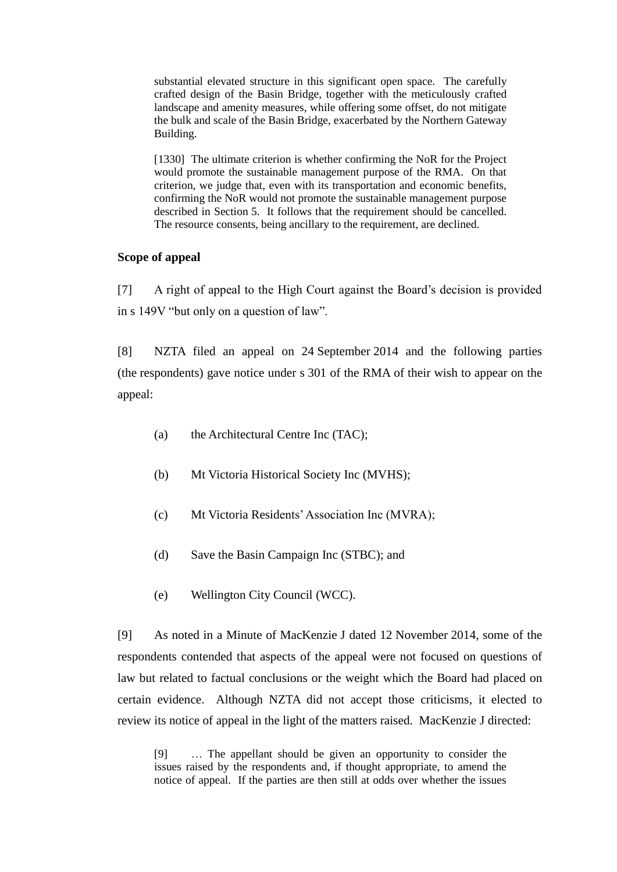substantial elevated structure in this significant open space. The carefully crafted design of the Basin Bridge, together with the meticulously crafted landscape and amenity measures, while offering some offset, do not mitigate the bulk and scale of the Basin Bridge, exacerbated by the Northern Gateway Building.

[1330] The ultimate criterion is whether confirming the NoR for the Project would promote the sustainable management purpose of the RMA. On that criterion, we judge that, even with its transportation and economic benefits, confirming the NoR would not promote the sustainable management purpose described in Section 5. It follows that the requirement should be cancelled. The resource consents, being ancillary to the requirement, are declined.

### **Scope of appeal**

[7] A right of appeal to the High Court against the Board's decision is provided in s 149V "but only on a question of law".

[8] NZTA filed an appeal on 24 September 2014 and the following parties (the respondents) gave notice under s 301 of the RMA of their wish to appear on the appeal:

- (a) the Architectural Centre Inc (TAC);
- (b) Mt Victoria Historical Society Inc (MVHS);
- (c) Mt Victoria Residents' Association Inc (MVRA);
- (d) Save the Basin Campaign Inc (STBC); and
- (e) Wellington City Council (WCC).

[9] As noted in a Minute of MacKenzie J dated 12 November 2014, some of the respondents contended that aspects of the appeal were not focused on questions of law but related to factual conclusions or the weight which the Board had placed on certain evidence. Although NZTA did not accept those criticisms, it elected to review its notice of appeal in the light of the matters raised. MacKenzie J directed:

[9] … The appellant should be given an opportunity to consider the issues raised by the respondents and, if thought appropriate, to amend the notice of appeal. If the parties are then still at odds over whether the issues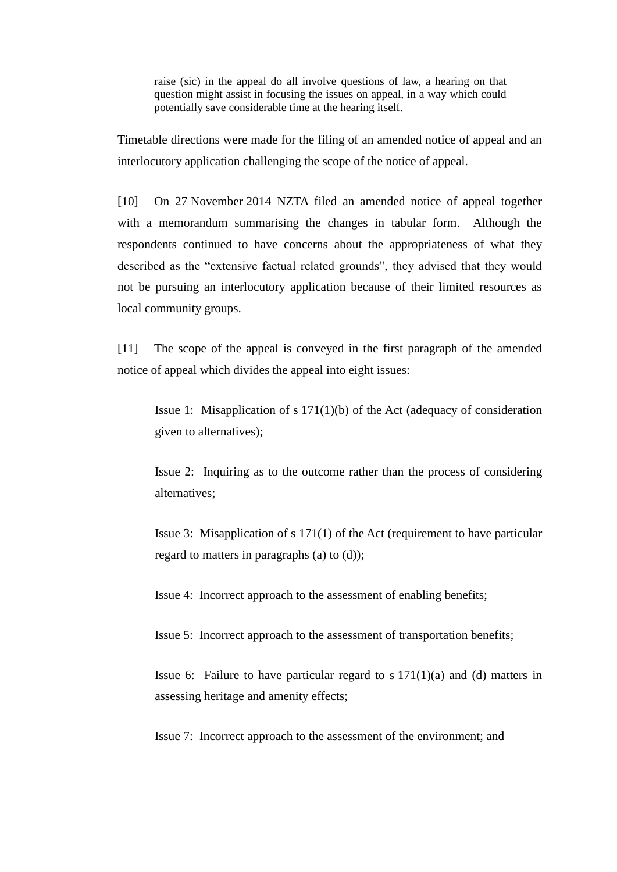raise (sic) in the appeal do all involve questions of law, a hearing on that question might assist in focusing the issues on appeal, in a way which could potentially save considerable time at the hearing itself.

Timetable directions were made for the filing of an amended notice of appeal and an interlocutory application challenging the scope of the notice of appeal.

[10] On 27 November 2014 NZTA filed an amended notice of appeal together with a memorandum summarising the changes in tabular form. Although the respondents continued to have concerns about the appropriateness of what they described as the "extensive factual related grounds", they advised that they would not be pursuing an interlocutory application because of their limited resources as local community groups.

[11] The scope of the appeal is conveyed in the first paragraph of the amended notice of appeal which divides the appeal into eight issues:

Issue 1: Misapplication of s 171(1)(b) of the Act (adequacy of consideration given to alternatives);

Issue 2: Inquiring as to the outcome rather than the process of considering alternatives;

Issue 3: Misapplication of s 171(1) of the Act (requirement to have particular regard to matters in paragraphs (a) to (d));

Issue 4: Incorrect approach to the assessment of enabling benefits;

Issue 5: Incorrect approach to the assessment of transportation benefits;

Issue 6: Failure to have particular regard to s  $171(1)(a)$  and (d) matters in assessing heritage and amenity effects;

Issue 7: Incorrect approach to the assessment of the environment; and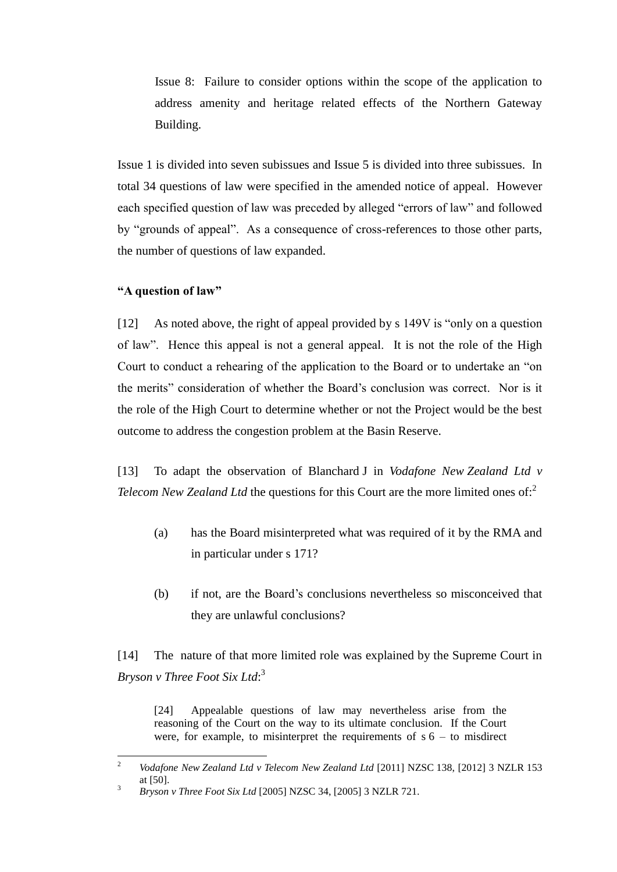Issue 8: Failure to consider options within the scope of the application to address amenity and heritage related effects of the Northern Gateway Building.

Issue 1 is divided into seven subissues and Issue 5 is divided into three subissues. In total 34 questions of law were specified in the amended notice of appeal. However each specified question of law was preceded by alleged "errors of law" and followed by "grounds of appeal". As a consequence of cross-references to those other parts, the number of questions of law expanded.

### **"A question of law"**

[12] As noted above, the right of appeal provided by s 149V is "only on a question of law". Hence this appeal is not a general appeal. It is not the role of the High Court to conduct a rehearing of the application to the Board or to undertake an "on the merits" consideration of whether the Board's conclusion was correct. Nor is it the role of the High Court to determine whether or not the Project would be the best outcome to address the congestion problem at the Basin Reserve.

[13] To adapt the observation of Blanchard J in *Vodafone New Zealand Ltd v Telecom New Zealand Ltd* the questions for this Court are the more limited ones of:<sup>2</sup>

- (a) has the Board misinterpreted what was required of it by the RMA and in particular under s 171?
- (b) if not, are the Board's conclusions nevertheless so misconceived that they are unlawful conclusions?

[14] The nature of that more limited role was explained by the Supreme Court in *Bryson v Three Foot Six Ltd*: 3

[24] Appealable questions of law may nevertheless arise from the reasoning of the Court on the way to its ultimate conclusion. If the Court were, for example, to misinterpret the requirements of  $s$  6 – to misdirect

 $\sqrt{2}$ <sup>2</sup> *Vodafone New Zealand Ltd v Telecom New Zealand Ltd* [2011] NZSC 138, [2012] 3 NZLR 153 at [50].

<sup>3</sup> *Bryson v Three Foot Six Ltd* [2005] NZSC 34, [2005] 3 NZLR 721.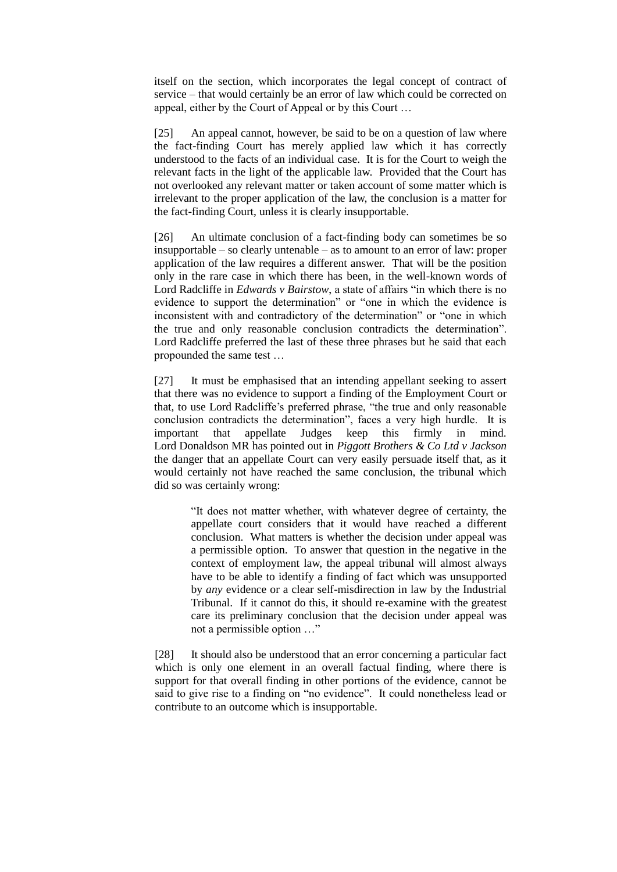itself on the section, which incorporates the legal concept of contract of service – that would certainly be an error of law which could be corrected on appeal, either by the Court of Appeal or by this Court …

[25] An appeal cannot, however, be said to be on a question of law where the fact-finding Court has merely applied law which it has correctly understood to the facts of an individual case. It is for the Court to weigh the relevant facts in the light of the applicable law. Provided that the Court has not overlooked any relevant matter or taken account of some matter which is irrelevant to the proper application of the law, the conclusion is a matter for the fact-finding Court, unless it is clearly insupportable.

[26] An ultimate conclusion of a fact-finding body can sometimes be so insupportable – so clearly untenable – as to amount to an error of law: proper application of the law requires a different answer. That will be the position only in the rare case in which there has been, in the well-known words of Lord Radcliffe in *Edwards v Bairstow*, a state of affairs "in which there is no evidence to support the determination" or "one in which the evidence is inconsistent with and contradictory of the determination" or "one in which the true and only reasonable conclusion contradicts the determination". Lord Radcliffe preferred the last of these three phrases but he said that each propounded the same test …

[27] It must be emphasised that an intending appellant seeking to assert that there was no evidence to support a finding of the Employment Court or that, to use Lord Radcliffe's preferred phrase, "the true and only reasonable conclusion contradicts the determination", faces a very high hurdle. It is important that appellate Judges keep this firmly in mind. Lord Donaldson MR has pointed out in *Piggott Brothers & Co Ltd v Jackson* the danger that an appellate Court can very easily persuade itself that, as it would certainly not have reached the same conclusion, the tribunal which did so was certainly wrong:

> "It does not matter whether, with whatever degree of certainty, the appellate court considers that it would have reached a different conclusion. What matters is whether the decision under appeal was a permissible option. To answer that question in the negative in the context of employment law, the appeal tribunal will almost always have to be able to identify a finding of fact which was unsupported by *any* evidence or a clear self-misdirection in law by the Industrial Tribunal. If it cannot do this, it should re-examine with the greatest care its preliminary conclusion that the decision under appeal was not a permissible option …"

[28] It should also be understood that an error concerning a particular fact which is only one element in an overall factual finding, where there is support for that overall finding in other portions of the evidence, cannot be said to give rise to a finding on "no evidence". It could nonetheless lead or contribute to an outcome which is insupportable.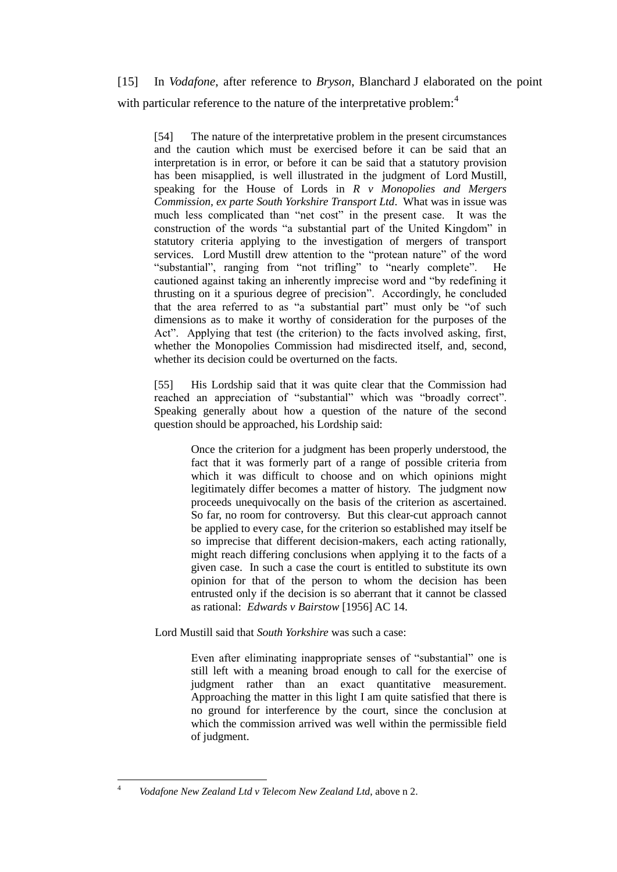[15] In *Vodafone*, after reference to *Bryson*, Blanchard J elaborated on the point with particular reference to the nature of the interpretative problem:<sup>4</sup>

[54] The nature of the interpretative problem in the present circumstances and the caution which must be exercised before it can be said that an interpretation is in error, or before it can be said that a statutory provision has been misapplied, is well illustrated in the judgment of Lord Mustill, speaking for the House of Lords in *R v Monopolies and Mergers Commission, ex parte South Yorkshire Transport Ltd*. What was in issue was much less complicated than "net cost" in the present case. It was the construction of the words "a substantial part of the United Kingdom" in statutory criteria applying to the investigation of mergers of transport services. Lord Mustill drew attention to the "protean nature" of the word "substantial", ranging from "not trifling" to "nearly complete". He cautioned against taking an inherently imprecise word and "by redefining it thrusting on it a spurious degree of precision". Accordingly, he concluded that the area referred to as "a substantial part" must only be "of such dimensions as to make it worthy of consideration for the purposes of the Act". Applying that test (the criterion) to the facts involved asking, first, whether the Monopolies Commission had misdirected itself, and, second, whether its decision could be overturned on the facts.

[55] His Lordship said that it was quite clear that the Commission had reached an appreciation of "substantial" which was "broadly correct". Speaking generally about how a question of the nature of the second question should be approached, his Lordship said:

> Once the criterion for a judgment has been properly understood, the fact that it was formerly part of a range of possible criteria from which it was difficult to choose and on which opinions might legitimately differ becomes a matter of history. The judgment now proceeds unequivocally on the basis of the criterion as ascertained. So far, no room for controversy. But this clear-cut approach cannot be applied to every case, for the criterion so established may itself be so imprecise that different decision-makers, each acting rationally, might reach differing conclusions when applying it to the facts of a given case. In such a case the court is entitled to substitute its own opinion for that of the person to whom the decision has been entrusted only if the decision is so aberrant that it cannot be classed as rational: *Edwards v Bairstow* [1956] AC 14.

Lord Mustill said that *South Yorkshire* was such a case:

Even after eliminating inappropriate senses of "substantial" one is still left with a meaning broad enough to call for the exercise of judgment rather than an exact quantitative measurement. Approaching the matter in this light I am quite satisfied that there is no ground for interference by the court, since the conclusion at which the commission arrived was well within the permissible field of judgment.

 $\overline{4}$ <sup>4</sup> *Vodafone New Zealand Ltd v Telecom New Zealand Ltd*, above n 2.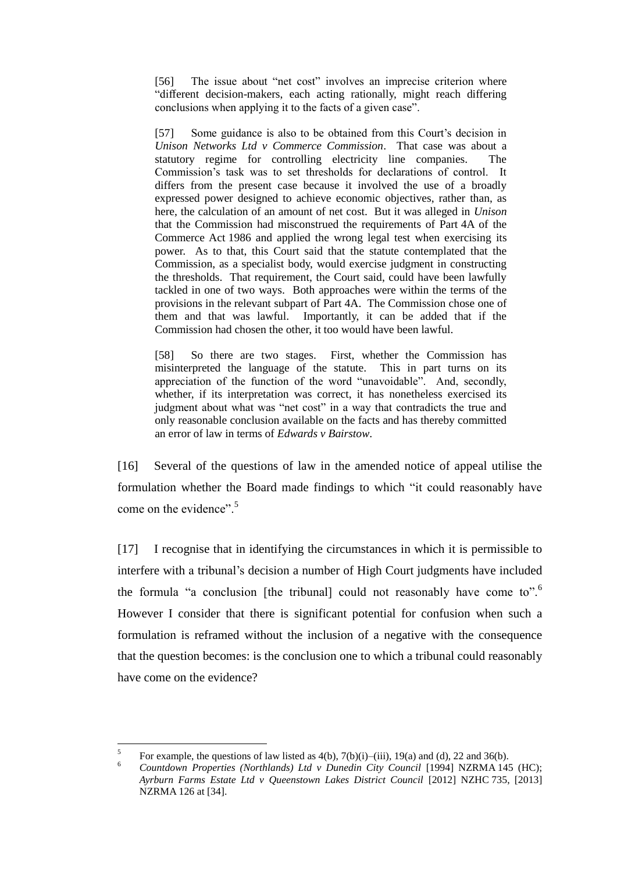[56] The issue about "net cost" involves an imprecise criterion where "different decision-makers, each acting rationally, might reach differing conclusions when applying it to the facts of a given case".

[57] Some guidance is also to be obtained from this Court's decision in *Unison Networks Ltd v Commerce Commission*. That case was about a statutory regime for controlling electricity line companies. The Commission's task was to set thresholds for declarations of control. It differs from the present case because it involved the use of a broadly expressed power designed to achieve economic objectives, rather than, as here, the calculation of an amount of net cost. But it was alleged in *Unison* that the Commission had misconstrued the requirements of Part 4A of the Commerce Act 1986 and applied the wrong legal test when exercising its power. As to that, this Court said that the statute contemplated that the Commission, as a specialist body, would exercise judgment in constructing the thresholds. That requirement, the Court said, could have been lawfully tackled in one of two ways. Both approaches were within the terms of the provisions in the relevant subpart of Part 4A. The Commission chose one of them and that was lawful. Importantly, it can be added that if the Commission had chosen the other, it too would have been lawful.

[58] So there are two stages. First, whether the Commission has misinterpreted the language of the statute. This in part turns on its appreciation of the function of the word "unavoidable". And, secondly, whether, if its interpretation was correct, it has nonetheless exercised its judgment about what was "net cost" in a way that contradicts the true and only reasonable conclusion available on the facts and has thereby committed an error of law in terms of *Edwards v Bairstow*.

[16] Several of the questions of law in the amended notice of appeal utilise the formulation whether the Board made findings to which "it could reasonably have come on the evidence".<sup>5</sup>

[17] I recognise that in identifying the circumstances in which it is permissible to interfere with a tribunal's decision a number of High Court judgments have included the formula "a conclusion [the tribunal] could not reasonably have come to".<sup>6</sup> However I consider that there is significant potential for confusion when such a formulation is reframed without the inclusion of a negative with the consequence that the question becomes: is the conclusion one to which a tribunal could reasonably have come on the evidence?

 $\overline{a}$ 

<sup>5</sup> For example, the questions of law listed as  $4(b)$ ,  $7(b)(i)$ –(iii),  $19(a)$  and (d), 22 and 36(b).

<sup>6</sup> *Countdown Properties (Northlands) Ltd v Dunedin City Council* [1994] NZRMA 145 (HC); *Ayrburn Farms Estate Ltd v Queenstown Lakes District Council* [2012] NZHC 735, [2013] NZRMA 126 at [34].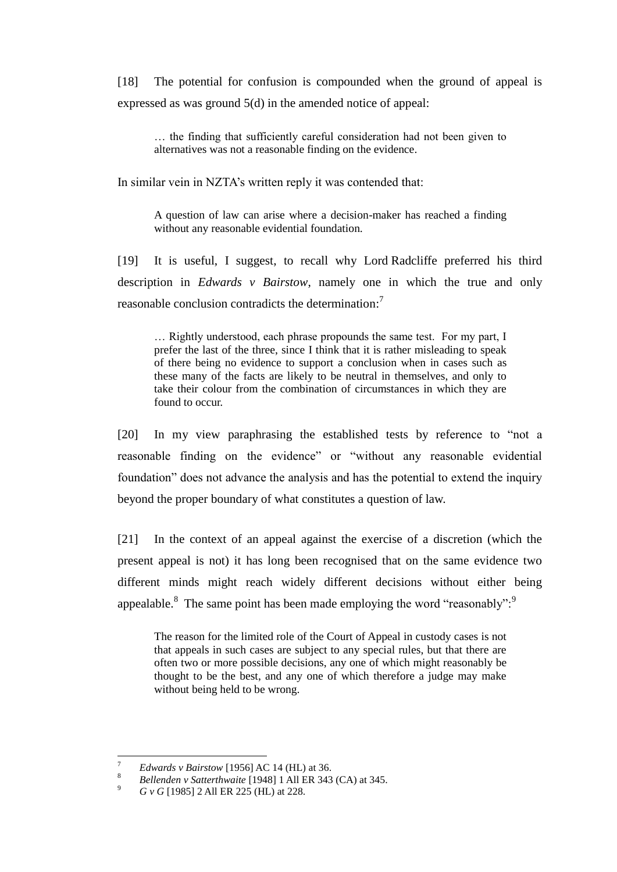[18] The potential for confusion is compounded when the ground of appeal is expressed as was ground 5(d) in the amended notice of appeal:

… the finding that sufficiently careful consideration had not been given to alternatives was not a reasonable finding on the evidence.

In similar vein in NZTA's written reply it was contended that:

A question of law can arise where a decision-maker has reached a finding without any reasonable evidential foundation.

[19] It is useful, I suggest, to recall why Lord Radcliffe preferred his third description in *Edwards v Bairstow*, namely one in which the true and only reasonable conclusion contradicts the determination:<sup>7</sup>

… Rightly understood, each phrase propounds the same test. For my part, I prefer the last of the three, since I think that it is rather misleading to speak of there being no evidence to support a conclusion when in cases such as these many of the facts are likely to be neutral in themselves, and only to take their colour from the combination of circumstances in which they are found to occur.

[20] In my view paraphrasing the established tests by reference to "not a reasonable finding on the evidence" or "without any reasonable evidential foundation" does not advance the analysis and has the potential to extend the inquiry beyond the proper boundary of what constitutes a question of law.

[21] In the context of an appeal against the exercise of a discretion (which the present appeal is not) it has long been recognised that on the same evidence two different minds might reach widely different decisions without either being appealable.<sup>8</sup> The same point has been made employing the word "reasonably":

The reason for the limited role of the Court of Appeal in custody cases is not that appeals in such cases are subject to any special rules, but that there are often two or more possible decisions, any one of which might reasonably be thought to be the best, and any one of which therefore a judge may make without being held to be wrong.

 $\overline{a}$ 

*P Edwards v Bairstow* [1956] AC 14 (HL) at 36.

<sup>8</sup> *Bellenden v Satterthwaite* [1948] 1 All ER 343 (CA) at 345.

<sup>9</sup> *G v G* [1985] 2 All ER 225 (HL) at 228.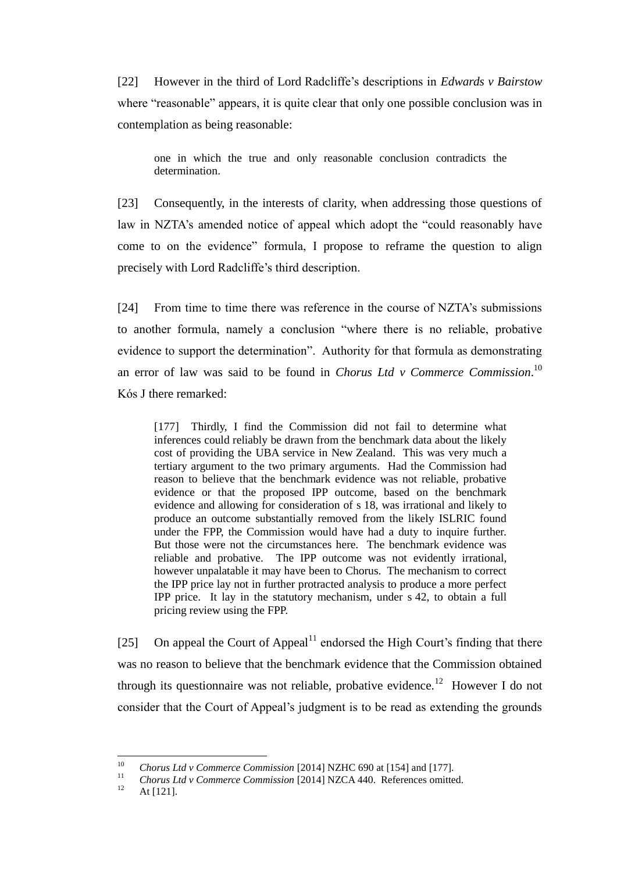[22] However in the third of Lord Radcliffe's descriptions in *Edwards v Bairstow* where "reasonable" appears, it is quite clear that only one possible conclusion was in contemplation as being reasonable:

one in which the true and only reasonable conclusion contradicts the determination.

[23] Consequently, in the interests of clarity, when addressing those questions of law in NZTA's amended notice of appeal which adopt the "could reasonably have come to on the evidence" formula, I propose to reframe the question to align precisely with Lord Radcliffe's third description.

[24] From time to time there was reference in the course of NZTA's submissions to another formula, namely a conclusion "where there is no reliable, probative evidence to support the determination". Authority for that formula as demonstrating an error of law was said to be found in *Chorus Ltd v Commerce Commission*. 10 Kόs J there remarked:

[177] Thirdly, I find the Commission did not fail to determine what inferences could reliably be drawn from the benchmark data about the likely cost of providing the UBA service in New Zealand. This was very much a tertiary argument to the two primary arguments. Had the Commission had reason to believe that the benchmark evidence was not reliable, probative evidence or that the proposed IPP outcome, based on the benchmark evidence and allowing for consideration of s 18, was irrational and likely to produce an outcome substantially removed from the likely ISLRIC found under the FPP, the Commission would have had a duty to inquire further. But those were not the circumstances here. The benchmark evidence was reliable and probative. The IPP outcome was not evidently irrational, however unpalatable it may have been to Chorus. The mechanism to correct the IPP price lay not in further protracted analysis to produce a more perfect IPP price. It lay in the statutory mechanism, under s 42, to obtain a full pricing review using the FPP.

[25] On appeal the Court of Appeal<sup>11</sup> endorsed the High Court's finding that there was no reason to believe that the benchmark evidence that the Commission obtained through its questionnaire was not reliable, probative evidence.<sup>12</sup> However I do not consider that the Court of Appeal's judgment is to be read as extending the grounds

 $10\,$ <sup>10</sup> *Chorus Ltd v Commerce Commission* [2014] NZHC 690 at [154] and [177].

<sup>&</sup>lt;sup>11</sup> *Chorus Ltd v Commerce Commission* [2014] NZCA 440. References omitted.

At [121].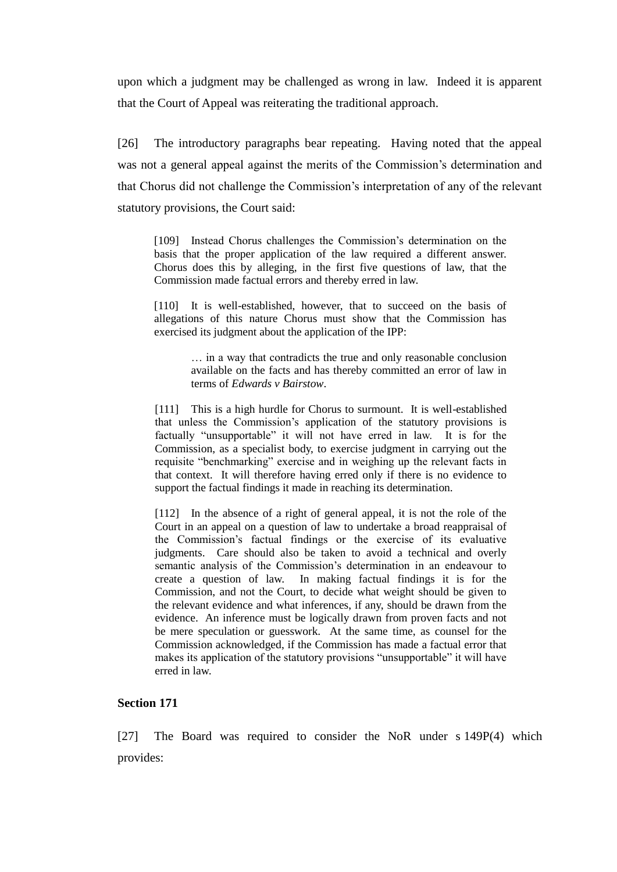upon which a judgment may be challenged as wrong in law. Indeed it is apparent that the Court of Appeal was reiterating the traditional approach.

[26] The introductory paragraphs bear repeating. Having noted that the appeal was not a general appeal against the merits of the Commission's determination and that Chorus did not challenge the Commission's interpretation of any of the relevant statutory provisions, the Court said:

[109] Instead Chorus challenges the Commission's determination on the basis that the proper application of the law required a different answer. Chorus does this by alleging, in the first five questions of law, that the Commission made factual errors and thereby erred in law.

[110] It is well-established, however, that to succeed on the basis of allegations of this nature Chorus must show that the Commission has exercised its judgment about the application of the IPP:

> … in a way that contradicts the true and only reasonable conclusion available on the facts and has thereby committed an error of law in terms of *Edwards v Bairstow*.

[111] This is a high hurdle for Chorus to surmount. It is well-established that unless the Commission's application of the statutory provisions is factually "unsupportable" it will not have erred in law. It is for the Commission, as a specialist body, to exercise judgment in carrying out the requisite "benchmarking" exercise and in weighing up the relevant facts in that context. It will therefore having erred only if there is no evidence to support the factual findings it made in reaching its determination.

[112] In the absence of a right of general appeal, it is not the role of the Court in an appeal on a question of law to undertake a broad reappraisal of the Commission's factual findings or the exercise of its evaluative judgments. Care should also be taken to avoid a technical and overly semantic analysis of the Commission's determination in an endeavour to create a question of law. In making factual findings it is for the Commission, and not the Court, to decide what weight should be given to the relevant evidence and what inferences, if any, should be drawn from the evidence. An inference must be logically drawn from proven facts and not be mere speculation or guesswork. At the same time, as counsel for the Commission acknowledged, if the Commission has made a factual error that makes its application of the statutory provisions "unsupportable" it will have erred in law.

#### **Section 171**

[27] The Board was required to consider the NoR under s 149P(4) which provides: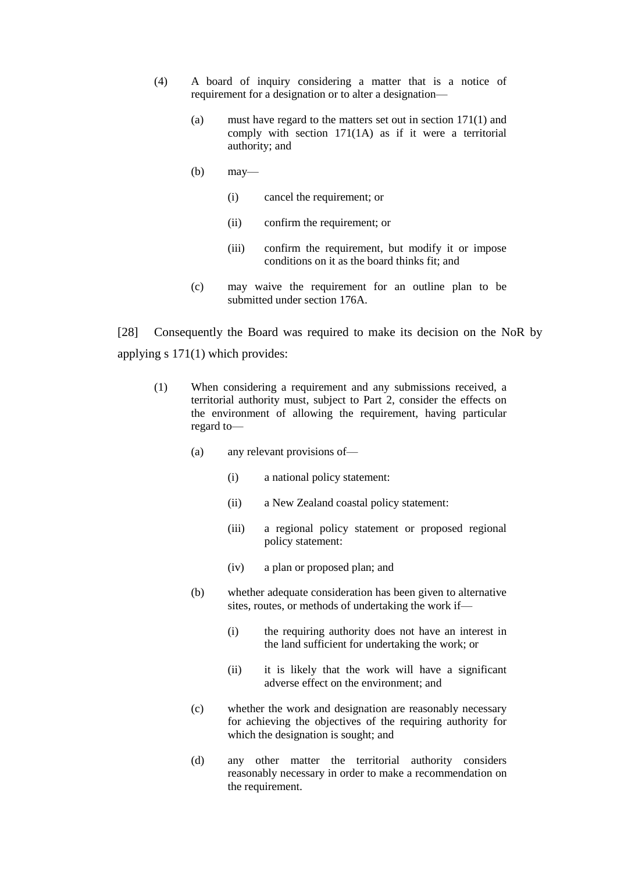- (4) A board of inquiry considering a matter that is a notice of requirement for a designation or to alter a designation—
	- (a) must have regard to the matters set out in section 171(1) and comply with section 171(1A) as if it were a territorial authority; and
	- (b) may—
		- (i) cancel the requirement; or
		- (ii) confirm the requirement; or
		- (iii) confirm the requirement, but modify it or impose conditions on it as the board thinks fit; and
	- (c) may waive the requirement for an outline plan to be submitted under section 176A.

[28] Consequently the Board was required to make its decision on the NoR by applying s 171(1) which provides:

- (1) When considering a requirement and any submissions received, a territorial authority must, subject to Part 2, consider the effects on the environment of allowing the requirement, having particular regard to—
	- (a) any relevant provisions of—
		- (i) a national policy statement:
		- (ii) a New Zealand coastal policy statement:
		- (iii) a regional policy statement or proposed regional policy statement:
		- (iv) a plan or proposed plan; and
	- (b) whether adequate consideration has been given to alternative sites, routes, or methods of undertaking the work if—
		- (i) the requiring authority does not have an interest in the land sufficient for undertaking the work; or
		- (ii) it is likely that the work will have a significant adverse effect on the environment; and
	- (c) whether the work and designation are reasonably necessary for achieving the objectives of the requiring authority for which the designation is sought; and
	- (d) any other matter the territorial authority considers reasonably necessary in order to make a recommendation on the requirement.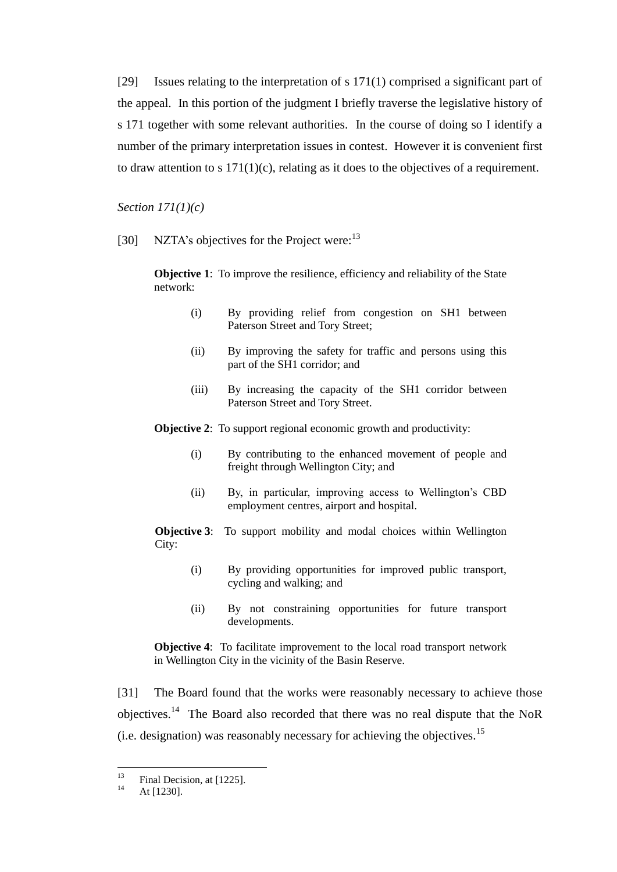[29] Issues relating to the interpretation of s 171(1) comprised a significant part of the appeal. In this portion of the judgment I briefly traverse the legislative history of s 171 together with some relevant authorities. In the course of doing so I identify a number of the primary interpretation issues in contest. However it is convenient first to draw attention to s  $171(1)(c)$ , relating as it does to the objectives of a requirement.

*Section 171(1)(c)*

[30] NZTA's objectives for the Project were:<sup>13</sup>

**Objective 1**: To improve the resilience, efficiency and reliability of the State network:

- (i) By providing relief from congestion on SH1 between Paterson Street and Tory Street;
- (ii) By improving the safety for traffic and persons using this part of the SH1 corridor; and
- (iii) By increasing the capacity of the SH1 corridor between Paterson Street and Tory Street.

**Objective 2:** To support regional economic growth and productivity:

- (i) By contributing to the enhanced movement of people and freight through Wellington City; and
- (ii) By, in particular, improving access to Wellington's CBD employment centres, airport and hospital.

**Objective 3**: To support mobility and modal choices within Wellington City:

- (i) By providing opportunities for improved public transport, cycling and walking; and
- (ii) By not constraining opportunities for future transport developments.

**Objective 4**: To facilitate improvement to the local road transport network in Wellington City in the vicinity of the Basin Reserve.

[31] The Board found that the works were reasonably necessary to achieve those objectives.<sup>14</sup> The Board also recorded that there was no real dispute that the NoR (i.e. designation) was reasonably necessary for achieving the objectives.<sup>15</sup>

 $13$ <sup>13</sup> Final Decision, at [1225].

At [1230].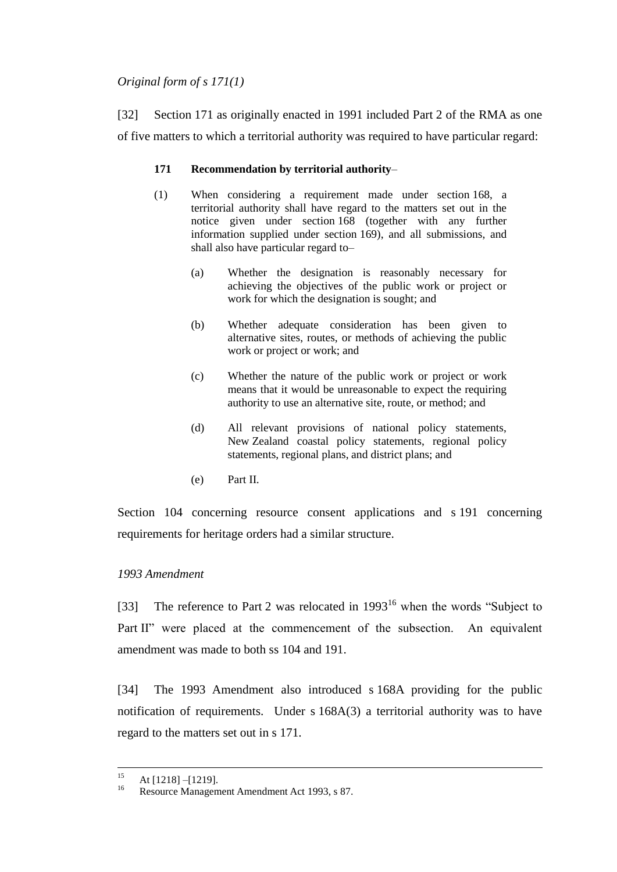### *Original form of s 171(1)*

[32] Section 171 as originally enacted in 1991 included Part 2 of the RMA as one of five matters to which a territorial authority was required to have particular regard:

### **171 Recommendation by territorial authority**–

- (1) When considering a requirement made under section 168, a territorial authority shall have regard to the matters set out in the notice given under section 168 (together with any further information supplied under section 169), and all submissions, and shall also have particular regard to–
	- (a) Whether the designation is reasonably necessary for achieving the objectives of the public work or project or work for which the designation is sought; and
	- (b) Whether adequate consideration has been given to alternative sites, routes, or methods of achieving the public work or project or work; and
	- (c) Whether the nature of the public work or project or work means that it would be unreasonable to expect the requiring authority to use an alternative site, route, or method; and
	- (d) All relevant provisions of national policy statements, New Zealand coastal policy statements, regional policy statements, regional plans, and district plans; and
	- (e) Part II.

Section 104 concerning resource consent applications and s 191 concerning requirements for heritage orders had a similar structure.

# *1993 Amendment*

[33] The reference to Part 2 was relocated in  $1993^{16}$  when the words "Subject to Part II" were placed at the commencement of the subsection. An equivalent amendment was made to both ss 104 and 191.

[34] The 1993 Amendment also introduced s 168A providing for the public notification of requirements. Under s 168A(3) a territorial authority was to have regard to the matters set out in s 171.

 $15$  $\frac{15}{16}$  At [1218] –[1219].

Resource Management Amendment Act 1993, s 87.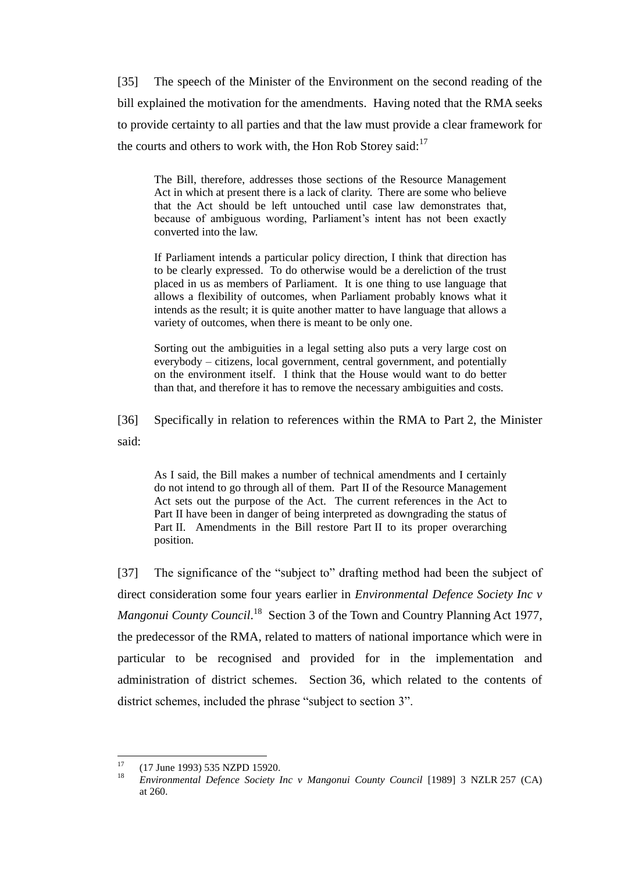[35] The speech of the Minister of the Environment on the second reading of the bill explained the motivation for the amendments. Having noted that the RMA seeks to provide certainty to all parties and that the law must provide a clear framework for the courts and others to work with, the Hon Rob Storey said:<sup>17</sup>

The Bill, therefore, addresses those sections of the Resource Management Act in which at present there is a lack of clarity. There are some who believe that the Act should be left untouched until case law demonstrates that, because of ambiguous wording, Parliament's intent has not been exactly converted into the law.

If Parliament intends a particular policy direction, I think that direction has to be clearly expressed. To do otherwise would be a dereliction of the trust placed in us as members of Parliament. It is one thing to use language that allows a flexibility of outcomes, when Parliament probably knows what it intends as the result; it is quite another matter to have language that allows a variety of outcomes, when there is meant to be only one.

Sorting out the ambiguities in a legal setting also puts a very large cost on everybody – citizens, local government, central government, and potentially on the environment itself. I think that the House would want to do better than that, and therefore it has to remove the necessary ambiguities and costs.

[36] Specifically in relation to references within the RMA to Part 2, the Minister said:

As I said, the Bill makes a number of technical amendments and I certainly do not intend to go through all of them. Part II of the Resource Management Act sets out the purpose of the Act. The current references in the Act to Part II have been in danger of being interpreted as downgrading the status of Part II. Amendments in the Bill restore Part II to its proper overarching position.

[37] The significance of the "subject to" drafting method had been the subject of direct consideration some four years earlier in *Environmental Defence Society Inc v*  Mangonui County Council.<sup>18</sup> Section 3 of the Town and Country Planning Act 1977, the predecessor of the RMA, related to matters of national importance which were in particular to be recognised and provided for in the implementation and administration of district schemes. Section 36, which related to the contents of district schemes, included the phrase "subject to section 3".

 $17$  $^{17}$  (17 June 1993) 535 NZPD 15920.

<sup>18</sup> *Environmental Defence Society Inc v Mangonui County Council* [1989] 3 NZLR 257 (CA) at 260.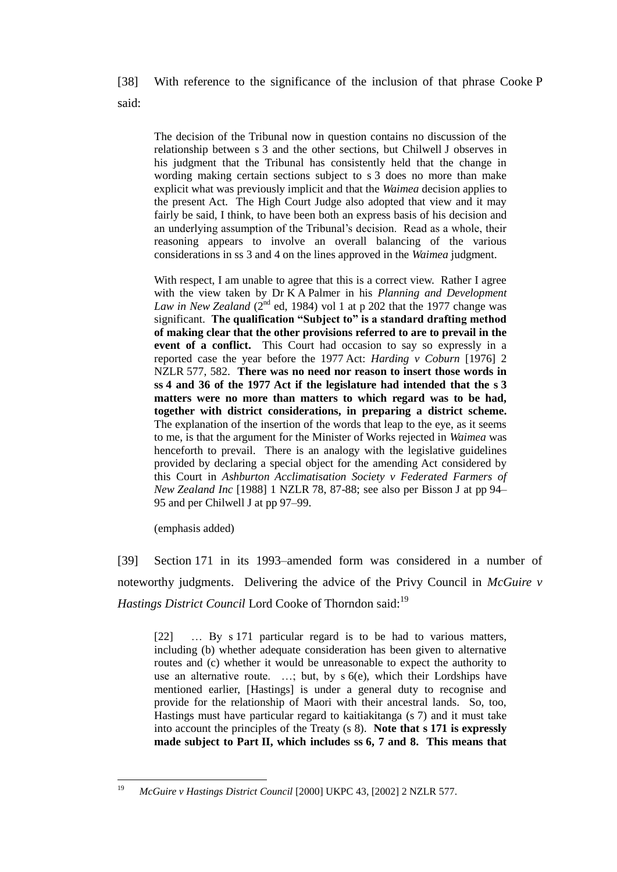[38] With reference to the significance of the inclusion of that phrase Cooke P said:

The decision of the Tribunal now in question contains no discussion of the relationship between s 3 and the other sections, but Chilwell J observes in his judgment that the Tribunal has consistently held that the change in wording making certain sections subject to s 3 does no more than make explicit what was previously implicit and that the *Waimea* decision applies to the present Act. The High Court Judge also adopted that view and it may fairly be said, I think, to have been both an express basis of his decision and an underlying assumption of the Tribunal's decision. Read as a whole, their reasoning appears to involve an overall balancing of the various considerations in ss 3 and 4 on the lines approved in the *Waimea* judgment.

With respect, I am unable to agree that this is a correct view. Rather I agree with the view taken by Dr K A Palmer in his *Planning and Development Law in New Zealand* ( $2^{nd}$  ed, 1984) vol 1 at p 202 that the 1977 change was significant. **The qualification "Subject to" is a standard drafting method of making clear that the other provisions referred to are to prevail in the event of a conflict.** This Court had occasion to say so expressly in a reported case the year before the 1977 Act: *Harding v Coburn* [1976] 2 NZLR 577, 582. **There was no need nor reason to insert those words in ss 4 and 36 of the 1977 Act if the legislature had intended that the s 3 matters were no more than matters to which regard was to be had, together with district considerations, in preparing a district scheme.** The explanation of the insertion of the words that leap to the eye, as it seems to me, is that the argument for the Minister of Works rejected in *Waimea* was henceforth to prevail. There is an analogy with the legislative guidelines provided by declaring a special object for the amending Act considered by this Court in *Ashburton Acclimatisation Society v Federated Farmers of New Zealand Inc* [1988] 1 NZLR 78, 87-88; see also per Bisson J at pp 94– 95 and per Chilwell J at pp 97–99.

(emphasis added)

[39] Section 171 in its 1993–amended form was considered in a number of noteworthy judgments. Delivering the advice of the Privy Council in *McGuire v Hastings District Council* Lord Cooke of Thorndon said:<sup>19</sup>

[22] … By s 171 particular regard is to be had to various matters, including (b) whether adequate consideration has been given to alternative routes and (c) whether it would be unreasonable to expect the authority to use an alternative route. …; but, by s 6(e), which their Lordships have mentioned earlier, [Hastings] is under a general duty to recognise and provide for the relationship of Maori with their ancestral lands. So, too, Hastings must have particular regard to kaitiakitanga (s 7) and it must take into account the principles of the Treaty (s 8). **Note that s 171 is expressly made subject to Part II, which includes ss 6, 7 and 8. This means that** 

<sup>19</sup> <sup>19</sup> *McGuire v Hastings District Council* [2000] UKPC 43, [2002] 2 NZLR 577.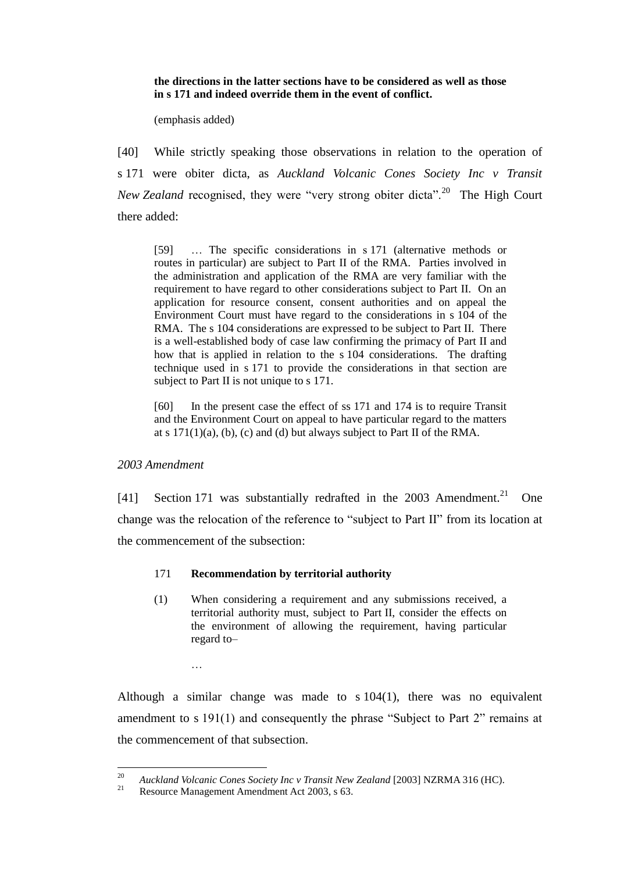**the directions in the latter sections have to be considered as well as those in s 171 and indeed override them in the event of conflict.**

(emphasis added)

[40] While strictly speaking those observations in relation to the operation of s 171 were obiter dicta, as *Auckland Volcanic Cones Society Inc v Transit New Zealand* recognised, they were "very strong obiter dicta".<sup>20</sup> The High Court there added:

[59] … The specific considerations in s 171 (alternative methods or routes in particular) are subject to Part II of the RMA. Parties involved in the administration and application of the RMA are very familiar with the requirement to have regard to other considerations subject to Part II. On an application for resource consent, consent authorities and on appeal the Environment Court must have regard to the considerations in s 104 of the RMA. The s 104 considerations are expressed to be subject to Part II. There is a well-established body of case law confirming the primacy of Part II and how that is applied in relation to the s 104 considerations. The drafting technique used in s 171 to provide the considerations in that section are subject to Part II is not unique to s 171.

[60] In the present case the effect of ss 171 and 174 is to require Transit and the Environment Court on appeal to have particular regard to the matters at s  $171(1)(a)$ , (b), (c) and (d) but always subject to Part II of the RMA.

#### *2003 Amendment*

[41] Section 171 was substantially redrafted in the 2003 Amendment.<sup>21</sup> One change was the relocation of the reference to "subject to Part II" from its location at the commencement of the subsection:

#### 171 **Recommendation by territorial authority**

(1) When considering a requirement and any submissions received, a territorial authority must, subject to Part II, consider the effects on the environment of allowing the requirement, having particular regard to–

…

Although a similar change was made to s 104(1), there was no equivalent amendment to s 191(1) and consequently the phrase "Subject to Part 2" remains at the commencement of that subsection.

 $20$ <sup>20</sup> *Auckland Volcanic Cones Society Inc v Transit New Zealand* [2003] NZRMA 316 (HC).<br>Posource Management Amendment Act 2003 s 63

Resource Management Amendment Act 2003, s 63.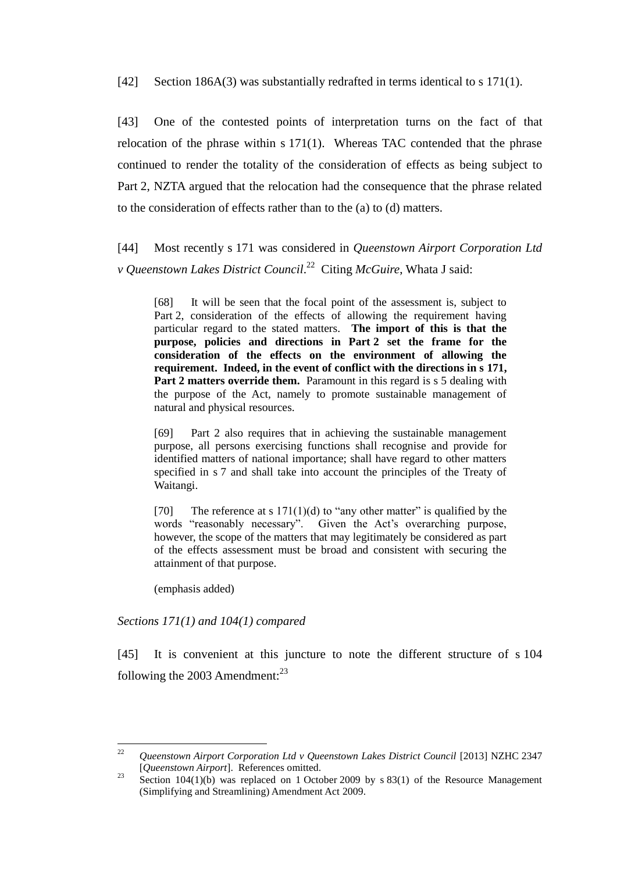[42] Section 186A(3) was substantially redrafted in terms identical to s 171(1).

[43] One of the contested points of interpretation turns on the fact of that relocation of the phrase within s 171(1). Whereas TAC contended that the phrase continued to render the totality of the consideration of effects as being subject to Part 2, NZTA argued that the relocation had the consequence that the phrase related to the consideration of effects rather than to the (a) to (d) matters.

[44] Most recently s 171 was considered in *Queenstown Airport Corporation Ltd v Queenstown Lakes District Council*. 22 Citing *McGuire*, Whata J said:

[68] It will be seen that the focal point of the assessment is, subject to Part 2, consideration of the effects of allowing the requirement having particular regard to the stated matters. **The import of this is that the purpose, policies and directions in Part 2 set the frame for the consideration of the effects on the environment of allowing the requirement. Indeed, in the event of conflict with the directions in s 171, Part 2 matters override them.** Paramount in this regard is s 5 dealing with the purpose of the Act, namely to promote sustainable management of natural and physical resources.

[69] Part 2 also requires that in achieving the sustainable management purpose, all persons exercising functions shall recognise and provide for identified matters of national importance; shall have regard to other matters specified in s 7 and shall take into account the principles of the Treaty of Waitangi.

[70] The reference at s  $171(1)(d)$  to "any other matter" is qualified by the words "reasonably necessary". Given the Act's overarching purpose, however, the scope of the matters that may legitimately be considered as part of the effects assessment must be broad and consistent with securing the attainment of that purpose.

(emphasis added)

*Sections 171(1) and 104(1) compared*

[45] It is convenient at this juncture to note the different structure of s 104 following the 2003 Amendment: $^{23}$ 

 $22$ <sup>22</sup> *Queenstown Airport Corporation Ltd v Queenstown Lakes District Council* [2013] NZHC 2347 [*Queenstown Airport*]. References omitted.

<sup>&</sup>lt;sup>23</sup> Section 104(1)(b) was replaced on 1 October 2009 by s 83(1) of the Resource Management (Simplifying and Streamlining) Amendment Act 2009.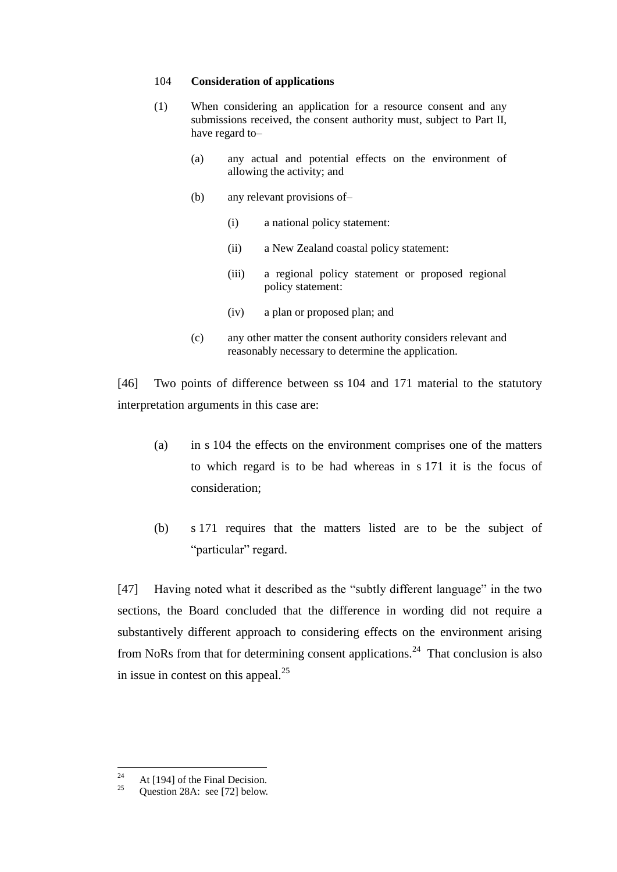#### 104 **Consideration of applications**

- (1) When considering an application for a resource consent and any submissions received, the consent authority must, subject to Part II, have regard to–
	- (a) any actual and potential effects on the environment of allowing the activity; and
	- (b) any relevant provisions of–
		- (i) a national policy statement:
		- (ii) a New Zealand coastal policy statement:
		- (iii) a regional policy statement or proposed regional policy statement:
		- (iv) a plan or proposed plan; and
	- (c) any other matter the consent authority considers relevant and reasonably necessary to determine the application.

[46] Two points of difference between ss 104 and 171 material to the statutory interpretation arguments in this case are:

- (a) in s 104 the effects on the environment comprises one of the matters to which regard is to be had whereas in s 171 it is the focus of consideration;
- (b) s 171 requires that the matters listed are to be the subject of "particular" regard.

[47] Having noted what it described as the "subtly different language" in the two sections, the Board concluded that the difference in wording did not require a substantively different approach to considering effects on the environment arising from NoRs from that for determining consent applications.<sup>24</sup> That conclusion is also in issue in contest on this appeal.<sup>25</sup>

 $\overline{24}$ <sup>24</sup> At [194] of the Final Decision.<br><sup>25</sup> Ougstion 28.4: soo [72] below.

Question 28A: see [72] below.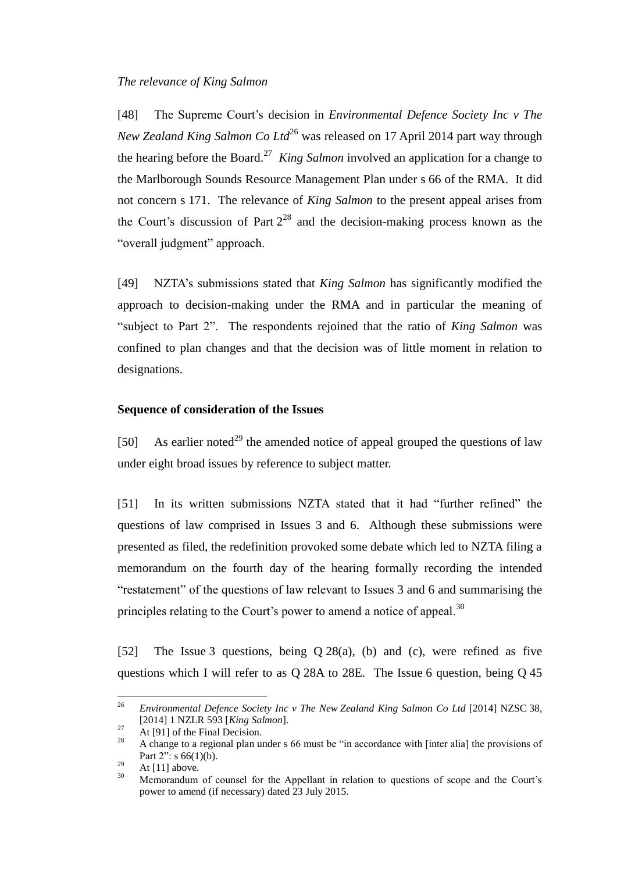[48] The Supreme Court's decision in *Environmental Defence Society Inc v The New Zealand King Salmon Co Ltd*<sup>26</sup> was released on 17 April 2014 part way through the hearing before the Board.<sup>27</sup> King Salmon involved an application for a change to the Marlborough Sounds Resource Management Plan under s 66 of the RMA. It did not concern s 171. The relevance of *King Salmon* to the present appeal arises from the Court's discussion of Part  $2^{28}$  and the decision-making process known as the "overall judgment" approach.

[49] NZTA's submissions stated that *King Salmon* has significantly modified the approach to decision-making under the RMA and in particular the meaning of "subject to Part 2". The respondents rejoined that the ratio of *King Salmon* was confined to plan changes and that the decision was of little moment in relation to designations.

#### **Sequence of consideration of the Issues**

[50] As earlier noted<sup>29</sup> the amended notice of appeal grouped the questions of law under eight broad issues by reference to subject matter.

[51] In its written submissions NZTA stated that it had "further refined" the questions of law comprised in Issues 3 and 6. Although these submissions were presented as filed, the redefinition provoked some debate which led to NZTA filing a memorandum on the fourth day of the hearing formally recording the intended "restatement" of the questions of law relevant to Issues 3 and 6 and summarising the principles relating to the Court's power to amend a notice of appeal.<sup>30</sup>

[52] The Issue 3 questions, being Q 28(a), (b) and (c), were refined as five questions which I will refer to as Q 28A to 28E. The Issue 6 question, being Q 45

<sup>26</sup> <sup>26</sup> *Environmental Defence Society Inc v The New Zealand King Salmon Co Ltd* [2014] NZSC 38, [2014] 1 NZLR 593 [*King Salmon*].

 $27 \text{ At [91] of the Final Decision.}$ 

<sup>28</sup> A change to a regional plan under s 66 must be "in accordance with [inter alia] the provisions of Part  $2$ ": s  $66(1)(b)$ .

 $\frac{29}{30}$  At [11] above.

<sup>30</sup> Memorandum of counsel for the Appellant in relation to questions of scope and the Court's power to amend (if necessary) dated 23 July 2015.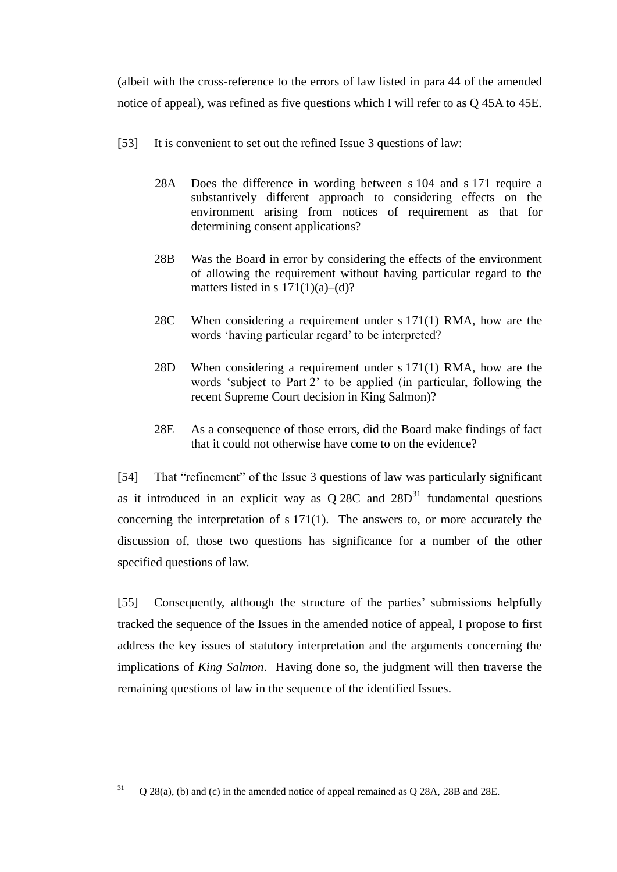(albeit with the cross-reference to the errors of law listed in para 44 of the amended notice of appeal), was refined as five questions which I will refer to as Q 45A to 45E.

- [53] It is convenient to set out the refined Issue 3 questions of law:
	- 28A Does the difference in wording between s 104 and s 171 require a substantively different approach to considering effects on the environment arising from notices of requirement as that for determining consent applications?
	- 28B Was the Board in error by considering the effects of the environment of allowing the requirement without having particular regard to the matters listed in s  $171(1)(a)–(d)?$
	- 28C When considering a requirement under s 171(1) RMA, how are the words 'having particular regard' to be interpreted?
	- 28D When considering a requirement under s 171(1) RMA, how are the words 'subject to Part 2' to be applied (in particular, following the recent Supreme Court decision in King Salmon)?
	- 28E As a consequence of those errors, did the Board make findings of fact that it could not otherwise have come to on the evidence?

[54] That "refinement" of the Issue 3 questions of law was particularly significant as it introduced in an explicit way as  $Q$  28C and  $28D<sup>31</sup>$  fundamental questions concerning the interpretation of  $s$  171(1). The answers to, or more accurately the discussion of, those two questions has significance for a number of the other specified questions of law.

[55] Consequently, although the structure of the parties' submissions helpfully tracked the sequence of the Issues in the amended notice of appeal, I propose to first address the key issues of statutory interpretation and the arguments concerning the implications of *King Salmon*. Having done so, the judgment will then traverse the remaining questions of law in the sequence of the identified Issues.

 $31$ <sup>31</sup> Q 28(a), (b) and (c) in the amended notice of appeal remained as Q 28A, 28B and 28E.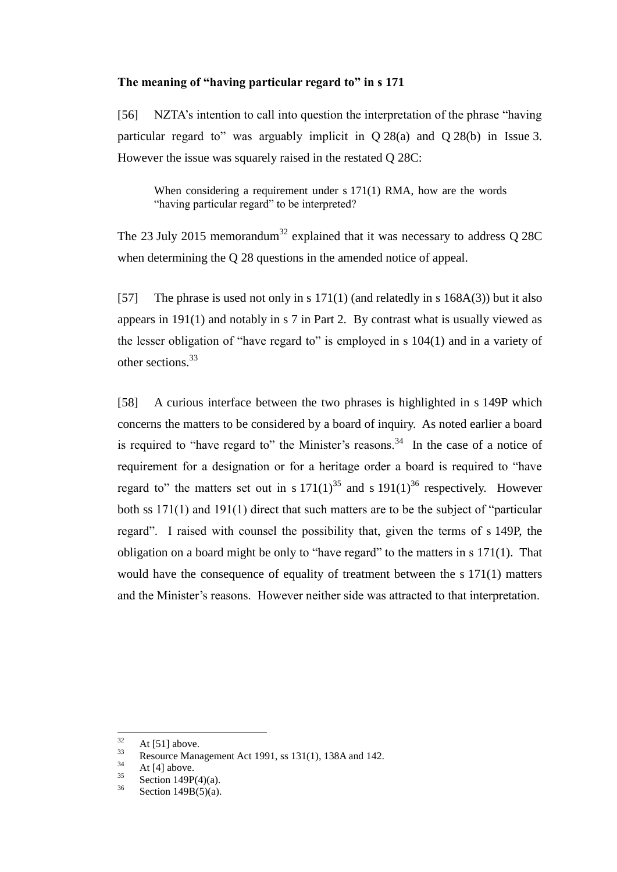### **The meaning of "having particular regard to" in s 171**

[56] NZTA's intention to call into question the interpretation of the phrase "having particular regard to" was arguably implicit in  $Q$  28(a) and  $Q$  28(b) in Issue 3. However the issue was squarely raised in the restated Q 28C:

When considering a requirement under s 171(1) RMA, how are the words "having particular regard" to be interpreted?

The 23 July 2015 memorandum<sup>32</sup> explained that it was necessary to address Q 28C when determining the Q 28 questions in the amended notice of appeal.

[57] The phrase is used not only in s 171(1) (and relatedly in s 168A(3)) but it also appears in 191(1) and notably in s 7 in Part 2. By contrast what is usually viewed as the lesser obligation of "have regard to" is employed in s 104(1) and in a variety of other sections.<sup>33</sup>

[58] A curious interface between the two phrases is highlighted in s 149P which concerns the matters to be considered by a board of inquiry. As noted earlier a board is required to "have regard to" the Minister's reasons.<sup>34</sup> In the case of a notice of requirement for a designation or for a heritage order a board is required to "have regard to" the matters set out in s  $171(1)^{35}$  and s  $191(1)^{36}$  respectively. However both ss 171(1) and 191(1) direct that such matters are to be the subject of "particular regard". I raised with counsel the possibility that, given the terms of s 149P, the obligation on a board might be only to "have regard" to the matters in s 171(1). That would have the consequence of equality of treatment between the s 171(1) matters and the Minister's reasons. However neither side was attracted to that interpretation.

<sup>32</sup>  $\frac{32}{33}$  At [51] above.

<sup>33</sup> Resource Management Act 1991, ss 131(1), 138A and 142.

 $\frac{34}{35}$  At [4] above.

 $rac{35}{36}$  Section 149P(4)(a).

Section  $149B(5)(a)$ .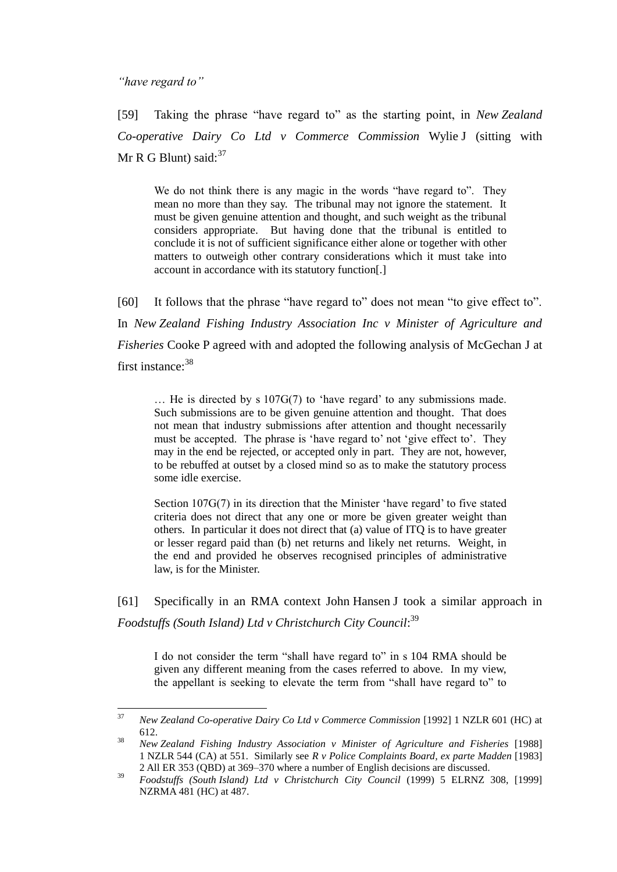*"have regard to"*

[59] Taking the phrase "have regard to" as the starting point, in *New Zealand Co-operative Dairy Co Ltd v Commerce Commission* Wylie J (sitting with Mr R G Blunt) said: $37$ 

We do not think there is any magic in the words "have regard to". They mean no more than they say. The tribunal may not ignore the statement. It must be given genuine attention and thought, and such weight as the tribunal considers appropriate. But having done that the tribunal is entitled to conclude it is not of sufficient significance either alone or together with other matters to outweigh other contrary considerations which it must take into account in accordance with its statutory function[.]

[60] It follows that the phrase "have regard to" does not mean "to give effect to". In *New Zealand Fishing Industry Association Inc v Minister of Agriculture and Fisheries* Cooke P agreed with and adopted the following analysis of McGechan J at first instance:<sup>38</sup>

… He is directed by s 107G(7) to 'have regard' to any submissions made. Such submissions are to be given genuine attention and thought. That does not mean that industry submissions after attention and thought necessarily must be accepted. The phrase is 'have regard to' not 'give effect to'. They may in the end be rejected, or accepted only in part. They are not, however, to be rebuffed at outset by a closed mind so as to make the statutory process some idle exercise.

Section 107G(7) in its direction that the Minister 'have regard' to five stated criteria does not direct that any one or more be given greater weight than others. In particular it does not direct that (a) value of ITQ is to have greater or lesser regard paid than (b) net returns and likely net returns. Weight, in the end and provided he observes recognised principles of administrative law, is for the Minister.

[61] Specifically in an RMA context John Hansen J took a similar approach in *Foodstuffs (South Island) Ltd v Christchurch City Council*: 39

I do not consider the term "shall have regard to" in s 104 RMA should be given any different meaning from the cases referred to above. In my view, the appellant is seeking to elevate the term from "shall have regard to" to

<sup>37</sup> <sup>37</sup> *New Zealand Co-operative Dairy Co Ltd v Commerce Commission* [1992] 1 NZLR 601 (HC) at 612.

<sup>38</sup> *New Zealand Fishing Industry Association v Minister of Agriculture and Fisheries* [1988] 1 NZLR 544 (CA) at 551. Similarly see *R v Police Complaints Board, ex parte Madden* [1983] 2 All ER 353 (QBD) at 369–370 where a number of English decisions are discussed.

<sup>39</sup> *Foodstuffs (South Island) Ltd v Christchurch City Council* (1999) 5 ELRNZ 308, [1999] NZRMA 481 (HC) at 487.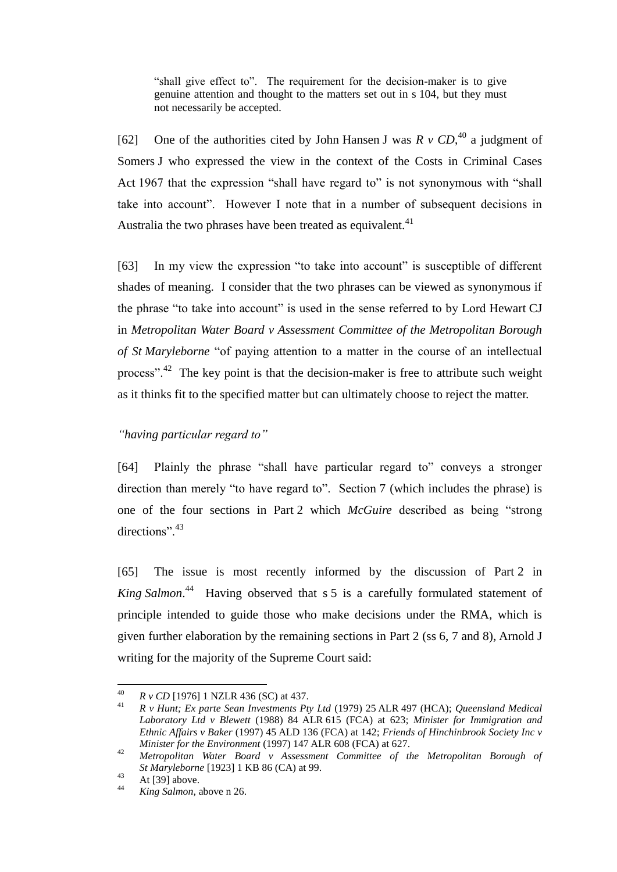"shall give effect to". The requirement for the decision-maker is to give genuine attention and thought to the matters set out in s 104, but they must not necessarily be accepted.

[62] One of the authorities cited by John Hansen J was  $R \, v \, CD,$ <sup>40</sup> a judgment of Somers J who expressed the view in the context of the Costs in Criminal Cases Act 1967 that the expression "shall have regard to" is not synonymous with "shall take into account". However I note that in a number of subsequent decisions in Australia the two phrases have been treated as equivalent.<sup>41</sup>

[63] In my view the expression "to take into account" is susceptible of different shades of meaning. I consider that the two phrases can be viewed as synonymous if the phrase "to take into account" is used in the sense referred to by Lord Hewart CJ in *Metropolitan Water Board v Assessment Committee of the Metropolitan Borough of St Maryleborne* "of paying attention to a matter in the course of an intellectual process".<sup>42</sup> The key point is that the decision-maker is free to attribute such weight as it thinks fit to the specified matter but can ultimately choose to reject the matter.

### *"having particular regard to"*

[64] Plainly the phrase "shall have particular regard to" conveys a stronger direction than merely "to have regard to". Section 7 (which includes the phrase) is one of the four sections in Part 2 which *McGuire* described as being "strong directions".<sup>43</sup>

[65] The issue is most recently informed by the discussion of Part 2 in *King Salmon*. 44 Having observed that s 5 is a carefully formulated statement of principle intended to guide those who make decisions under the RMA, which is given further elaboration by the remaining sections in Part 2 (ss 6, 7 and 8), Arnold J writing for the majority of the Supreme Court said:

 $\overline{a}$ 

<sup>40</sup> *R v CD* [1976] 1 NZLR 436 (SC) at 437.

<sup>41</sup> *R v Hunt; Ex parte Sean Investments Pty Ltd* (1979) 25 ALR 497 (HCA); *Queensland Medical Laboratory Ltd v Blewett* (1988) 84 ALR 615 (FCA) at 623; *Minister for Immigration and Ethnic Affairs v Baker* (1997) 45 ALD 136 (FCA) at 142; *Friends of Hinchinbrook Society Inc v Minister for the Environment* (1997) 147 ALR 608 (FCA) at 627.

<sup>42</sup> *Metropolitan Water Board v Assessment Committee of the Metropolitan Borough of St Maryleborne* [1923] 1 KB 86 (CA) at 99.

 $43$  At [39] above.

<sup>44</sup> *King Salmon,* above n 26.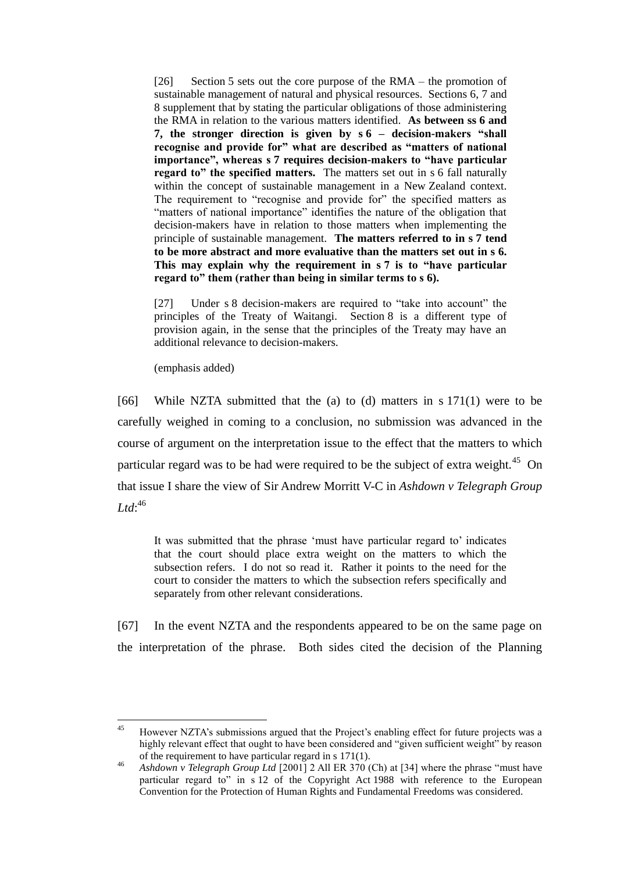[26] Section 5 sets out the core purpose of the RMA – the promotion of sustainable management of natural and physical resources. Sections 6, 7 and 8 supplement that by stating the particular obligations of those administering the RMA in relation to the various matters identified. **As between ss 6 and 7, the stronger direction is given by s 6 – decision-makers "shall recognise and provide for" what are described as "matters of national importance", whereas s 7 requires decision-makers to "have particular regard to" the specified matters.** The matters set out in s 6 fall naturally within the concept of sustainable management in a New Zealand context. The requirement to "recognise and provide for" the specified matters as "matters of national importance" identifies the nature of the obligation that decision-makers have in relation to those matters when implementing the principle of sustainable management. **The matters referred to in s 7 tend to be more abstract and more evaluative than the matters set out in s 6. This may explain why the requirement in s 7 is to "have particular regard to" them (rather than being in similar terms to s 6).**

[27] Under s 8 decision-makers are required to "take into account" the principles of the Treaty of Waitangi. Section 8 is a different type of provision again, in the sense that the principles of the Treaty may have an additional relevance to decision-makers.

(emphasis added)

[66] While NZTA submitted that the (a) to (d) matters in s 171(1) were to be carefully weighed in coming to a conclusion, no submission was advanced in the course of argument on the interpretation issue to the effect that the matters to which particular regard was to be had were required to be the subject of extra weight.<sup>45</sup> On that issue I share the view of Sir Andrew Morritt V-C in *Ashdown v Telegraph Group*   $Ltd:$ <sup>46</sup>

It was submitted that the phrase 'must have particular regard to' indicates that the court should place extra weight on the matters to which the subsection refers. I do not so read it. Rather it points to the need for the court to consider the matters to which the subsection refers specifically and separately from other relevant considerations.

[67] In the event NZTA and the respondents appeared to be on the same page on the interpretation of the phrase. Both sides cited the decision of the Planning

 $45$ <sup>45</sup> However NZTA's submissions argued that the Project's enabling effect for future projects was a highly relevant effect that ought to have been considered and "given sufficient weight" by reason of the requirement to have particular regard in s 171(1).

<sup>46</sup> *Ashdown v Telegraph Group Ltd* [2001] 2 All ER 370 (Ch) at [34] where the phrase "must have particular regard to" in s 12 of the Copyright Act 1988 with reference to the European Convention for the Protection of Human Rights and Fundamental Freedoms was considered.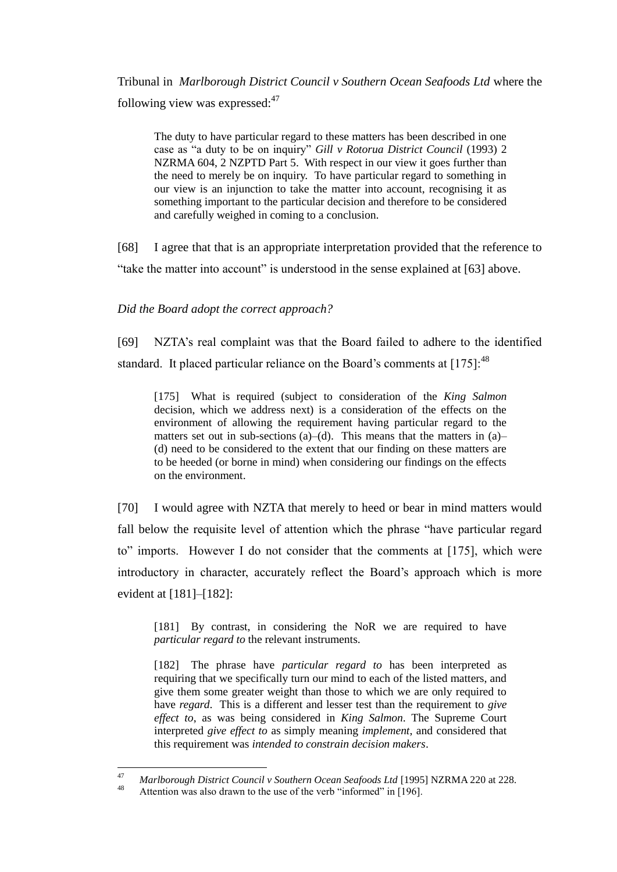Tribunal in *Marlborough District Council v Southern Ocean Seafoods Ltd* where the following view was expressed: $47$ 

The duty to have particular regard to these matters has been described in one case as "a duty to be on inquiry" *Gill v Rotorua District Council* (1993) 2 NZRMA 604, 2 NZPTD Part 5. With respect in our view it goes further than the need to merely be on inquiry. To have particular regard to something in our view is an injunction to take the matter into account, recognising it as something important to the particular decision and therefore to be considered and carefully weighed in coming to a conclusion.

[68] I agree that that is an appropriate interpretation provided that the reference to "take the matter into account" is understood in the sense explained at [63] above.

*Did the Board adopt the correct approach?*

[69] NZTA's real complaint was that the Board failed to adhere to the identified standard. It placed particular reliance on the Board's comments at  $[175]$ :<sup>48</sup>

[175] What is required (subject to consideration of the *King Salmon* decision, which we address next) is a consideration of the effects on the environment of allowing the requirement having particular regard to the matters set out in sub-sections (a)–(d). This means that the matters in (a)– (d) need to be considered to the extent that our finding on these matters are to be heeded (or borne in mind) when considering our findings on the effects on the environment.

[70] I would agree with NZTA that merely to heed or bear in mind matters would fall below the requisite level of attention which the phrase "have particular regard to" imports. However I do not consider that the comments at [175], which were introductory in character, accurately reflect the Board's approach which is more evident at [181]–[182]:

[181] By contrast, in considering the NoR we are required to have *particular regard to* the relevant instruments.

[182] The phrase have *particular regard to* has been interpreted as requiring that we specifically turn our mind to each of the listed matters, and give them some greater weight than those to which we are only required to have *regard*. This is a different and lesser test than the requirement to *give effect to*, as was being considered in *King Salmon*. The Supreme Court interpreted *give effect to* as simply meaning *implement*, and considered that this requirement was *intended to constrain decision makers*.

<sup>47</sup> 47 *Marlborough District Council v Southern Ocean Seafoods Ltd* [1995] NZRMA 220 at 228.

Attention was also drawn to the use of the verb "informed" in [196].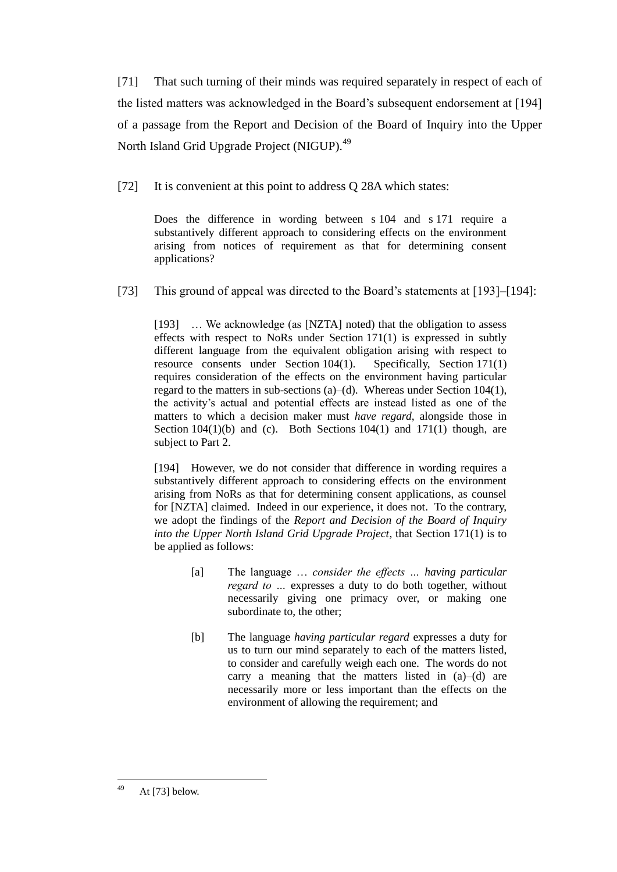[71] That such turning of their minds was required separately in respect of each of the listed matters was acknowledged in the Board's subsequent endorsement at [194] of a passage from the Report and Decision of the Board of Inquiry into the Upper North Island Grid Upgrade Project (NIGUP).<sup>49</sup>

[72] It is convenient at this point to address Q 28A which states:

Does the difference in wording between s 104 and s 171 require a substantively different approach to considering effects on the environment arising from notices of requirement as that for determining consent applications?

[73] This ground of appeal was directed to the Board's statements at [193]–[194]:

[193] ... We acknowledge (as [NZTA] noted) that the obligation to assess effects with respect to NoRs under Section 171(1) is expressed in subtly different language from the equivalent obligation arising with respect to resource consents under Section 104(1). Specifically, Section 171(1) requires consideration of the effects on the environment having particular regard to the matters in sub-sections (a)–(d). Whereas under Section 104(1), the activity's actual and potential effects are instead listed as one of the matters to which a decision maker must *have regard*, alongside those in Section  $104(1)(b)$  and (c). Both Sections  $104(1)$  and  $171(1)$  though, are subject to Part 2.

[194] However, we do not consider that difference in wording requires a substantively different approach to considering effects on the environment arising from NoRs as that for determining consent applications, as counsel for [NZTA] claimed. Indeed in our experience, it does not. To the contrary, we adopt the findings of the *Report and Decision of the Board of Inquiry into the Upper North Island Grid Upgrade Project*, that Section 171(1) is to be applied as follows:

- [a] The language … *consider the effects … having particular regard to …* expresses a duty to do both together, without necessarily giving one primacy over, or making one subordinate to, the other;
- [b] The language *having particular regard* expresses a duty for us to turn our mind separately to each of the matters listed, to consider and carefully weigh each one. The words do not carry a meaning that the matters listed in (a)–(d) are necessarily more or less important than the effects on the environment of allowing the requirement; and

<sup>49</sup> At  $[73]$  below.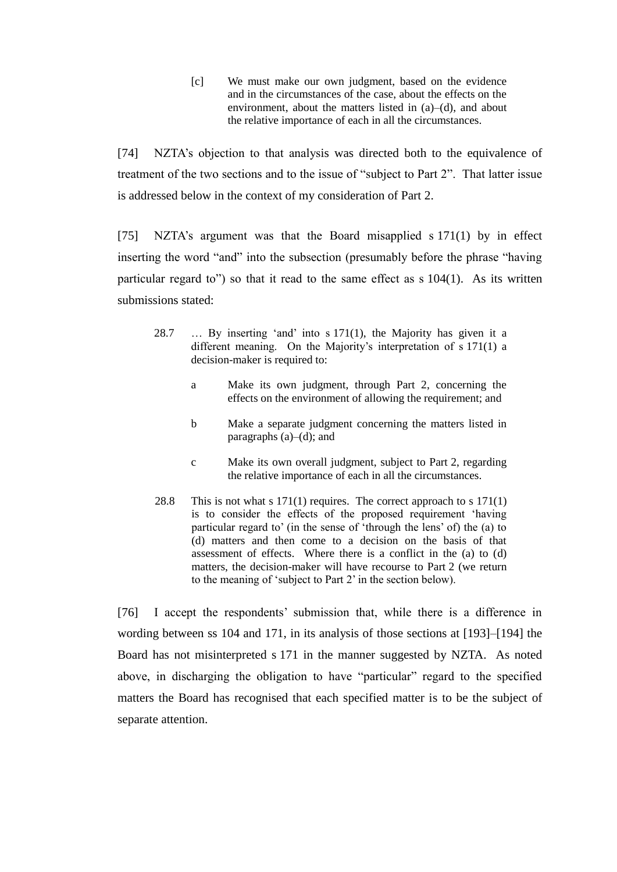[c] We must make our own judgment, based on the evidence and in the circumstances of the case, about the effects on the environment, about the matters listed in (a)–(d), and about the relative importance of each in all the circumstances.

[74] NZTA's objection to that analysis was directed both to the equivalence of treatment of the two sections and to the issue of "subject to Part 2". That latter issue is addressed below in the context of my consideration of Part 2.

[75] NZTA's argument was that the Board misapplied s 171(1) by in effect inserting the word "and" into the subsection (presumably before the phrase "having particular regard to") so that it read to the same effect as s 104(1). As its written submissions stated:

- 28.7 … By inserting 'and' into s 171(1), the Majority has given it a different meaning. On the Majority's interpretation of s 171(1) a decision-maker is required to:
	- a Make its own judgment, through Part 2, concerning the effects on the environment of allowing the requirement; and
	- b Make a separate judgment concerning the matters listed in paragraphs  $(a)$ – $(d)$ ; and
	- c Make its own overall judgment, subject to Part 2, regarding the relative importance of each in all the circumstances.
- 28.8 This is not what s 171(1) requires. The correct approach to s 171(1) is to consider the effects of the proposed requirement 'having particular regard to' (in the sense of 'through the lens' of) the (a) to (d) matters and then come to a decision on the basis of that assessment of effects. Where there is a conflict in the (a) to (d) matters, the decision-maker will have recourse to Part 2 (we return to the meaning of 'subject to Part 2' in the section below).

[76] I accept the respondents' submission that, while there is a difference in wording between ss 104 and 171, in its analysis of those sections at [193]–[194] the Board has not misinterpreted s 171 in the manner suggested by NZTA. As noted above, in discharging the obligation to have "particular" regard to the specified matters the Board has recognised that each specified matter is to be the subject of separate attention.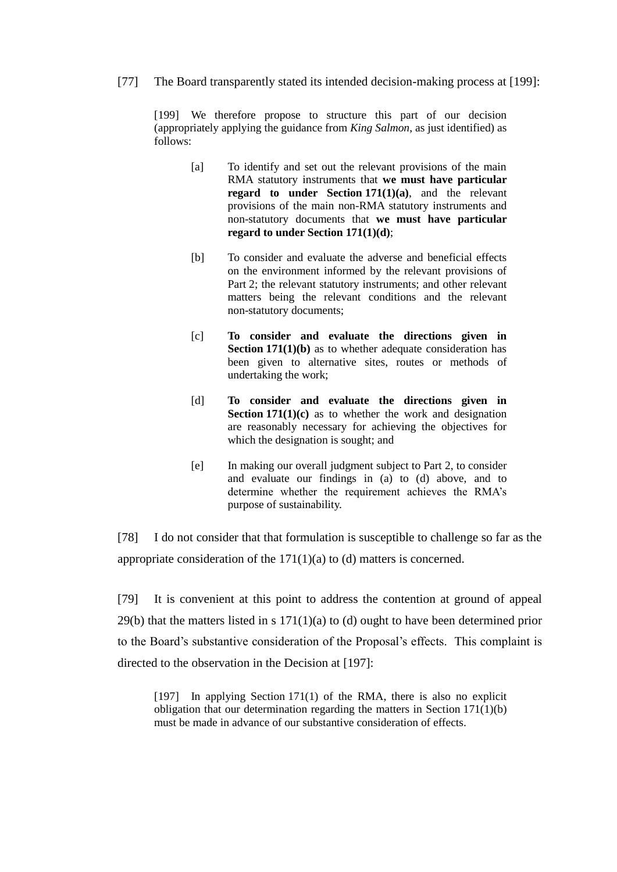[77] The Board transparently stated its intended decision-making process at [199]:

[199] We therefore propose to structure this part of our decision (appropriately applying the guidance from *King Salmon*, as just identified) as follows:

- [a] To identify and set out the relevant provisions of the main RMA statutory instruments that **we must have particular regard to under Section 171(1)(a)**, and the relevant provisions of the main non-RMA statutory instruments and non-statutory documents that **we must have particular regard to under Section 171(1)(d)**;
- [b] To consider and evaluate the adverse and beneficial effects on the environment informed by the relevant provisions of Part 2; the relevant statutory instruments; and other relevant matters being the relevant conditions and the relevant non-statutory documents;
- [c] **To consider and evaluate the directions given in Section 171(1)(b)** as to whether adequate consideration has been given to alternative sites, routes or methods of undertaking the work;
- [d] **To consider and evaluate the directions given in Section 171(1)(c)** as to whether the work and designation are reasonably necessary for achieving the objectives for which the designation is sought; and
- [e] In making our overall judgment subject to Part 2, to consider and evaluate our findings in (a) to (d) above, and to determine whether the requirement achieves the RMA's purpose of sustainability.

[78] I do not consider that that formulation is susceptible to challenge so far as the appropriate consideration of the  $171(1)(a)$  to (d) matters is concerned.

[79] It is convenient at this point to address the contention at ground of appeal  $29(b)$  that the matters listed in s  $171(1)(a)$  to (d) ought to have been determined prior to the Board's substantive consideration of the Proposal's effects. This complaint is directed to the observation in the Decision at [197]:

[197] In applying Section 171(1) of the RMA, there is also no explicit obligation that our determination regarding the matters in Section 171(1)(b) must be made in advance of our substantive consideration of effects.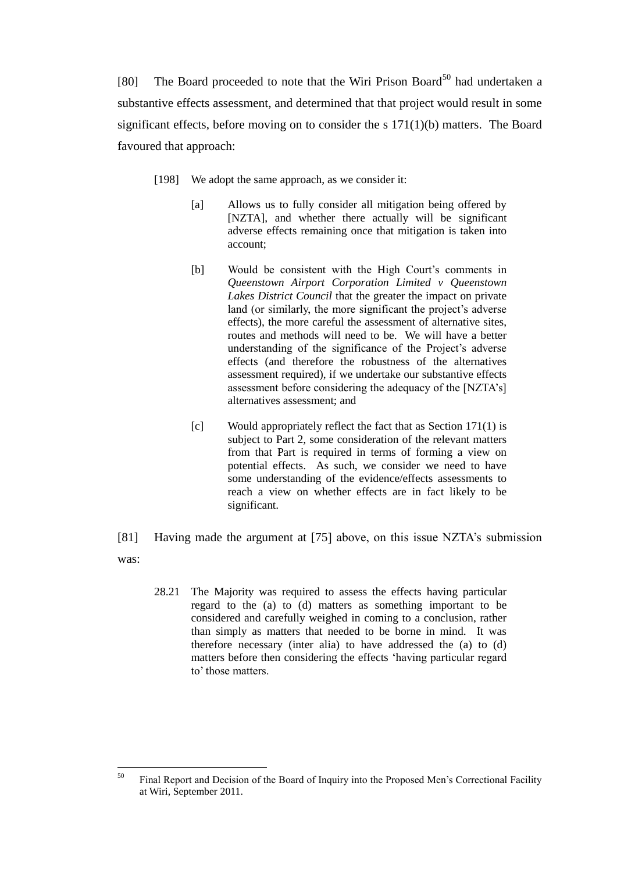[80] The Board proceeded to note that the Wiri Prison Board<sup>50</sup> had undertaken a substantive effects assessment, and determined that that project would result in some significant effects, before moving on to consider the s 171(1)(b) matters. The Board favoured that approach:

- [198] We adopt the same approach, as we consider it:
	- [a] Allows us to fully consider all mitigation being offered by [NZTA], and whether there actually will be significant adverse effects remaining once that mitigation is taken into account;
	- [b] Would be consistent with the High Court's comments in *Queenstown Airport Corporation Limited v Queenstown Lakes District Council* that the greater the impact on private land (or similarly, the more significant the project's adverse effects), the more careful the assessment of alternative sites, routes and methods will need to be. We will have a better understanding of the significance of the Project's adverse effects (and therefore the robustness of the alternatives assessment required), if we undertake our substantive effects assessment before considering the adequacy of the [NZTA's] alternatives assessment; and
	- [c] Would appropriately reflect the fact that as Section 171(1) is subject to Part 2, some consideration of the relevant matters from that Part is required in terms of forming a view on potential effects. As such, we consider we need to have some understanding of the evidence/effects assessments to reach a view on whether effects are in fact likely to be significant.
- [81] Having made the argument at [75] above, on this issue NZTA's submission was:
	- 28.21 The Majority was required to assess the effects having particular regard to the (a) to (d) matters as something important to be considered and carefully weighed in coming to a conclusion, rather than simply as matters that needed to be borne in mind. It was therefore necessary (inter alia) to have addressed the (a) to (d) matters before then considering the effects 'having particular regard to' those matters.

<sup>50</sup> <sup>50</sup> Final Report and Decision of the Board of Inquiry into the Proposed Men's Correctional Facility at Wiri, September 2011.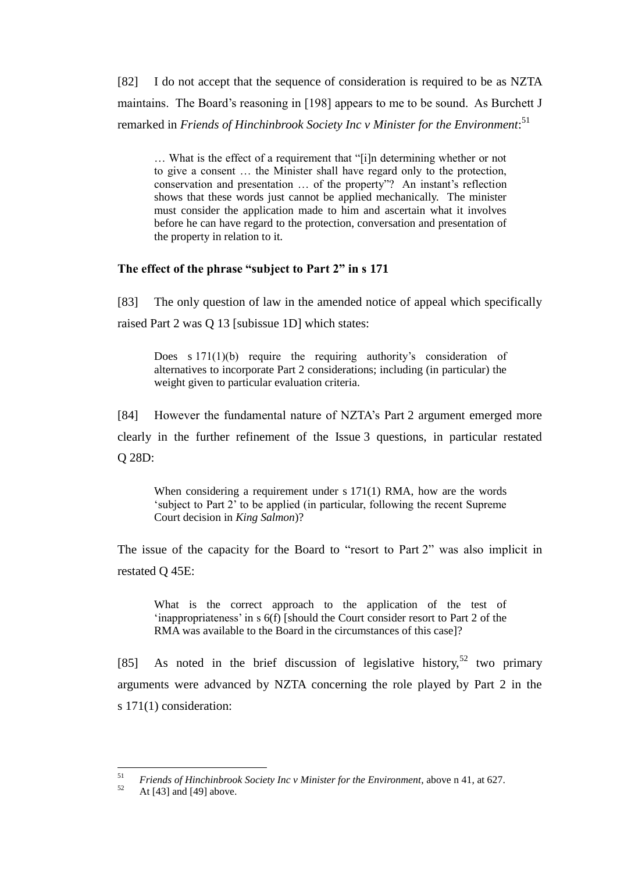[82] I do not accept that the sequence of consideration is required to be as NZTA maintains. The Board's reasoning in [198] appears to me to be sound. As Burchett J remarked in *Friends of Hinchinbrook Society Inc v Minister for the Environment*: 51

… What is the effect of a requirement that "[i]n determining whether or not to give a consent … the Minister shall have regard only to the protection, conservation and presentation … of the property"? An instant's reflection shows that these words just cannot be applied mechanically. The minister must consider the application made to him and ascertain what it involves before he can have regard to the protection, conversation and presentation of the property in relation to it.

# **The effect of the phrase "subject to Part 2" in s 171**

[83] The only question of law in the amended notice of appeal which specifically raised Part 2 was Q 13 [subissue 1D] which states:

Does s 171(1)(b) require the requiring authority's consideration of alternatives to incorporate Part 2 considerations; including (in particular) the weight given to particular evaluation criteria.

[84] However the fundamental nature of NZTA's Part 2 argument emerged more

clearly in the further refinement of the Issue 3 questions, in particular restated Q 28D:

When considering a requirement under s 171(1) RMA, how are the words 'subject to Part 2' to be applied (in particular, following the recent Supreme Court decision in *King Salmon*)?

The issue of the capacity for the Board to "resort to Part 2" was also implicit in restated Q 45E:

What is the correct approach to the application of the test of 'inappropriateness' in s 6(f) [should the Court consider resort to Part 2 of the RMA was available to the Board in the circumstances of this case]?

[85] As noted in the brief discussion of legislative history,<sup>52</sup> two primary arguments were advanced by NZTA concerning the role played by Part 2 in the s 171(1) consideration:

 $51$ <sup>51</sup> *Friends of Hinchinbrook Society Inc v Minister for the Environment*, above n 41, at 627.<br><sup>52</sup> At [43] and [40] above

At  $[43]$  and  $[49]$  above.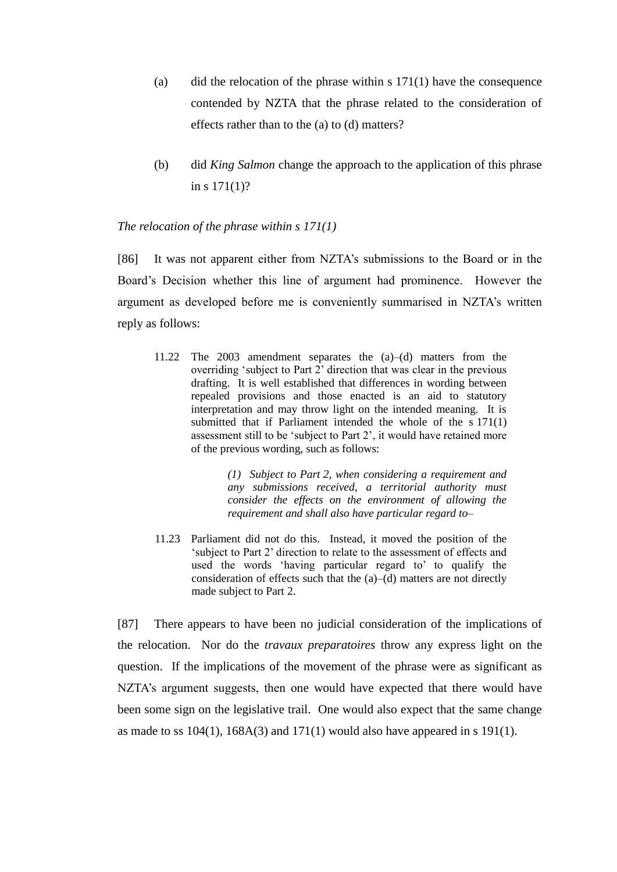- (a) did the relocation of the phrase within s  $171(1)$  have the consequence contended by NZTA that the phrase related to the consideration of effects rather than to the (a) to (d) matters?
- (b) did *King Salmon* change the approach to the application of this phrase in s 171(1)?

### *The relocation of the phrase within s 171(1)*

[86] It was not apparent either from NZTA's submissions to the Board or in the Board's Decision whether this line of argument had prominence. However the argument as developed before me is conveniently summarised in NZTA's written reply as follows:

11.22 The 2003 amendment separates the (a)–(d) matters from the overriding 'subject to Part 2' direction that was clear in the previous drafting. It is well established that differences in wording between repealed provisions and those enacted is an aid to statutory interpretation and may throw light on the intended meaning. It is submitted that if Parliament intended the whole of the s 171(1) assessment still to be 'subject to Part 2', it would have retained more of the previous wording, such as follows:

> *(1) Subject to Part 2, when considering a requirement and any submissions received, a territorial authority must consider the effects on the environment of allowing the requirement and shall also have particular regard to–*

11.23 Parliament did not do this. Instead, it moved the position of the 'subject to Part 2' direction to relate to the assessment of effects and used the words 'having particular regard to' to qualify the consideration of effects such that the (a)–(d) matters are not directly made subject to Part 2.

[87] There appears to have been no judicial consideration of the implications of the relocation. Nor do the *travaux preparatoires* throw any express light on the question. If the implications of the movement of the phrase were as significant as NZTA's argument suggests, then one would have expected that there would have been some sign on the legislative trail. One would also expect that the same change as made to ss  $104(1)$ ,  $168A(3)$  and  $171(1)$  would also have appeared in s 191(1).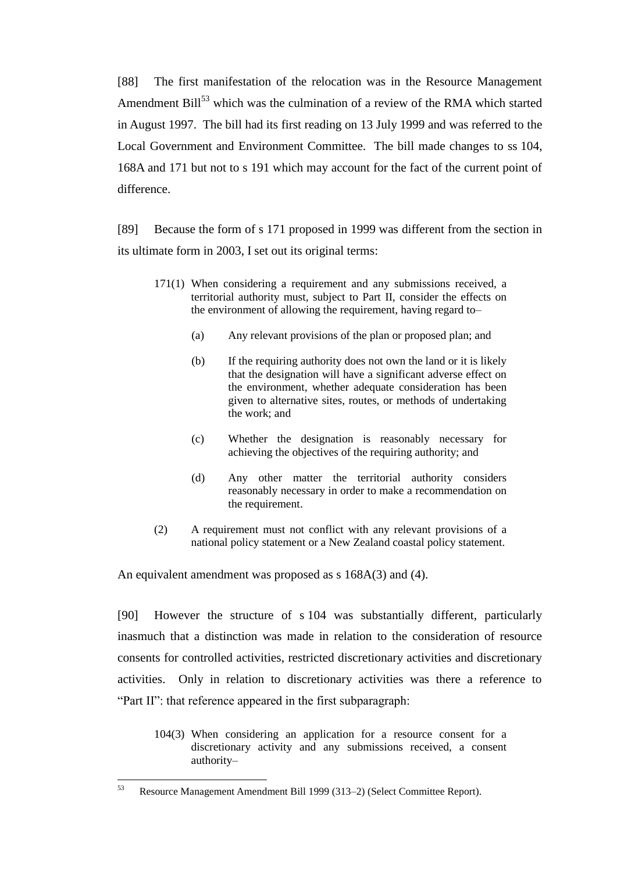[88] The first manifestation of the relocation was in the Resource Management Amendment  $\text{Bill}^{53}$  which was the culmination of a review of the RMA which started in August 1997. The bill had its first reading on 13 July 1999 and was referred to the Local Government and Environment Committee. The bill made changes to ss 104, 168A and 171 but not to s 191 which may account for the fact of the current point of difference.

[89] Because the form of s 171 proposed in 1999 was different from the section in its ultimate form in 2003, I set out its original terms:

- 171(1) When considering a requirement and any submissions received, a territorial authority must, subject to Part II, consider the effects on the environment of allowing the requirement, having regard to–
	- (a) Any relevant provisions of the plan or proposed plan; and
	- (b) If the requiring authority does not own the land or it is likely that the designation will have a significant adverse effect on the environment, whether adequate consideration has been given to alternative sites, routes, or methods of undertaking the work; and
	- (c) Whether the designation is reasonably necessary for achieving the objectives of the requiring authority; and
	- (d) Any other matter the territorial authority considers reasonably necessary in order to make a recommendation on the requirement.
- (2) A requirement must not conflict with any relevant provisions of a national policy statement or a New Zealand coastal policy statement.

An equivalent amendment was proposed as s 168A(3) and (4).

[90] However the structure of s 104 was substantially different, particularly inasmuch that a distinction was made in relation to the consideration of resource consents for controlled activities, restricted discretionary activities and discretionary activities. Only in relation to discretionary activities was there a reference to "Part II": that reference appeared in the first subparagraph:

104(3) When considering an application for a resource consent for a discretionary activity and any submissions received, a consent authority–

<sup>53</sup> <sup>53</sup> Resource Management Amendment Bill 1999 (313–2) (Select Committee Report).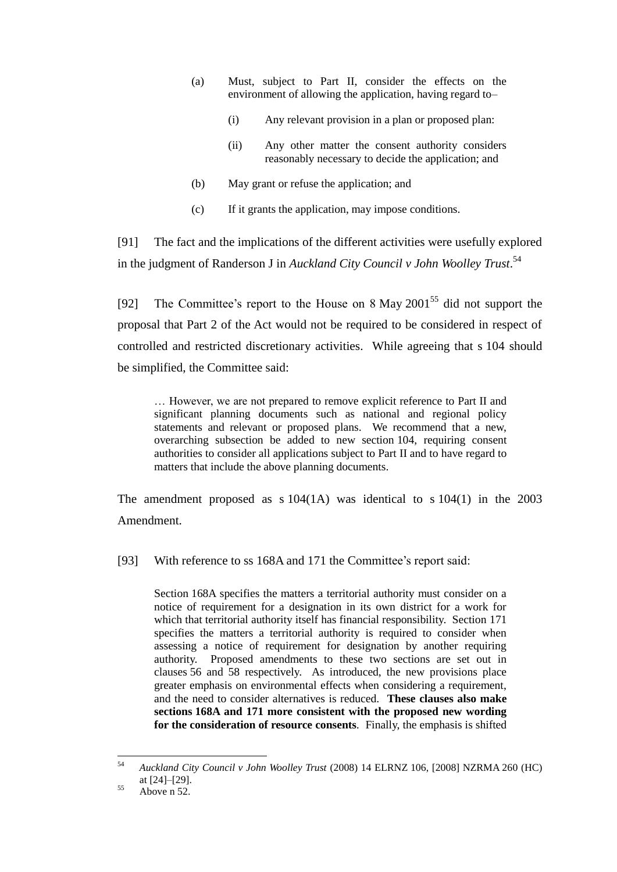- (a) Must, subject to Part II, consider the effects on the environment of allowing the application, having regard to–
	- (i) Any relevant provision in a plan or proposed plan:
	- (ii) Any other matter the consent authority considers reasonably necessary to decide the application; and
- (b) May grant or refuse the application; and
- (c) If it grants the application, may impose conditions.

[91] The fact and the implications of the different activities were usefully explored in the judgment of Randerson J in *Auckland City Council v John Woolley Trust*. 54

[92] The Committee's report to the House on 8 May  $2001^{55}$  did not support the proposal that Part 2 of the Act would not be required to be considered in respect of controlled and restricted discretionary activities. While agreeing that s 104 should be simplified, the Committee said:

… However, we are not prepared to remove explicit reference to Part II and significant planning documents such as national and regional policy statements and relevant or proposed plans. We recommend that a new, overarching subsection be added to new section 104, requiring consent authorities to consider all applications subject to Part II and to have regard to matters that include the above planning documents.

The amendment proposed as  $s 104(1)$  was identical to  $s 104(1)$  in the 2003 Amendment.

[93] With reference to ss 168A and 171 the Committee's report said:

Section 168A specifies the matters a territorial authority must consider on a notice of requirement for a designation in its own district for a work for which that territorial authority itself has financial responsibility. Section 171 specifies the matters a territorial authority is required to consider when assessing a notice of requirement for designation by another requiring authority. Proposed amendments to these two sections are set out in clauses 56 and 58 respectively. As introduced, the new provisions place greater emphasis on environmental effects when considering a requirement, and the need to consider alternatives is reduced. **These clauses also make sections 168A and 171 more consistent with the proposed new wording for the consideration of resource consents***.* Finally, the emphasis is shifted

<sup>54</sup> <sup>54</sup> *Auckland City Council v John Woolley Trust* (2008) 14 ELRNZ 106, [2008] NZRMA 260 (HC) at [24]–[29].

 $55$  Above n 52.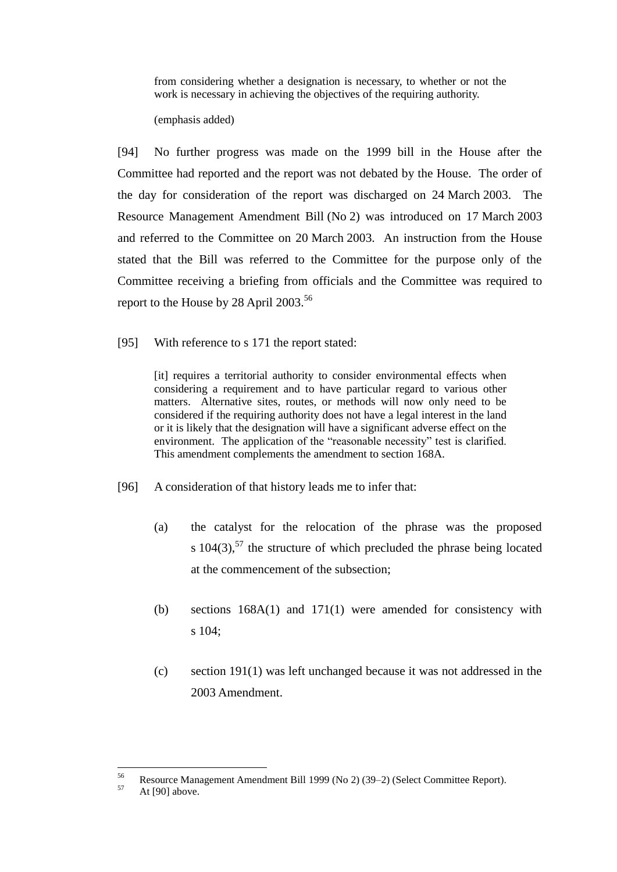from considering whether a designation is necessary, to whether or not the work is necessary in achieving the objectives of the requiring authority.

(emphasis added)

[94] No further progress was made on the 1999 bill in the House after the Committee had reported and the report was not debated by the House. The order of the day for consideration of the report was discharged on 24 March 2003. The Resource Management Amendment Bill (No 2) was introduced on 17 March 2003 and referred to the Committee on 20 March 2003. An instruction from the House stated that the Bill was referred to the Committee for the purpose only of the Committee receiving a briefing from officials and the Committee was required to report to the House by 28 April 2003.<sup>56</sup>

[95] With reference to s 171 the report stated:

[it] requires a territorial authority to consider environmental effects when considering a requirement and to have particular regard to various other matters. Alternative sites, routes, or methods will now only need to be considered if the requiring authority does not have a legal interest in the land or it is likely that the designation will have a significant adverse effect on the environment. The application of the "reasonable necessity" test is clarified. This amendment complements the amendment to section 168A.

- [96] A consideration of that history leads me to infer that:
	- (a) the catalyst for the relocation of the phrase was the proposed s  $104(3)$ ,<sup>57</sup> the structure of which precluded the phrase being located at the commencement of the subsection;
	- (b) sections 168A(1) and 171(1) were amended for consistency with s 104;
	- (c) section 191(1) was left unchanged because it was not addressed in the 2003 Amendment.

<sup>56</sup> <sup>56</sup> Resource Management Amendment Bill 1999 (No 2) (39–2) (Select Committee Report).<br> $4 + 5001$  shave

At [90] above.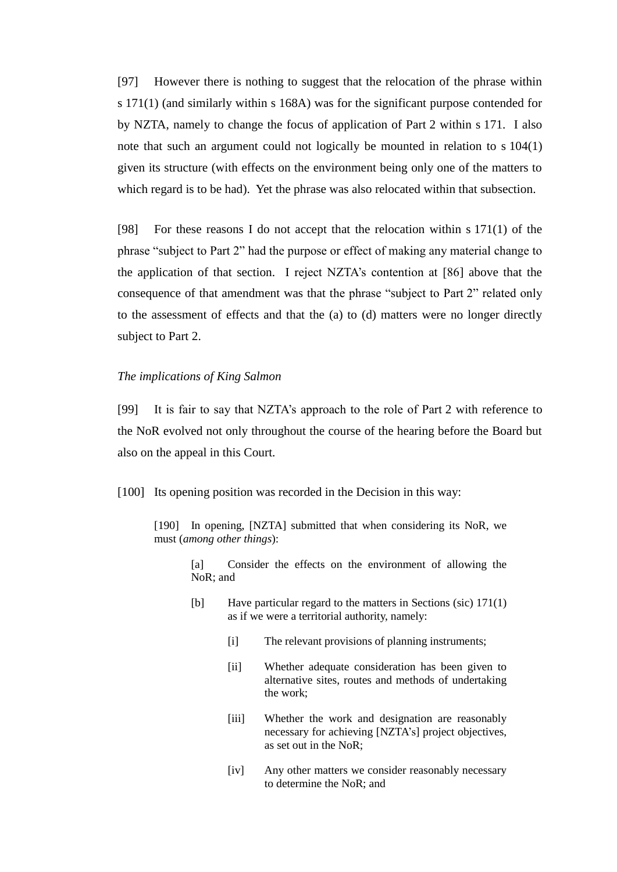[97] However there is nothing to suggest that the relocation of the phrase within s 171(1) (and similarly within s 168A) was for the significant purpose contended for by NZTA, namely to change the focus of application of Part 2 within s 171. I also note that such an argument could not logically be mounted in relation to s 104(1) given its structure (with effects on the environment being only one of the matters to which regard is to be had). Yet the phrase was also relocated within that subsection.

[98] For these reasons I do not accept that the relocation within s 171(1) of the phrase "subject to Part 2" had the purpose or effect of making any material change to the application of that section. I reject NZTA's contention at [86] above that the consequence of that amendment was that the phrase "subject to Part 2" related only to the assessment of effects and that the (a) to (d) matters were no longer directly subject to Part 2.

#### *The implications of King Salmon*

[99] It is fair to say that NZTA's approach to the role of Part 2 with reference to the NoR evolved not only throughout the course of the hearing before the Board but also on the appeal in this Court.

[100] Its opening position was recorded in the Decision in this way:

[190] In opening, [NZTA] submitted that when considering its NoR, we must (*among other things*):

[a] Consider the effects on the environment of allowing the NoR; and

- [b] Have particular regard to the matters in Sections (sic) 171(1) as if we were a territorial authority, namely:
	- [i] The relevant provisions of planning instruments;
	- [ii] Whether adequate consideration has been given to alternative sites, routes and methods of undertaking the work;
	- [iii] Whether the work and designation are reasonably necessary for achieving [NZTA's] project objectives, as set out in the NoR;
	- [iv] Any other matters we consider reasonably necessary to determine the NoR; and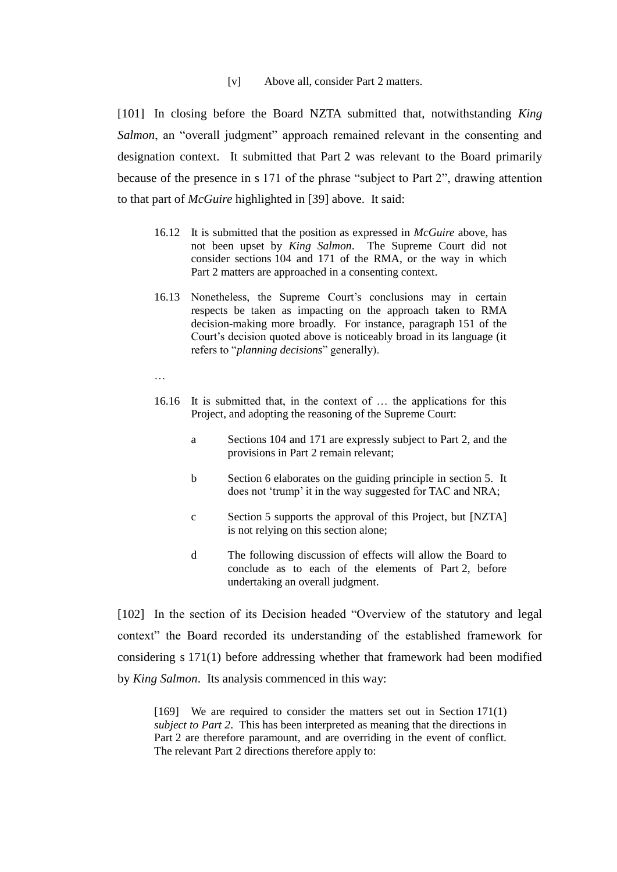[v] Above all, consider Part 2 matters.

[101] In closing before the Board NZTA submitted that, notwithstanding *King Salmon*, an "overall judgment" approach remained relevant in the consenting and designation context. It submitted that Part 2 was relevant to the Board primarily because of the presence in s 171 of the phrase "subject to Part 2", drawing attention to that part of *McGuire* highlighted in [39] above. It said:

- 16.12 It is submitted that the position as expressed in *McGuire* above, has not been upset by *King Salmon*. The Supreme Court did not consider sections 104 and 171 of the RMA, or the way in which Part 2 matters are approached in a consenting context.
- 16.13 Nonetheless, the Supreme Court's conclusions may in certain respects be taken as impacting on the approach taken to RMA decision-making more broadly. For instance, paragraph 151 of the Court's decision quoted above is noticeably broad in its language (it refers to "*planning decisions*" generally).
- …
- 16.16 It is submitted that, in the context of … the applications for this Project, and adopting the reasoning of the Supreme Court:
	- a Sections 104 and 171 are expressly subject to Part 2, and the provisions in Part 2 remain relevant;
	- b Section 6 elaborates on the guiding principle in section 5. It does not 'trump' it in the way suggested for TAC and NRA;
	- c Section 5 supports the approval of this Project, but [NZTA] is not relying on this section alone;
	- d The following discussion of effects will allow the Board to conclude as to each of the elements of Part 2, before undertaking an overall judgment.

[102] In the section of its Decision headed "Overview of the statutory and legal context" the Board recorded its understanding of the established framework for considering s 171(1) before addressing whether that framework had been modified by *King Salmon*. Its analysis commenced in this way:

[169] We are required to consider the matters set out in Section 171(1) *subject to Part 2*. This has been interpreted as meaning that the directions in Part 2 are therefore paramount, and are overriding in the event of conflict. The relevant Part 2 directions therefore apply to: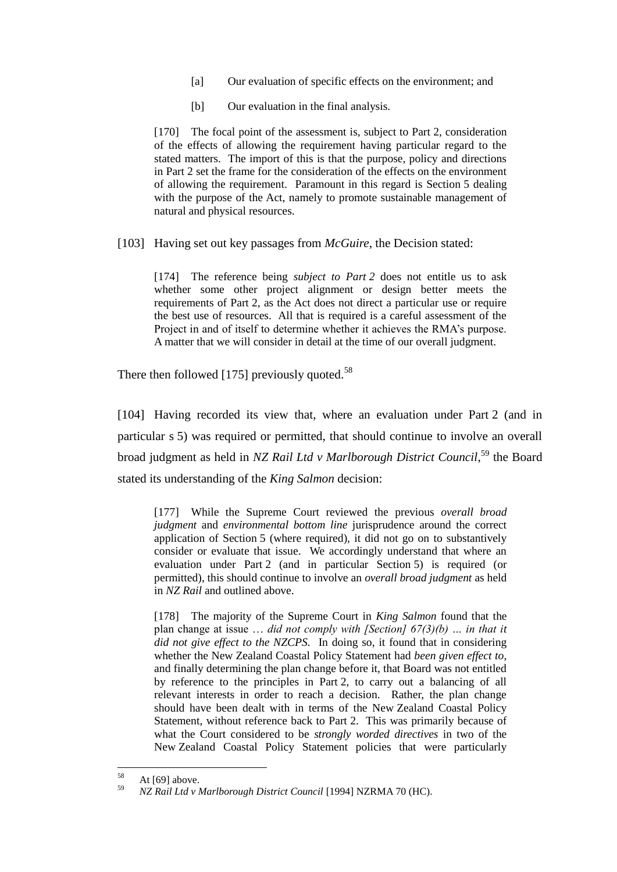- [a] Our evaluation of specific effects on the environment; and
- [b] Our evaluation in the final analysis.

[170] The focal point of the assessment is, subject to Part 2, consideration of the effects of allowing the requirement having particular regard to the stated matters. The import of this is that the purpose, policy and directions in Part 2 set the frame for the consideration of the effects on the environment of allowing the requirement. Paramount in this regard is Section 5 dealing with the purpose of the Act, namely to promote sustainable management of natural and physical resources.

[103] Having set out key passages from *McGuire*, the Decision stated:

[174] The reference being *subject to Part 2* does not entitle us to ask whether some other project alignment or design better meets the requirements of Part 2, as the Act does not direct a particular use or require the best use of resources. All that is required is a careful assessment of the Project in and of itself to determine whether it achieves the RMA's purpose. A matter that we will consider in detail at the time of our overall judgment.

There then followed [175] previously quoted.<sup>58</sup>

[104] Having recorded its view that, where an evaluation under Part 2 (and in particular s 5) was required or permitted, that should continue to involve an overall broad judgment as held in *NZ Rail Ltd v Marlborough District Council*, <sup>59</sup> the Board stated its understanding of the *King Salmon* decision:

[177] While the Supreme Court reviewed the previous *overall broad judgment* and *environmental bottom line* jurisprudence around the correct application of Section 5 (where required), it did not go on to substantively consider or evaluate that issue. We accordingly understand that where an evaluation under Part 2 (and in particular Section 5) is required (or permitted), this should continue to involve an *overall broad judgment* as held in *NZ Rail* and outlined above.

[178] The majority of the Supreme Court in *King Salmon* found that the plan change at issue … *did not comply with [Section] 67(3)(b) … in that it did not give effect to the NZCPS.* In doing so, it found that in considering whether the New Zealand Coastal Policy Statement had *been given effect to*, and finally determining the plan change before it, that Board was not entitled by reference to the principles in Part 2, to carry out a balancing of all relevant interests in order to reach a decision. Rather, the plan change should have been dealt with in terms of the New Zealand Coastal Policy Statement, without reference back to Part 2. This was primarily because of what the Court considered to be *strongly worded directives* in two of the New Zealand Coastal Policy Statement policies that were particularly

<sup>58</sup>  $58$  At [69] above.

<sup>59</sup> *NZ Rail Ltd v Marlborough District Council* [1994] NZRMA 70 (HC).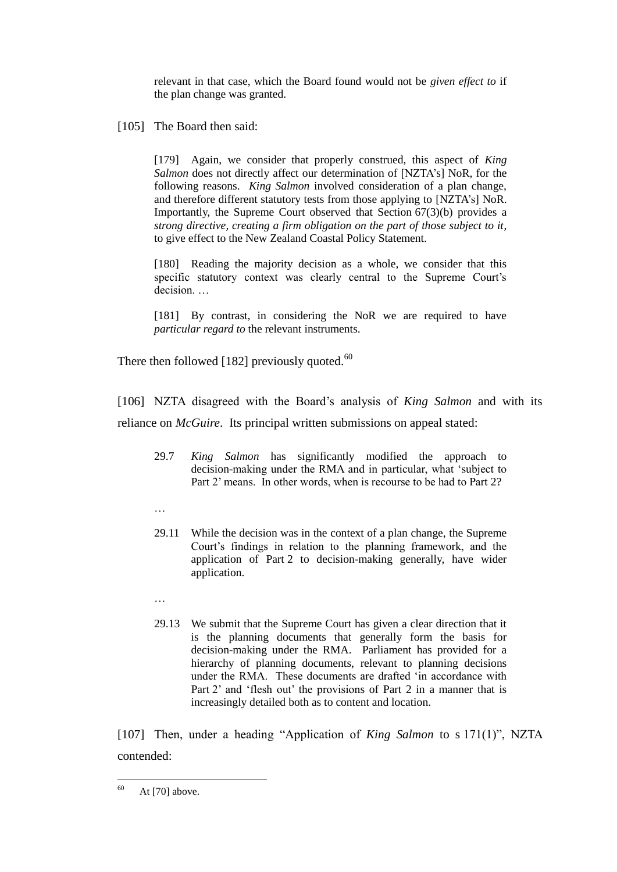relevant in that case, which the Board found would not be *given effect to* if the plan change was granted.

# [105] The Board then said:

[179] Again, we consider that properly construed, this aspect of *King Salmon* does not directly affect our determination of [NZTA's] NoR, for the following reasons. *King Salmon* involved consideration of a plan change, and therefore different statutory tests from those applying to [NZTA's] NoR. Importantly, the Supreme Court observed that Section 67(3)(b) provides a *strong directive, creating a firm obligation on the part of those subject to it*, to give effect to the New Zealand Coastal Policy Statement.

[180] Reading the majority decision as a whole, we consider that this specific statutory context was clearly central to the Supreme Court's decision. …

[181] By contrast, in considering the NoR we are required to have *particular regard to* the relevant instruments.

There then followed [182] previously quoted. $60$ 

[106] NZTA disagreed with the Board's analysis of *King Salmon* and with its reliance on *McGuire*. Its principal written submissions on appeal stated:

- 29.7 *King Salmon* has significantly modified the approach to decision-making under the RMA and in particular, what 'subject to Part 2' means. In other words, when is recourse to be had to Part 2?
- …
- 29.11 While the decision was in the context of a plan change, the Supreme Court's findings in relation to the planning framework, and the application of Part 2 to decision-making generally, have wider application.
- …
- 29.13 We submit that the Supreme Court has given a clear direction that it is the planning documents that generally form the basis for decision-making under the RMA. Parliament has provided for a hierarchy of planning documents, relevant to planning decisions under the RMA. These documents are drafted 'in accordance with Part 2' and 'flesh out' the provisions of Part 2 in a manner that is increasingly detailed both as to content and location.

[107] Then, under a heading "Application of *King Salmon* to s 171(1)", NZTA contended:

<sup>60</sup> At  $[70]$  above.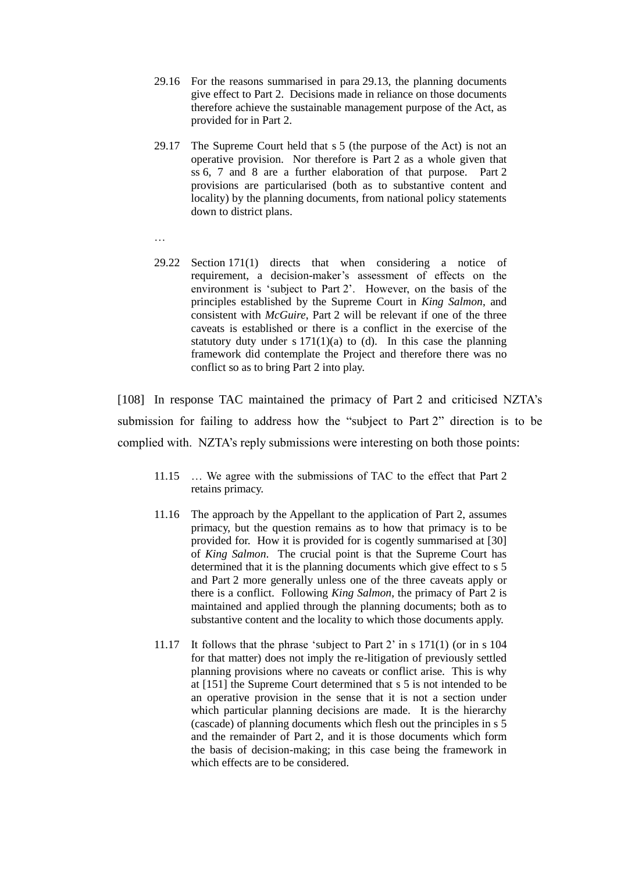- 29.16 For the reasons summarised in para 29.13, the planning documents give effect to Part 2. Decisions made in reliance on those documents therefore achieve the sustainable management purpose of the Act, as provided for in Part 2.
- 29.17 The Supreme Court held that s 5 (the purpose of the Act) is not an operative provision. Nor therefore is Part 2 as a whole given that ss 6, 7 and 8 are a further elaboration of that purpose. Part 2 provisions are particularised (both as to substantive content and locality) by the planning documents, from national policy statements down to district plans.

…

29.22 Section 171(1) directs that when considering a notice of requirement, a decision-maker's assessment of effects on the environment is 'subject to Part 2'. However, on the basis of the principles established by the Supreme Court in *King Salmon*, and consistent with *McGuire*, Part 2 will be relevant if one of the three caveats is established or there is a conflict in the exercise of the statutory duty under s  $171(1)(a)$  to (d). In this case the planning framework did contemplate the Project and therefore there was no conflict so as to bring Part 2 into play.

[108] In response TAC maintained the primacy of Part 2 and criticised NZTA's submission for failing to address how the "subject to Part 2" direction is to be complied with. NZTA's reply submissions were interesting on both those points:

- 11.15 … We agree with the submissions of TAC to the effect that Part 2 retains primacy.
- 11.16 The approach by the Appellant to the application of Part 2, assumes primacy, but the question remains as to how that primacy is to be provided for. How it is provided for is cogently summarised at [30] of *King Salmon*. The crucial point is that the Supreme Court has determined that it is the planning documents which give effect to s 5 and Part 2 more generally unless one of the three caveats apply or there is a conflict. Following *King Salmon*, the primacy of Part 2 is maintained and applied through the planning documents; both as to substantive content and the locality to which those documents apply.
- 11.17 It follows that the phrase 'subject to Part 2' in s 171(1) (or in s 104 for that matter) does not imply the re-litigation of previously settled planning provisions where no caveats or conflict arise. This is why at [151] the Supreme Court determined that s 5 is not intended to be an operative provision in the sense that it is not a section under which particular planning decisions are made. It is the hierarchy (cascade) of planning documents which flesh out the principles in s 5 and the remainder of Part 2, and it is those documents which form the basis of decision-making; in this case being the framework in which effects are to be considered.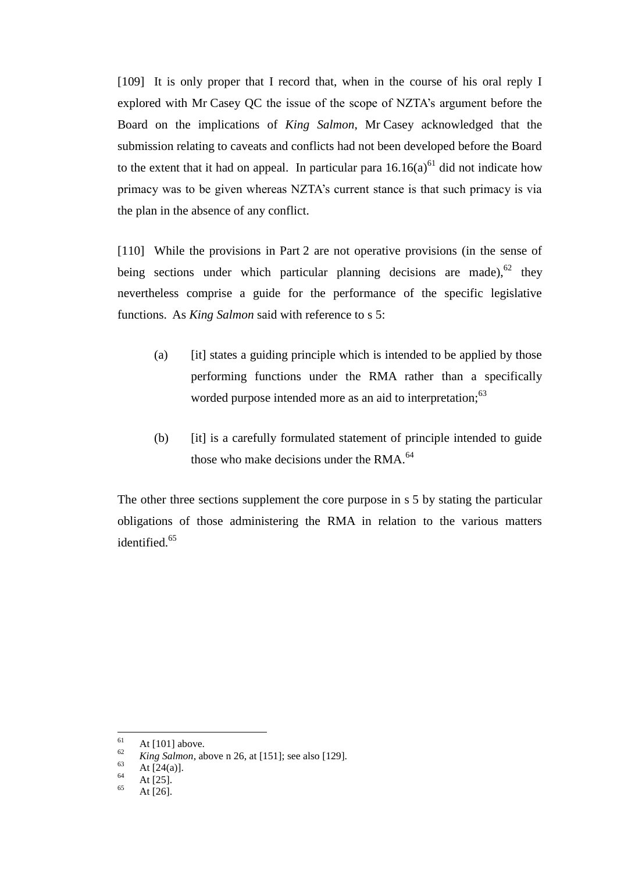[109] It is only proper that I record that, when in the course of his oral reply I explored with Mr Casey QC the issue of the scope of NZTA's argument before the Board on the implications of *King Salmon*, Mr Casey acknowledged that the submission relating to caveats and conflicts had not been developed before the Board to the extent that it had on appeal. In particular para  $16.16(a)^{61}$  did not indicate how primacy was to be given whereas NZTA's current stance is that such primacy is via the plan in the absence of any conflict.

[110] While the provisions in Part 2 are not operative provisions (in the sense of being sections under which particular planning decisions are made),  $62$  they nevertheless comprise a guide for the performance of the specific legislative functions. As *King Salmon* said with reference to s 5:

- (a) [it] states a guiding principle which is intended to be applied by those performing functions under the RMA rather than a specifically worded purpose intended more as an aid to interpretation;<sup>63</sup>
- (b) [it] is a carefully formulated statement of principle intended to guide those who make decisions under the RMA.<sup>64</sup>

The other three sections supplement the core purpose in s 5 by stating the particular obligations of those administering the RMA in relation to the various matters identified.<sup>65</sup>

<sup>61</sup>  $\frac{61}{62}$  At [101] above.

 $\frac{62}{63}$  *King Salmon*, above n 26, at [151]; see also [129].

 $\begin{array}{c} 63 \\ 64 \end{array}$  At [24(a)].

 $\frac{64}{65}$  At [25].

At  $[26]$ .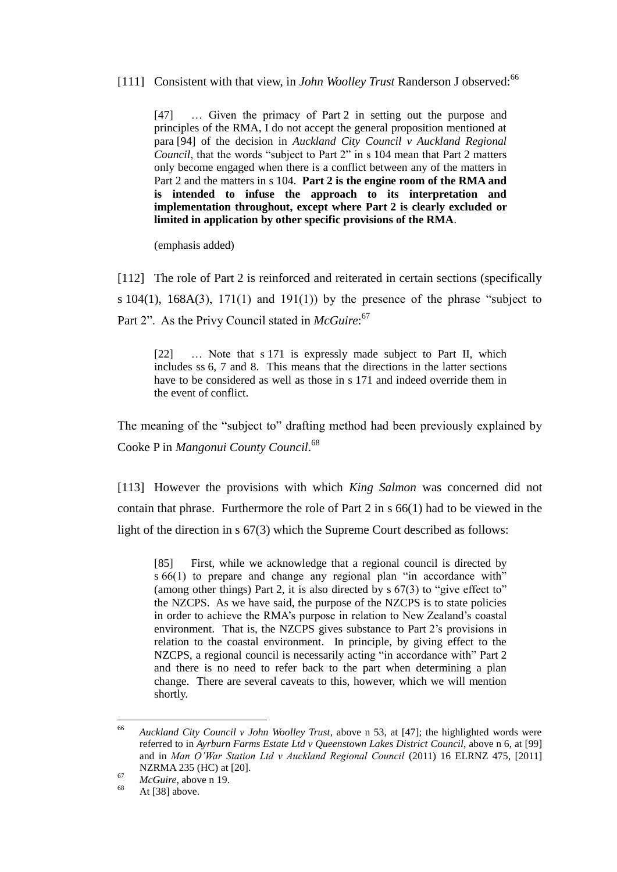# [111] Consistent with that view, in *John Woolley Trust* Randerson J observed:<sup>66</sup>

[47] … Given the primacy of Part 2 in setting out the purpose and principles of the RMA, I do not accept the general proposition mentioned at para [94] of the decision in *Auckland City Council v Auckland Regional Council*, that the words "subject to Part 2" in s 104 mean that Part 2 matters only become engaged when there is a conflict between any of the matters in Part 2 and the matters in s 104. **Part 2 is the engine room of the RMA and is intended to infuse the approach to its interpretation and implementation throughout, except where Part 2 is clearly excluded or limited in application by other specific provisions of the RMA**.

(emphasis added)

[112] The role of Part 2 is reinforced and reiterated in certain sections (specifically s  $104(1)$ ,  $168A(3)$ ,  $171(1)$  and  $191(1)$ ) by the presence of the phrase "subject to Part 2". As the Privy Council stated in *McGuire*:<sup>67</sup>

[22] … Note that s 171 is expressly made subject to Part II, which includes ss 6, 7 and 8. This means that the directions in the latter sections have to be considered as well as those in s 171 and indeed override them in the event of conflict.

The meaning of the "subject to" drafting method had been previously explained by Cooke P in *Mangonui County Council*. 68

[113] However the provisions with which *King Salmon* was concerned did not contain that phrase. Furthermore the role of Part 2 in s 66(1) had to be viewed in the light of the direction in s 67(3) which the Supreme Court described as follows:

[85] First, while we acknowledge that a regional council is directed by s 66(1) to prepare and change any regional plan "in accordance with" (among other things) Part 2, it is also directed by s 67(3) to "give effect to" the NZCPS. As we have said, the purpose of the NZCPS is to state policies in order to achieve the RMA's purpose in relation to New Zealand's coastal environment. That is, the NZCPS gives substance to Part 2's provisions in relation to the coastal environment. In principle, by giving effect to the NZCPS, a regional council is necessarily acting "in accordance with" Part 2 and there is no need to refer back to the part when determining a plan change. There are several caveats to this, however, which we will mention shortly.

<sup>66</sup> <sup>66</sup> *Auckland City Council v John Woolley Trust*, above n 53, at [47]; the highlighted words were referred to in *Ayrburn Farms Estate Ltd v Queenstown Lakes District Council*, above n 6, at [99] and in *Man O'War Station Ltd v Auckland Regional Council* (2011) 16 ELRNZ 475, [2011] NZRMA 235 (HC) at [20].

<sup>67</sup> *McGuire*, above n 19.

At  $[38]$  above.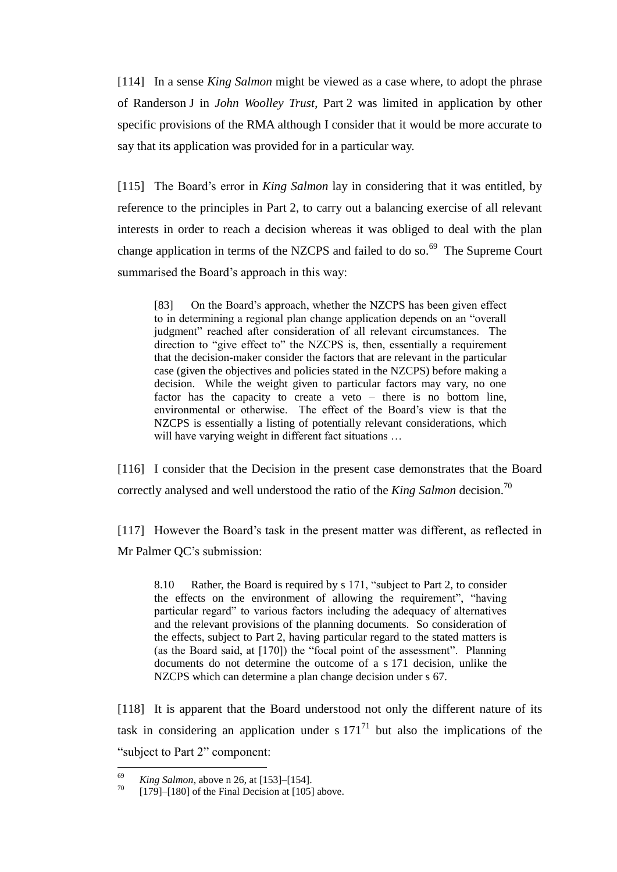[114] In a sense *King Salmon* might be viewed as a case where, to adopt the phrase of Randerson J in *John Woolley Trust*, Part 2 was limited in application by other specific provisions of the RMA although I consider that it would be more accurate to say that its application was provided for in a particular way.

[115] The Board's error in *King Salmon* lay in considering that it was entitled, by reference to the principles in Part 2, to carry out a balancing exercise of all relevant interests in order to reach a decision whereas it was obliged to deal with the plan change application in terms of the NZCPS and failed to do so.<sup>69</sup> The Supreme Court summarised the Board's approach in this way:

[83] On the Board's approach, whether the NZCPS has been given effect to in determining a regional plan change application depends on an "overall judgment" reached after consideration of all relevant circumstances. The direction to "give effect to" the NZCPS is, then, essentially a requirement that the decision-maker consider the factors that are relevant in the particular case (given the objectives and policies stated in the NZCPS) before making a decision. While the weight given to particular factors may vary, no one factor has the capacity to create a veto – there is no bottom line, environmental or otherwise. The effect of the Board's view is that the NZCPS is essentially a listing of potentially relevant considerations, which will have varying weight in different fact situations ...

[116] I consider that the Decision in the present case demonstrates that the Board correctly analysed and well understood the ratio of the *King Salmon* decision.<sup>70</sup>

[117] However the Board's task in the present matter was different, as reflected in Mr Palmer QC's submission:

8.10 Rather, the Board is required by s 171, "subject to Part 2, to consider the effects on the environment of allowing the requirement", "having particular regard" to various factors including the adequacy of alternatives and the relevant provisions of the planning documents. So consideration of the effects, subject to Part 2, having particular regard to the stated matters is (as the Board said, at [170]) the "focal point of the assessment". Planning documents do not determine the outcome of a s 171 decision, unlike the NZCPS which can determine a plan change decision under s 67.

[118] It is apparent that the Board understood not only the different nature of its task in considering an application under s  $171<sup>71</sup>$  but also the implications of the "subject to Part 2" component:

<sup>69</sup> <sup>69</sup> *King Salmon*, above n 26, at [153]–[154].

 $[179]$ – $[180]$  of the Final Decision at  $[105]$  above.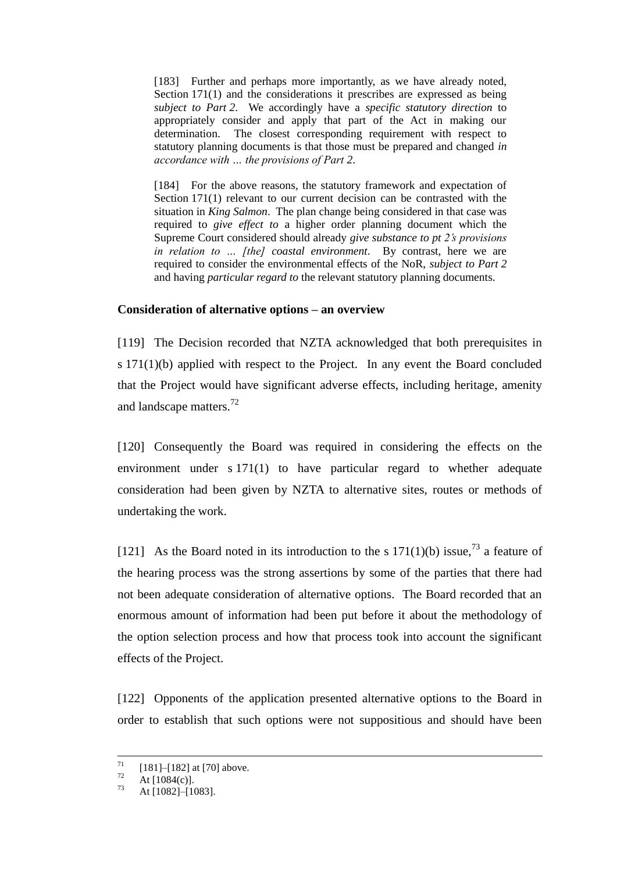[183] Further and perhaps more importantly, as we have already noted, Section 171(1) and the considerations it prescribes are expressed as being *subject to Part 2*. We accordingly have a *specific statutory direction* to appropriately consider and apply that part of the Act in making our determination. The closest corresponding requirement with respect to statutory planning documents is that those must be prepared and changed *in accordance with … the provisions of Part 2*.

[184] For the above reasons, the statutory framework and expectation of Section 171(1) relevant to our current decision can be contrasted with the situation in *King Salmon*. The plan change being considered in that case was required to *give effect to* a higher order planning document which the Supreme Court considered should already *give substance to pt 2's provisions in relation to … [the] coastal environment*. By contrast, here we are required to consider the environmental effects of the NoR, *subject to Part 2* and having *particular regard to* the relevant statutory planning documents.

### **Consideration of alternative options – an overview**

[119] The Decision recorded that NZTA acknowledged that both prerequisites in s 171(1)(b) applied with respect to the Project. In any event the Board concluded that the Project would have significant adverse effects, including heritage, amenity and landscape matters.<sup>72</sup>

[120] Consequently the Board was required in considering the effects on the environment under s 171(1) to have particular regard to whether adequate consideration had been given by NZTA to alternative sites, routes or methods of undertaking the work.

[121] As the Board noted in its introduction to the s  $171(1)(b)$  issue,<sup>73</sup> a feature of the hearing process was the strong assertions by some of the parties that there had not been adequate consideration of alternative options. The Board recorded that an enormous amount of information had been put before it about the methodology of the option selection process and how that process took into account the significant effects of the Project.

[122] Opponents of the application presented alternative options to the Board in order to establish that such options were not suppositious and should have been

 $71\,$  $\frac{71}{72}$  [181]–[182] at [70] above.

 $\frac{72}{73}$  At [1084(c)].

At [1082]–[1083].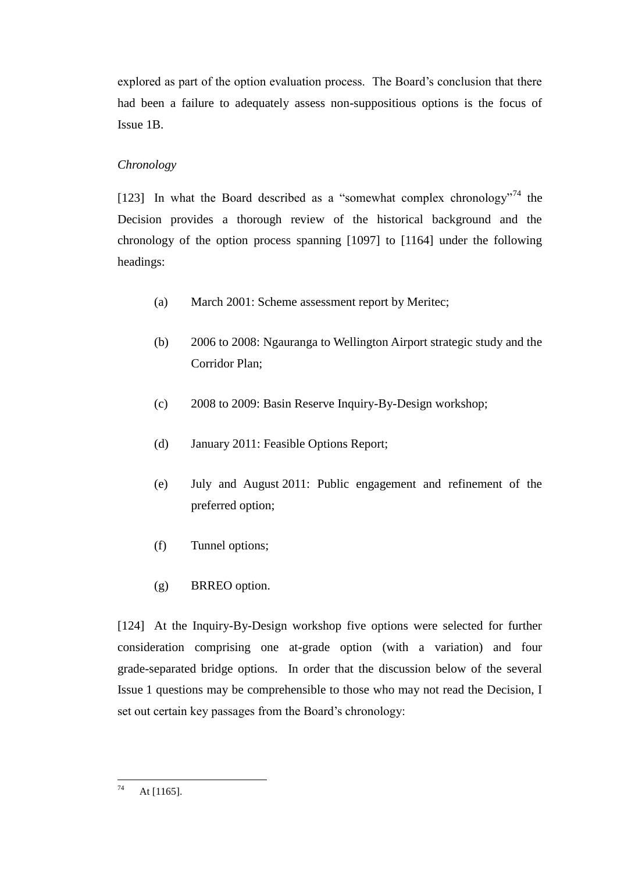explored as part of the option evaluation process. The Board's conclusion that there had been a failure to adequately assess non-suppositious options is the focus of Issue 1B.

# *Chronology*

[123] In what the Board described as a "somewhat complex chronology"<sup>74</sup> the Decision provides a thorough review of the historical background and the chronology of the option process spanning [1097] to [1164] under the following headings:

- (a) March 2001: Scheme assessment report by Meritec;
- (b) 2006 to 2008: Ngauranga to Wellington Airport strategic study and the Corridor Plan;
- (c) 2008 to 2009: Basin Reserve Inquiry-By-Design workshop;
- (d) January 2011: Feasible Options Report;
- (e) July and August 2011: Public engagement and refinement of the preferred option;
- (f) Tunnel options;
- (g) BRREO option.

[124] At the Inquiry-By-Design workshop five options were selected for further consideration comprising one at-grade option (with a variation) and four grade-separated bridge options. In order that the discussion below of the several Issue 1 questions may be comprehensible to those who may not read the Decision, I set out certain key passages from the Board's chronology:

<sup>74</sup> At [1165].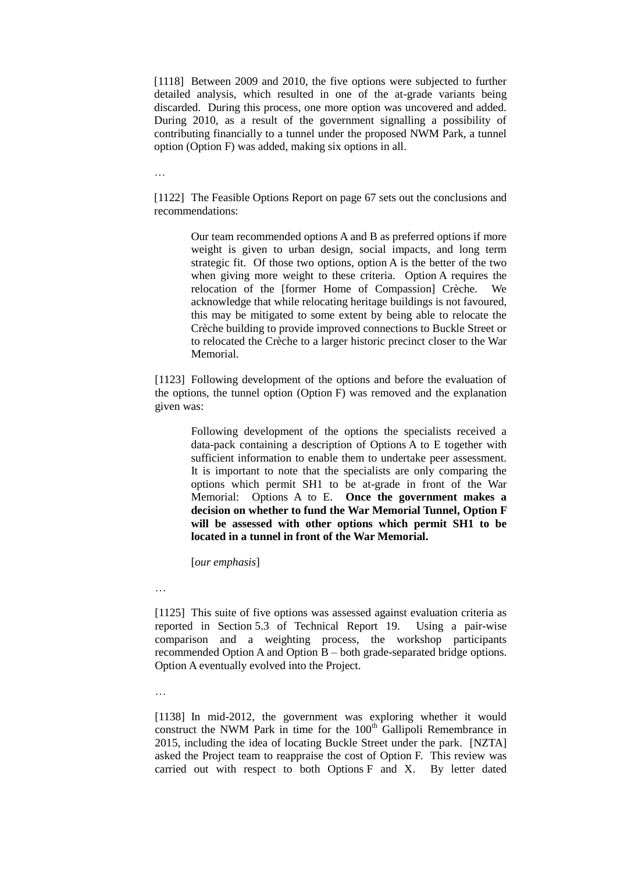[1118] Between 2009 and 2010, the five options were subjected to further detailed analysis, which resulted in one of the at-grade variants being discarded. During this process, one more option was uncovered and added. During 2010, as a result of the government signalling a possibility of contributing financially to a tunnel under the proposed NWM Park, a tunnel option (Option F) was added, making six options in all.

…

[1122] The Feasible Options Report on page 67 sets out the conclusions and recommendations:

> Our team recommended options A and B as preferred options if more weight is given to urban design, social impacts, and long term strategic fit. Of those two options, option A is the better of the two when giving more weight to these criteria. Option A requires the relocation of the [former Home of Compassion] Crèche. We acknowledge that while relocating heritage buildings is not favoured, this may be mitigated to some extent by being able to relocate the Crèche building to provide improved connections to Buckle Street or to relocated the Crèche to a larger historic precinct closer to the War Memorial.

[1123] Following development of the options and before the evaluation of the options, the tunnel option (Option F) was removed and the explanation given was:

> Following development of the options the specialists received a data-pack containing a description of Options A to E together with sufficient information to enable them to undertake peer assessment. It is important to note that the specialists are only comparing the options which permit SH1 to be at-grade in front of the War Memorial: Options A to E. **Once the government makes a decision on whether to fund the War Memorial Tunnel, Option F will be assessed with other options which permit SH1 to be located in a tunnel in front of the War Memorial.**

[*our emphasis*]

…

[1125] This suite of five options was assessed against evaluation criteria as reported in Section 5.3 of Technical Report 19. Using a pair-wise comparison and a weighting process, the workshop participants recommended Option A and Option B – both grade-separated bridge options. Option A eventually evolved into the Project.

…

[1138] In mid-2012, the government was exploring whether it would construct the NWM Park in time for the 100<sup>th</sup> Gallipoli Remembrance in 2015, including the idea of locating Buckle Street under the park. [NZTA] asked the Project team to reappraise the cost of Option F. This review was carried out with respect to both Options F and X. By letter dated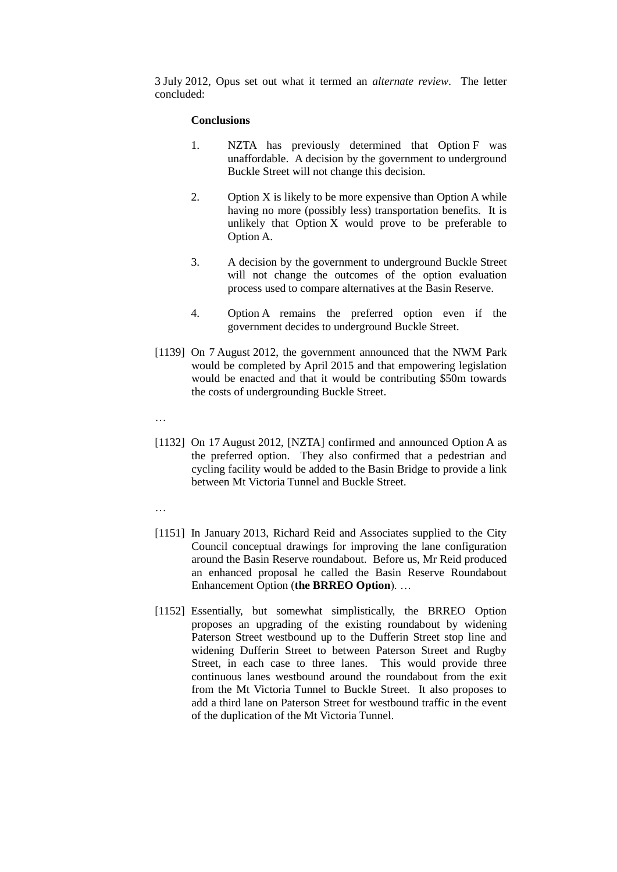3 July 2012, Opus set out what it termed an *alternate review*. The letter concluded:

#### **Conclusions**

- 1. NZTA has previously determined that Option F was unaffordable. A decision by the government to underground Buckle Street will not change this decision.
- 2. Option X is likely to be more expensive than Option A while having no more (possibly less) transportation benefits. It is unlikely that Option X would prove to be preferable to Option A.
- 3. A decision by the government to underground Buckle Street will not change the outcomes of the option evaluation process used to compare alternatives at the Basin Reserve.
- 4. Option A remains the preferred option even if the government decides to underground Buckle Street.
- [1139] On 7 August 2012, the government announced that the NWM Park would be completed by April 2015 and that empowering legislation would be enacted and that it would be contributing \$50m towards the costs of undergrounding Buckle Street.
- …
- [1132] On 17 August 2012, [NZTA] confirmed and announced Option A as the preferred option. They also confirmed that a pedestrian and cycling facility would be added to the Basin Bridge to provide a link between Mt Victoria Tunnel and Buckle Street.
- …
- [1151] In January 2013, Richard Reid and Associates supplied to the City Council conceptual drawings for improving the lane configuration around the Basin Reserve roundabout. Before us, Mr Reid produced an enhanced proposal he called the Basin Reserve Roundabout Enhancement Option (**the BRREO Option**). …
- [1152] Essentially, but somewhat simplistically, the BRREO Option proposes an upgrading of the existing roundabout by widening Paterson Street westbound up to the Dufferin Street stop line and widening Dufferin Street to between Paterson Street and Rugby Street, in each case to three lanes. This would provide three continuous lanes westbound around the roundabout from the exit from the Mt Victoria Tunnel to Buckle Street. It also proposes to add a third lane on Paterson Street for westbound traffic in the event of the duplication of the Mt Victoria Tunnel.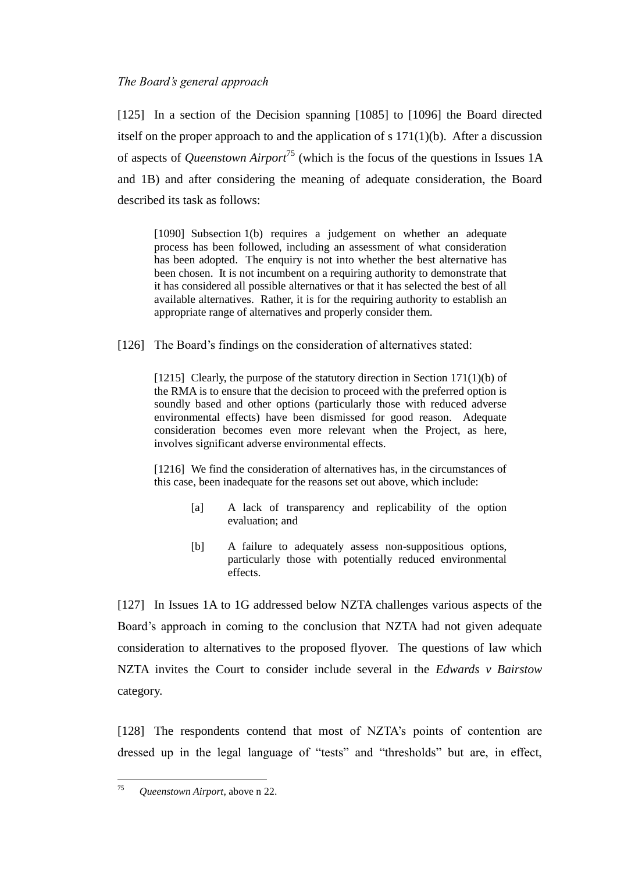[125] In a section of the Decision spanning [1085] to [1096] the Board directed itself on the proper approach to and the application of s  $171(1)(b)$ . After a discussion of aspects of *Queenstown Airport*<sup>75</sup> (which is the focus of the questions in Issues 1A and 1B) and after considering the meaning of adequate consideration, the Board described its task as follows:

[1090] Subsection 1(b) requires a judgement on whether an adequate process has been followed, including an assessment of what consideration has been adopted. The enquiry is not into whether the best alternative has been chosen. It is not incumbent on a requiring authority to demonstrate that it has considered all possible alternatives or that it has selected the best of all available alternatives. Rather, it is for the requiring authority to establish an appropriate range of alternatives and properly consider them.

[126] The Board's findings on the consideration of alternatives stated:

[1215] Clearly, the purpose of the statutory direction in Section 171(1)(b) of the RMA is to ensure that the decision to proceed with the preferred option is soundly based and other options (particularly those with reduced adverse environmental effects) have been dismissed for good reason. Adequate consideration becomes even more relevant when the Project, as here, involves significant adverse environmental effects.

[1216] We find the consideration of alternatives has, in the circumstances of this case, been inadequate for the reasons set out above, which include:

- [a] A lack of transparency and replicability of the option evaluation; and
- [b] A failure to adequately assess non-suppositious options, particularly those with potentially reduced environmental effects.

[127] In Issues 1A to 1G addressed below NZTA challenges various aspects of the Board's approach in coming to the conclusion that NZTA had not given adequate consideration to alternatives to the proposed flyover. The questions of law which NZTA invites the Court to consider include several in the *Edwards v Bairstow*  category.

[128] The respondents contend that most of NZTA's points of contention are dressed up in the legal language of "tests" and "thresholds" but are, in effect,

<sup>75</sup> <sup>75</sup> *Queenstown Airport*, above n 22.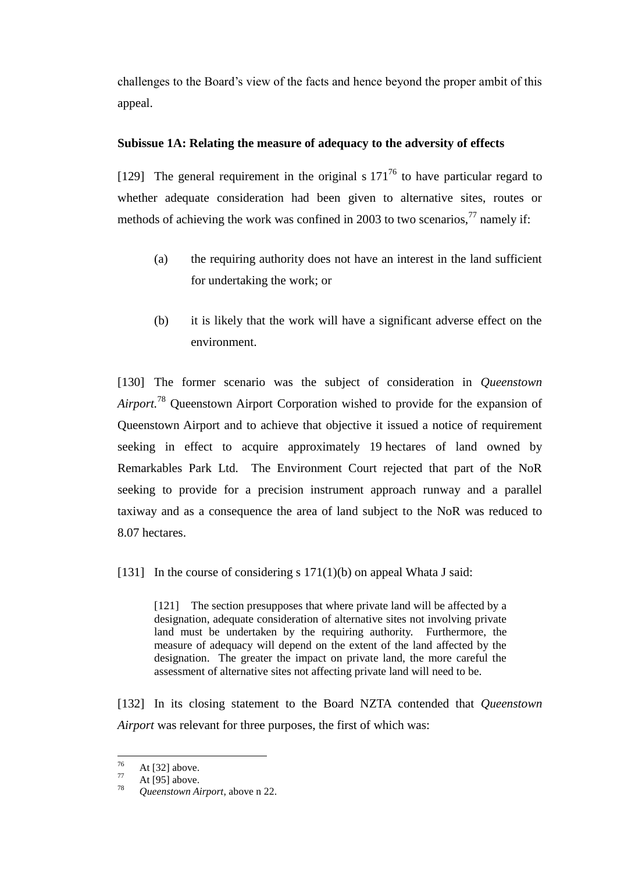challenges to the Board's view of the facts and hence beyond the proper ambit of this appeal.

# **Subissue 1A: Relating the measure of adequacy to the adversity of effects**

[129] The general requirement in the original s  $171^{76}$  to have particular regard to whether adequate consideration had been given to alternative sites, routes or methods of achieving the work was confined in 2003 to two scenarios, $^{77}$  namely if:

- (a) the requiring authority does not have an interest in the land sufficient for undertaking the work; or
- (b) it is likely that the work will have a significant adverse effect on the environment.

[130] The former scenario was the subject of consideration in *Queenstown Airport.* <sup>78</sup> Queenstown Airport Corporation wished to provide for the expansion of Queenstown Airport and to achieve that objective it issued a notice of requirement seeking in effect to acquire approximately 19 hectares of land owned by Remarkables Park Ltd. The Environment Court rejected that part of the NoR seeking to provide for a precision instrument approach runway and a parallel taxiway and as a consequence the area of land subject to the NoR was reduced to 8.07 hectares.

[131] In the course of considering s  $171(1)(b)$  on appeal Whata J said:

[121] The section presupposes that where private land will be affected by a designation, adequate consideration of alternative sites not involving private land must be undertaken by the requiring authority. Furthermore, the measure of adequacy will depend on the extent of the land affected by the designation. The greater the impact on private land, the more careful the assessment of alternative sites not affecting private land will need to be.

[132] In its closing statement to the Board NZTA contended that *Queenstown Airport* was relevant for three purposes, the first of which was:

<sup>76</sup>  $^{76}$  At [32] above.

 $\frac{77}{78}$  At [95] above.

<sup>78</sup> *Queenstown Airport*, above n 22.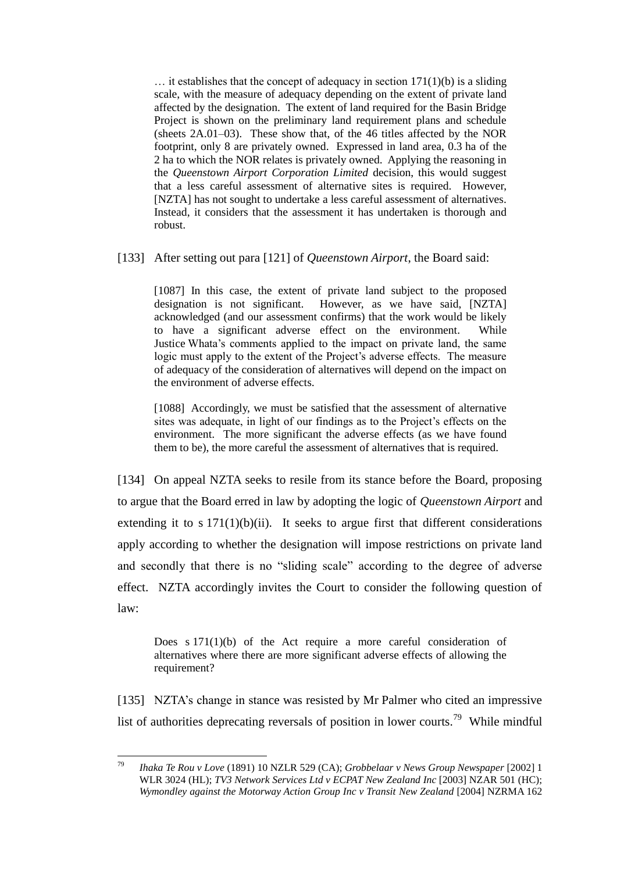$\ldots$  it establishes that the concept of adequacy in section 171(1)(b) is a sliding scale, with the measure of adequacy depending on the extent of private land affected by the designation. The extent of land required for the Basin Bridge Project is shown on the preliminary land requirement plans and schedule (sheets 2A.01–03). These show that, of the 46 titles affected by the NOR footprint, only 8 are privately owned. Expressed in land area, 0.3 ha of the 2 ha to which the NOR relates is privately owned. Applying the reasoning in the *Queenstown Airport Corporation Limited* decision, this would suggest that a less careful assessment of alternative sites is required. However, [NZTA] has not sought to undertake a less careful assessment of alternatives. Instead, it considers that the assessment it has undertaken is thorough and robust.

[133] After setting out para [121] of *Queenstown Airport*, the Board said:

[1087] In this case, the extent of private land subject to the proposed designation is not significant. However, as we have said, [NZTA] acknowledged (and our assessment confirms) that the work would be likely to have a significant adverse effect on the environment. While Justice Whata's comments applied to the impact on private land, the same logic must apply to the extent of the Project's adverse effects. The measure of adequacy of the consideration of alternatives will depend on the impact on the environment of adverse effects.

[1088] Accordingly, we must be satisfied that the assessment of alternative sites was adequate, in light of our findings as to the Project's effects on the environment. The more significant the adverse effects (as we have found them to be), the more careful the assessment of alternatives that is required.

[134] On appeal NZTA seeks to resile from its stance before the Board, proposing to argue that the Board erred in law by adopting the logic of *Queenstown Airport* and extending it to s  $171(1)(b)(ii)$ . It seeks to argue first that different considerations apply according to whether the designation will impose restrictions on private land and secondly that there is no "sliding scale" according to the degree of adverse effect. NZTA accordingly invites the Court to consider the following question of law:

Does s 171(1)(b) of the Act require a more careful consideration of alternatives where there are more significant adverse effects of allowing the requirement?

[135] NZTA's change in stance was resisted by Mr Palmer who cited an impressive list of authorities deprecating reversals of position in lower courts.<sup>79</sup> While mindful

<sup>79</sup> <sup>79</sup> *Ihaka Te Rou v Love* (1891) 10 NZLR 529 (CA); *Grobbelaar v News Group Newspaper* [2002] 1 WLR 3024 (HL); *TV3 Network Services Ltd v ECPAT New Zealand Inc* [2003] NZAR 501 (HC); *Wymondley against the Motorway Action Group Inc v Transit New Zealand* [2004] NZRMA 162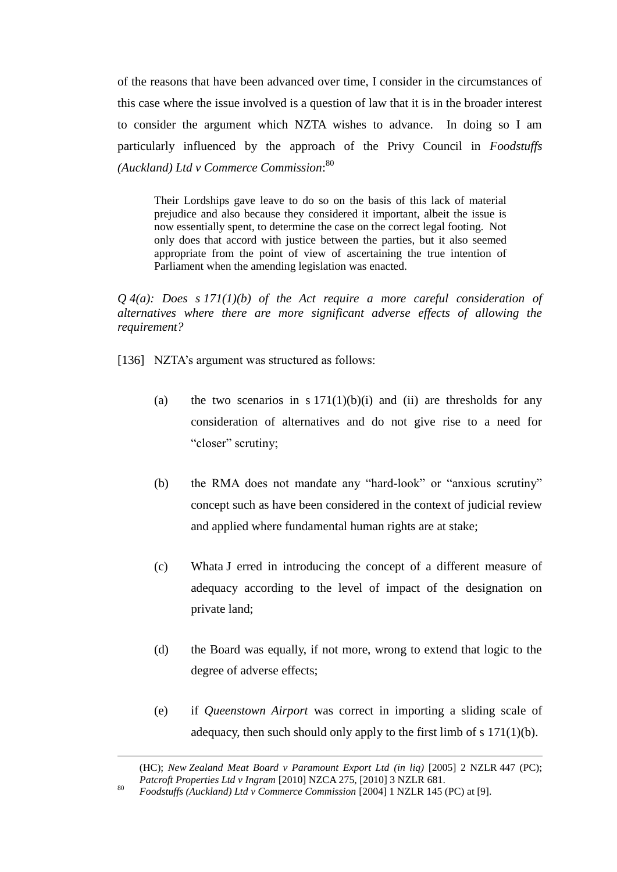of the reasons that have been advanced over time, I consider in the circumstances of this case where the issue involved is a question of law that it is in the broader interest to consider the argument which NZTA wishes to advance. In doing so I am particularly influenced by the approach of the Privy Council in *Foodstuffs (Auckland) Ltd v Commerce Commission*: 80

Their Lordships gave leave to do so on the basis of this lack of material prejudice and also because they considered it important, albeit the issue is now essentially spent, to determine the case on the correct legal footing. Not only does that accord with justice between the parties, but it also seemed appropriate from the point of view of ascertaining the true intention of Parliament when the amending legislation was enacted.

*Q 4(a): Does s 171(1)(b) of the Act require a more careful consideration of alternatives where there are more significant adverse effects of allowing the requirement?*

- [136] NZTA's argument was structured as follows:
	- (a) the two scenarios in s  $171(1)(b)(i)$  and (ii) are thresholds for any consideration of alternatives and do not give rise to a need for "closer" scrutiny;
	- (b) the RMA does not mandate any "hard-look" or "anxious scrutiny" concept such as have been considered in the context of judicial review and applied where fundamental human rights are at stake;
	- (c) Whata J erred in introducing the concept of a different measure of adequacy according to the level of impact of the designation on private land;
	- (d) the Board was equally, if not more, wrong to extend that logic to the degree of adverse effects;
	- (e) if *Queenstown Airport* was correct in importing a sliding scale of adequacy, then such should only apply to the first limb of s 171(1)(b).

(HC); *New Zealand Meat Board v Paramount Export Ltd (in liq)* [2005] 2 NZLR 447 (PC); *Patcroft Properties Ltd v Ingram* [2010] NZCA 275, [2010] 3 NZLR 681.

 $\overline{a}$ 

<sup>80</sup> *Foodstuffs (Auckland) Ltd v Commerce Commission* [2004] 1 NZLR 145 (PC) at [9].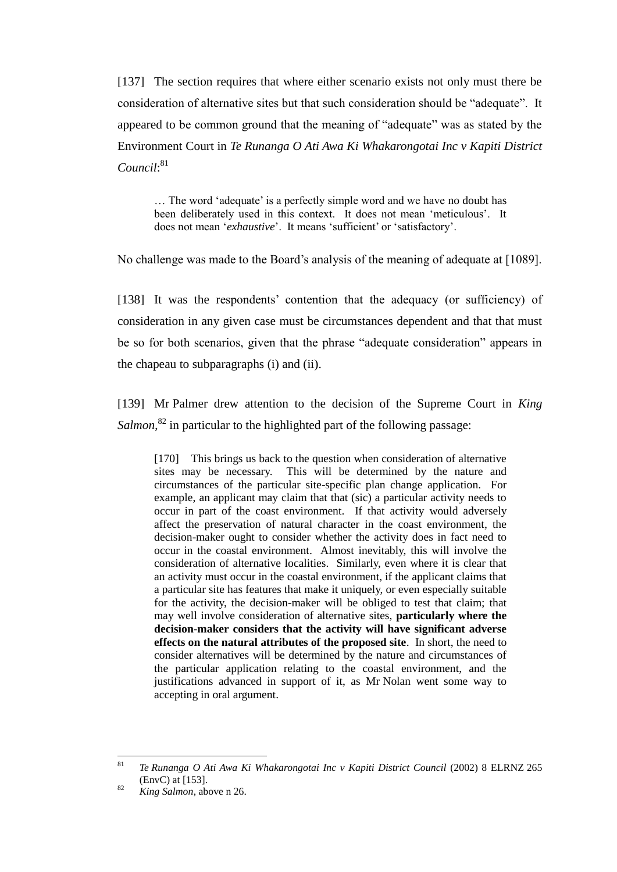[137] The section requires that where either scenario exists not only must there be consideration of alternative sites but that such consideration should be "adequate". It appeared to be common ground that the meaning of "adequate" was as stated by the Environment Court in *Te Runanga O Ati Awa Ki Whakarongotai Inc v Kapiti District*  Council:<sup>81</sup>

… The word 'adequate' is a perfectly simple word and we have no doubt has been deliberately used in this context. It does not mean 'meticulous'. It does not mean '*exhaustive*'. It means 'sufficient' or 'satisfactory'.

No challenge was made to the Board's analysis of the meaning of adequate at [1089].

[138] It was the respondents' contention that the adequacy (or sufficiency) of consideration in any given case must be circumstances dependent and that that must be so for both scenarios, given that the phrase "adequate consideration" appears in the chapeau to subparagraphs (i) and (ii).

[139] Mr Palmer drew attention to the decision of the Supreme Court in *King*  Salmon,<sup>82</sup> in particular to the highlighted part of the following passage:

[170] This brings us back to the question when consideration of alternative sites may be necessary. This will be determined by the nature and circumstances of the particular site-specific plan change application. For example, an applicant may claim that that (sic) a particular activity needs to occur in part of the coast environment. If that activity would adversely affect the preservation of natural character in the coast environment, the decision-maker ought to consider whether the activity does in fact need to occur in the coastal environment. Almost inevitably, this will involve the consideration of alternative localities. Similarly, even where it is clear that an activity must occur in the coastal environment, if the applicant claims that a particular site has features that make it uniquely, or even especially suitable for the activity, the decision-maker will be obliged to test that claim; that may well involve consideration of alternative sites, **particularly where the decision-maker considers that the activity will have significant adverse effects on the natural attributes of the proposed site**. In short, the need to consider alternatives will be determined by the nature and circumstances of the particular application relating to the coastal environment, and the justifications advanced in support of it, as Mr Nolan went some way to accepting in oral argument.

 $\bf 81$ <sup>81</sup> *Te Runanga O Ati Awa Ki Whakarongotai Inc v Kapiti District Council* (2002) 8 ELRNZ 265 (EnvC) at [153].

<sup>82</sup> *King Salmon*, above n 26.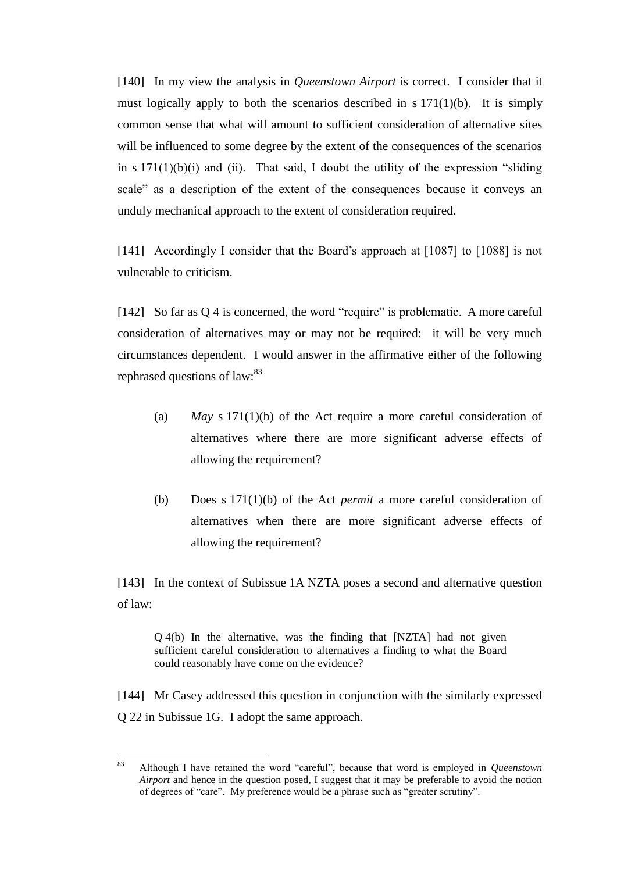[140] In my view the analysis in *Queenstown Airport* is correct. I consider that it must logically apply to both the scenarios described in s 171(1)(b). It is simply common sense that what will amount to sufficient consideration of alternative sites will be influenced to some degree by the extent of the consequences of the scenarios in  $s 171(1)(b)(i)$  and (ii). That said, I doubt the utility of the expression "sliding scale" as a description of the extent of the consequences because it conveys an unduly mechanical approach to the extent of consideration required.

[141] Accordingly I consider that the Board's approach at [1087] to [1088] is not vulnerable to criticism.

[142] So far as Q 4 is concerned, the word "require" is problematic. A more careful consideration of alternatives may or may not be required: it will be very much circumstances dependent. I would answer in the affirmative either of the following rephrased questions of law:<sup>83</sup>

- (a) *May* s 171(1)(b) of the Act require a more careful consideration of alternatives where there are more significant adverse effects of allowing the requirement?
- (b) Does s 171(1)(b) of the Act *permit* a more careful consideration of alternatives when there are more significant adverse effects of allowing the requirement?

[143] In the context of Subissue 1A NZTA poses a second and alternative question of law:

Q 4(b) In the alternative, was the finding that [NZTA] had not given sufficient careful consideration to alternatives a finding to what the Board could reasonably have come on the evidence?

[144] Mr Casey addressed this question in conjunction with the similarly expressed Q 22 in Subissue 1G. I adopt the same approach.

<sup>83</sup> <sup>83</sup> Although I have retained the word "careful", because that word is employed in *Queenstown Airport* and hence in the question posed, I suggest that it may be preferable to avoid the notion of degrees of "care". My preference would be a phrase such as "greater scrutiny".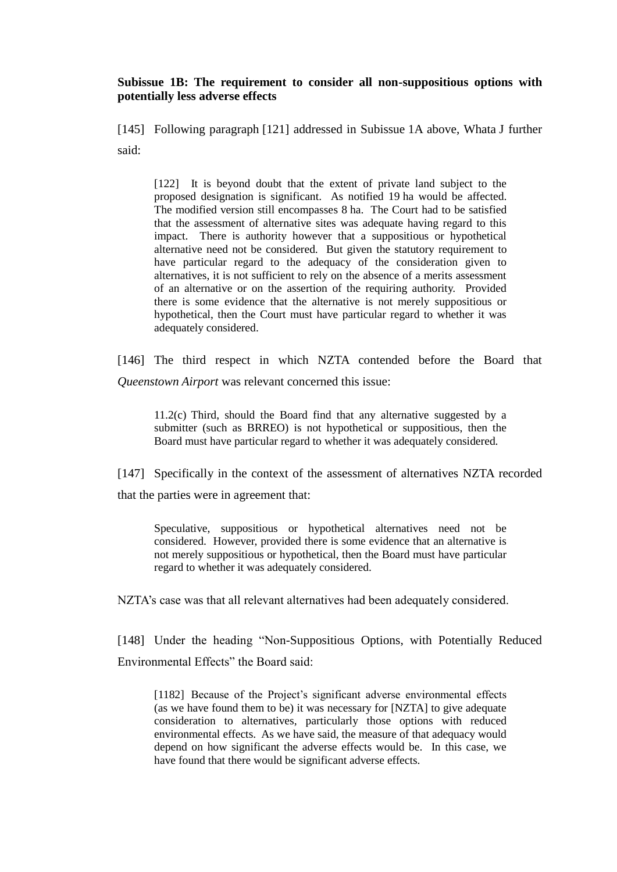### **Subissue 1B: The requirement to consider all non-suppositious options with potentially less adverse effects**

[145] Following paragraph [121] addressed in Subissue 1A above, Whata J further said:

[122] It is beyond doubt that the extent of private land subject to the proposed designation is significant. As notified 19 ha would be affected. The modified version still encompasses 8 ha. The Court had to be satisfied that the assessment of alternative sites was adequate having regard to this impact. There is authority however that a suppositious or hypothetical alternative need not be considered. But given the statutory requirement to have particular regard to the adequacy of the consideration given to alternatives, it is not sufficient to rely on the absence of a merits assessment of an alternative or on the assertion of the requiring authority. Provided there is some evidence that the alternative is not merely suppositious or hypothetical, then the Court must have particular regard to whether it was adequately considered.

[146] The third respect in which NZTA contended before the Board that *Queenstown Airport* was relevant concerned this issue:

11.2(c) Third, should the Board find that any alternative suggested by a submitter (such as BRREO) is not hypothetical or suppositious, then the Board must have particular regard to whether it was adequately considered.

[147] Specifically in the context of the assessment of alternatives NZTA recorded that the parties were in agreement that:

Speculative, suppositious or hypothetical alternatives need not be considered. However, provided there is some evidence that an alternative is not merely suppositious or hypothetical, then the Board must have particular regard to whether it was adequately considered.

NZTA's case was that all relevant alternatives had been adequately considered.

[148] Under the heading "Non-Suppositious Options, with Potentially Reduced Environmental Effects" the Board said:

[1182] Because of the Project's significant adverse environmental effects (as we have found them to be) it was necessary for [NZTA] to give adequate consideration to alternatives, particularly those options with reduced environmental effects. As we have said, the measure of that adequacy would depend on how significant the adverse effects would be. In this case, we have found that there would be significant adverse effects.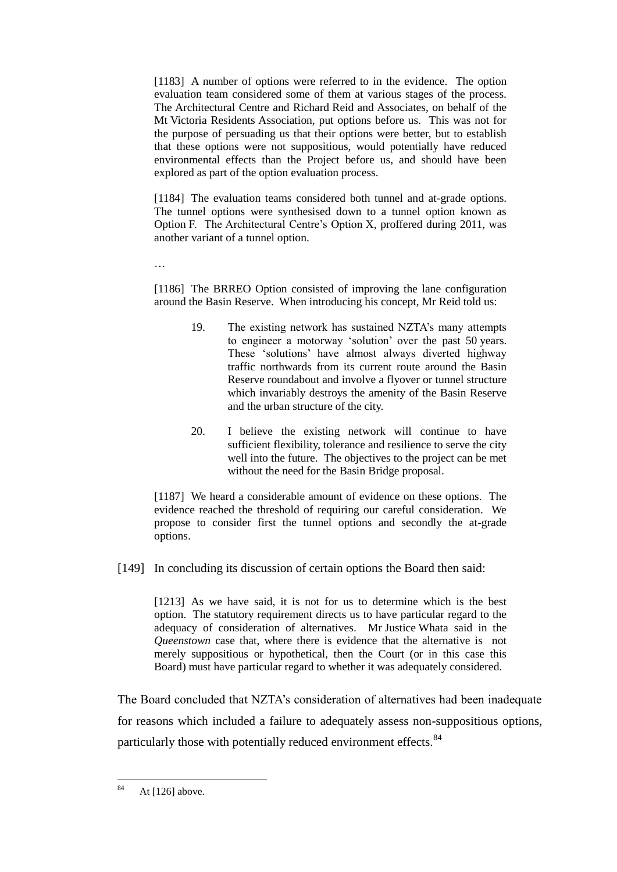[1183] A number of options were referred to in the evidence. The option evaluation team considered some of them at various stages of the process. The Architectural Centre and Richard Reid and Associates, on behalf of the Mt Victoria Residents Association, put options before us. This was not for the purpose of persuading us that their options were better, but to establish that these options were not suppositious, would potentially have reduced environmental effects than the Project before us, and should have been explored as part of the option evaluation process.

[1184] The evaluation teams considered both tunnel and at-grade options. The tunnel options were synthesised down to a tunnel option known as Option F. The Architectural Centre's Option X, proffered during 2011, was another variant of a tunnel option.

…

[1186] The BRREO Option consisted of improving the lane configuration around the Basin Reserve. When introducing his concept, Mr Reid told us:

- 19. The existing network has sustained NZTA's many attempts to engineer a motorway 'solution' over the past 50 years. These 'solutions' have almost always diverted highway traffic northwards from its current route around the Basin Reserve roundabout and involve a flyover or tunnel structure which invariably destroys the amenity of the Basin Reserve and the urban structure of the city.
- 20. I believe the existing network will continue to have sufficient flexibility, tolerance and resilience to serve the city well into the future. The objectives to the project can be met without the need for the Basin Bridge proposal.

[1187] We heard a considerable amount of evidence on these options. The evidence reached the threshold of requiring our careful consideration. We propose to consider first the tunnel options and secondly the at-grade options.

[149] In concluding its discussion of certain options the Board then said:

[1213] As we have said, it is not for us to determine which is the best option. The statutory requirement directs us to have particular regard to the adequacy of consideration of alternatives. Mr Justice Whata said in the *Queenstown* case that, where there is evidence that the alternative is not merely suppositious or hypothetical, then the Court (or in this case this Board) must have particular regard to whether it was adequately considered.

The Board concluded that NZTA's consideration of alternatives had been inadequate for reasons which included a failure to adequately assess non-suppositious options, particularly those with potentially reduced environment effects.<sup>84</sup>

<sup>84</sup> At  $[126]$  above.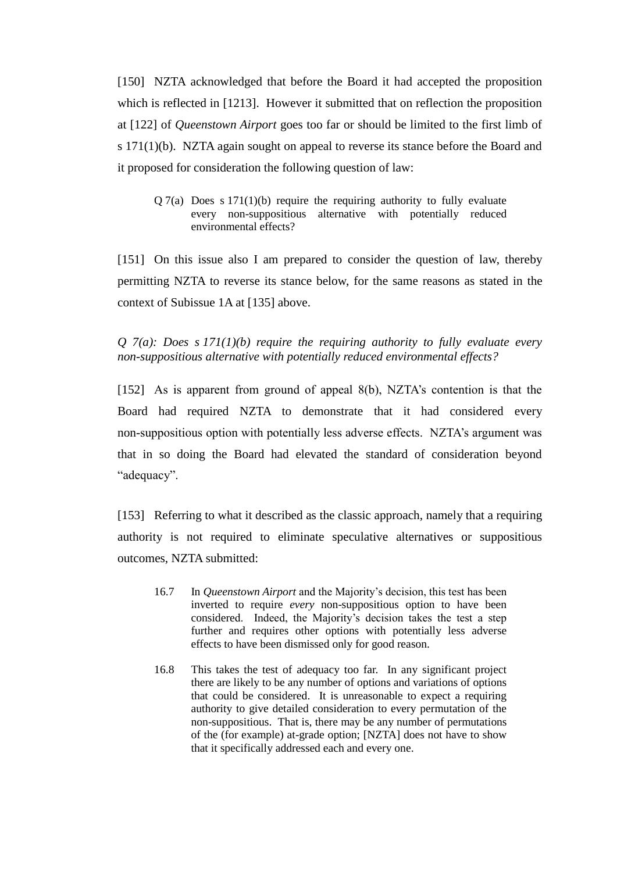[150] NZTA acknowledged that before the Board it had accepted the proposition which is reflected in [1213]. However it submitted that on reflection the proposition at [122] of *Queenstown Airport* goes too far or should be limited to the first limb of s 171(1)(b). NZTA again sought on appeal to reverse its stance before the Board and it proposed for consideration the following question of law:

 $Q \sim 7(a)$  Does s 171(1)(b) require the requiring authority to fully evaluate every non-suppositious alternative with potentially reduced environmental effects?

[151] On this issue also I am prepared to consider the question of law, thereby permitting NZTA to reverse its stance below, for the same reasons as stated in the context of Subissue 1A at [135] above.

*Q 7(a): Does s 171(1)(b) require the requiring authority to fully evaluate every non-suppositious alternative with potentially reduced environmental effects?*

[152] As is apparent from ground of appeal 8(b), NZTA's contention is that the Board had required NZTA to demonstrate that it had considered every non-suppositious option with potentially less adverse effects. NZTA's argument was that in so doing the Board had elevated the standard of consideration beyond "adequacy".

[153] Referring to what it described as the classic approach, namely that a requiring authority is not required to eliminate speculative alternatives or suppositious outcomes, NZTA submitted:

- 16.7 In *Queenstown Airport* and the Majority's decision, this test has been inverted to require *every* non-suppositious option to have been considered. Indeed, the Majority's decision takes the test a step further and requires other options with potentially less adverse effects to have been dismissed only for good reason.
- 16.8 This takes the test of adequacy too far. In any significant project there are likely to be any number of options and variations of options that could be considered. It is unreasonable to expect a requiring authority to give detailed consideration to every permutation of the non-suppositious. That is, there may be any number of permutations of the (for example) at-grade option; [NZTA] does not have to show that it specifically addressed each and every one.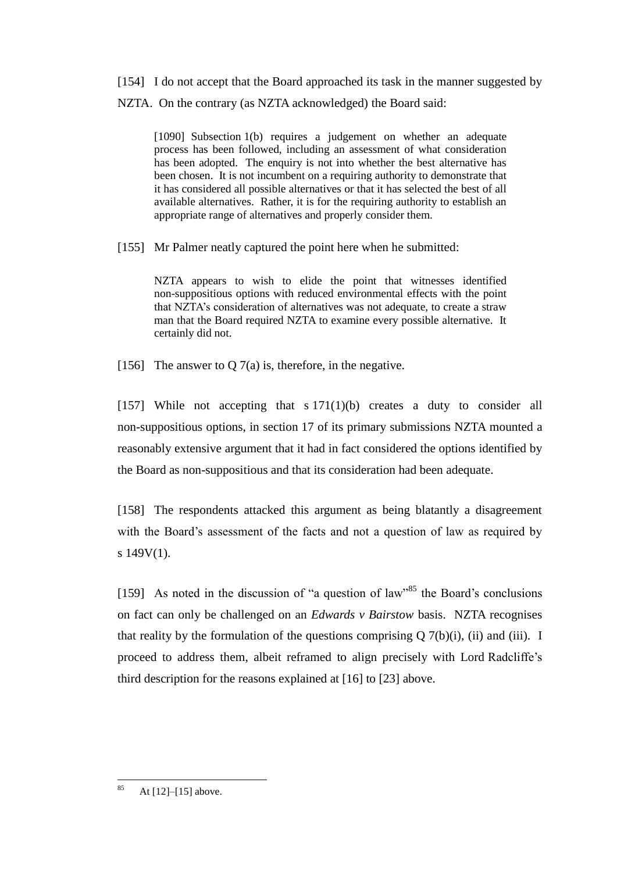[154] I do not accept that the Board approached its task in the manner suggested by NZTA. On the contrary (as NZTA acknowledged) the Board said:

[1090] Subsection 1(b) requires a judgement on whether an adequate process has been followed, including an assessment of what consideration has been adopted. The enquiry is not into whether the best alternative has been chosen. It is not incumbent on a requiring authority to demonstrate that it has considered all possible alternatives or that it has selected the best of all available alternatives. Rather, it is for the requiring authority to establish an appropriate range of alternatives and properly consider them.

[155] Mr Palmer neatly captured the point here when he submitted:

NZTA appears to wish to elide the point that witnesses identified non-suppositious options with reduced environmental effects with the point that NZTA's consideration of alternatives was not adequate, to create a straw man that the Board required NZTA to examine every possible alternative. It certainly did not.

[156] The answer to Q  $7(a)$  is, therefore, in the negative.

[157] While not accepting that  $s 171(1)(b)$  creates a duty to consider all non-suppositious options, in section 17 of its primary submissions NZTA mounted a reasonably extensive argument that it had in fact considered the options identified by the Board as non-suppositious and that its consideration had been adequate.

[158] The respondents attacked this argument as being blatantly a disagreement with the Board's assessment of the facts and not a question of law as required by s 149V(1).

[159] As noted in the discussion of "a question of law"<sup>85</sup> the Board's conclusions on fact can only be challenged on an *Edwards v Bairstow* basis. NZTA recognises that reality by the formulation of the questions comprising  $Q \, 7(b)(i)$ , (ii) and (iii). I proceed to address them, albeit reframed to align precisely with Lord Radcliffe's third description for the reasons explained at [16] to [23] above.

<sup>85</sup> At  $[12]$ – $[15]$  above.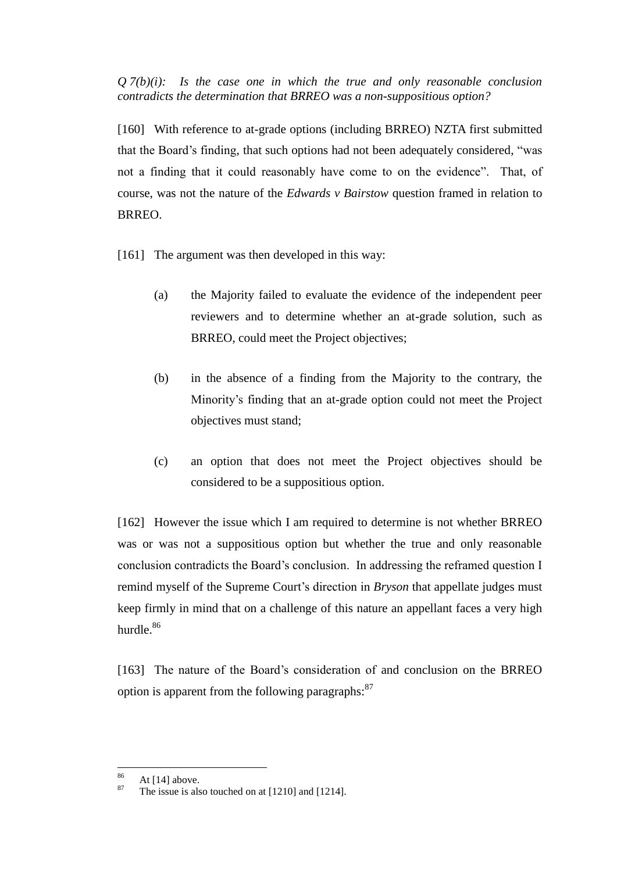$Q \, \mathcal{I}(b)(i)$ : Is the case one in which the true and only reasonable conclusion *contradicts the determination that BRREO was a non-suppositious option?*

[160] With reference to at-grade options (including BRREO) NZTA first submitted that the Board's finding, that such options had not been adequately considered, "was not a finding that it could reasonably have come to on the evidence". That, of course, was not the nature of the *Edwards v Bairstow* question framed in relation to BRREO.

[161] The argument was then developed in this way:

- (a) the Majority failed to evaluate the evidence of the independent peer reviewers and to determine whether an at-grade solution, such as BRREO, could meet the Project objectives;
- (b) in the absence of a finding from the Majority to the contrary, the Minority's finding that an at-grade option could not meet the Project objectives must stand;
- (c) an option that does not meet the Project objectives should be considered to be a suppositious option.

[162] However the issue which I am required to determine is not whether BRREO was or was not a suppositious option but whether the true and only reasonable conclusion contradicts the Board's conclusion. In addressing the reframed question I remind myself of the Supreme Court's direction in *Bryson* that appellate judges must keep firmly in mind that on a challenge of this nature an appellant faces a very high hurdle.<sup>86</sup>

[163] The nature of the Board's consideration of and conclusion on the BRREO option is apparent from the following paragraphs:<sup>87</sup>

<sup>86</sup>  $\frac{86}{87}$  At [14] above.

The issue is also touched on at  $[1210]$  and  $[1214]$ .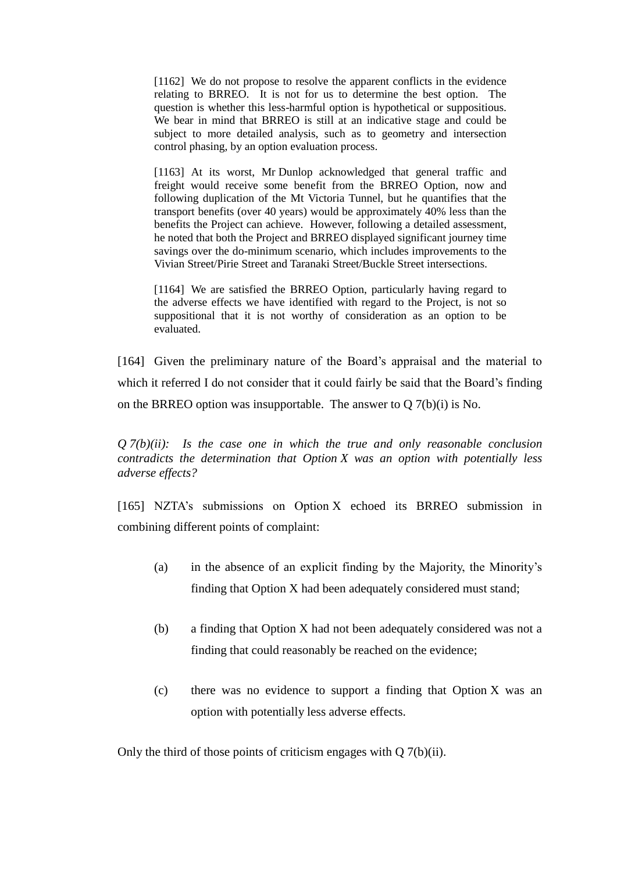[1162] We do not propose to resolve the apparent conflicts in the evidence relating to BRREO. It is not for us to determine the best option. The question is whether this less-harmful option is hypothetical or suppositious. We bear in mind that BRREO is still at an indicative stage and could be subject to more detailed analysis, such as to geometry and intersection control phasing, by an option evaluation process.

[1163] At its worst, Mr Dunlop acknowledged that general traffic and freight would receive some benefit from the BRREO Option, now and following duplication of the Mt Victoria Tunnel, but he quantifies that the transport benefits (over 40 years) would be approximately 40% less than the benefits the Project can achieve. However, following a detailed assessment, he noted that both the Project and BRREO displayed significant journey time savings over the do-minimum scenario, which includes improvements to the Vivian Street/Pirie Street and Taranaki Street/Buckle Street intersections.

[1164] We are satisfied the BRREO Option, particularly having regard to the adverse effects we have identified with regard to the Project, is not so suppositional that it is not worthy of consideration as an option to be evaluated.

[164] Given the preliminary nature of the Board's appraisal and the material to which it referred I do not consider that it could fairly be said that the Board's finding on the BRREO option was insupportable. The answer to Q 7(b)(i) is No.

*Q 7(b)(ii): Is the case one in which the true and only reasonable conclusion contradicts the determination that Option X was an option with potentially less adverse effects?*

[165] NZTA's submissions on Option X echoed its BRREO submission in combining different points of complaint:

- (a) in the absence of an explicit finding by the Majority, the Minority's finding that Option X had been adequately considered must stand;
- (b) a finding that Option X had not been adequately considered was not a finding that could reasonably be reached on the evidence;
- (c) there was no evidence to support a finding that Option X was an option with potentially less adverse effects.

Only the third of those points of criticism engages with Q 7(b)(ii).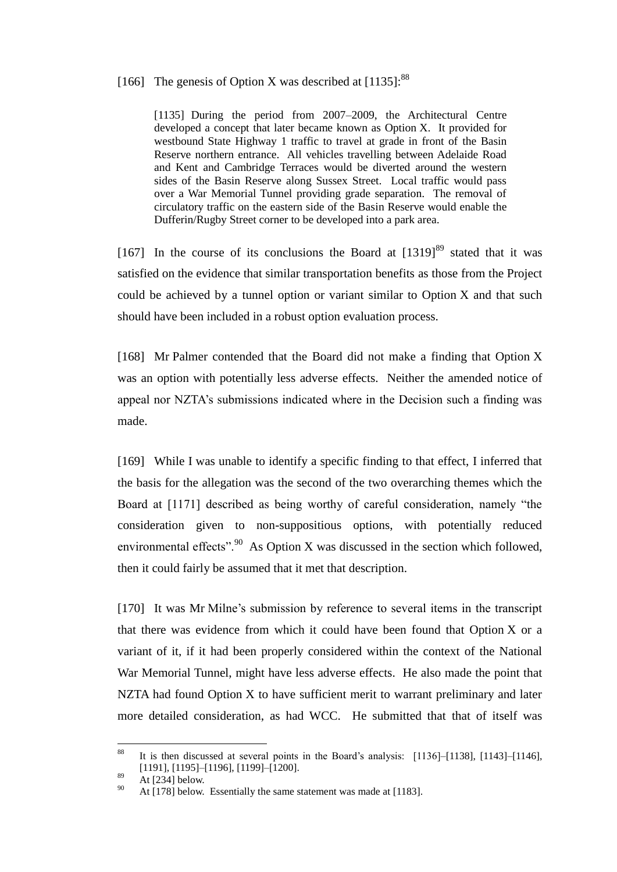# [166] The genesis of Option X was described at  $[1135]$ :<sup>88</sup>

[1135] During the period from 2007–2009, the Architectural Centre developed a concept that later became known as Option X. It provided for westbound State Highway 1 traffic to travel at grade in front of the Basin Reserve northern entrance. All vehicles travelling between Adelaide Road and Kent and Cambridge Terraces would be diverted around the western sides of the Basin Reserve along Sussex Street. Local traffic would pass over a War Memorial Tunnel providing grade separation. The removal of circulatory traffic on the eastern side of the Basin Reserve would enable the Dufferin/Rugby Street corner to be developed into a park area.

[167] In the course of its conclusions the Board at  $[1319]^{89}$  stated that it was satisfied on the evidence that similar transportation benefits as those from the Project could be achieved by a tunnel option or variant similar to Option X and that such should have been included in a robust option evaluation process.

[168] Mr Palmer contended that the Board did not make a finding that Option X was an option with potentially less adverse effects. Neither the amended notice of appeal nor NZTA's submissions indicated where in the Decision such a finding was made.

[169] While I was unable to identify a specific finding to that effect, I inferred that the basis for the allegation was the second of the two overarching themes which the Board at [1171] described as being worthy of careful consideration, namely "the consideration given to non-suppositious options, with potentially reduced environmental effects".<sup>90</sup> As Option X was discussed in the section which followed, then it could fairly be assumed that it met that description.

[170] It was Mr Milne's submission by reference to several items in the transcript that there was evidence from which it could have been found that Option X or a variant of it, if it had been properly considered within the context of the National War Memorial Tunnel, might have less adverse effects. He also made the point that NZTA had found Option X to have sufficient merit to warrant preliminary and later more detailed consideration, as had WCC. He submitted that that of itself was

<sup>88</sup> It is then discussed at several points in the Board's analysis:  $[1136]$ – $[1138]$ ,  $[1143]$ – $[1146]$ , [1191], [1195]–[1196], [1199]–[1200].

 $^{89}$  At [234] below.

At [178] below. Essentially the same statement was made at [1183].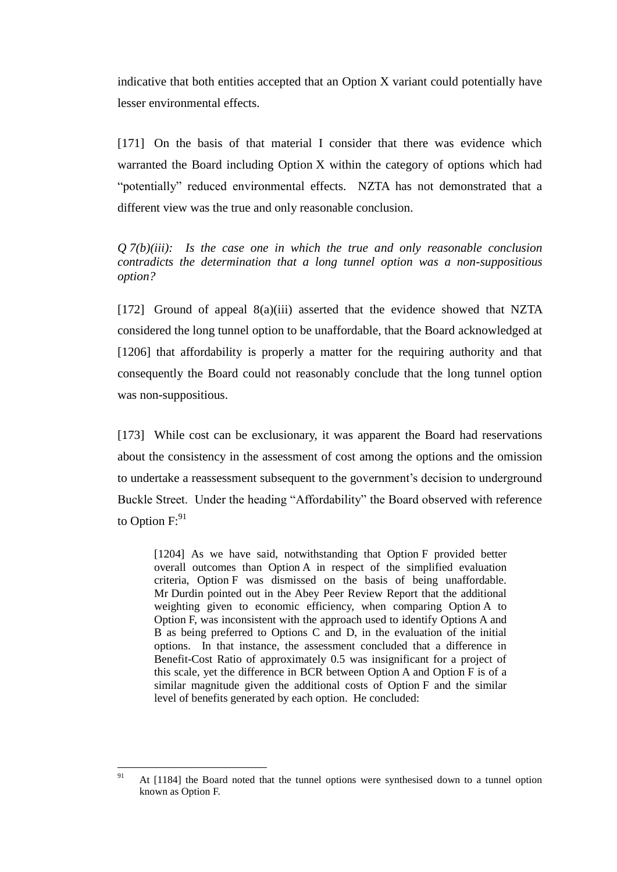indicative that both entities accepted that an Option X variant could potentially have lesser environmental effects.

[171] On the basis of that material I consider that there was evidence which warranted the Board including Option X within the category of options which had "potentially" reduced environmental effects. NZTA has not demonstrated that a different view was the true and only reasonable conclusion.

*Q 7(b)(iii): Is the case one in which the true and only reasonable conclusion contradicts the determination that a long tunnel option was a non-suppositious option?*

[172] Ground of appeal 8(a)(iii) asserted that the evidence showed that NZTA considered the long tunnel option to be unaffordable, that the Board acknowledged at [1206] that affordability is properly a matter for the requiring authority and that consequently the Board could not reasonably conclude that the long tunnel option was non-suppositious.

[173] While cost can be exclusionary, it was apparent the Board had reservations about the consistency in the assessment of cost among the options and the omission to undertake a reassessment subsequent to the government's decision to underground Buckle Street. Under the heading "Affordability" the Board observed with reference to Option  $F:^{91}$ 

[1204] As we have said, notwithstanding that Option F provided better overall outcomes than Option A in respect of the simplified evaluation criteria, Option F was dismissed on the basis of being unaffordable. Mr Durdin pointed out in the Abey Peer Review Report that the additional weighting given to economic efficiency, when comparing Option A to Option F, was inconsistent with the approach used to identify Options A and B as being preferred to Options C and D, in the evaluation of the initial options. In that instance, the assessment concluded that a difference in Benefit-Cost Ratio of approximately 0.5 was insignificant for a project of this scale, yet the difference in BCR between Option A and Option F is of a similar magnitude given the additional costs of Option F and the similar level of benefits generated by each option. He concluded:

 $91$ <sup>91</sup> At [1184] the Board noted that the tunnel options were synthesised down to a tunnel option known as Option F.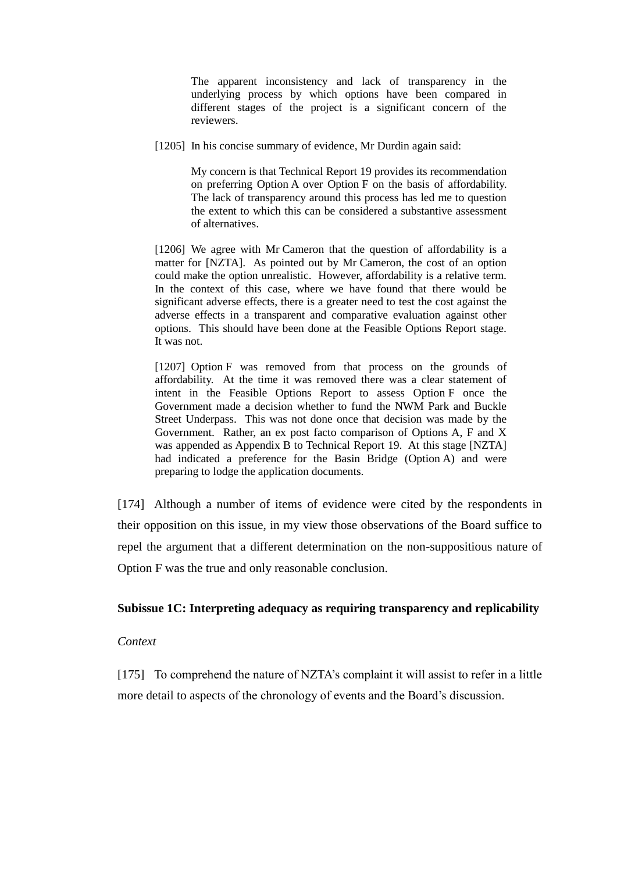The apparent inconsistency and lack of transparency in the underlying process by which options have been compared in different stages of the project is a significant concern of the reviewers.

[1205] In his concise summary of evidence, Mr Durdin again said:

My concern is that Technical Report 19 provides its recommendation on preferring Option A over Option F on the basis of affordability. The lack of transparency around this process has led me to question the extent to which this can be considered a substantive assessment of alternatives.

[1206] We agree with Mr Cameron that the question of affordability is a matter for [NZTA]. As pointed out by Mr Cameron, the cost of an option could make the option unrealistic. However, affordability is a relative term. In the context of this case, where we have found that there would be significant adverse effects, there is a greater need to test the cost against the adverse effects in a transparent and comparative evaluation against other options. This should have been done at the Feasible Options Report stage. It was not.

[1207] Option F was removed from that process on the grounds of affordability. At the time it was removed there was a clear statement of intent in the Feasible Options Report to assess Option F once the Government made a decision whether to fund the NWM Park and Buckle Street Underpass. This was not done once that decision was made by the Government. Rather, an ex post facto comparison of Options A, F and X was appended as Appendix B to Technical Report 19. At this stage [NZTA] had indicated a preference for the Basin Bridge (Option A) and were preparing to lodge the application documents.

[174] Although a number of items of evidence were cited by the respondents in their opposition on this issue, in my view those observations of the Board suffice to repel the argument that a different determination on the non-suppositious nature of Option F was the true and only reasonable conclusion.

### **Subissue 1C: Interpreting adequacy as requiring transparency and replicability**

### *Context*

[175] To comprehend the nature of NZTA's complaint it will assist to refer in a little more detail to aspects of the chronology of events and the Board's discussion.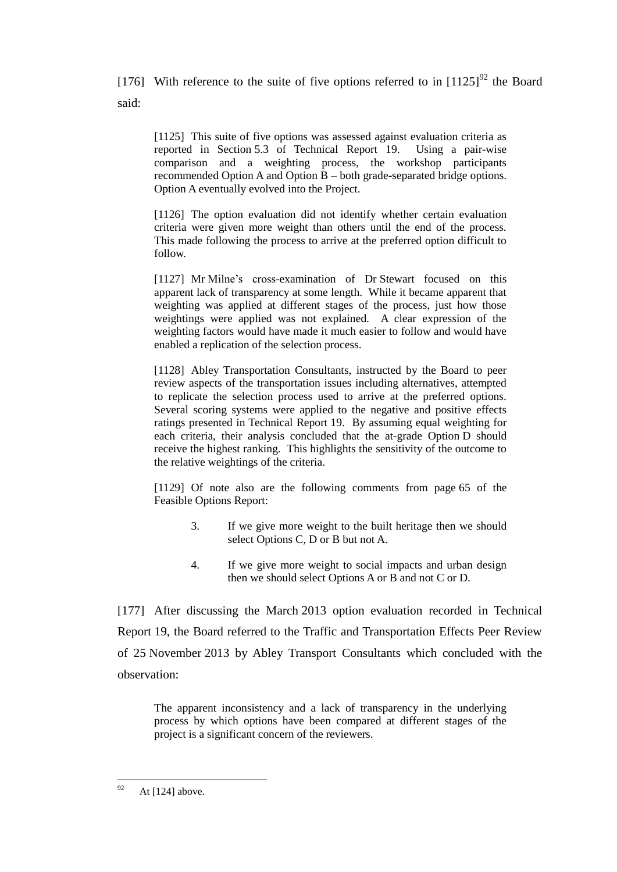[176] With reference to the suite of five options referred to in  $[1125]^{92}$  the Board said:

[1125] This suite of five options was assessed against evaluation criteria as reported in Section 5.3 of Technical Report 19. Using a pair-wise comparison and a weighting process, the workshop participants recommended Option A and Option  $\overline{B}$  – both grade-separated bridge options. Option A eventually evolved into the Project.

[1126] The option evaluation did not identify whether certain evaluation criteria were given more weight than others until the end of the process. This made following the process to arrive at the preferred option difficult to follow.

[1127] Mr Milne's cross-examination of Dr Stewart focused on this apparent lack of transparency at some length. While it became apparent that weighting was applied at different stages of the process, just how those weightings were applied was not explained. A clear expression of the weighting factors would have made it much easier to follow and would have enabled a replication of the selection process.

[1128] Abley Transportation Consultants, instructed by the Board to peer review aspects of the transportation issues including alternatives, attempted to replicate the selection process used to arrive at the preferred options. Several scoring systems were applied to the negative and positive effects ratings presented in Technical Report 19. By assuming equal weighting for each criteria, their analysis concluded that the at-grade Option D should receive the highest ranking. This highlights the sensitivity of the outcome to the relative weightings of the criteria.

[1129] Of note also are the following comments from page 65 of the Feasible Options Report:

- 3. If we give more weight to the built heritage then we should select Options C, D or B but not A.
- 4. If we give more weight to social impacts and urban design then we should select Options A or B and not C or D.

[177] After discussing the March 2013 option evaluation recorded in Technical Report 19, the Board referred to the Traffic and Transportation Effects Peer Review of 25 November 2013 by Abley Transport Consultants which concluded with the observation:

The apparent inconsistency and a lack of transparency in the underlying process by which options have been compared at different stages of the project is a significant concern of the reviewers.

<sup>92</sup> At  $[124]$  above.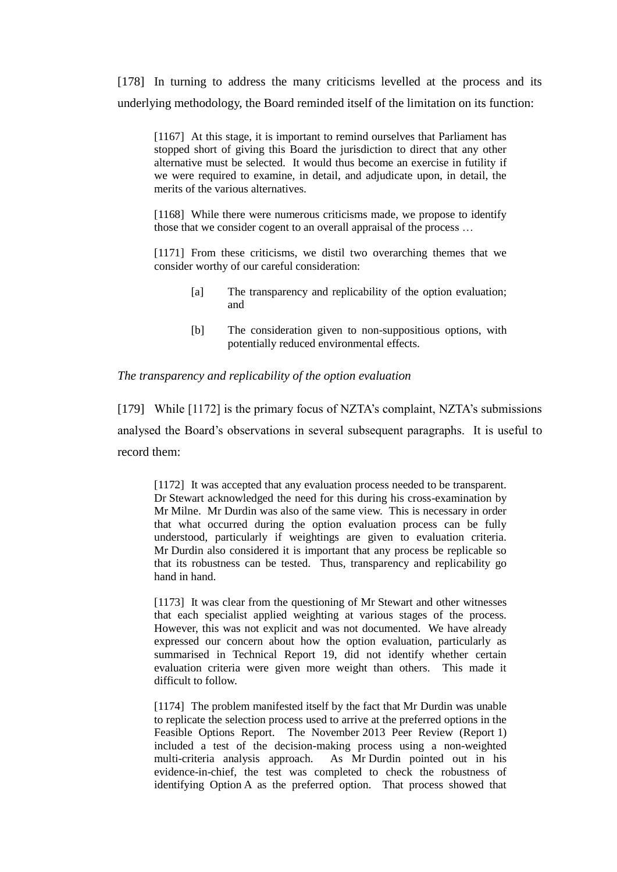[178] In turning to address the many criticisms levelled at the process and its underlying methodology, the Board reminded itself of the limitation on its function:

[1167] At this stage, it is important to remind ourselves that Parliament has stopped short of giving this Board the jurisdiction to direct that any other alternative must be selected. It would thus become an exercise in futility if we were required to examine, in detail, and adjudicate upon, in detail, the merits of the various alternatives.

[1168] While there were numerous criticisms made, we propose to identify those that we consider cogent to an overall appraisal of the process …

[1171] From these criticisms, we distil two overarching themes that we consider worthy of our careful consideration:

- [a] The transparency and replicability of the option evaluation; and
- [b] The consideration given to non-suppositious options, with potentially reduced environmental effects.

### *The transparency and replicability of the option evaluation*

[179] While [1172] is the primary focus of NZTA's complaint, NZTA's submissions analysed the Board's observations in several subsequent paragraphs. It is useful to record them:

[1172] It was accepted that any evaluation process needed to be transparent. Dr Stewart acknowledged the need for this during his cross-examination by Mr Milne. Mr Durdin was also of the same view. This is necessary in order that what occurred during the option evaluation process can be fully understood, particularly if weightings are given to evaluation criteria. Mr Durdin also considered it is important that any process be replicable so that its robustness can be tested. Thus, transparency and replicability go hand in hand.

[1173] It was clear from the questioning of Mr Stewart and other witnesses that each specialist applied weighting at various stages of the process. However, this was not explicit and was not documented. We have already expressed our concern about how the option evaluation, particularly as summarised in Technical Report 19, did not identify whether certain evaluation criteria were given more weight than others. This made it difficult to follow.

[1174] The problem manifested itself by the fact that Mr Durdin was unable to replicate the selection process used to arrive at the preferred options in the Feasible Options Report. The November 2013 Peer Review (Report 1) included a test of the decision-making process using a non-weighted multi-criteria analysis approach. As Mr Durdin pointed out in his evidence-in-chief, the test was completed to check the robustness of identifying Option A as the preferred option. That process showed that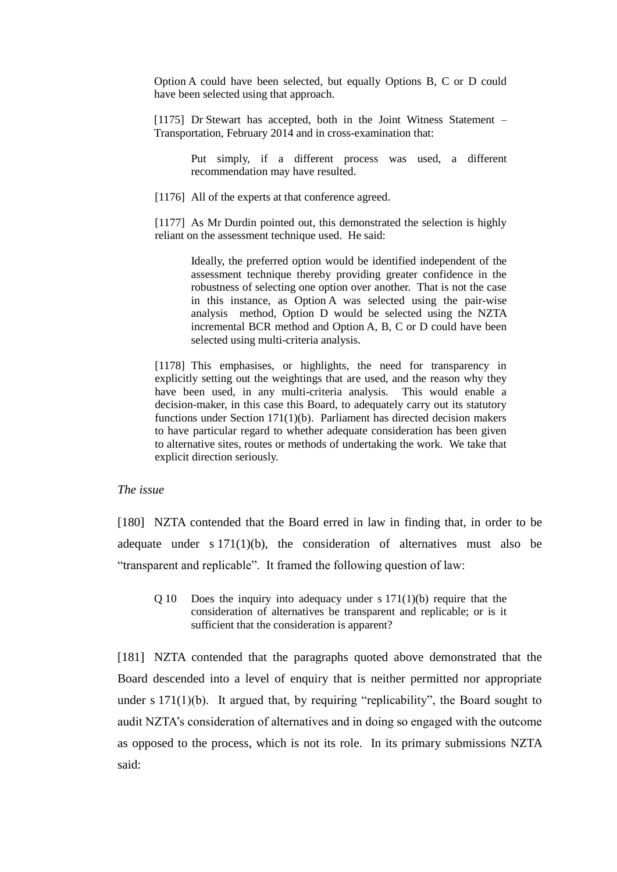Option A could have been selected, but equally Options B, C or D could have been selected using that approach.

[1175] Dr Stewart has accepted, both in the Joint Witness Statement – Transportation, February 2014 and in cross-examination that:

> Put simply, if a different process was used, a different recommendation may have resulted.

[1176] All of the experts at that conference agreed.

[1177] As Mr Durdin pointed out, this demonstrated the selection is highly reliant on the assessment technique used. He said:

> Ideally, the preferred option would be identified independent of the assessment technique thereby providing greater confidence in the robustness of selecting one option over another. That is not the case in this instance, as Option A was selected using the pair-wise analysis method, Option D would be selected using the NZTA incremental BCR method and Option A, B, C or D could have been selected using multi-criteria analysis.

[1178] This emphasises, or highlights, the need for transparency in explicitly setting out the weightings that are used, and the reason why they have been used, in any multi-criteria analysis. This would enable a decision-maker, in this case this Board, to adequately carry out its statutory functions under Section 171(1)(b). Parliament has directed decision makers to have particular regard to whether adequate consideration has been given to alternative sites, routes or methods of undertaking the work. We take that explicit direction seriously.

### *The issue*

[180] NZTA contended that the Board erred in law in finding that, in order to be adequate under  $s 171(1)(b)$ , the consideration of alternatives must also be "transparent and replicable". It framed the following question of law:

Q 10 Does the inquiry into adequacy under s 171(1)(b) require that the consideration of alternatives be transparent and replicable; or is it sufficient that the consideration is apparent?

[181] NZTA contended that the paragraphs quoted above demonstrated that the Board descended into a level of enquiry that is neither permitted nor appropriate under s  $171(1)(b)$ . It argued that, by requiring "replicability", the Board sought to audit NZTA's consideration of alternatives and in doing so engaged with the outcome as opposed to the process, which is not its role. In its primary submissions NZTA said: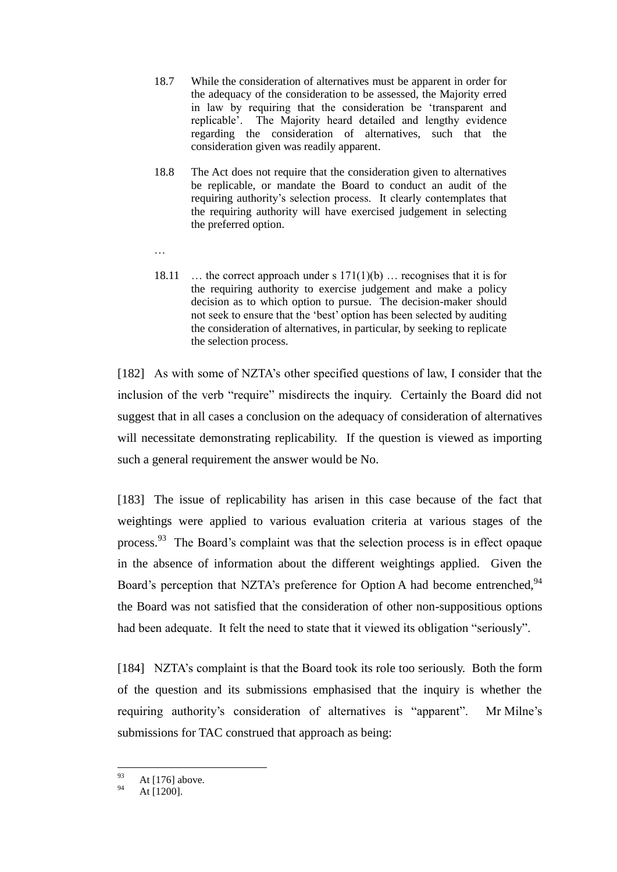- 18.7 While the consideration of alternatives must be apparent in order for the adequacy of the consideration to be assessed, the Majority erred in law by requiring that the consideration be 'transparent and replicable'. The Majority heard detailed and lengthy evidence regarding the consideration of alternatives, such that the consideration given was readily apparent.
- 18.8 The Act does not require that the consideration given to alternatives be replicable, or mandate the Board to conduct an audit of the requiring authority's selection process. It clearly contemplates that the requiring authority will have exercised judgement in selecting the preferred option.
- …
- 18.11 ... the correct approach under s  $171(1)(b)$  ... recognises that it is for the requiring authority to exercise judgement and make a policy decision as to which option to pursue. The decision-maker should not seek to ensure that the 'best' option has been selected by auditing the consideration of alternatives, in particular, by seeking to replicate the selection process.

[182] As with some of NZTA's other specified questions of law, I consider that the inclusion of the verb "require" misdirects the inquiry. Certainly the Board did not suggest that in all cases a conclusion on the adequacy of consideration of alternatives will necessitate demonstrating replicability. If the question is viewed as importing such a general requirement the answer would be No.

[183] The issue of replicability has arisen in this case because of the fact that weightings were applied to various evaluation criteria at various stages of the process.<sup>93</sup> The Board's complaint was that the selection process is in effect opaque in the absence of information about the different weightings applied. Given the Board's perception that NZTA's preference for Option A had become entrenched,<sup>94</sup> the Board was not satisfied that the consideration of other non-suppositious options had been adequate. It felt the need to state that it viewed its obligation "seriously".

[184] NZTA's complaint is that the Board took its role too seriously. Both the form of the question and its submissions emphasised that the inquiry is whether the requiring authority's consideration of alternatives is "apparent". Mr Milne's submissions for TAC construed that approach as being:

<sup>93</sup>  $^{93}_{94}$  At [176] above.

At [1200].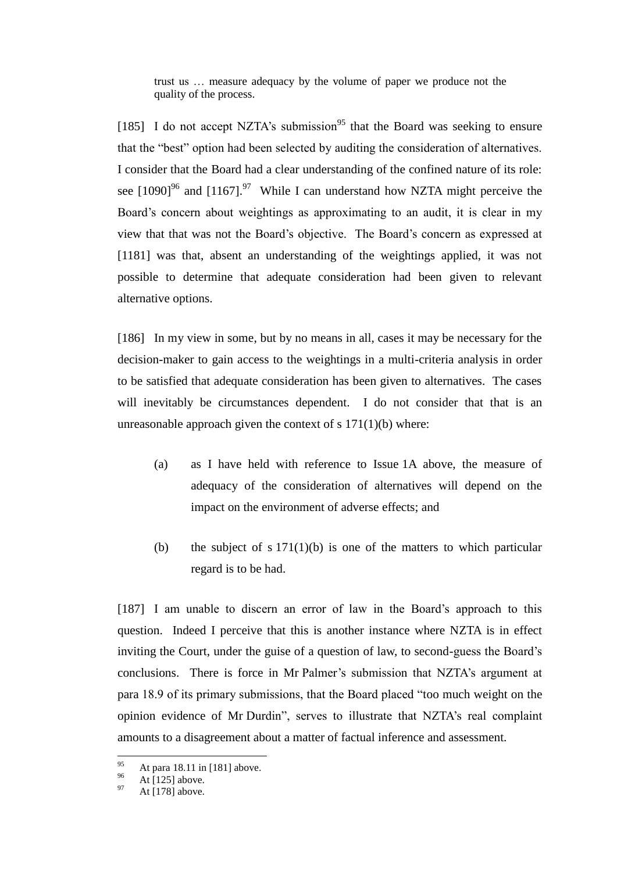trust us … measure adequacy by the volume of paper we produce not the quality of the process.

[185] I do not accept NZTA's submission<sup>95</sup> that the Board was seeking to ensure that the "best" option had been selected by auditing the consideration of alternatives. I consider that the Board had a clear understanding of the confined nature of its role: see  $[1090]$ <sup>96</sup> and  $[1167]$ .<sup>97</sup> While I can understand how NZTA might perceive the Board's concern about weightings as approximating to an audit, it is clear in my view that that was not the Board's objective. The Board's concern as expressed at [1181] was that, absent an understanding of the weightings applied, it was not possible to determine that adequate consideration had been given to relevant alternative options.

[186] In my view in some, but by no means in all, cases it may be necessary for the decision-maker to gain access to the weightings in a multi-criteria analysis in order to be satisfied that adequate consideration has been given to alternatives. The cases will inevitably be circumstances dependent. I do not consider that that is an unreasonable approach given the context of  $s 171(1)(b)$  where:

- (a) as I have held with reference to Issue 1A above, the measure of adequacy of the consideration of alternatives will depend on the impact on the environment of adverse effects; and
- (b) the subject of s  $171(1)(b)$  is one of the matters to which particular regard is to be had.

[187] I am unable to discern an error of law in the Board's approach to this question. Indeed I perceive that this is another instance where NZTA is in effect inviting the Court, under the guise of a question of law, to second-guess the Board's conclusions. There is force in Mr Palmer's submission that NZTA's argument at para 18.9 of its primary submissions, that the Board placed "too much weight on the opinion evidence of Mr Durdin", serves to illustrate that NZTA's real complaint amounts to a disagreement about a matter of factual inference and assessment.

<sup>95</sup> <sup>95</sup> At para 18.11 in [181] above.

 $^{96}$  At [125] above.

At [178] above.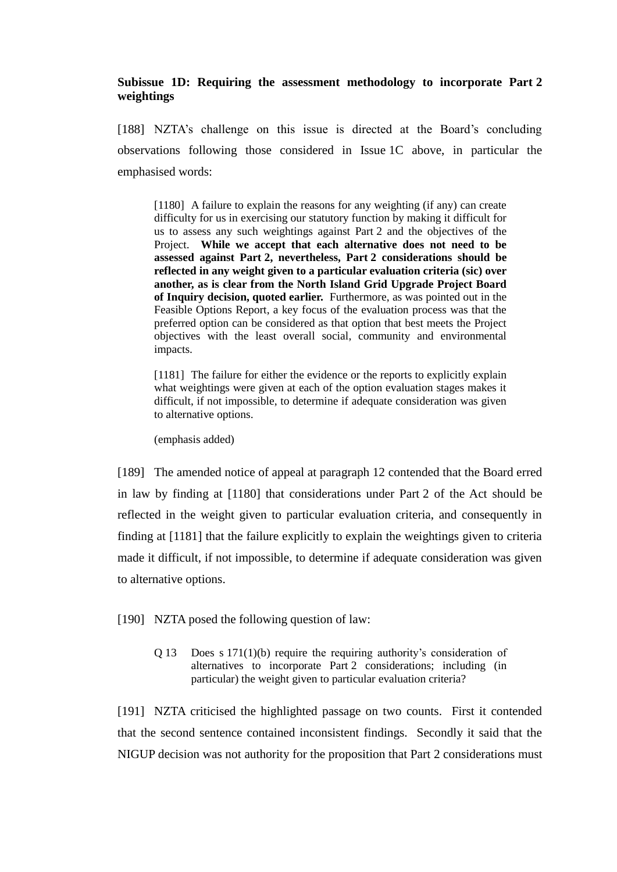# **Subissue 1D: Requiring the assessment methodology to incorporate Part 2 weightings**

[188] NZTA's challenge on this issue is directed at the Board's concluding observations following those considered in Issue 1C above, in particular the emphasised words:

[1180] A failure to explain the reasons for any weighting (if any) can create difficulty for us in exercising our statutory function by making it difficult for us to assess any such weightings against Part 2 and the objectives of the Project. **While we accept that each alternative does not need to be assessed against Part 2, nevertheless, Part 2 considerations should be reflected in any weight given to a particular evaluation criteria (sic) over another, as is clear from the North Island Grid Upgrade Project Board of Inquiry decision, quoted earlier.** Furthermore, as was pointed out in the Feasible Options Report, a key focus of the evaluation process was that the preferred option can be considered as that option that best meets the Project objectives with the least overall social, community and environmental impacts.

[1181] The failure for either the evidence or the reports to explicitly explain what weightings were given at each of the option evaluation stages makes it difficult, if not impossible, to determine if adequate consideration was given to alternative options.

(emphasis added)

[189] The amended notice of appeal at paragraph 12 contended that the Board erred in law by finding at [1180] that considerations under Part 2 of the Act should be reflected in the weight given to particular evaluation criteria, and consequently in finding at [1181] that the failure explicitly to explain the weightings given to criteria made it difficult, if not impossible, to determine if adequate consideration was given to alternative options.

[190] NZTA posed the following question of law:

Q 13 Does s 171(1)(b) require the requiring authority's consideration of alternatives to incorporate Part 2 considerations; including (in particular) the weight given to particular evaluation criteria?

[191] NZTA criticised the highlighted passage on two counts. First it contended that the second sentence contained inconsistent findings. Secondly it said that the NIGUP decision was not authority for the proposition that Part 2 considerations must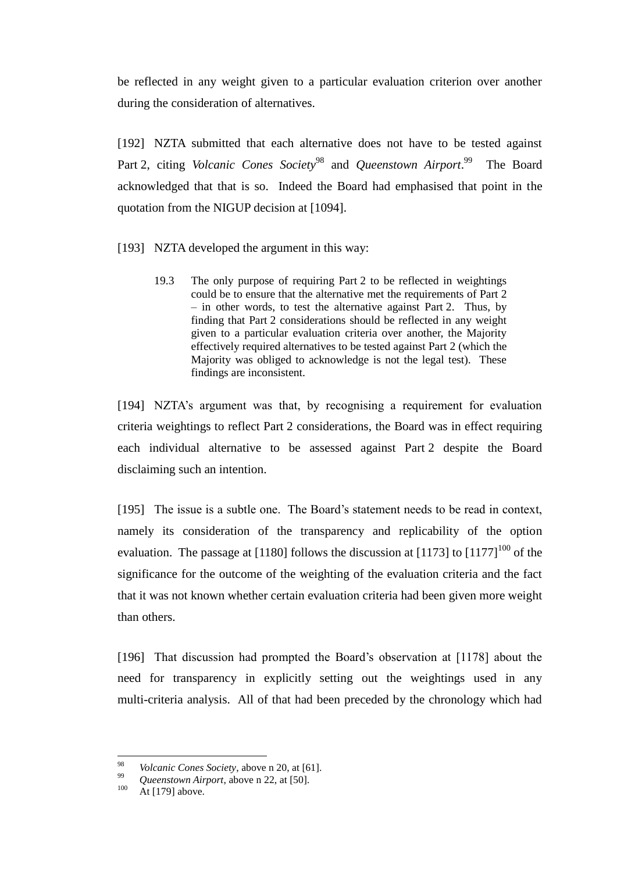be reflected in any weight given to a particular evaluation criterion over another during the consideration of alternatives.

[192] NZTA submitted that each alternative does not have to be tested against Part 2, citing *Volcanic Cones Society*<sup>98</sup> and *Queenstown Airport*.<sup>99</sup> The Board acknowledged that that is so. Indeed the Board had emphasised that point in the quotation from the NIGUP decision at [1094].

- [193] NZTA developed the argument in this way:
	- 19.3 The only purpose of requiring Part 2 to be reflected in weightings could be to ensure that the alternative met the requirements of Part 2 – in other words, to test the alternative against Part 2. Thus, by finding that Part 2 considerations should be reflected in any weight given to a particular evaluation criteria over another, the Majority effectively required alternatives to be tested against Part 2 (which the Majority was obliged to acknowledge is not the legal test). These findings are inconsistent.

[194] NZTA's argument was that, by recognising a requirement for evaluation criteria weightings to reflect Part 2 considerations, the Board was in effect requiring each individual alternative to be assessed against Part 2 despite the Board disclaiming such an intention.

[195] The issue is a subtle one. The Board's statement needs to be read in context, namely its consideration of the transparency and replicability of the option evaluation. The passage at [1180] follows the discussion at [1173] to  $[1177]^{100}$  of the significance for the outcome of the weighting of the evaluation criteria and the fact that it was not known whether certain evaluation criteria had been given more weight than others.

[196] That discussion had prompted the Board's observation at [1178] about the need for transparency in explicitly setting out the weightings used in any multi-criteria analysis. All of that had been preceded by the chronology which had

<sup>98</sup> <sup>98</sup> *Volcanic Cones Society*, above n 20, at [61].

<sup>&</sup>lt;sup>99</sup> *Queenstown Airport*, above n 22, at [50].<br> $\frac{\Lambda + [170]}{\Lambda + [170]}$  above

At [179] above.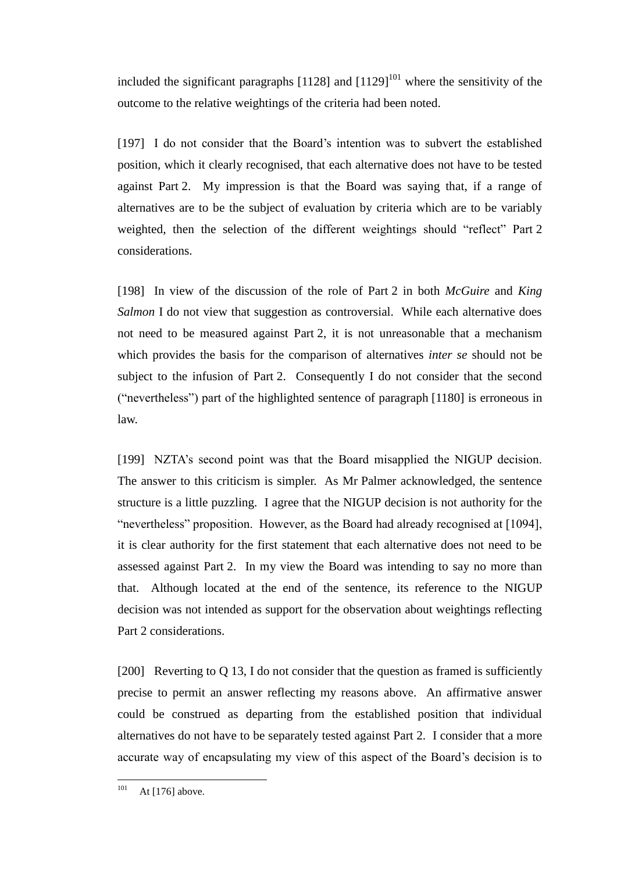included the significant paragraphs  $[1128]$  and  $[1129]^{101}$  where the sensitivity of the outcome to the relative weightings of the criteria had been noted.

[197] I do not consider that the Board's intention was to subvert the established position, which it clearly recognised, that each alternative does not have to be tested against Part 2. My impression is that the Board was saying that, if a range of alternatives are to be the subject of evaluation by criteria which are to be variably weighted, then the selection of the different weightings should "reflect" Part 2 considerations.

[198] In view of the discussion of the role of Part 2 in both *McGuire* and *King Salmon* I do not view that suggestion as controversial. While each alternative does not need to be measured against Part 2, it is not unreasonable that a mechanism which provides the basis for the comparison of alternatives *inter se* should not be subject to the infusion of Part 2. Consequently I do not consider that the second ("nevertheless") part of the highlighted sentence of paragraph [1180] is erroneous in law.

[199] NZTA's second point was that the Board misapplied the NIGUP decision. The answer to this criticism is simpler. As Mr Palmer acknowledged, the sentence structure is a little puzzling. I agree that the NIGUP decision is not authority for the "nevertheless" proposition. However, as the Board had already recognised at [1094], it is clear authority for the first statement that each alternative does not need to be assessed against Part 2. In my view the Board was intending to say no more than that. Although located at the end of the sentence, its reference to the NIGUP decision was not intended as support for the observation about weightings reflecting Part 2 considerations.

[200] Reverting to Q 13, I do not consider that the question as framed is sufficiently precise to permit an answer reflecting my reasons above. An affirmative answer could be construed as departing from the established position that individual alternatives do not have to be separately tested against Part 2. I consider that a more accurate way of encapsulating my view of this aspect of the Board's decision is to

<sup>101</sup> At [176] above.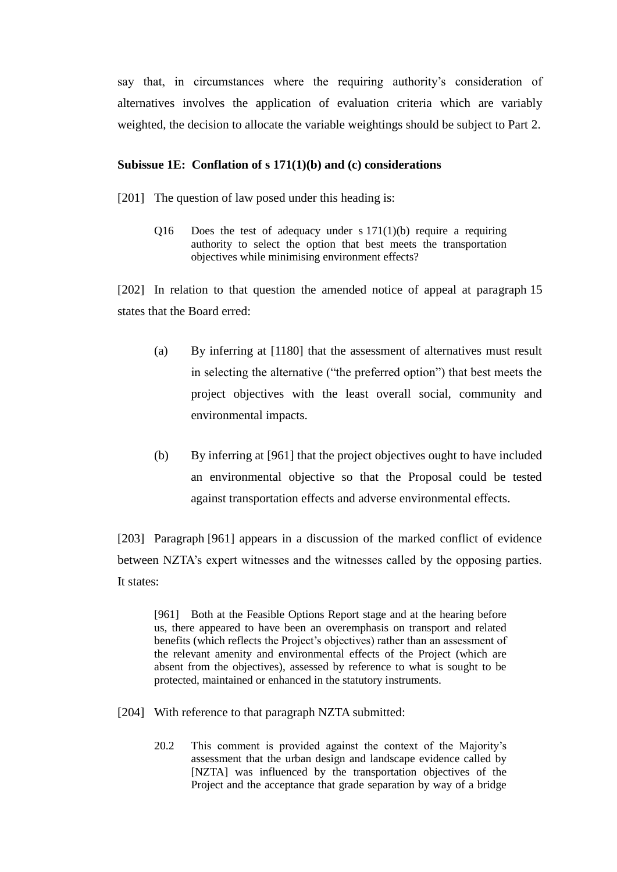say that, in circumstances where the requiring authority's consideration of alternatives involves the application of evaluation criteria which are variably weighted, the decision to allocate the variable weightings should be subject to Part 2.

### **Subissue 1E: Conflation of s 171(1)(b) and (c) considerations**

- [201] The question of law posed under this heading is:
	- Q16 Does the test of adequacy under s  $171(1)(b)$  require a requiring authority to select the option that best meets the transportation objectives while minimising environment effects?

[202] In relation to that question the amended notice of appeal at paragraph 15 states that the Board erred:

- (a) By inferring at [1180] that the assessment of alternatives must result in selecting the alternative ("the preferred option") that best meets the project objectives with the least overall social, community and environmental impacts.
- (b) By inferring at [961] that the project objectives ought to have included an environmental objective so that the Proposal could be tested against transportation effects and adverse environmental effects.

[203] Paragraph [961] appears in a discussion of the marked conflict of evidence between NZTA's expert witnesses and the witnesses called by the opposing parties. It states:

[961] Both at the Feasible Options Report stage and at the hearing before us, there appeared to have been an overemphasis on transport and related benefits (which reflects the Project's objectives) rather than an assessment of the relevant amenity and environmental effects of the Project (which are absent from the objectives), assessed by reference to what is sought to be protected, maintained or enhanced in the statutory instruments.

[204] With reference to that paragraph NZTA submitted:

20.2 This comment is provided against the context of the Majority's assessment that the urban design and landscape evidence called by [NZTA] was influenced by the transportation objectives of the Project and the acceptance that grade separation by way of a bridge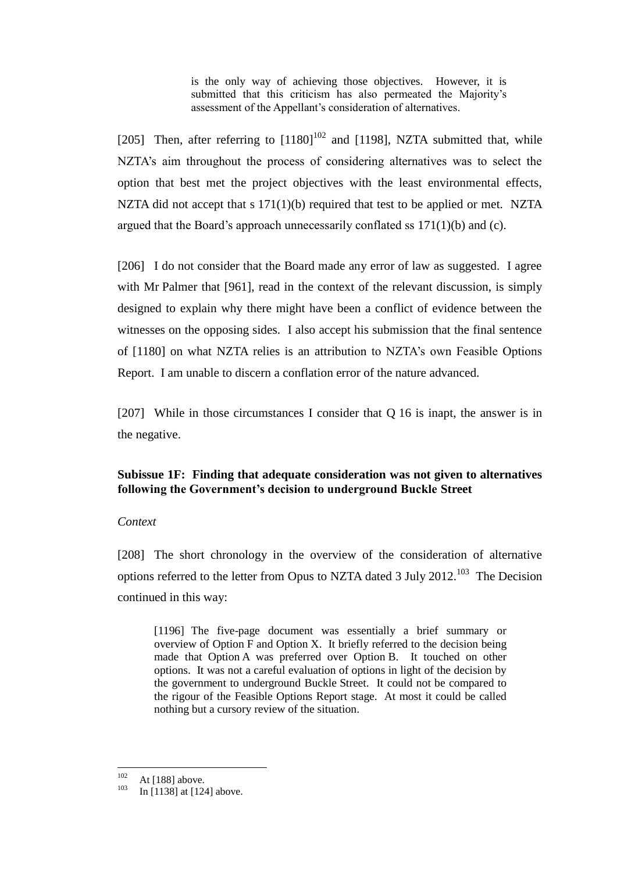is the only way of achieving those objectives. However, it is submitted that this criticism has also permeated the Majority's assessment of the Appellant's consideration of alternatives.

[205] Then, after referring to  $[1180]^{102}$  and  $[1198]$ , NZTA submitted that, while NZTA's aim throughout the process of considering alternatives was to select the option that best met the project objectives with the least environmental effects, NZTA did not accept that s 171(1)(b) required that test to be applied or met. NZTA argued that the Board's approach unnecessarily conflated ss 171(1)(b) and (c).

[206] I do not consider that the Board made any error of law as suggested. I agree with Mr Palmer that [961], read in the context of the relevant discussion, is simply designed to explain why there might have been a conflict of evidence between the witnesses on the opposing sides. I also accept his submission that the final sentence of [1180] on what NZTA relies is an attribution to NZTA's own Feasible Options Report. I am unable to discern a conflation error of the nature advanced.

[207] While in those circumstances I consider that Q 16 is inapt, the answer is in the negative.

# **Subissue 1F: Finding that adequate consideration was not given to alternatives following the Government's decision to underground Buckle Street**

## *Context*

[208] The short chronology in the overview of the consideration of alternative options referred to the letter from Opus to NZTA dated 3 July  $2012$ <sup>103</sup> The Decision continued in this way:

[1196] The five-page document was essentially a brief summary or overview of Option F and Option X. It briefly referred to the decision being made that Option A was preferred over Option B. It touched on other options. It was not a careful evaluation of options in light of the decision by the government to underground Buckle Street. It could not be compared to the rigour of the Feasible Options Report stage. At most it could be called nothing but a cursory review of the situation.

<sup>102</sup>  $102 \text{ At } [188] \text{ above.}$ <br> $103 \text{ In } [1128] \text{ at } [126]$ 

In [1138] at [124] above.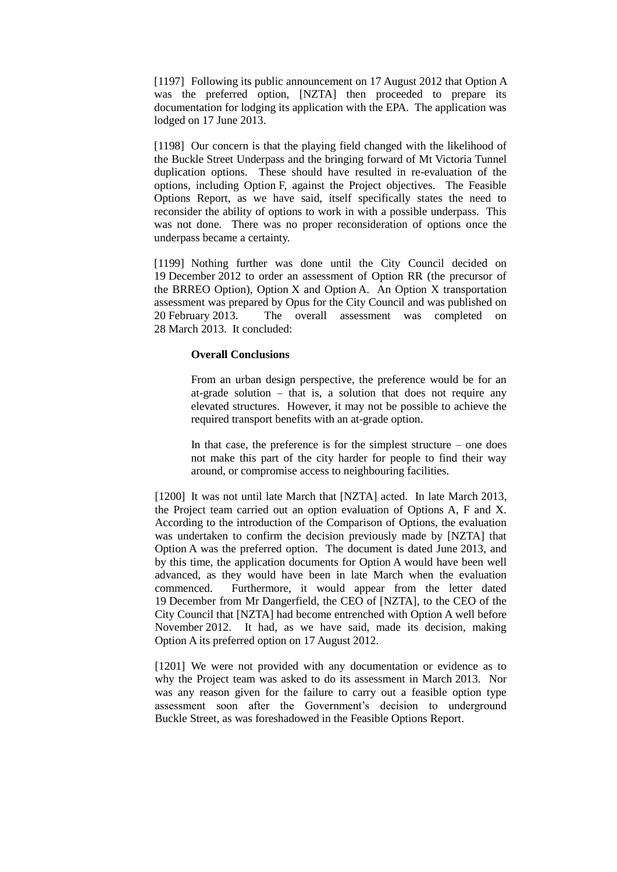[1197] Following its public announcement on 17 August 2012 that Option A was the preferred option, [NZTA] then proceeded to prepare its documentation for lodging its application with the EPA. The application was lodged on 17 June 2013.

[1198] Our concern is that the playing field changed with the likelihood of the Buckle Street Underpass and the bringing forward of Mt Victoria Tunnel duplication options. These should have resulted in re-evaluation of the options, including Option F, against the Project objectives. The Feasible Options Report, as we have said, itself specifically states the need to reconsider the ability of options to work in with a possible underpass. This was not done. There was no proper reconsideration of options once the underpass became a certainty.

[1199] Nothing further was done until the City Council decided on 19 December 2012 to order an assessment of Option RR (the precursor of the BRREO Option), Option X and Option A. An Option X transportation assessment was prepared by Opus for the City Council and was published on 20 February 2013. The overall assessment was completed on 28 March 2013. It concluded:

#### **Overall Conclusions**

From an urban design perspective, the preference would be for an at-grade solution – that is, a solution that does not require any elevated structures. However, it may not be possible to achieve the required transport benefits with an at-grade option.

In that case, the preference is for the simplest structure  $-$  one does not make this part of the city harder for people to find their way around, or compromise access to neighbouring facilities.

[1200] It was not until late March that [NZTA] acted. In late March 2013, the Project team carried out an option evaluation of Options A, F and X. According to the introduction of the Comparison of Options, the evaluation was undertaken to confirm the decision previously made by [NZTA] that Option A was the preferred option. The document is dated June 2013, and by this time, the application documents for Option A would have been well advanced, as they would have been in late March when the evaluation commenced. Furthermore, it would appear from the letter dated 19 December from Mr Dangerfield, the CEO of [NZTA], to the CEO of the City Council that [NZTA] had become entrenched with Option A well before November 2012. It had, as we have said, made its decision, making Option A its preferred option on 17 August 2012.

[1201] We were not provided with any documentation or evidence as to why the Project team was asked to do its assessment in March 2013. Nor was any reason given for the failure to carry out a feasible option type assessment soon after the Government's decision to underground Buckle Street, as was foreshadowed in the Feasible Options Report.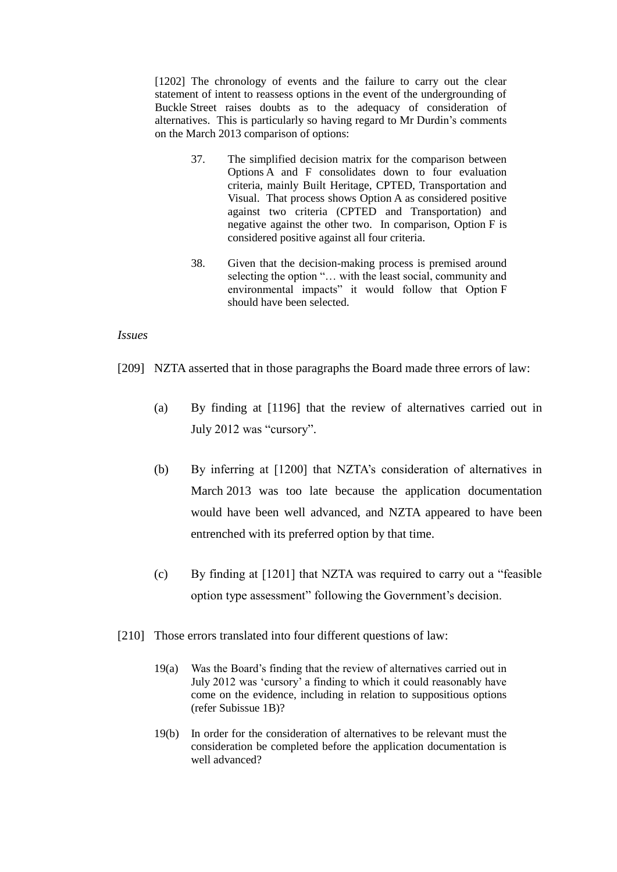[1202] The chronology of events and the failure to carry out the clear statement of intent to reassess options in the event of the undergrounding of Buckle Street raises doubts as to the adequacy of consideration of alternatives. This is particularly so having regard to Mr Durdin's comments on the March 2013 comparison of options:

- 37. The simplified decision matrix for the comparison between Options A and F consolidates down to four evaluation criteria, mainly Built Heritage, CPTED, Transportation and Visual. That process shows Option A as considered positive against two criteria (CPTED and Transportation) and negative against the other two. In comparison, Option F is considered positive against all four criteria.
- 38. Given that the decision-making process is premised around selecting the option "… with the least social, community and environmental impacts" it would follow that Option F should have been selected.

## *Issues*

[209] NZTA asserted that in those paragraphs the Board made three errors of law:

- (a) By finding at [1196] that the review of alternatives carried out in July 2012 was "cursory".
- (b) By inferring at [1200] that NZTA's consideration of alternatives in March 2013 was too late because the application documentation would have been well advanced, and NZTA appeared to have been entrenched with its preferred option by that time.
- (c) By finding at [1201] that NZTA was required to carry out a "feasible option type assessment" following the Government's decision.
- [210] Those errors translated into four different questions of law:
	- 19(a) Was the Board's finding that the review of alternatives carried out in July 2012 was 'cursory' a finding to which it could reasonably have come on the evidence, including in relation to suppositious options (refer Subissue 1B)?
	- 19(b) In order for the consideration of alternatives to be relevant must the consideration be completed before the application documentation is well advanced?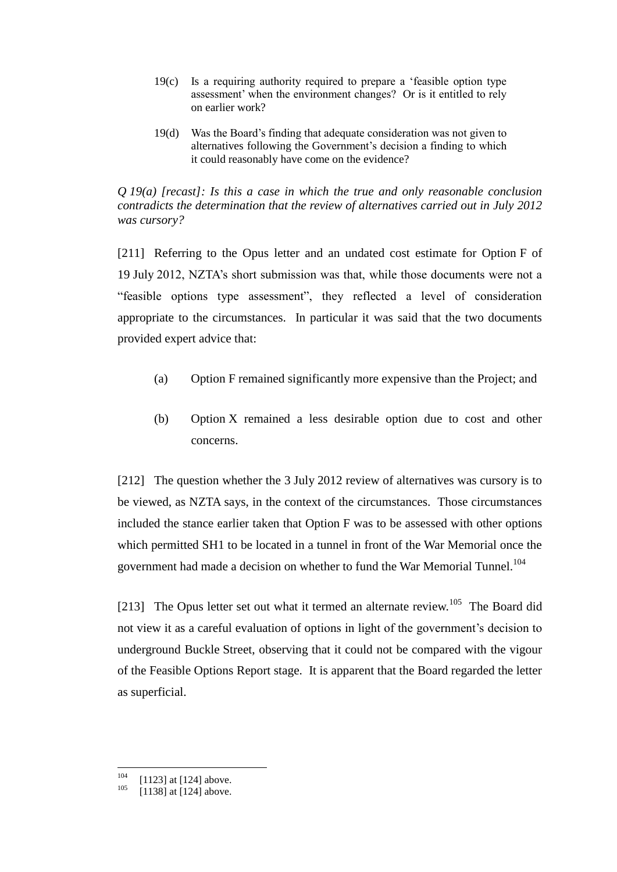- 19(c) Is a requiring authority required to prepare a 'feasible option type assessment' when the environment changes? Or is it entitled to rely on earlier work?
- 19(d) Was the Board's finding that adequate consideration was not given to alternatives following the Government's decision a finding to which it could reasonably have come on the evidence?

*Q 19(a) [recast]: Is this a case in which the true and only reasonable conclusion contradicts the determination that the review of alternatives carried out in July 2012 was cursory?*

[211] Referring to the Opus letter and an undated cost estimate for Option F of 19 July 2012, NZTA's short submission was that, while those documents were not a "feasible options type assessment", they reflected a level of consideration appropriate to the circumstances. In particular it was said that the two documents provided expert advice that:

- (a) Option F remained significantly more expensive than the Project; and
- (b) Option X remained a less desirable option due to cost and other concerns.

[212] The question whether the 3 July 2012 review of alternatives was cursory is to be viewed, as NZTA says, in the context of the circumstances. Those circumstances included the stance earlier taken that Option F was to be assessed with other options which permitted SH1 to be located in a tunnel in front of the War Memorial once the government had made a decision on whether to fund the War Memorial Tunnel.<sup>104</sup>

[213] The Opus letter set out what it termed an alternate review.<sup>105</sup> The Board did not view it as a careful evaluation of options in light of the government's decision to underground Buckle Street, observing that it could not be compared with the vigour of the Feasible Options Report stage. It is apparent that the Board regarded the letter as superficial.

<sup>104</sup>  $^{104}$  [1123] at [124] above.

 $[1138]$  at  $[124]$  above.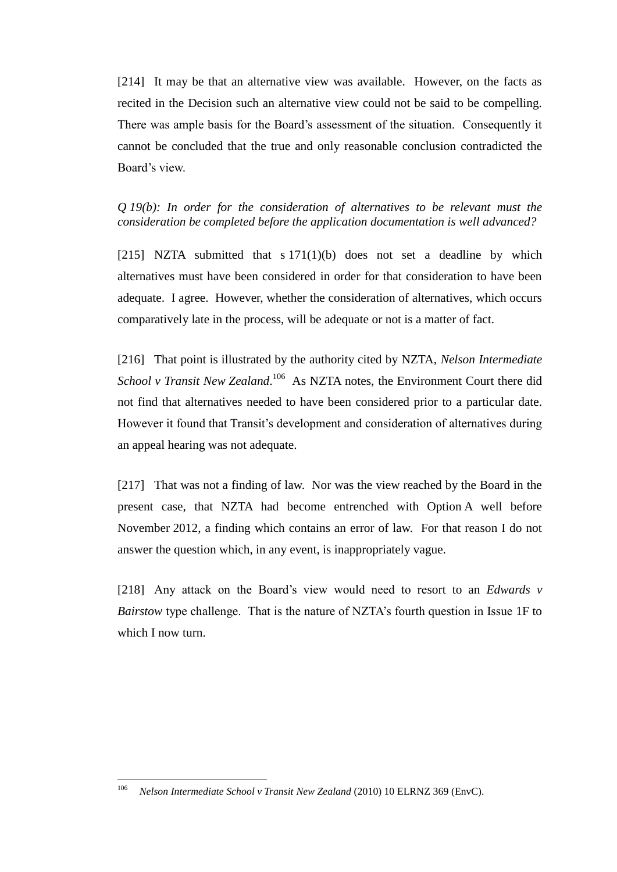[214] It may be that an alternative view was available. However, on the facts as recited in the Decision such an alternative view could not be said to be compelling. There was ample basis for the Board's assessment of the situation. Consequently it cannot be concluded that the true and only reasonable conclusion contradicted the Board's view.

*Q 19(b): In order for the consideration of alternatives to be relevant must the consideration be completed before the application documentation is well advanced?*

[215] NZTA submitted that  $s 171(1)(b)$  does not set a deadline by which alternatives must have been considered in order for that consideration to have been adequate. I agree. However, whether the consideration of alternatives, which occurs comparatively late in the process, will be adequate or not is a matter of fact.

[216] That point is illustrated by the authority cited by NZTA, *Nelson Intermediate*  School v Transit New Zealand.<sup>106</sup> As NZTA notes, the Environment Court there did not find that alternatives needed to have been considered prior to a particular date. However it found that Transit's development and consideration of alternatives during an appeal hearing was not adequate.

[217] That was not a finding of law. Nor was the view reached by the Board in the present case, that NZTA had become entrenched with Option A well before November 2012, a finding which contains an error of law. For that reason I do not answer the question which, in any event, is inappropriately vague.

[218] Any attack on the Board's view would need to resort to an *Edwards v Bairstow* type challenge. That is the nature of NZTA's fourth question in Issue 1F to which I now turn.

<sup>106</sup> <sup>106</sup> *Nelson Intermediate School v Transit New Zealand* (2010) 10 ELRNZ 369 (EnvC).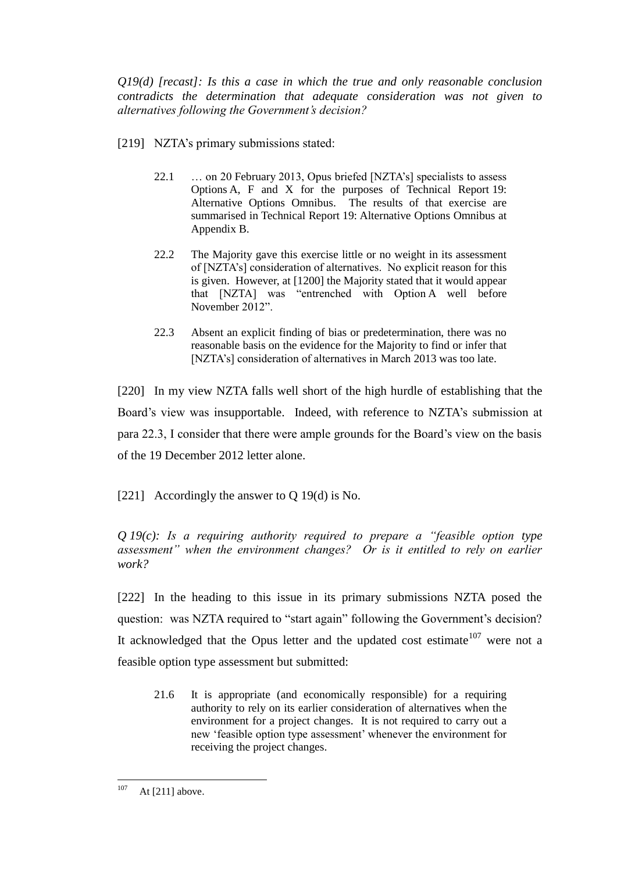*Q19(d) [recast]: Is this a case in which the true and only reasonable conclusion contradicts the determination that adequate consideration was not given to alternatives following the Government's decision?*

- [219] NZTA's primary submissions stated:
	- 22.1 … on 20 February 2013, Opus briefed [NZTA's] specialists to assess Options A, F and X for the purposes of Technical Report 19: Alternative Options Omnibus. The results of that exercise are summarised in Technical Report 19: Alternative Options Omnibus at Appendix B.
	- 22.2 The Majority gave this exercise little or no weight in its assessment of [NZTA's] consideration of alternatives. No explicit reason for this is given. However, at [1200] the Majority stated that it would appear that [NZTA] was "entrenched with Option A well before November 2012".
	- 22.3 Absent an explicit finding of bias or predetermination, there was no reasonable basis on the evidence for the Majority to find or infer that [NZTA's] consideration of alternatives in March 2013 was too late.

[220] In my view NZTA falls well short of the high hurdle of establishing that the Board's view was insupportable. Indeed, with reference to NZTA's submission at para 22.3, I consider that there were ample grounds for the Board's view on the basis of the 19 December 2012 letter alone.

[221] Accordingly the answer to Q 19(d) is No.

*Q 19(c): Is a requiring authority required to prepare a "feasible option type assessment" when the environment changes? Or is it entitled to rely on earlier work?*

[222] In the heading to this issue in its primary submissions NZTA posed the question: was NZTA required to "start again" following the Government's decision? It acknowledged that the Opus letter and the updated cost estimate<sup>107</sup> were not a feasible option type assessment but submitted:

21.6 It is appropriate (and economically responsible) for a requiring authority to rely on its earlier consideration of alternatives when the environment for a project changes. It is not required to carry out a new 'feasible option type assessment' whenever the environment for receiving the project changes.

<sup>107</sup> At  $[211]$  above.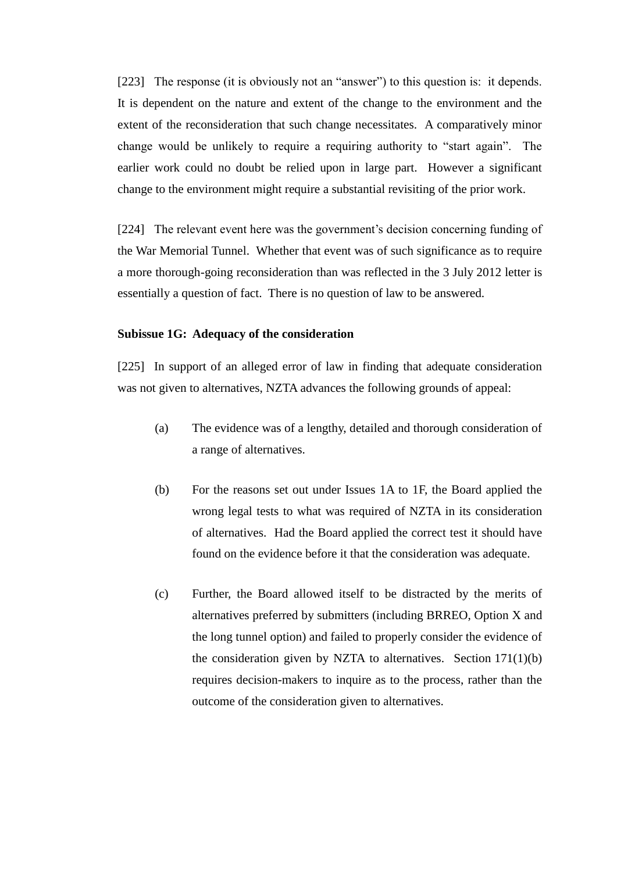[223] The response (it is obviously not an "answer") to this question is: it depends. It is dependent on the nature and extent of the change to the environment and the extent of the reconsideration that such change necessitates. A comparatively minor change would be unlikely to require a requiring authority to "start again". The earlier work could no doubt be relied upon in large part. However a significant change to the environment might require a substantial revisiting of the prior work.

[224] The relevant event here was the government's decision concerning funding of the War Memorial Tunnel. Whether that event was of such significance as to require a more thorough-going reconsideration than was reflected in the 3 July 2012 letter is essentially a question of fact. There is no question of law to be answered.

#### **Subissue 1G: Adequacy of the consideration**

[225] In support of an alleged error of law in finding that adequate consideration was not given to alternatives, NZTA advances the following grounds of appeal:

- (a) The evidence was of a lengthy, detailed and thorough consideration of a range of alternatives.
- (b) For the reasons set out under Issues 1A to 1F, the Board applied the wrong legal tests to what was required of NZTA in its consideration of alternatives. Had the Board applied the correct test it should have found on the evidence before it that the consideration was adequate.
- (c) Further, the Board allowed itself to be distracted by the merits of alternatives preferred by submitters (including BRREO, Option X and the long tunnel option) and failed to properly consider the evidence of the consideration given by NZTA to alternatives. Section 171(1)(b) requires decision-makers to inquire as to the process, rather than the outcome of the consideration given to alternatives.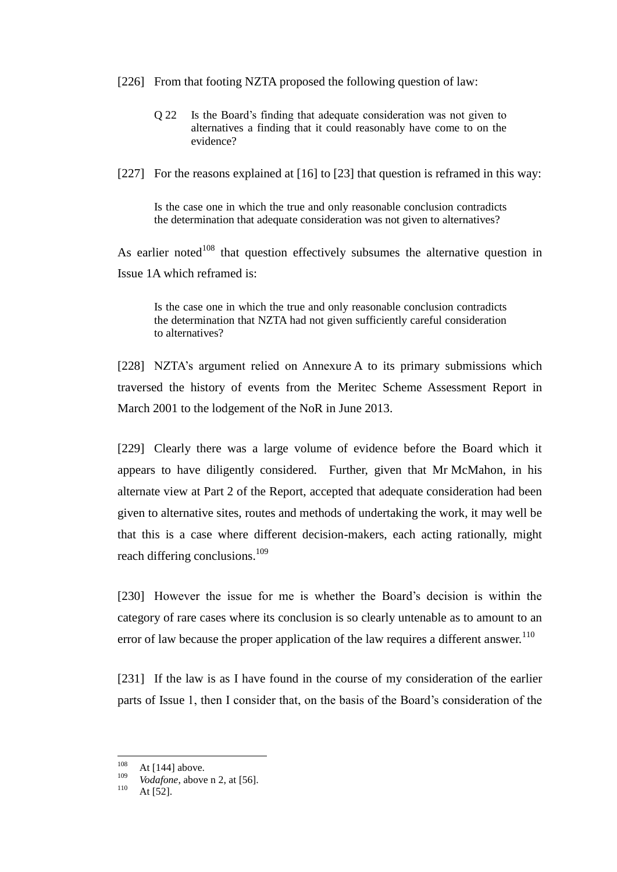- [226] From that footing NZTA proposed the following question of law:
	- Q 22 Is the Board's finding that adequate consideration was not given to alternatives a finding that it could reasonably have come to on the evidence?
- [227] For the reasons explained at [16] to [23] that question is reframed in this way:

Is the case one in which the true and only reasonable conclusion contradicts the determination that adequate consideration was not given to alternatives?

As earlier noted<sup>108</sup> that question effectively subsumes the alternative question in Issue 1A which reframed is:

Is the case one in which the true and only reasonable conclusion contradicts the determination that NZTA had not given sufficiently careful consideration to alternatives?

[228] NZTA's argument relied on Annexure A to its primary submissions which traversed the history of events from the Meritec Scheme Assessment Report in March 2001 to the lodgement of the NoR in June 2013.

[229] Clearly there was a large volume of evidence before the Board which it appears to have diligently considered. Further, given that Mr McMahon, in his alternate view at Part 2 of the Report, accepted that adequate consideration had been given to alternative sites, routes and methods of undertaking the work, it may well be that this is a case where different decision-makers, each acting rationally, might reach differing conclusions.<sup>109</sup>

[230] However the issue for me is whether the Board's decision is within the category of rare cases where its conclusion is so clearly untenable as to amount to an error of law because the proper application of the law requires a different answer.<sup>110</sup>

[231] If the law is as I have found in the course of my consideration of the earlier parts of Issue 1, then I consider that, on the basis of the Board's consideration of the

<sup>108</sup>  $\frac{108}{109}$  At [144] above.

<sup>&</sup>lt;sup>109</sup> *Vodafone*, above n 2, at [56].

At  $[52]$ .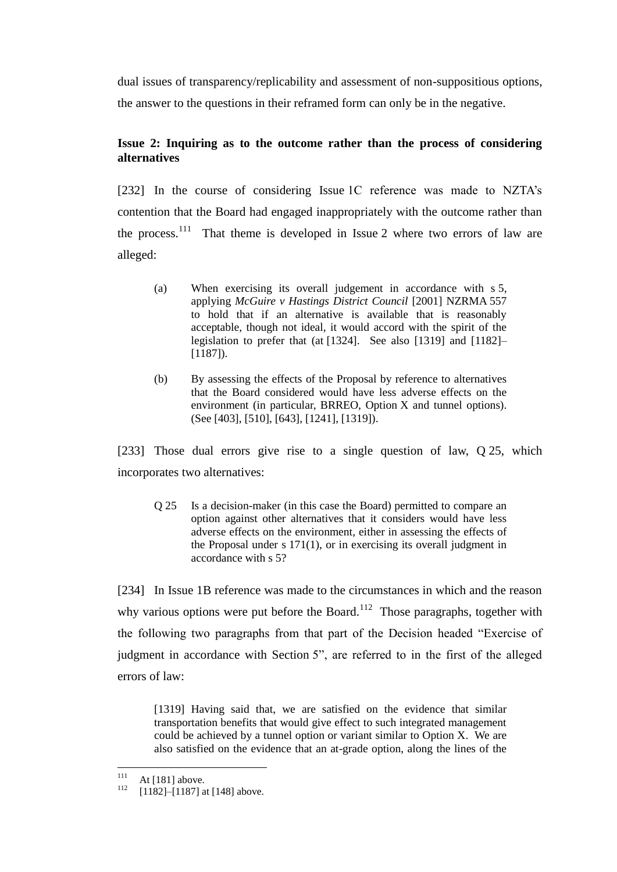dual issues of transparency/replicability and assessment of non-suppositious options, the answer to the questions in their reframed form can only be in the negative.

# **Issue 2: Inquiring as to the outcome rather than the process of considering alternatives**

[232] In the course of considering Issue 1C reference was made to NZTA's contention that the Board had engaged inappropriately with the outcome rather than the process.<sup>111</sup> That theme is developed in Issue 2 where two errors of law are alleged:

- (a) When exercising its overall judgement in accordance with s 5, applying *McGuire v Hastings District Council* [2001] NZRMA 557 to hold that if an alternative is available that is reasonably acceptable, though not ideal, it would accord with the spirit of the legislation to prefer that (at [1324]. See also [1319] and [1182]– [1187]).
- (b) By assessing the effects of the Proposal by reference to alternatives that the Board considered would have less adverse effects on the environment (in particular, BRREO, Option X and tunnel options). (See [403], [510], [643], [1241], [1319]).

[233] Those dual errors give rise to a single question of law, Q 25, which incorporates two alternatives:

Q 25 Is a decision-maker (in this case the Board) permitted to compare an option against other alternatives that it considers would have less adverse effects on the environment, either in assessing the effects of the Proposal under s 171(1), or in exercising its overall judgment in accordance with s 5?

[234] In Issue 1B reference was made to the circumstances in which and the reason why various options were put before the Board.<sup>112</sup> Those paragraphs, together with the following two paragraphs from that part of the Decision headed "Exercise of judgment in accordance with Section 5", are referred to in the first of the alleged errors of law:

[1319] Having said that, we are satisfied on the evidence that similar transportation benefits that would give effect to such integrated management could be achieved by a tunnel option or variant similar to Option X. We are also satisfied on the evidence that an at-grade option, along the lines of the

 $111$  $111 \text{ At } [181] \text{ above.}$ 

 $[1182]$ – $[1187]$  at  $[148]$  above.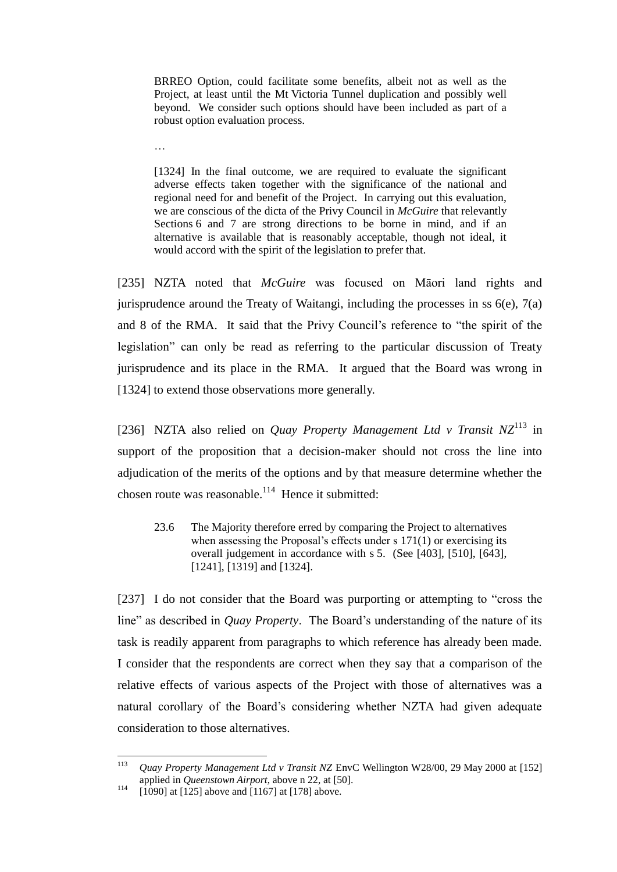BRREO Option, could facilitate some benefits, albeit not as well as the Project, at least until the Mt Victoria Tunnel duplication and possibly well beyond. We consider such options should have been included as part of a robust option evaluation process.

…

[1324] In the final outcome, we are required to evaluate the significant adverse effects taken together with the significance of the national and regional need for and benefit of the Project. In carrying out this evaluation, we are conscious of the dicta of the Privy Council in *McGuire* that relevantly Sections 6 and 7 are strong directions to be borne in mind, and if an alternative is available that is reasonably acceptable, though not ideal, it would accord with the spirit of the legislation to prefer that.

[235] NZTA noted that *McGuire* was focused on Māori land rights and jurisprudence around the Treaty of Waitangi, including the processes in ss  $6(e)$ ,  $7(a)$ and 8 of the RMA. It said that the Privy Council's reference to "the spirit of the legislation" can only be read as referring to the particular discussion of Treaty jurisprudence and its place in the RMA. It argued that the Board was wrong in [1324] to extend those observations more generally.

[236] NZTA also relied on *Quay Property Management Ltd v Transit NZ*<sup>113</sup> in support of the proposition that a decision-maker should not cross the line into adjudication of the merits of the options and by that measure determine whether the chosen route was reasonable. $114$  Hence it submitted:

23.6 The Majority therefore erred by comparing the Project to alternatives when assessing the Proposal's effects under s 171(1) or exercising its overall judgement in accordance with s 5. (See [403], [510], [643], [1241], [1319] and [1324].

[237] I do not consider that the Board was purporting or attempting to "cross the line" as described in *Quay Property*. The Board's understanding of the nature of its task is readily apparent from paragraphs to which reference has already been made. I consider that the respondents are correct when they say that a comparison of the relative effects of various aspects of the Project with those of alternatives was a natural corollary of the Board's considering whether NZTA had given adequate consideration to those alternatives.

<sup>113</sup> <sup>113</sup> *Quay Property Management Ltd v Transit NZ* EnvC Wellington W28/00, 29 May 2000 at [152] applied in *Queenstown Airport*, above n 22, at [50].

 $114$  [1090] at [125] above and [1167] at [178] above.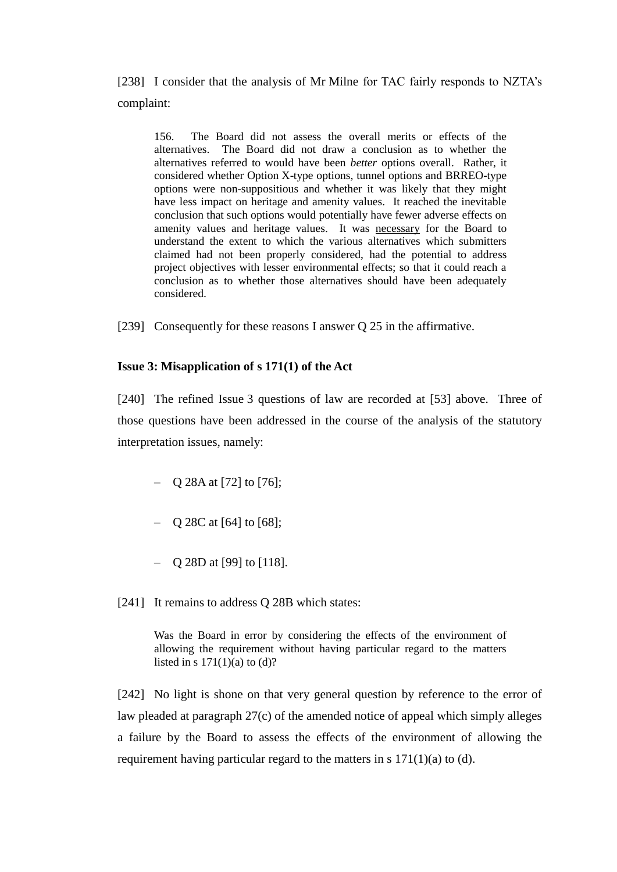[238] I consider that the analysis of Mr Milne for TAC fairly responds to NZTA's complaint:

156. The Board did not assess the overall merits or effects of the alternatives. The Board did not draw a conclusion as to whether the alternatives referred to would have been *better* options overall. Rather, it considered whether Option X-type options, tunnel options and BRREO-type options were non-suppositious and whether it was likely that they might have less impact on heritage and amenity values. It reached the inevitable conclusion that such options would potentially have fewer adverse effects on amenity values and heritage values. It was necessary for the Board to understand the extent to which the various alternatives which submitters claimed had not been properly considered, had the potential to address project objectives with lesser environmental effects; so that it could reach a conclusion as to whether those alternatives should have been adequately considered.

[239] Consequently for these reasons I answer Q 25 in the affirmative.

## **Issue 3: Misapplication of s 171(1) of the Act**

[240] The refined Issue 3 questions of law are recorded at [53] above. Three of those questions have been addressed in the course of the analysis of the statutory interpretation issues, namely:

- $-$  Q 28A at [72] to [76];
- Q 28C at [64] to [68];
- Q 28D at [99] to [118].
- [241] It remains to address Q 28B which states:

Was the Board in error by considering the effects of the environment of allowing the requirement without having particular regard to the matters listed in s  $171(1)(a)$  to (d)?

[242] No light is shone on that very general question by reference to the error of law pleaded at paragraph 27(c) of the amended notice of appeal which simply alleges a failure by the Board to assess the effects of the environment of allowing the requirement having particular regard to the matters in s 171(1)(a) to (d).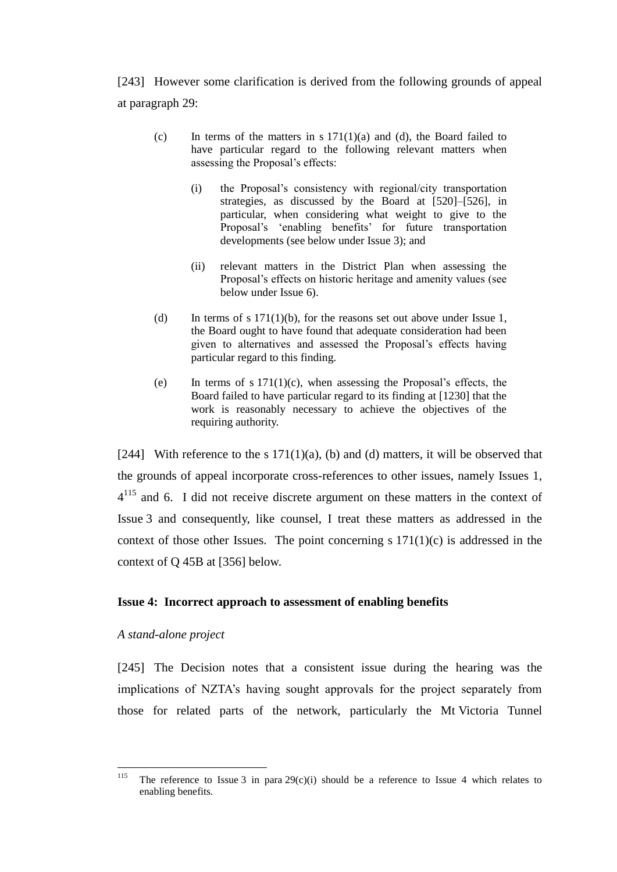[243] However some clarification is derived from the following grounds of appeal at paragraph 29:

- (c) In terms of the matters in s  $171(1)(a)$  and (d), the Board failed to have particular regard to the following relevant matters when assessing the Proposal's effects:
	- (i) the Proposal's consistency with regional/city transportation strategies, as discussed by the Board at [520]–[526], in particular, when considering what weight to give to the Proposal's 'enabling benefits' for future transportation developments (see below under Issue 3); and
	- (ii) relevant matters in the District Plan when assessing the Proposal's effects on historic heritage and amenity values (see below under Issue 6).
- (d) In terms of s  $171(1)(b)$ , for the reasons set out above under Issue 1, the Board ought to have found that adequate consideration had been given to alternatives and assessed the Proposal's effects having particular regard to this finding.
- (e) In terms of s  $171(1)(c)$ , when assessing the Proposal's effects, the Board failed to have particular regard to its finding at [1230] that the work is reasonably necessary to achieve the objectives of the requiring authority.

[244] With reference to the s  $171(1)(a)$ , (b) and (d) matters, it will be observed that the grounds of appeal incorporate cross-references to other issues, namely Issues 1,  $4^{115}$  and 6. I did not receive discrete argument on these matters in the context of Issue 3 and consequently, like counsel, I treat these matters as addressed in the context of those other Issues. The point concerning  $s 171(1)(c)$  is addressed in the context of Q 45B at [356] below.

#### **Issue 4: Incorrect approach to assessment of enabling benefits**

## *A stand-alone project*

[245] The Decision notes that a consistent issue during the hearing was the implications of NZTA's having sought approvals for the project separately from those for related parts of the network, particularly the Mt Victoria Tunnel

<sup>115</sup> The reference to Issue 3 in para  $29(c)(i)$  should be a reference to Issue 4 which relates to enabling benefits.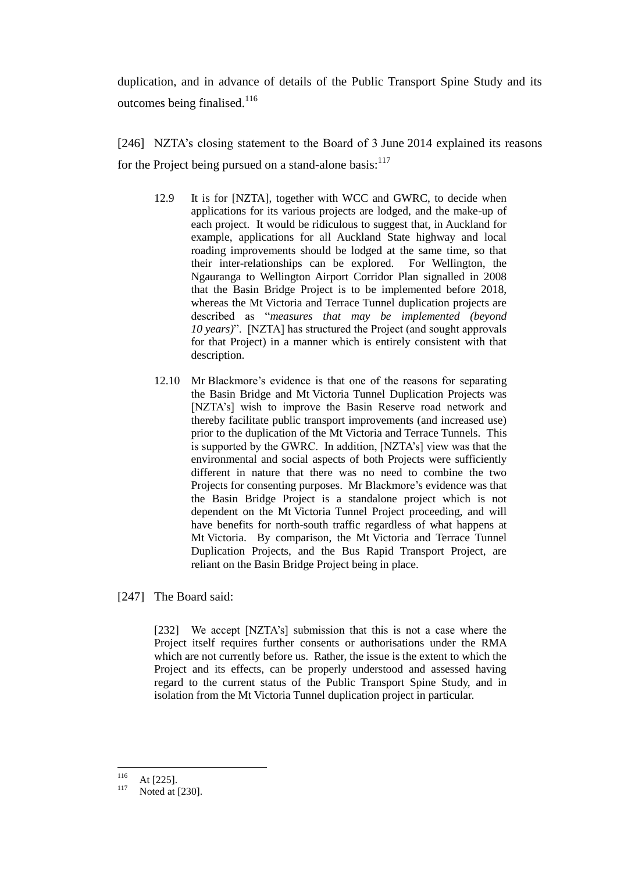duplication, and in advance of details of the Public Transport Spine Study and its outcomes being finalised.<sup>116</sup>

[246] NZTA's closing statement to the Board of 3 June 2014 explained its reasons for the Project being pursued on a stand-alone basis: $117$ 

- 12.9 It is for [NZTA], together with WCC and GWRC, to decide when applications for its various projects are lodged, and the make-up of each project. It would be ridiculous to suggest that, in Auckland for example, applications for all Auckland State highway and local roading improvements should be lodged at the same time, so that their inter-relationships can be explored. For Wellington, the Ngauranga to Wellington Airport Corridor Plan signalled in 2008 that the Basin Bridge Project is to be implemented before 2018, whereas the Mt Victoria and Terrace Tunnel duplication projects are described as "*measures that may be implemented (beyond 10 years)*". [NZTA] has structured the Project (and sought approvals for that Project) in a manner which is entirely consistent with that description.
- 12.10 Mr Blackmore's evidence is that one of the reasons for separating the Basin Bridge and Mt Victoria Tunnel Duplication Projects was [NZTA's] wish to improve the Basin Reserve road network and thereby facilitate public transport improvements (and increased use) prior to the duplication of the Mt Victoria and Terrace Tunnels. This is supported by the GWRC. In addition, [NZTA's] view was that the environmental and social aspects of both Projects were sufficiently different in nature that there was no need to combine the two Projects for consenting purposes. Mr Blackmore's evidence was that the Basin Bridge Project is a standalone project which is not dependent on the Mt Victoria Tunnel Project proceeding, and will have benefits for north-south traffic regardless of what happens at Mt Victoria. By comparison, the Mt Victoria and Terrace Tunnel Duplication Projects, and the Bus Rapid Transport Project, are reliant on the Basin Bridge Project being in place.

[247] The Board said:

[232] We accept [NZTA's] submission that this is not a case where the Project itself requires further consents or authorisations under the RMA which are not currently before us. Rather, the issue is the extent to which the Project and its effects, can be properly understood and assessed having regard to the current status of the Public Transport Spine Study, and in isolation from the Mt Victoria Tunnel duplication project in particular.

<sup>116</sup>  $\frac{116}{117}$  At [225].

Noted at [230].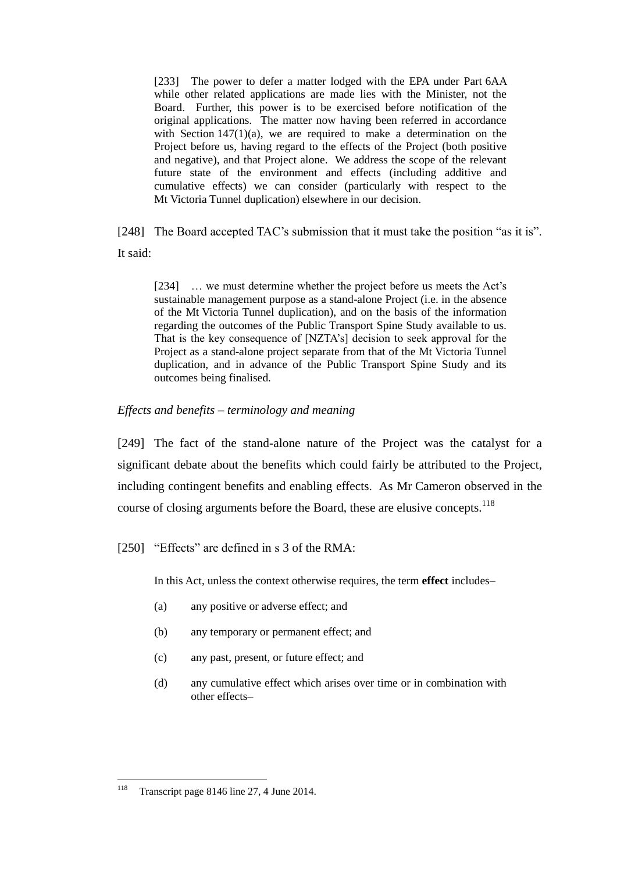[233] The power to defer a matter lodged with the EPA under Part 6AA while other related applications are made lies with the Minister, not the Board. Further, this power is to be exercised before notification of the original applications. The matter now having been referred in accordance with Section  $147(1)(a)$ , we are required to make a determination on the Project before us, having regard to the effects of the Project (both positive and negative), and that Project alone. We address the scope of the relevant future state of the environment and effects (including additive and cumulative effects) we can consider (particularly with respect to the Mt Victoria Tunnel duplication) elsewhere in our decision.

[248] The Board accepted TAC's submission that it must take the position "as it is". It said:

[234] … we must determine whether the project before us meets the Act's sustainable management purpose as a stand-alone Project (i.e. in the absence of the Mt Victoria Tunnel duplication), and on the basis of the information regarding the outcomes of the Public Transport Spine Study available to us. That is the key consequence of [NZTA's] decision to seek approval for the Project as a stand-alone project separate from that of the Mt Victoria Tunnel duplication, and in advance of the Public Transport Spine Study and its outcomes being finalised.

## *Effects and benefits – terminology and meaning*

[249] The fact of the stand-alone nature of the Project was the catalyst for a significant debate about the benefits which could fairly be attributed to the Project, including contingent benefits and enabling effects. As Mr Cameron observed in the course of closing arguments before the Board, these are elusive concepts.<sup>118</sup>

[250] "Effects" are defined in s 3 of the RMA:

In this Act, unless the context otherwise requires, the term **effect** includes–

- (a) any positive or adverse effect; and
- (b) any temporary or permanent effect; and
- (c) any past, present, or future effect; and
- (d) any cumulative effect which arises over time or in combination with other effects–

 $\overline{a}$ 

Transcript page 8146 line 27, 4 June 2014.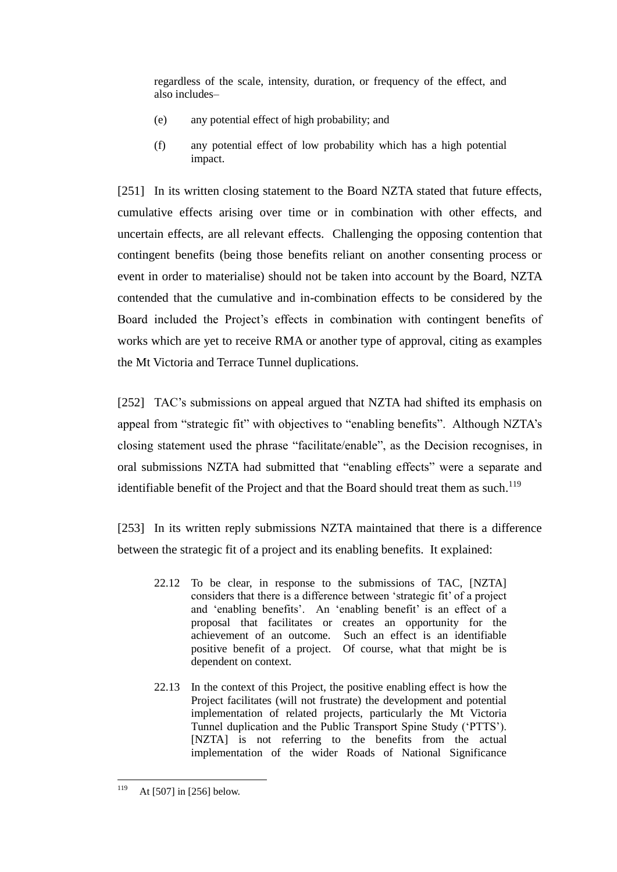regardless of the scale, intensity, duration, or frequency of the effect, and also includes–

- (e) any potential effect of high probability; and
- (f) any potential effect of low probability which has a high potential impact.

[251] In its written closing statement to the Board NZTA stated that future effects, cumulative effects arising over time or in combination with other effects, and uncertain effects, are all relevant effects. Challenging the opposing contention that contingent benefits (being those benefits reliant on another consenting process or event in order to materialise) should not be taken into account by the Board, NZTA contended that the cumulative and in-combination effects to be considered by the Board included the Project's effects in combination with contingent benefits of works which are yet to receive RMA or another type of approval, citing as examples the Mt Victoria and Terrace Tunnel duplications.

[252] TAC's submissions on appeal argued that NZTA had shifted its emphasis on appeal from "strategic fit" with objectives to "enabling benefits". Although NZTA's closing statement used the phrase "facilitate/enable", as the Decision recognises, in oral submissions NZTA had submitted that "enabling effects" were a separate and identifiable benefit of the Project and that the Board should treat them as such.<sup>119</sup>

[253] In its written reply submissions NZTA maintained that there is a difference between the strategic fit of a project and its enabling benefits. It explained:

- 22.12 To be clear, in response to the submissions of TAC, [NZTA] considers that there is a difference between 'strategic fit' of a project and 'enabling benefits'. An 'enabling benefit' is an effect of a proposal that facilitates or creates an opportunity for the achievement of an outcome. Such an effect is an identifiable positive benefit of a project. Of course, what that might be is dependent on context.
- 22.13 In the context of this Project, the positive enabling effect is how the Project facilitates (will not frustrate) the development and potential implementation of related projects, particularly the Mt Victoria Tunnel duplication and the Public Transport Spine Study ('PTTS'). [NZTA] is not referring to the benefits from the actual implementation of the wider Roads of National Significance

<sup>119</sup> At [507] in [256] below.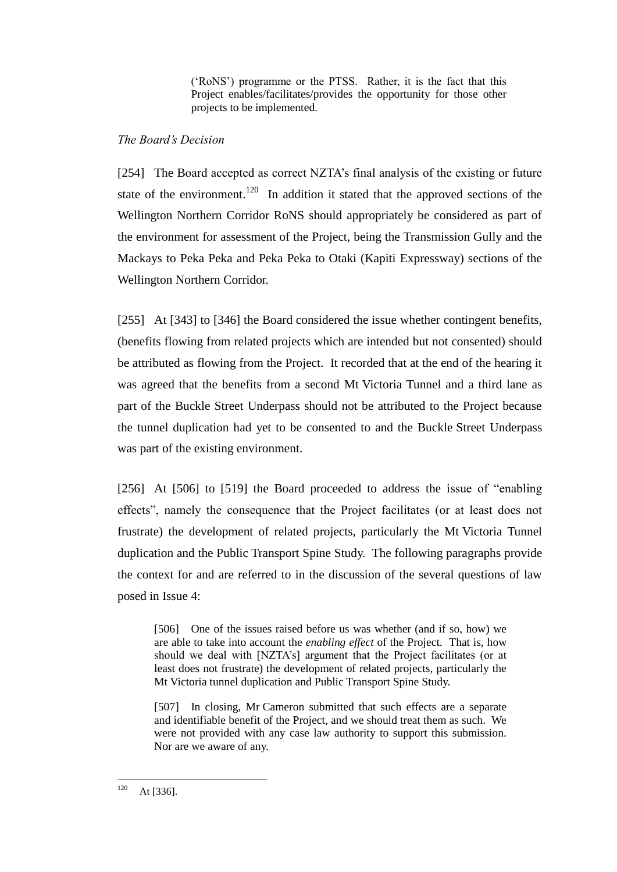('RoNS') programme or the PTSS. Rather, it is the fact that this Project enables/facilitates/provides the opportunity for those other projects to be implemented.

# *The Board's Decision*

[254] The Board accepted as correct NZTA's final analysis of the existing or future state of the environment.<sup>120</sup> In addition it stated that the approved sections of the Wellington Northern Corridor RoNS should appropriately be considered as part of the environment for assessment of the Project, being the Transmission Gully and the Mackays to Peka Peka and Peka Peka to Otaki (Kapiti Expressway) sections of the Wellington Northern Corridor.

[255] At [343] to [346] the Board considered the issue whether contingent benefits, (benefits flowing from related projects which are intended but not consented) should be attributed as flowing from the Project. It recorded that at the end of the hearing it was agreed that the benefits from a second Mt Victoria Tunnel and a third lane as part of the Buckle Street Underpass should not be attributed to the Project because the tunnel duplication had yet to be consented to and the Buckle Street Underpass was part of the existing environment.

[256] At [506] to [519] the Board proceeded to address the issue of "enabling" effects", namely the consequence that the Project facilitates (or at least does not frustrate) the development of related projects, particularly the Mt Victoria Tunnel duplication and the Public Transport Spine Study. The following paragraphs provide the context for and are referred to in the discussion of the several questions of law posed in Issue 4:

[506] One of the issues raised before us was whether (and if so, how) we are able to take into account the *enabling effect* of the Project. That is, how should we deal with [NZTA's] argument that the Project facilitates (or at least does not frustrate) the development of related projects, particularly the Mt Victoria tunnel duplication and Public Transport Spine Study.

[507] In closing, Mr Cameron submitted that such effects are a separate and identifiable benefit of the Project, and we should treat them as such. We were not provided with any case law authority to support this submission. Nor are we aware of any.

<sup>120</sup> At [336].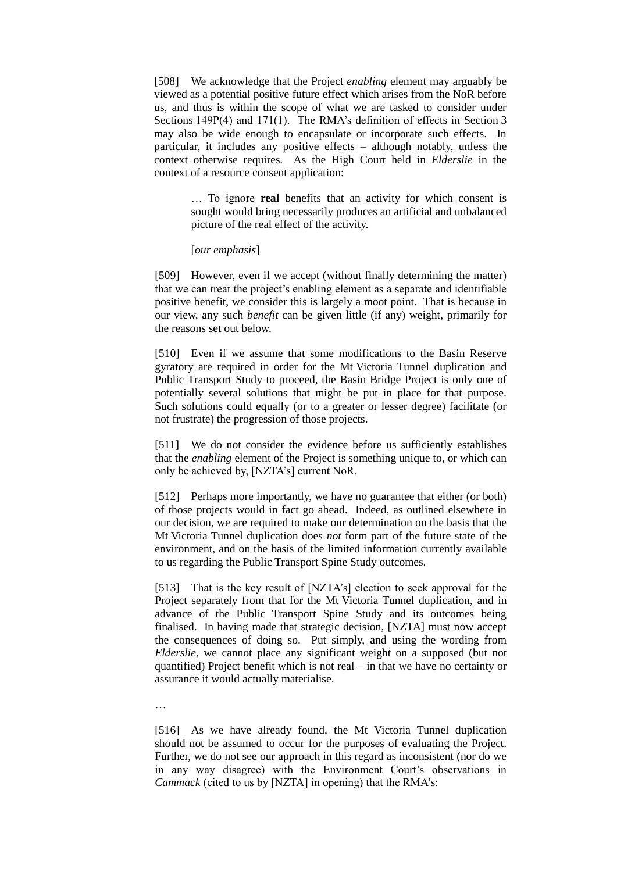[508] We acknowledge that the Project *enabling* element may arguably be viewed as a potential positive future effect which arises from the NoR before us, and thus is within the scope of what we are tasked to consider under Sections 149P(4) and 171(1). The RMA's definition of effects in Section 3 may also be wide enough to encapsulate or incorporate such effects. In particular, it includes any positive effects – although notably, unless the context otherwise requires. As the High Court held in *Elderslie* in the context of a resource consent application:

> … To ignore **real** benefits that an activity for which consent is sought would bring necessarily produces an artificial and unbalanced picture of the real effect of the activity.

#### [*our emphasis*]

[509] However, even if we accept (without finally determining the matter) that we can treat the project's enabling element as a separate and identifiable positive benefit, we consider this is largely a moot point. That is because in our view, any such *benefit* can be given little (if any) weight, primarily for the reasons set out below.

[510] Even if we assume that some modifications to the Basin Reserve gyratory are required in order for the Mt Victoria Tunnel duplication and Public Transport Study to proceed, the Basin Bridge Project is only one of potentially several solutions that might be put in place for that purpose. Such solutions could equally (or to a greater or lesser degree) facilitate (or not frustrate) the progression of those projects.

[511] We do not consider the evidence before us sufficiently establishes that the *enabling* element of the Project is something unique to, or which can only be achieved by, [NZTA's] current NoR.

[512] Perhaps more importantly, we have no guarantee that either (or both) of those projects would in fact go ahead. Indeed, as outlined elsewhere in our decision, we are required to make our determination on the basis that the Mt Victoria Tunnel duplication does *not* form part of the future state of the environment, and on the basis of the limited information currently available to us regarding the Public Transport Spine Study outcomes.

[513] That is the key result of [NZTA's] election to seek approval for the Project separately from that for the Mt Victoria Tunnel duplication, and in advance of the Public Transport Spine Study and its outcomes being finalised. In having made that strategic decision, [NZTA] must now accept the consequences of doing so. Put simply, and using the wording from *Elderslie*, we cannot place any significant weight on a supposed (but not quantified) Project benefit which is not real – in that we have no certainty or assurance it would actually materialise.

…

[516] As we have already found, the Mt Victoria Tunnel duplication should not be assumed to occur for the purposes of evaluating the Project. Further, we do not see our approach in this regard as inconsistent (nor do we in any way disagree) with the Environment Court's observations in *Cammack* (cited to us by [NZTA] in opening) that the RMA's: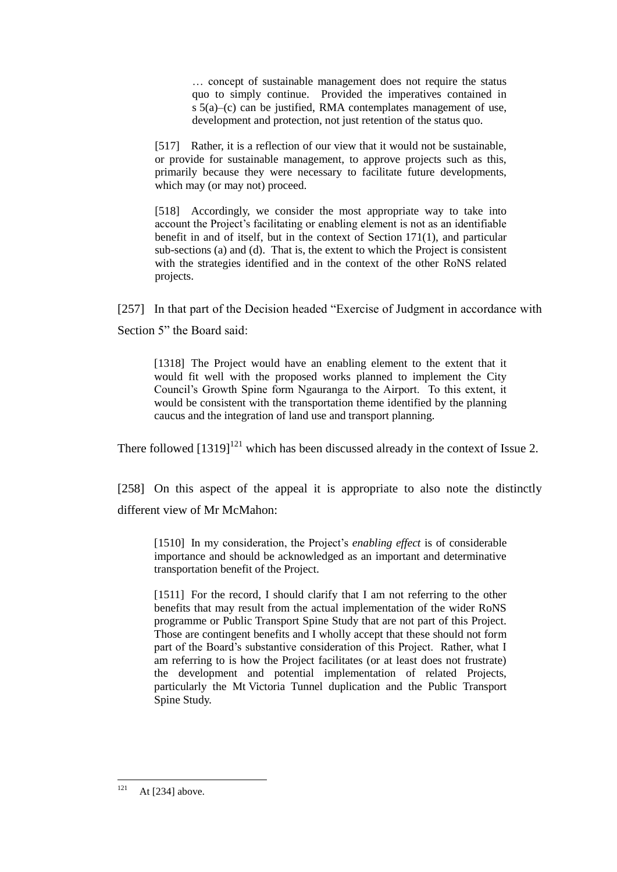… concept of sustainable management does not require the status quo to simply continue. Provided the imperatives contained in s 5(a)–(c) can be justified, RMA contemplates management of use, development and protection, not just retention of the status quo.

[517] Rather, it is a reflection of our view that it would not be sustainable, or provide for sustainable management, to approve projects such as this, primarily because they were necessary to facilitate future developments, which may (or may not) proceed.

[518] Accordingly, we consider the most appropriate way to take into account the Project's facilitating or enabling element is not as an identifiable benefit in and of itself, but in the context of Section 171(1), and particular sub-sections (a) and (d). That is, the extent to which the Project is consistent with the strategies identified and in the context of the other RoNS related projects.

[257] In that part of the Decision headed "Exercise of Judgment in accordance with Section 5" the Board said:

[1318] The Project would have an enabling element to the extent that it would fit well with the proposed works planned to implement the City Council's Growth Spine form Ngauranga to the Airport. To this extent, it would be consistent with the transportation theme identified by the planning caucus and the integration of land use and transport planning.

There followed  $[1319]^{121}$  which has been discussed already in the context of Issue 2.

[258] On this aspect of the appeal it is appropriate to also note the distinctly different view of Mr McMahon:

[1510] In my consideration, the Project's *enabling effect* is of considerable importance and should be acknowledged as an important and determinative transportation benefit of the Project.

[1511] For the record, I should clarify that I am not referring to the other benefits that may result from the actual implementation of the wider RoNS programme or Public Transport Spine Study that are not part of this Project. Those are contingent benefits and I wholly accept that these should not form part of the Board's substantive consideration of this Project. Rather, what I am referring to is how the Project facilitates (or at least does not frustrate) the development and potential implementation of related Projects, particularly the Mt Victoria Tunnel duplication and the Public Transport Spine Study.

<sup>121</sup> At [234] above.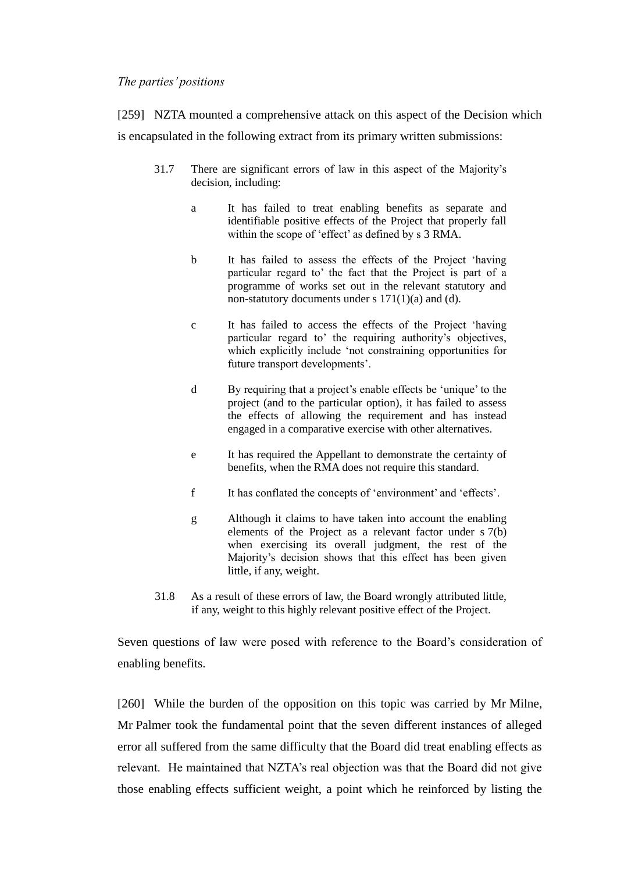### *The parties' positions*

[259] NZTA mounted a comprehensive attack on this aspect of the Decision which is encapsulated in the following extract from its primary written submissions:

- 31.7 There are significant errors of law in this aspect of the Majority's decision, including:
	- a It has failed to treat enabling benefits as separate and identifiable positive effects of the Project that properly fall within the scope of 'effect' as defined by s 3 RMA.
	- b It has failed to assess the effects of the Project 'having particular regard to' the fact that the Project is part of a programme of works set out in the relevant statutory and non-statutory documents under s 171(1)(a) and (d).
	- c It has failed to access the effects of the Project 'having particular regard to' the requiring authority's objectives, which explicitly include 'not constraining opportunities for future transport developments'.
	- d By requiring that a project's enable effects be 'unique' to the project (and to the particular option), it has failed to assess the effects of allowing the requirement and has instead engaged in a comparative exercise with other alternatives.
	- e It has required the Appellant to demonstrate the certainty of benefits, when the RMA does not require this standard.
	- f It has conflated the concepts of 'environment' and 'effects'.
	- g Although it claims to have taken into account the enabling elements of the Project as a relevant factor under s 7(b) when exercising its overall judgment, the rest of the Majority's decision shows that this effect has been given little, if any, weight.
- 31.8 As a result of these errors of law, the Board wrongly attributed little, if any, weight to this highly relevant positive effect of the Project.

Seven questions of law were posed with reference to the Board's consideration of enabling benefits.

[260] While the burden of the opposition on this topic was carried by Mr Milne, Mr Palmer took the fundamental point that the seven different instances of alleged error all suffered from the same difficulty that the Board did treat enabling effects as relevant. He maintained that NZTA's real objection was that the Board did not give those enabling effects sufficient weight, a point which he reinforced by listing the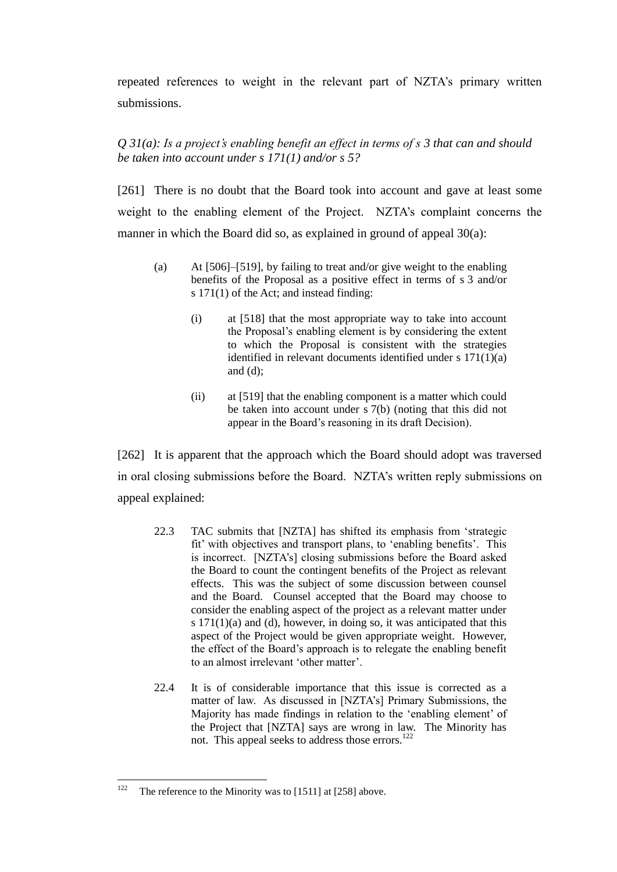repeated references to weight in the relevant part of NZTA's primary written submissions.

# *Q 31(a): Is a project's enabling benefit an effect in terms of s 3 that can and should be taken into account under s 171(1) and/or s 5?*

[261] There is no doubt that the Board took into account and gave at least some weight to the enabling element of the Project. NZTA's complaint concerns the manner in which the Board did so, as explained in ground of appeal 30(a):

- (a) At [506]–[519], by failing to treat and/or give weight to the enabling benefits of the Proposal as a positive effect in terms of s 3 and/or s 171(1) of the Act; and instead finding:
	- (i) at [518] that the most appropriate way to take into account the Proposal's enabling element is by considering the extent to which the Proposal is consistent with the strategies identified in relevant documents identified under s 171(1)(a) and (d);
	- (ii) at [519] that the enabling component is a matter which could be taken into account under s 7(b) (noting that this did not appear in the Board's reasoning in its draft Decision).

[262] It is apparent that the approach which the Board should adopt was traversed in oral closing submissions before the Board. NZTA's written reply submissions on appeal explained:

- 22.3 TAC submits that [NZTA] has shifted its emphasis from 'strategic fit' with objectives and transport plans, to 'enabling benefits'. This is incorrect. [NZTA's] closing submissions before the Board asked the Board to count the contingent benefits of the Project as relevant effects. This was the subject of some discussion between counsel and the Board. Counsel accepted that the Board may choose to consider the enabling aspect of the project as a relevant matter under s 171(1)(a) and (d), however, in doing so, it was anticipated that this aspect of the Project would be given appropriate weight. However, the effect of the Board's approach is to relegate the enabling benefit to an almost irrelevant 'other matter'.
- 22.4 It is of considerable importance that this issue is corrected as a matter of law. As discussed in [NZTA's] Primary Submissions, the Majority has made findings in relation to the 'enabling element' of the Project that [NZTA] says are wrong in law. The Minority has not. This appeal seeks to address those errors.<sup>122</sup>

<sup>122</sup> The reference to the Minority was to [1511] at [258] above.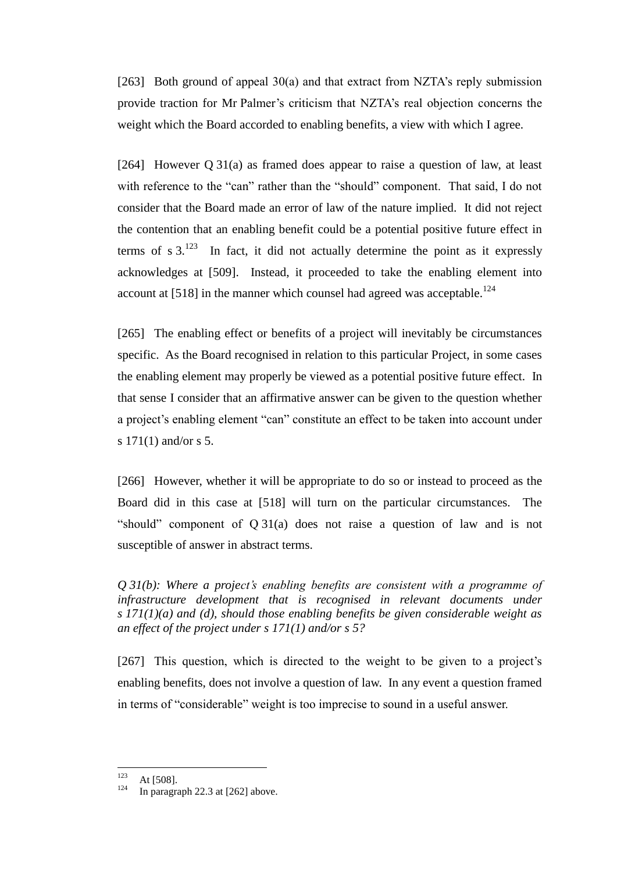[263] Both ground of appeal 30(a) and that extract from NZTA's reply submission provide traction for Mr Palmer's criticism that NZTA's real objection concerns the weight which the Board accorded to enabling benefits, a view with which I agree.

[264] However Q 31(a) as framed does appear to raise a question of law, at least with reference to the "can" rather than the "should" component. That said, I do not consider that the Board made an error of law of the nature implied. It did not reject the contention that an enabling benefit could be a potential positive future effect in terms of s  $3^{123}$  In fact, it did not actually determine the point as it expressly acknowledges at [509]. Instead, it proceeded to take the enabling element into account at  $[518]$  in the manner which counsel had agreed was acceptable.<sup>124</sup>

[265] The enabling effect or benefits of a project will inevitably be circumstances specific. As the Board recognised in relation to this particular Project, in some cases the enabling element may properly be viewed as a potential positive future effect. In that sense I consider that an affirmative answer can be given to the question whether a project's enabling element "can" constitute an effect to be taken into account under s 171(1) and/or s 5.

[266] However, whether it will be appropriate to do so or instead to proceed as the Board did in this case at [518] will turn on the particular circumstances. The "should" component of Q 31(a) does not raise a question of law and is not susceptible of answer in abstract terms.

*Q 31(b): Where a project's enabling benefits are consistent with a programme of infrastructure development that is recognised in relevant documents under s 171(1)(a) and (d), should those enabling benefits be given considerable weight as an effect of the project under s 171(1) and/or s 5?*

[267] This question, which is directed to the weight to be given to a project's enabling benefits, does not involve a question of law. In any event a question framed in terms of "considerable" weight is too imprecise to sound in a useful answer.

<sup>123</sup>  $123$  At [508].

In paragraph  $22.3$  at  $[262]$  above.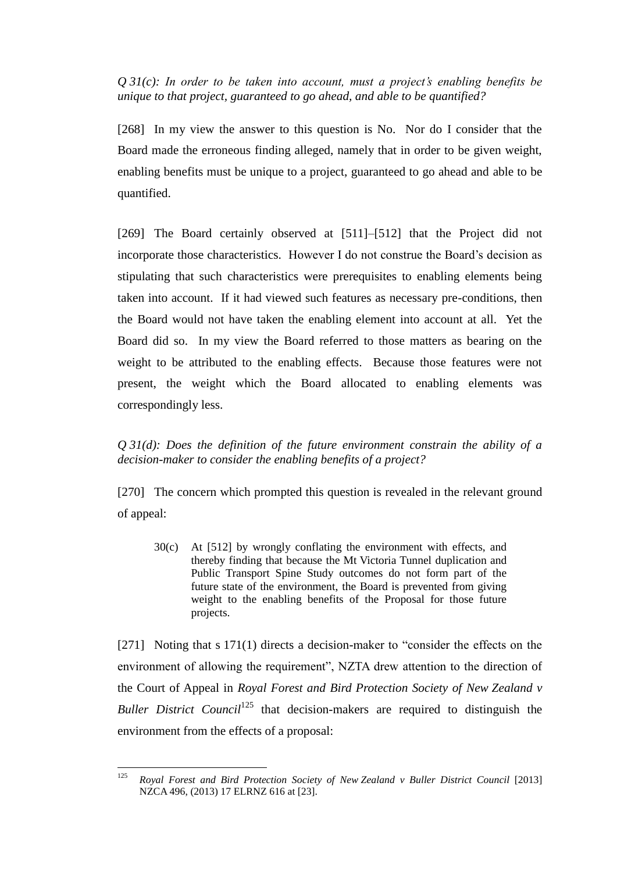*Q 31(c): In order to be taken into account, must a project's enabling benefits be unique to that project, guaranteed to go ahead, and able to be quantified?*

[268] In my view the answer to this question is No. Nor do I consider that the Board made the erroneous finding alleged, namely that in order to be given weight, enabling benefits must be unique to a project, guaranteed to go ahead and able to be quantified.

[269] The Board certainly observed at [511]–[512] that the Project did not incorporate those characteristics. However I do not construe the Board's decision as stipulating that such characteristics were prerequisites to enabling elements being taken into account. If it had viewed such features as necessary pre-conditions, then the Board would not have taken the enabling element into account at all. Yet the Board did so. In my view the Board referred to those matters as bearing on the weight to be attributed to the enabling effects. Because those features were not present, the weight which the Board allocated to enabling elements was correspondingly less.

*Q 31(d): Does the definition of the future environment constrain the ability of a decision-maker to consider the enabling benefits of a project?*

[270] The concern which prompted this question is revealed in the relevant ground of appeal:

30(c) At [512] by wrongly conflating the environment with effects, and thereby finding that because the Mt Victoria Tunnel duplication and Public Transport Spine Study outcomes do not form part of the future state of the environment, the Board is prevented from giving weight to the enabling benefits of the Proposal for those future projects.

[271] Noting that s 171(1) directs a decision-maker to "consider the effects on the environment of allowing the requirement", NZTA drew attention to the direction of the Court of Appeal in *Royal Forest and Bird Protection Society of New Zealand v Buller District Council*<sup>125</sup> that decision-makers are required to distinguish the environment from the effects of a proposal:

<sup>125</sup> <sup>125</sup> *Royal Forest and Bird Protection Society of New Zealand v Buller District Council* [2013] NZCA 496, (2013) 17 ELRNZ 616 at [23].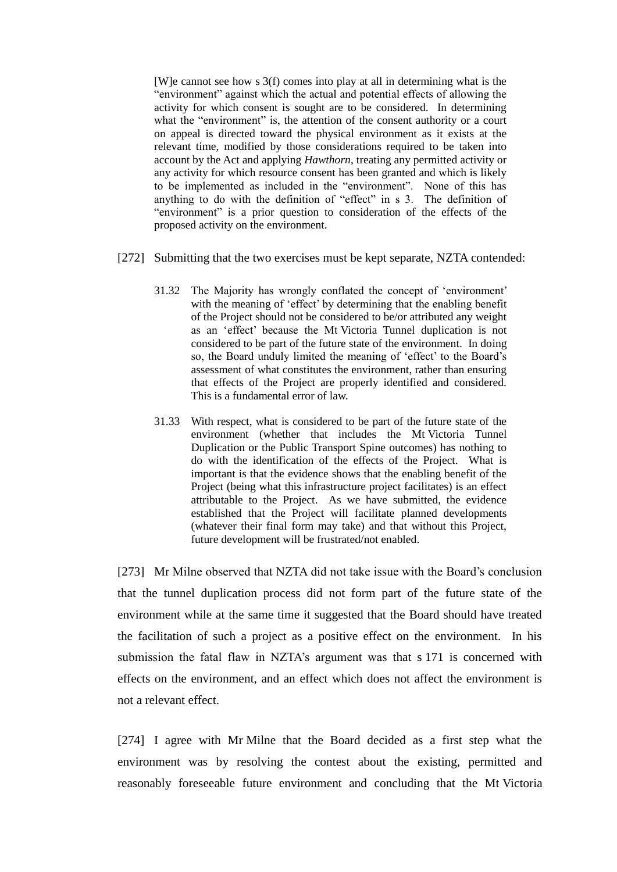[W]e cannot see how s 3(f) comes into play at all in determining what is the "environment" against which the actual and potential effects of allowing the activity for which consent is sought are to be considered. In determining what the "environment" is, the attention of the consent authority or a court on appeal is directed toward the physical environment as it exists at the relevant time, modified by those considerations required to be taken into account by the Act and applying *Hawthorn*, treating any permitted activity or any activity for which resource consent has been granted and which is likely to be implemented as included in the "environment". None of this has anything to do with the definition of "effect" in s 3. The definition of "environment" is a prior question to consideration of the effects of the proposed activity on the environment.

- [272] Submitting that the two exercises must be kept separate, NZTA contended:
	- 31.32 The Majority has wrongly conflated the concept of 'environment' with the meaning of 'effect' by determining that the enabling benefit of the Project should not be considered to be/or attributed any weight as an 'effect' because the Mt Victoria Tunnel duplication is not considered to be part of the future state of the environment. In doing so, the Board unduly limited the meaning of 'effect' to the Board's assessment of what constitutes the environment, rather than ensuring that effects of the Project are properly identified and considered. This is a fundamental error of law.
	- 31.33 With respect, what is considered to be part of the future state of the environment (whether that includes the Mt Victoria Tunnel Duplication or the Public Transport Spine outcomes) has nothing to do with the identification of the effects of the Project. What is important is that the evidence shows that the enabling benefit of the Project (being what this infrastructure project facilitates) is an effect attributable to the Project. As we have submitted, the evidence established that the Project will facilitate planned developments (whatever their final form may take) and that without this Project, future development will be frustrated/not enabled.

[273] Mr Milne observed that NZTA did not take issue with the Board's conclusion that the tunnel duplication process did not form part of the future state of the environment while at the same time it suggested that the Board should have treated the facilitation of such a project as a positive effect on the environment. In his submission the fatal flaw in NZTA's argument was that s 171 is concerned with effects on the environment, and an effect which does not affect the environment is not a relevant effect.

[274] I agree with Mr Milne that the Board decided as a first step what the environment was by resolving the contest about the existing, permitted and reasonably foreseeable future environment and concluding that the Mt Victoria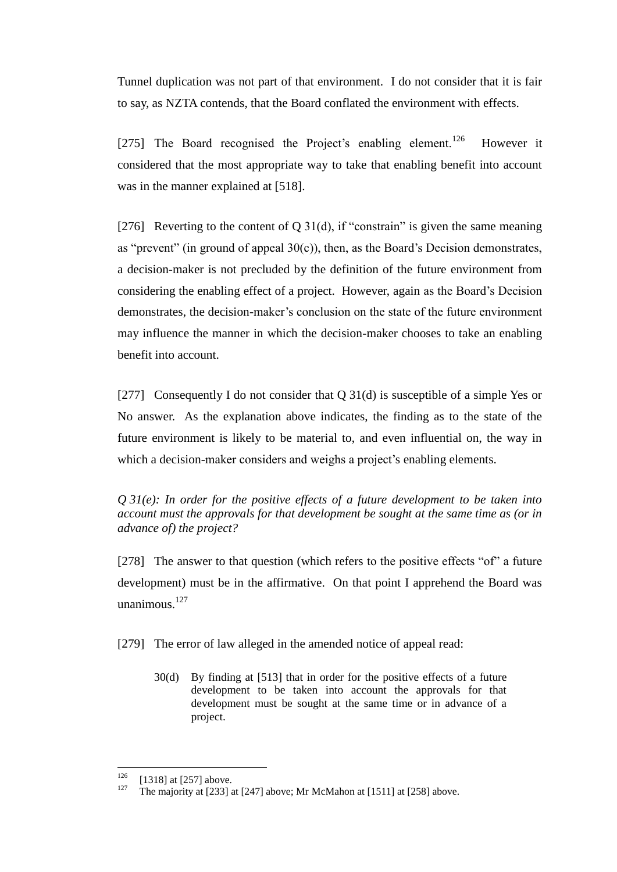Tunnel duplication was not part of that environment. I do not consider that it is fair to say, as NZTA contends, that the Board conflated the environment with effects.

[275] The Board recognised the Project's enabling element.<sup>126</sup> However it considered that the most appropriate way to take that enabling benefit into account was in the manner explained at [518].

[276] Reverting to the content of Q 31(d), if "constrain" is given the same meaning as "prevent" (in ground of appeal  $30(c)$ ), then, as the Board's Decision demonstrates, a decision-maker is not precluded by the definition of the future environment from considering the enabling effect of a project. However, again as the Board's Decision demonstrates, the decision-maker's conclusion on the state of the future environment may influence the manner in which the decision-maker chooses to take an enabling benefit into account.

[277] Consequently I do not consider that Q 31(d) is susceptible of a simple Yes or No answer. As the explanation above indicates, the finding as to the state of the future environment is likely to be material to, and even influential on, the way in which a decision-maker considers and weighs a project's enabling elements.

*Q 31(e): In order for the positive effects of a future development to be taken into account must the approvals for that development be sought at the same time as (or in advance of) the project?*

[278] The answer to that question (which refers to the positive effects "of" a future development) must be in the affirmative. On that point I apprehend the Board was unanimous. $127$ 

[279] The error of law alleged in the amended notice of appeal read:

30(d) By finding at [513] that in order for the positive effects of a future development to be taken into account the approvals for that development must be sought at the same time or in advance of a project.

<sup>126</sup>  $126$  [1318] at [257] above.

The majority at [233] at [247] above; Mr McMahon at [1511] at [258] above.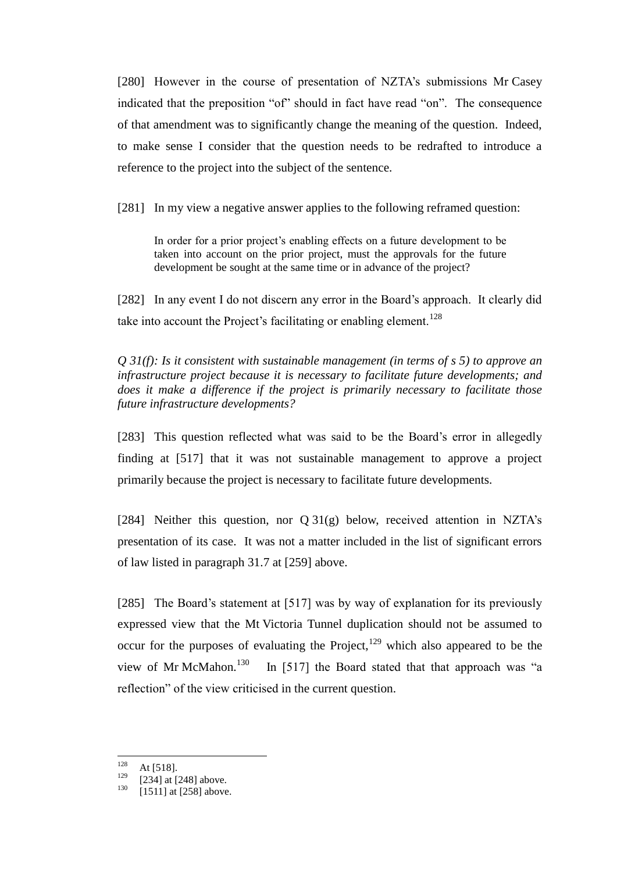[280] However in the course of presentation of NZTA's submissions Mr Casey indicated that the preposition "of" should in fact have read "on". The consequence of that amendment was to significantly change the meaning of the question. Indeed, to make sense I consider that the question needs to be redrafted to introduce a reference to the project into the subject of the sentence.

[281] In my view a negative answer applies to the following reframed question:

In order for a prior project's enabling effects on a future development to be taken into account on the prior project, must the approvals for the future development be sought at the same time or in advance of the project?

[282] In any event I do not discern any error in the Board's approach. It clearly did take into account the Project's facilitating or enabling element.<sup>128</sup>

*Q 31(f): Is it consistent with sustainable management (in terms of s 5) to approve an infrastructure project because it is necessary to facilitate future developments; and does it make a difference if the project is primarily necessary to facilitate those future infrastructure developments?*

[283] This question reflected what was said to be the Board's error in allegedly finding at [517] that it was not sustainable management to approve a project primarily because the project is necessary to facilitate future developments.

[284] Neither this question, nor  $Q \, 31(g)$  below, received attention in NZTA's presentation of its case. It was not a matter included in the list of significant errors of law listed in paragraph 31.7 at [259] above.

[285] The Board's statement at [517] was by way of explanation for its previously expressed view that the Mt Victoria Tunnel duplication should not be assumed to occur for the purposes of evaluating the Project, $129$  which also appeared to be the view of Mr McMahon.<sup>130</sup> In [517] the Board stated that that approach was "a reflection" of the view criticised in the current question.

<sup>128</sup>  $128$  At [518].

 $\frac{129}{130}$  [234] at [248] above.

<sup>[1511]</sup> at [258] above.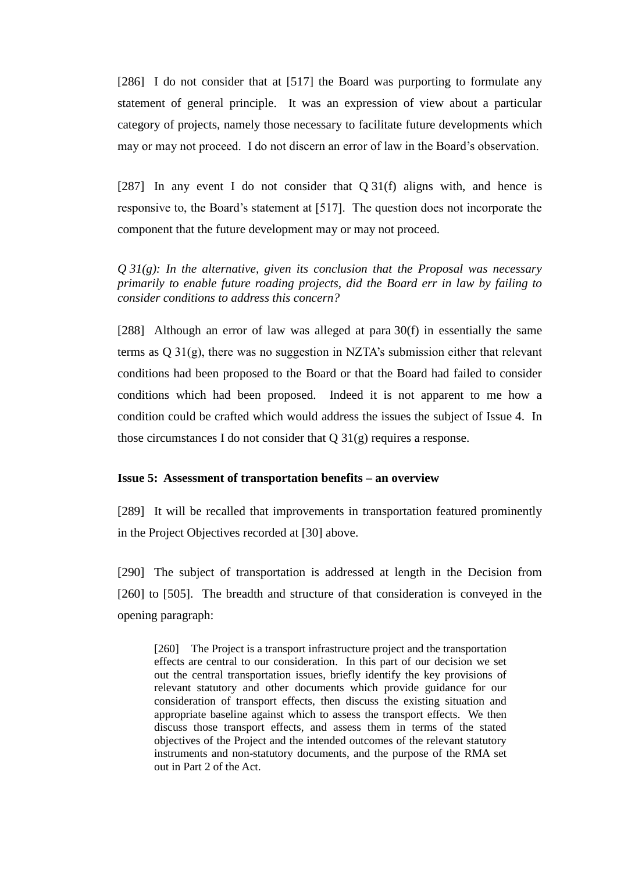[286] I do not consider that at [517] the Board was purporting to formulate any statement of general principle. It was an expression of view about a particular category of projects, namely those necessary to facilitate future developments which may or may not proceed. I do not discern an error of law in the Board's observation.

[287] In any event I do not consider that Q 31(f) aligns with, and hence is responsive to, the Board's statement at [517]. The question does not incorporate the component that the future development may or may not proceed.

*Q 31(g): In the alternative, given its conclusion that the Proposal was necessary primarily to enable future roading projects, did the Board err in law by failing to consider conditions to address this concern?*

[288] Although an error of law was alleged at para 30(f) in essentially the same terms as Q 31(g), there was no suggestion in NZTA's submission either that relevant conditions had been proposed to the Board or that the Board had failed to consider conditions which had been proposed. Indeed it is not apparent to me how a condition could be crafted which would address the issues the subject of Issue 4. In those circumstances I do not consider that  $Q_31(g)$  requires a response.

## **Issue 5: Assessment of transportation benefits – an overview**

[289] It will be recalled that improvements in transportation featured prominently in the Project Objectives recorded at [30] above.

[290] The subject of transportation is addressed at length in the Decision from [260] to [505]. The breadth and structure of that consideration is conveyed in the opening paragraph:

[260] The Project is a transport infrastructure project and the transportation effects are central to our consideration. In this part of our decision we set out the central transportation issues, briefly identify the key provisions of relevant statutory and other documents which provide guidance for our consideration of transport effects, then discuss the existing situation and appropriate baseline against which to assess the transport effects. We then discuss those transport effects, and assess them in terms of the stated objectives of the Project and the intended outcomes of the relevant statutory instruments and non-statutory documents, and the purpose of the RMA set out in Part 2 of the Act.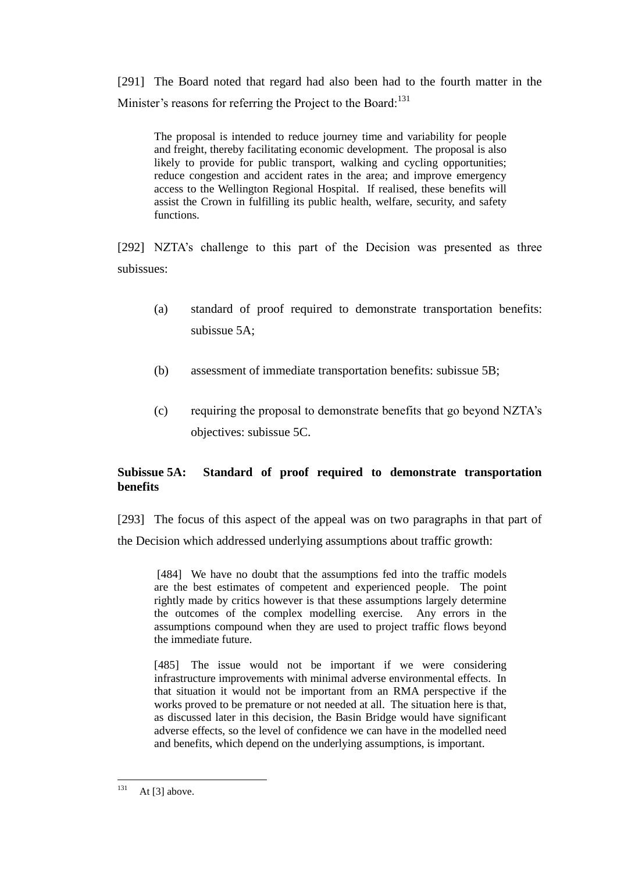[291] The Board noted that regard had also been had to the fourth matter in the Minister's reasons for referring the Project to the Board:<sup>131</sup>

The proposal is intended to reduce journey time and variability for people and freight, thereby facilitating economic development. The proposal is also likely to provide for public transport, walking and cycling opportunities; reduce congestion and accident rates in the area; and improve emergency access to the Wellington Regional Hospital. If realised, these benefits will assist the Crown in fulfilling its public health, welfare, security, and safety functions.

[292] NZTA's challenge to this part of the Decision was presented as three subissues:

- (a) standard of proof required to demonstrate transportation benefits: subissue 5A;
- (b) assessment of immediate transportation benefits: subissue 5B;
- (c) requiring the proposal to demonstrate benefits that go beyond NZTA's objectives: subissue 5C.

# **Subissue 5A: Standard of proof required to demonstrate transportation benefits**

[293] The focus of this aspect of the appeal was on two paragraphs in that part of the Decision which addressed underlying assumptions about traffic growth:

[484] We have no doubt that the assumptions fed into the traffic models are the best estimates of competent and experienced people. The point rightly made by critics however is that these assumptions largely determine the outcomes of the complex modelling exercise. Any errors in the assumptions compound when they are used to project traffic flows beyond the immediate future.

[485] The issue would not be important if we were considering infrastructure improvements with minimal adverse environmental effects. In that situation it would not be important from an RMA perspective if the works proved to be premature or not needed at all. The situation here is that, as discussed later in this decision, the Basin Bridge would have significant adverse effects, so the level of confidence we can have in the modelled need and benefits, which depend on the underlying assumptions, is important.

<sup>131</sup> At  $[3]$  above.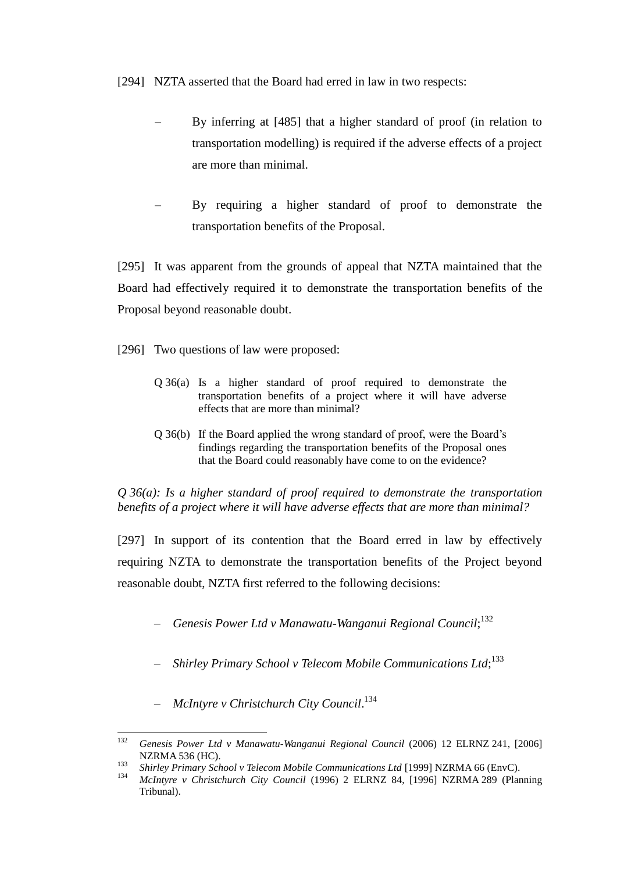[294] NZTA asserted that the Board had erred in law in two respects:

- By inferring at [485] that a higher standard of proof (in relation to transportation modelling) is required if the adverse effects of a project are more than minimal.
- By requiring a higher standard of proof to demonstrate the transportation benefits of the Proposal.

[295] It was apparent from the grounds of appeal that NZTA maintained that the Board had effectively required it to demonstrate the transportation benefits of the Proposal beyond reasonable doubt.

- [296] Two questions of law were proposed:
	- Q 36(a) Is a higher standard of proof required to demonstrate the transportation benefits of a project where it will have adverse effects that are more than minimal?
	- Q 36(b) If the Board applied the wrong standard of proof, were the Board's findings regarding the transportation benefits of the Proposal ones that the Board could reasonably have come to on the evidence?

*Q 36(a): Is a higher standard of proof required to demonstrate the transportation benefits of a project where it will have adverse effects that are more than minimal?*

[297] In support of its contention that the Board erred in law by effectively requiring NZTA to demonstrate the transportation benefits of the Project beyond reasonable doubt, NZTA first referred to the following decisions:

- *– Genesis Power Ltd v Manawatu-Wanganui Regional Council*; 132
- *– Shirley Primary School v Telecom Mobile Communications Ltd*; 133
- *– McIntyre v Christchurch City Council*. 134

<sup>132</sup> <sup>132</sup> *Genesis Power Ltd v Manawatu-Wanganui Regional Council* (2006) 12 ELRNZ 241, [2006] NZRMA 536 (HC).

<sup>133</sup> *Shirley Primary School v Telecom Mobile Communications Ltd* [1999] NZRMA 66 (EnvC).

<sup>134</sup> *McIntyre v Christchurch City Council* (1996) 2 ELRNZ 84, [1996] NZRMA 289 (Planning Tribunal).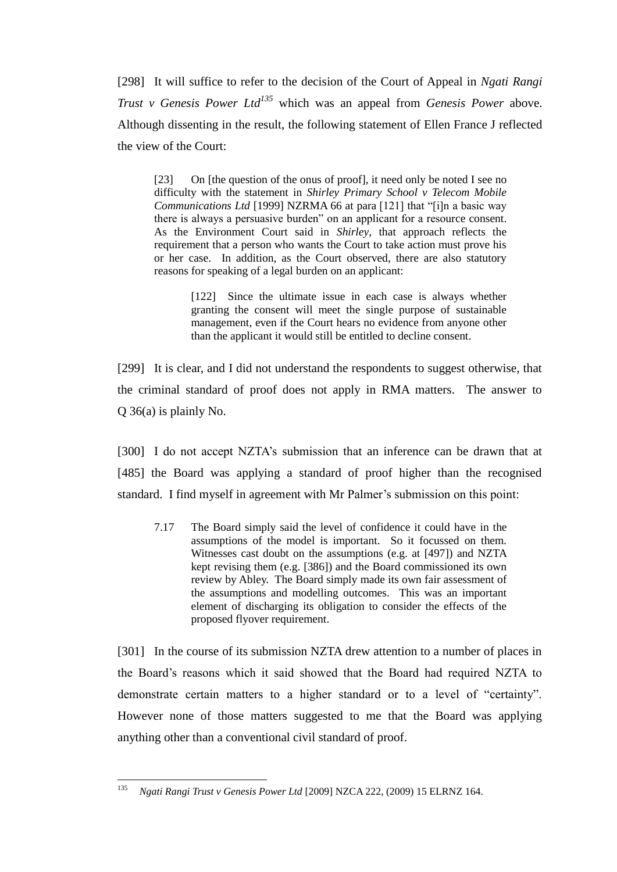[298] It will suffice to refer to the decision of the Court of Appeal in *Ngati Rangi Trust v Genesis Power Ltd<sup>135</sup>* which was an appeal from *Genesis Power* above. Although dissenting in the result, the following statement of Ellen France J reflected the view of the Court:

[23] On [the question of the onus of proof], it need only be noted I see no difficulty with the statement in *Shirley Primary School v Telecom Mobile Communications Ltd* [1999] NZRMA 66 at para [121] that "[i]n a basic way there is always a persuasive burden" on an applicant for a resource consent. As the Environment Court said in *Shirley*, that approach reflects the requirement that a person who wants the Court to take action must prove his or her case. In addition, as the Court observed, there are also statutory reasons for speaking of a legal burden on an applicant:

> [122] Since the ultimate issue in each case is always whether granting the consent will meet the single purpose of sustainable management, even if the Court hears no evidence from anyone other than the applicant it would still be entitled to decline consent.

[299] It is clear, and I did not understand the respondents to suggest otherwise, that the criminal standard of proof does not apply in RMA matters. The answer to Q 36(a) is plainly No.

[300] I do not accept NZTA's submission that an inference can be drawn that at [485] the Board was applying a standard of proof higher than the recognised standard. I find myself in agreement with Mr Palmer's submission on this point:

7.17 The Board simply said the level of confidence it could have in the assumptions of the model is important. So it focussed on them. Witnesses cast doubt on the assumptions (e.g. at [497]) and NZTA kept revising them (e.g. [386]) and the Board commissioned its own review by Abley. The Board simply made its own fair assessment of the assumptions and modelling outcomes. This was an important element of discharging its obligation to consider the effects of the proposed flyover requirement.

[301] In the course of its submission NZTA drew attention to a number of places in the Board's reasons which it said showed that the Board had required NZTA to demonstrate certain matters to a higher standard or to a level of "certainty". However none of those matters suggested to me that the Board was applying anything other than a conventional civil standard of proof.

<sup>135</sup> <sup>135</sup> *Ngati Rangi Trust v Genesis Power Ltd* [2009] NZCA 222, (2009) 15 ELRNZ 164.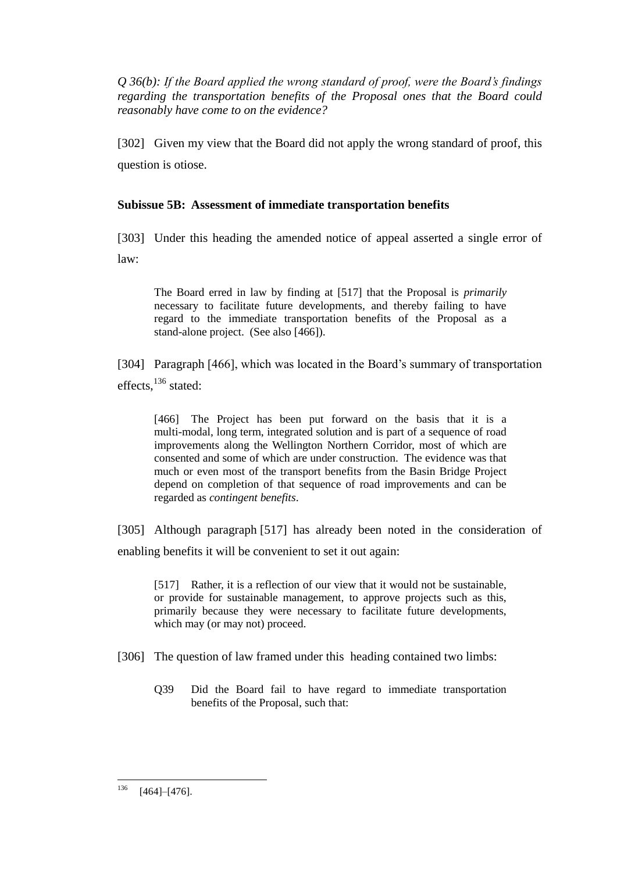*Q 36(b): If the Board applied the wrong standard of proof, were the Board's findings regarding the transportation benefits of the Proposal ones that the Board could reasonably have come to on the evidence?*

[302] Given my view that the Board did not apply the wrong standard of proof, this question is otiose.

# **Subissue 5B: Assessment of immediate transportation benefits**

[303] Under this heading the amended notice of appeal asserted a single error of law:

The Board erred in law by finding at [517] that the Proposal is *primarily* necessary to facilitate future developments, and thereby failing to have regard to the immediate transportation benefits of the Proposal as a stand-alone project. (See also [466]).

[304] Paragraph [466], which was located in the Board's summary of transportation effects, $^{136}$  stated:

[466] The Project has been put forward on the basis that it is a multi-modal, long term, integrated solution and is part of a sequence of road improvements along the Wellington Northern Corridor, most of which are consented and some of which are under construction. The evidence was that much or even most of the transport benefits from the Basin Bridge Project depend on completion of that sequence of road improvements and can be regarded as *contingent benefits*.

[305] Although paragraph [517] has already been noted in the consideration of enabling benefits it will be convenient to set it out again:

[517] Rather, it is a reflection of our view that it would not be sustainable, or provide for sustainable management, to approve projects such as this, primarily because they were necessary to facilitate future developments, which may (or may not) proceed.

[306] The question of law framed under this heading contained two limbs:

Q39 Did the Board fail to have regard to immediate transportation benefits of the Proposal, such that:

<sup>136</sup>  $[464]$ – $[476]$ .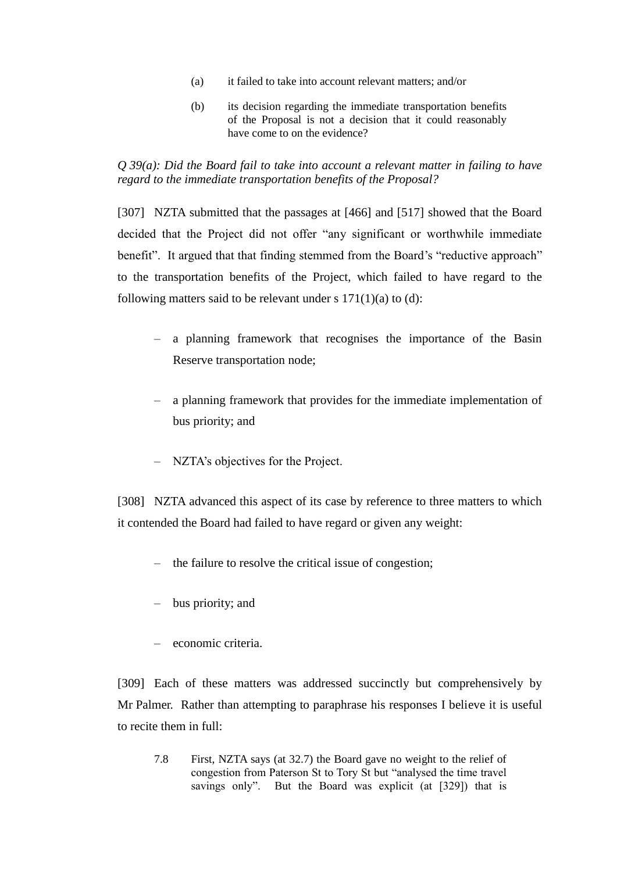- (a) it failed to take into account relevant matters; and/or
- (b) its decision regarding the immediate transportation benefits of the Proposal is not a decision that it could reasonably have come to on the evidence?

# *Q 39(a): Did the Board fail to take into account a relevant matter in failing to have regard to the immediate transportation benefits of the Proposal?*

[307] NZTA submitted that the passages at [466] and [517] showed that the Board decided that the Project did not offer "any significant or worthwhile immediate benefit". It argued that that finding stemmed from the Board's "reductive approach" to the transportation benefits of the Project, which failed to have regard to the following matters said to be relevant under s  $171(1)(a)$  to (d):

- *–* a planning framework that recognises the importance of the Basin Reserve transportation node;
- *–* a planning framework that provides for the immediate implementation of bus priority; and
- *–* NZTA's objectives for the Project.

[308] NZTA advanced this aspect of its case by reference to three matters to which it contended the Board had failed to have regard or given any weight:

- *–* the failure to resolve the critical issue of congestion;
- *–* bus priority; and
- *–* economic criteria.

[309] Each of these matters was addressed succinctly but comprehensively by Mr Palmer. Rather than attempting to paraphrase his responses I believe it is useful to recite them in full:

7.8 First, NZTA says (at 32.7) the Board gave no weight to the relief of congestion from Paterson St to Tory St but "analysed the time travel savings only". But the Board was explicit (at [329]) that is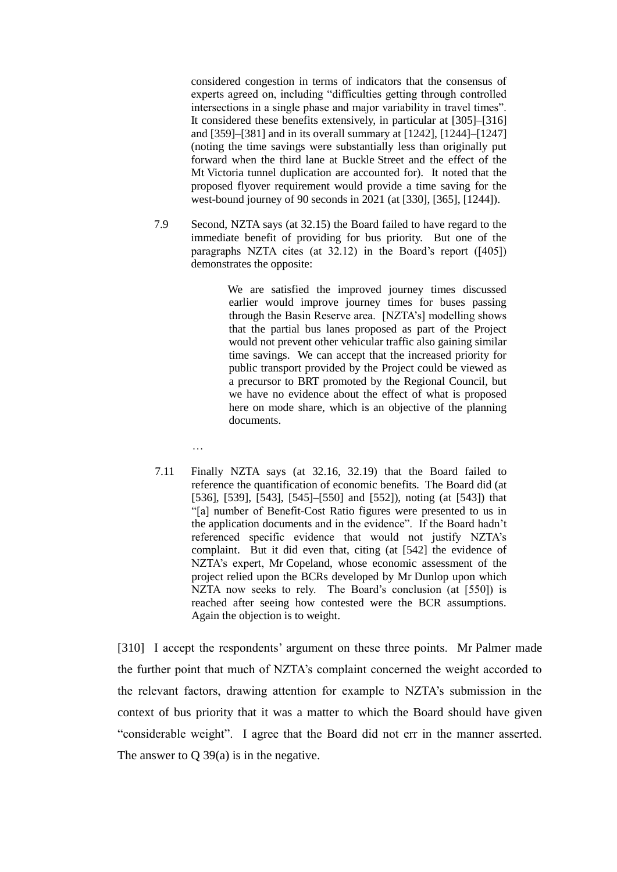considered congestion in terms of indicators that the consensus of experts agreed on, including "difficulties getting through controlled intersections in a single phase and major variability in travel times". It considered these benefits extensively, in particular at [305]–[316] and [359]–[381] and in its overall summary at [1242], [1244]–[1247] (noting the time savings were substantially less than originally put forward when the third lane at Buckle Street and the effect of the Mt Victoria tunnel duplication are accounted for). It noted that the proposed flyover requirement would provide a time saving for the west-bound journey of 90 seconds in 2021 (at [330], [365], [1244]).

7.9 Second, NZTA says (at 32.15) the Board failed to have regard to the immediate benefit of providing for bus priority. But one of the paragraphs NZTA cites (at 32.12) in the Board's report ([405]) demonstrates the opposite:

> We are satisfied the improved journey times discussed earlier would improve journey times for buses passing through the Basin Reserve area. [NZTA's] modelling shows that the partial bus lanes proposed as part of the Project would not prevent other vehicular traffic also gaining similar time savings. We can accept that the increased priority for public transport provided by the Project could be viewed as a precursor to BRT promoted by the Regional Council, but we have no evidence about the effect of what is proposed here on mode share, which is an objective of the planning documents.

- …
- 7.11 Finally NZTA says (at 32.16, 32.19) that the Board failed to reference the quantification of economic benefits. The Board did (at [536], [539], [543], [545]–[550] and [552]), noting (at [543]) that "[a] number of Benefit-Cost Ratio figures were presented to us in the application documents and in the evidence". If the Board hadn't referenced specific evidence that would not justify NZTA's complaint. But it did even that, citing (at [542] the evidence of NZTA's expert, Mr Copeland, whose economic assessment of the project relied upon the BCRs developed by Mr Dunlop upon which NZTA now seeks to rely. The Board's conclusion (at [550]) is reached after seeing how contested were the BCR assumptions. Again the objection is to weight.

[310] I accept the respondents' argument on these three points. Mr Palmer made the further point that much of NZTA's complaint concerned the weight accorded to the relevant factors, drawing attention for example to NZTA's submission in the context of bus priority that it was a matter to which the Board should have given "considerable weight". I agree that the Board did not err in the manner asserted. The answer to Q 39(a) is in the negative.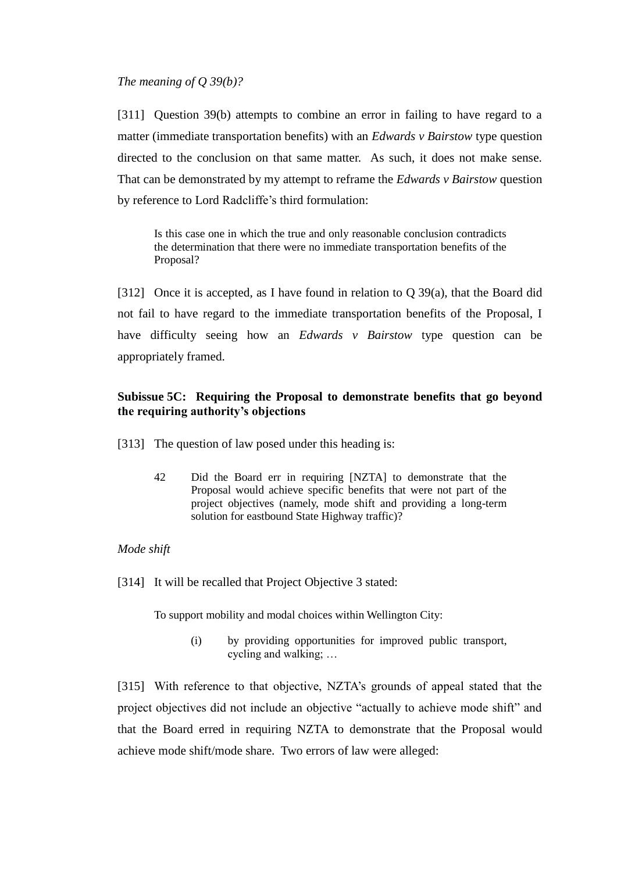## *The meaning of Q 39(b)?*

[311] Question 39(b) attempts to combine an error in failing to have regard to a matter (immediate transportation benefits) with an *Edwards v Bairstow* type question directed to the conclusion on that same matter. As such, it does not make sense. That can be demonstrated by my attempt to reframe the *Edwards v Bairstow* question by reference to Lord Radcliffe's third formulation:

Is this case one in which the true and only reasonable conclusion contradicts the determination that there were no immediate transportation benefits of the Proposal?

[312] Once it is accepted, as I have found in relation to Q 39(a), that the Board did not fail to have regard to the immediate transportation benefits of the Proposal, I have difficulty seeing how an *Edwards v Bairstow* type question can be appropriately framed.

# **Subissue 5C: Requiring the Proposal to demonstrate benefits that go beyond the requiring authority's objections**

[313] The question of law posed under this heading is:

42 Did the Board err in requiring [NZTA] to demonstrate that the Proposal would achieve specific benefits that were not part of the project objectives (namely, mode shift and providing a long-term solution for eastbound State Highway traffic)?

# *Mode shift*

[314] It will be recalled that Project Objective 3 stated:

To support mobility and modal choices within Wellington City:

(i) by providing opportunities for improved public transport, cycling and walking; …

[315] With reference to that objective, NZTA's grounds of appeal stated that the project objectives did not include an objective "actually to achieve mode shift" and that the Board erred in requiring NZTA to demonstrate that the Proposal would achieve mode shift/mode share. Two errors of law were alleged: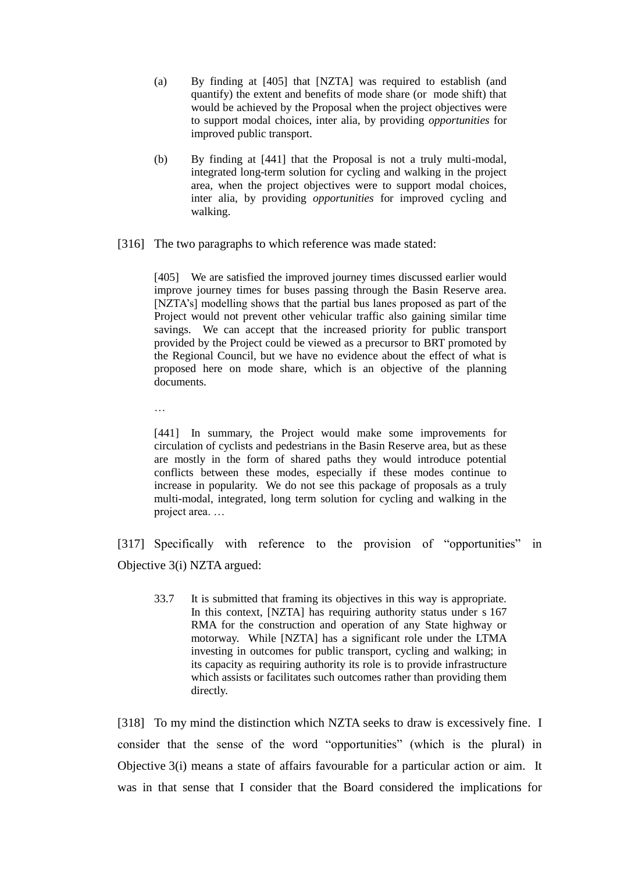- (a) By finding at [405] that [NZTA] was required to establish (and quantify) the extent and benefits of mode share (or mode shift) that would be achieved by the Proposal when the project objectives were to support modal choices, inter alia, by providing *opportunities* for improved public transport.
- (b) By finding at [441] that the Proposal is not a truly multi-modal, integrated long-term solution for cycling and walking in the project area, when the project objectives were to support modal choices, inter alia, by providing *opportunities* for improved cycling and walking.
- [316] The two paragraphs to which reference was made stated:

[405] We are satisfied the improved journey times discussed earlier would improve journey times for buses passing through the Basin Reserve area. [NZTA's] modelling shows that the partial bus lanes proposed as part of the Project would not prevent other vehicular traffic also gaining similar time savings. We can accept that the increased priority for public transport provided by the Project could be viewed as a precursor to BRT promoted by the Regional Council, but we have no evidence about the effect of what is proposed here on mode share, which is an objective of the planning documents.

…

[441] In summary, the Project would make some improvements for circulation of cyclists and pedestrians in the Basin Reserve area, but as these are mostly in the form of shared paths they would introduce potential conflicts between these modes, especially if these modes continue to increase in popularity. We do not see this package of proposals as a truly multi-modal, integrated, long term solution for cycling and walking in the project area. …

[317] Specifically with reference to the provision of "opportunities" in Objective 3(i) NZTA argued:

33.7 It is submitted that framing its objectives in this way is appropriate. In this context, [NZTA] has requiring authority status under s 167 RMA for the construction and operation of any State highway or motorway. While [NZTA] has a significant role under the LTMA investing in outcomes for public transport, cycling and walking; in its capacity as requiring authority its role is to provide infrastructure which assists or facilitates such outcomes rather than providing them directly.

[318] To my mind the distinction which NZTA seeks to draw is excessively fine. I consider that the sense of the word "opportunities" (which is the plural) in Objective 3(i) means a state of affairs favourable for a particular action or aim. It was in that sense that I consider that the Board considered the implications for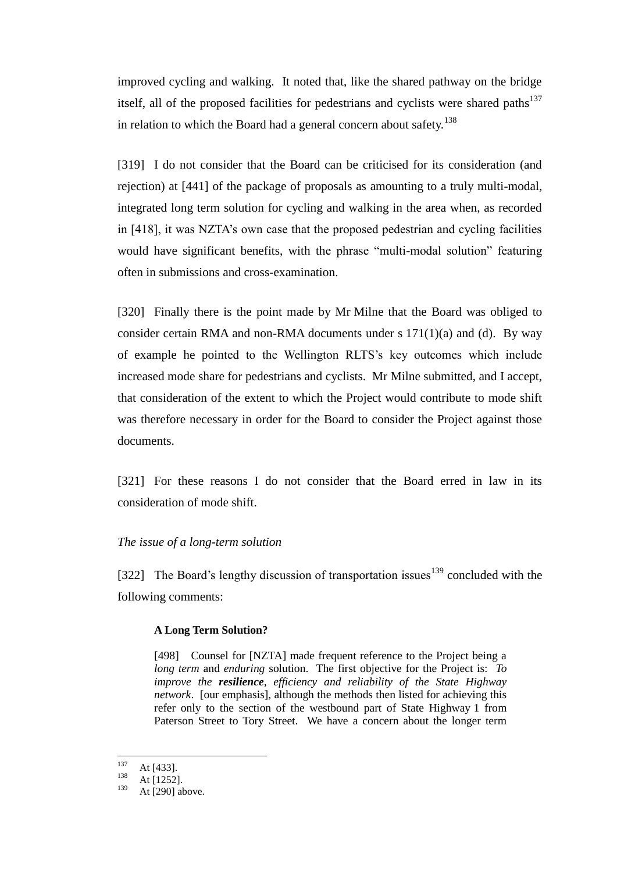improved cycling and walking. It noted that, like the shared pathway on the bridge itself, all of the proposed facilities for pedestrians and cyclists were shared paths $137$ in relation to which the Board had a general concern about safety.<sup>138</sup>

[319] I do not consider that the Board can be criticised for its consideration (and rejection) at [441] of the package of proposals as amounting to a truly multi-modal, integrated long term solution for cycling and walking in the area when, as recorded in [418], it was NZTA's own case that the proposed pedestrian and cycling facilities would have significant benefits, with the phrase "multi-modal solution" featuring often in submissions and cross-examination.

[320] Finally there is the point made by Mr Milne that the Board was obliged to consider certain RMA and non-RMA documents under s  $171(1)(a)$  and (d). By way of example he pointed to the Wellington RLTS's key outcomes which include increased mode share for pedestrians and cyclists. Mr Milne submitted, and I accept, that consideration of the extent to which the Project would contribute to mode shift was therefore necessary in order for the Board to consider the Project against those documents.

[321] For these reasons I do not consider that the Board erred in law in its consideration of mode shift.

### *The issue of a long-term solution*

[322] The Board's lengthy discussion of transportation issues<sup>139</sup> concluded with the following comments:

#### **A Long Term Solution?**

[498] Counsel for [NZTA] made frequent reference to the Project being a *long term* and *enduring* solution. The first objective for the Project is: *To improve the resilience, efficiency and reliability of the State Highway network*. [our emphasis], although the methods then listed for achieving this refer only to the section of the westbound part of State Highway 1 from Paterson Street to Tory Street. We have a concern about the longer term

<sup>137</sup>  $137$  At [433].

 $138$  At [1252].

At [290] above.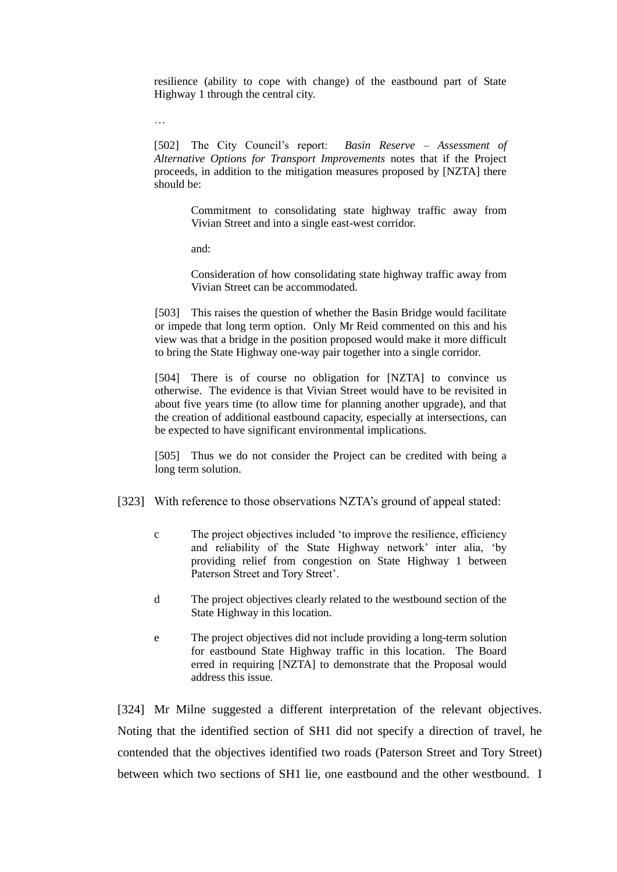resilience (ability to cope with change) of the eastbound part of State Highway 1 through the central city.

[502] The City Council's report: *Basin Reserve – Assessment of Alternative Options for Transport Improvements* notes that if the Project proceeds, in addition to the mitigation measures proposed by [NZTA] there should be:

Commitment to consolidating state highway traffic away from Vivian Street and into a single east-west corridor.

and:

…

Consideration of how consolidating state highway traffic away from Vivian Street can be accommodated.

[503] This raises the question of whether the Basin Bridge would facilitate or impede that long term option. Only Mr Reid commented on this and his view was that a bridge in the position proposed would make it more difficult to bring the State Highway one-way pair together into a single corridor.

[504] There is of course no obligation for [NZTA] to convince us otherwise. The evidence is that Vivian Street would have to be revisited in about five years time (to allow time for planning another upgrade), and that the creation of additional eastbound capacity, especially at intersections, can be expected to have significant environmental implications.

[505] Thus we do not consider the Project can be credited with being a long term solution.

- [323] With reference to those observations NZTA's ground of appeal stated:
	- c The project objectives included 'to improve the resilience, efficiency and reliability of the State Highway network' inter alia, 'by providing relief from congestion on State Highway 1 between Paterson Street and Tory Street'.
	- d The project objectives clearly related to the westbound section of the State Highway in this location.
	- e The project objectives did not include providing a long-term solution for eastbound State Highway traffic in this location. The Board erred in requiring [NZTA] to demonstrate that the Proposal would address this issue.

[324] Mr Milne suggested a different interpretation of the relevant objectives. Noting that the identified section of SH1 did not specify a direction of travel, he contended that the objectives identified two roads (Paterson Street and Tory Street) between which two sections of SH1 lie, one eastbound and the other westbound. I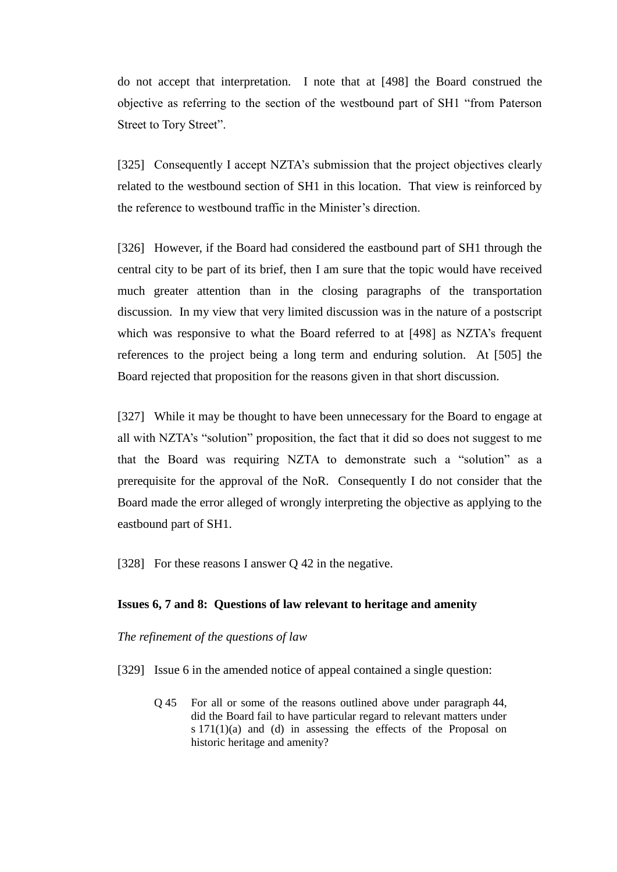do not accept that interpretation. I note that at [498] the Board construed the objective as referring to the section of the westbound part of SH1 "from Paterson Street to Tory Street".

[325] Consequently I accept NZTA's submission that the project objectives clearly related to the westbound section of SH1 in this location. That view is reinforced by the reference to westbound traffic in the Minister's direction.

[326] However, if the Board had considered the eastbound part of SH1 through the central city to be part of its brief, then I am sure that the topic would have received much greater attention than in the closing paragraphs of the transportation discussion. In my view that very limited discussion was in the nature of a postscript which was responsive to what the Board referred to at [498] as NZTA's frequent references to the project being a long term and enduring solution. At [505] the Board rejected that proposition for the reasons given in that short discussion.

[327] While it may be thought to have been unnecessary for the Board to engage at all with NZTA's "solution" proposition, the fact that it did so does not suggest to me that the Board was requiring NZTA to demonstrate such a "solution" as a prerequisite for the approval of the NoR. Consequently I do not consider that the Board made the error alleged of wrongly interpreting the objective as applying to the eastbound part of SH1.

[328] For these reasons I answer Q 42 in the negative.

#### **Issues 6, 7 and 8: Questions of law relevant to heritage and amenity**

*The refinement of the questions of law*

- [329] Issue 6 in the amended notice of appeal contained a single question:
	- Q 45 For all or some of the reasons outlined above under paragraph 44, did the Board fail to have particular regard to relevant matters under s 171(1)(a) and (d) in assessing the effects of the Proposal on historic heritage and amenity?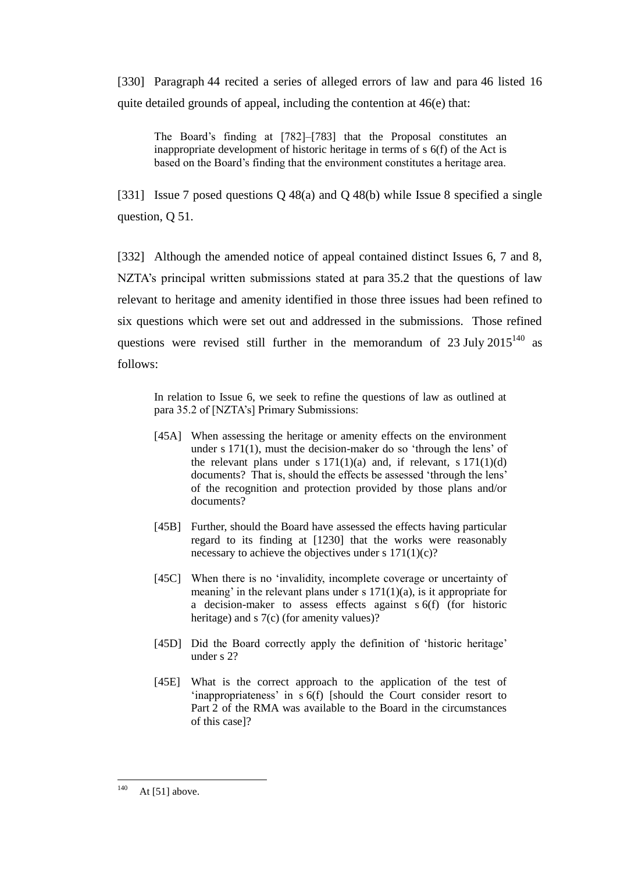[330] Paragraph 44 recited a series of alleged errors of law and para 46 listed 16 quite detailed grounds of appeal, including the contention at 46(e) that:

The Board's finding at [782]–[783] that the Proposal constitutes an inappropriate development of historic heritage in terms of s 6(f) of the Act is based on the Board's finding that the environment constitutes a heritage area.

[331] Issue 7 posed questions Q 48(a) and Q 48(b) while Issue 8 specified a single question, Q 51.

[332] Although the amended notice of appeal contained distinct Issues 6, 7 and 8, NZTA's principal written submissions stated at para 35.2 that the questions of law relevant to heritage and amenity identified in those three issues had been refined to six questions which were set out and addressed in the submissions. Those refined questions were revised still further in the memorandum of  $23$  July  $2015^{140}$  as follows:

In relation to Issue 6, we seek to refine the questions of law as outlined at para 35.2 of [NZTA's] Primary Submissions:

- [45A] When assessing the heritage or amenity effects on the environment under s 171(1), must the decision-maker do so 'through the lens' of the relevant plans under s  $171(1)(a)$  and, if relevant, s  $171(1)(d)$ documents? That is, should the effects be assessed 'through the lens' of the recognition and protection provided by those plans and/or documents?
- [45B] Further, should the Board have assessed the effects having particular regard to its finding at [1230] that the works were reasonably necessary to achieve the objectives under s  $171(1)(c)$ ?
- [45C] When there is no 'invalidity, incomplete coverage or uncertainty of meaning' in the relevant plans under s  $171(1)(a)$ , is it appropriate for a decision-maker to assess effects against s 6(f) (for historic heritage) and s 7(c) (for amenity values)?
- [45D] Did the Board correctly apply the definition of 'historic heritage' under s 2?
- [45E] What is the correct approach to the application of the test of 'inappropriateness' in s 6(f) [should the Court consider resort to Part 2 of the RMA was available to the Board in the circumstances of this case]?

<sup>140</sup> At  $[51]$  above.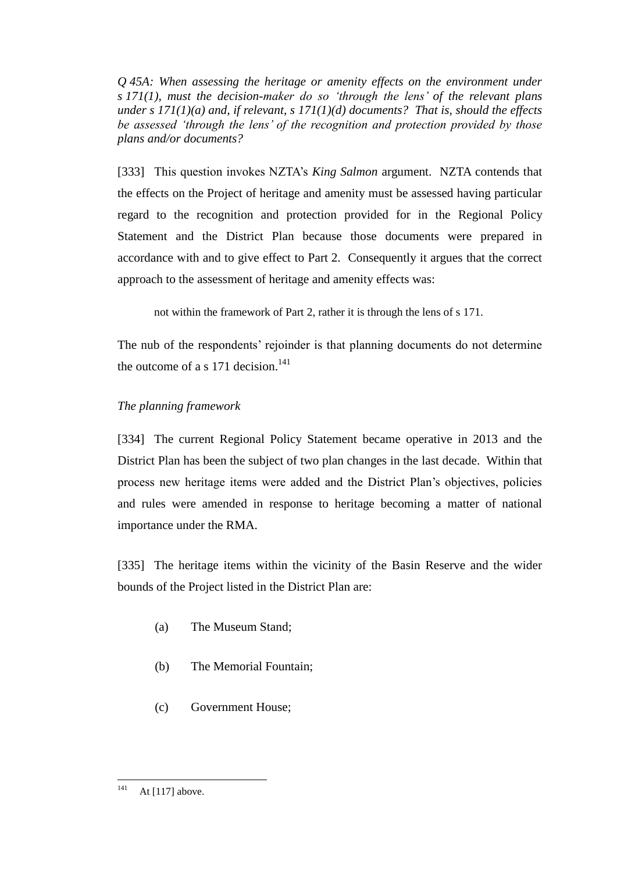*Q 45A: When assessing the heritage or amenity effects on the environment under s 171(1), must the decision-maker do so 'through the lens' of the relevant plans under s 171(1)(a) and, if relevant, s 171(1)(d) documents? That is, should the effects be assessed 'through the lens' of the recognition and protection provided by those plans and/or documents?*

[333] This question invokes NZTA's *King Salmon* argument. NZTA contends that the effects on the Project of heritage and amenity must be assessed having particular regard to the recognition and protection provided for in the Regional Policy Statement and the District Plan because those documents were prepared in accordance with and to give effect to Part 2. Consequently it argues that the correct approach to the assessment of heritage and amenity effects was:

not within the framework of Part 2, rather it is through the lens of s 171.

The nub of the respondents' rejoinder is that planning documents do not determine the outcome of a s 171 decision.<sup>141</sup>

# *The planning framework*

[334] The current Regional Policy Statement became operative in 2013 and the District Plan has been the subject of two plan changes in the last decade. Within that process new heritage items were added and the District Plan's objectives, policies and rules were amended in response to heritage becoming a matter of national importance under the RMA.

[335] The heritage items within the vicinity of the Basin Reserve and the wider bounds of the Project listed in the District Plan are:

- (a) The Museum Stand;
- (b) The Memorial Fountain;
- (c) Government House;

<sup>141</sup> At [117] above.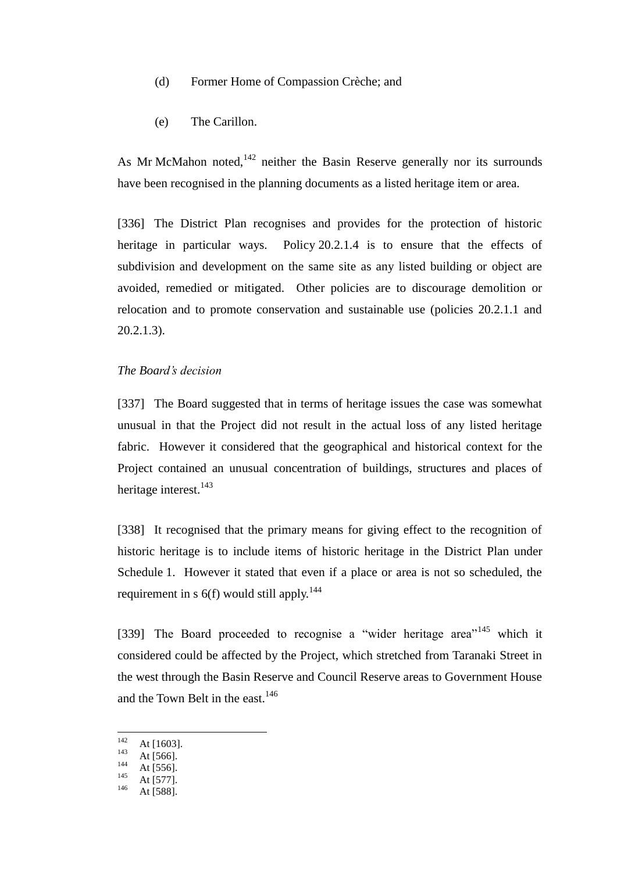- (d) Former Home of Compassion Crèche; and
- (e) The Carillon.

As Mr McMahon noted,  $142$  neither the Basin Reserve generally nor its surrounds have been recognised in the planning documents as a listed heritage item or area.

[336] The District Plan recognises and provides for the protection of historic heritage in particular ways. Policy 20.2.1.4 is to ensure that the effects of subdivision and development on the same site as any listed building or object are avoided, remedied or mitigated. Other policies are to discourage demolition or relocation and to promote conservation and sustainable use (policies 20.2.1.1 and 20.2.1.3).

## *The Board's decision*

[337] The Board suggested that in terms of heritage issues the case was somewhat unusual in that the Project did not result in the actual loss of any listed heritage fabric. However it considered that the geographical and historical context for the Project contained an unusual concentration of buildings, structures and places of heritage interest.<sup>143</sup>

[338] It recognised that the primary means for giving effect to the recognition of historic heritage is to include items of historic heritage in the District Plan under Schedule 1. However it stated that even if a place or area is not so scheduled, the requirement in s  $6(f)$  would still apply.<sup>144</sup>

[339] The Board proceeded to recognise a "wider heritage area"<sup>145</sup> which it considered could be affected by the Project, which stretched from Taranaki Street in the west through the Basin Reserve and Council Reserve areas to Government House and the Town Belt in the east.<sup>146</sup>

<sup>142</sup>  $\frac{142}{143}$  At [1603].

 $\frac{143}{144}$  At [566].

 $144$  At [556].

 $145$  At [577].

At [588].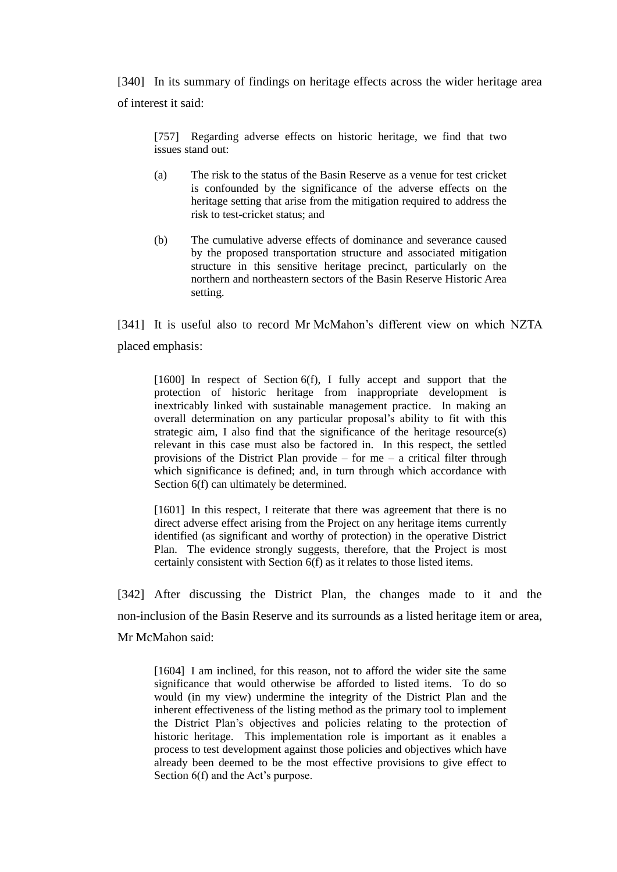[340] In its summary of findings on heritage effects across the wider heritage area of interest it said:

[757] Regarding adverse effects on historic heritage, we find that two issues stand out:

- (a) The risk to the status of the Basin Reserve as a venue for test cricket is confounded by the significance of the adverse effects on the heritage setting that arise from the mitigation required to address the risk to test-cricket status; and
- (b) The cumulative adverse effects of dominance and severance caused by the proposed transportation structure and associated mitigation structure in this sensitive heritage precinct, particularly on the northern and northeastern sectors of the Basin Reserve Historic Area setting.

[341] It is useful also to record Mr McMahon's different view on which NZTA placed emphasis:

[1600] In respect of Section 6(f), I fully accept and support that the protection of historic heritage from inappropriate development is inextricably linked with sustainable management practice. In making an overall determination on any particular proposal's ability to fit with this strategic aim, I also find that the significance of the heritage resource(s) relevant in this case must also be factored in. In this respect, the settled provisions of the District Plan provide – for me – a critical filter through which significance is defined; and, in turn through which accordance with Section  $6(f)$  can ultimately be determined.

[1601] In this respect, I reiterate that there was agreement that there is no direct adverse effect arising from the Project on any heritage items currently identified (as significant and worthy of protection) in the operative District Plan. The evidence strongly suggests, therefore, that the Project is most certainly consistent with Section 6(f) as it relates to those listed items.

[342] After discussing the District Plan, the changes made to it and the non-inclusion of the Basin Reserve and its surrounds as a listed heritage item or area, Mr McMahon said:

[1604] I am inclined, for this reason, not to afford the wider site the same significance that would otherwise be afforded to listed items. To do so would (in my view) undermine the integrity of the District Plan and the inherent effectiveness of the listing method as the primary tool to implement the District Plan's objectives and policies relating to the protection of historic heritage. This implementation role is important as it enables a process to test development against those policies and objectives which have already been deemed to be the most effective provisions to give effect to Section 6(f) and the Act's purpose.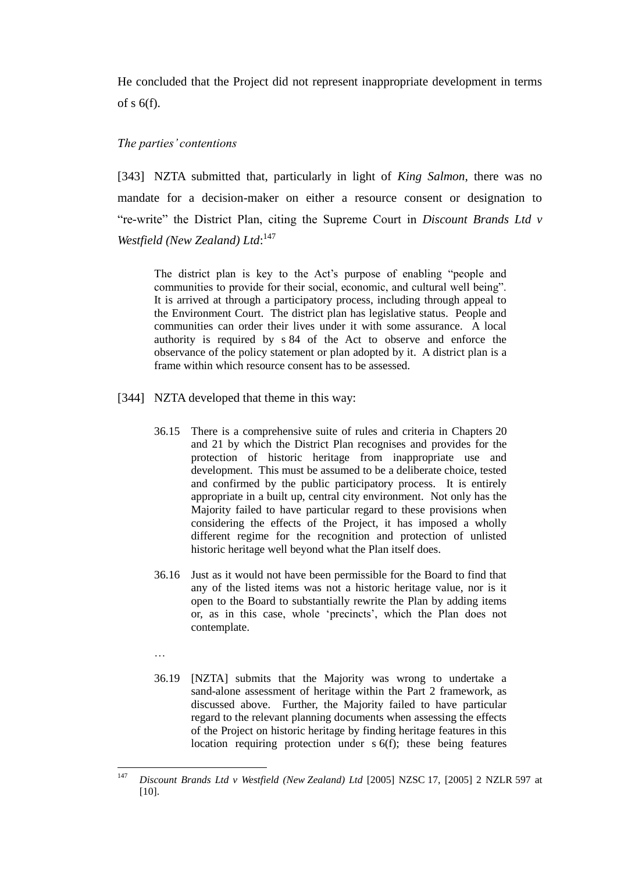He concluded that the Project did not represent inappropriate development in terms of s 6(f).

### *The parties' contentions*

[343] NZTA submitted that, particularly in light of *King Salmon*, there was no mandate for a decision-maker on either a resource consent or designation to "re-write" the District Plan, citing the Supreme Court in *Discount Brands Ltd v*  Westfield (New Zealand) Ltd:<sup>147</sup>

The district plan is key to the Act's purpose of enabling "people and communities to provide for their social, economic, and cultural well being". It is arrived at through a participatory process, including through appeal to the Environment Court. The district plan has legislative status. People and communities can order their lives under it with some assurance. A local authority is required by s 84 of the Act to observe and enforce the observance of the policy statement or plan adopted by it. A district plan is a frame within which resource consent has to be assessed.

- [344] NZTA developed that theme in this way:
	- 36.15 There is a comprehensive suite of rules and criteria in Chapters 20 and 21 by which the District Plan recognises and provides for the protection of historic heritage from inappropriate use and development. This must be assumed to be a deliberate choice, tested and confirmed by the public participatory process. It is entirely appropriate in a built up, central city environment. Not only has the Majority failed to have particular regard to these provisions when considering the effects of the Project, it has imposed a wholly different regime for the recognition and protection of unlisted historic heritage well beyond what the Plan itself does.
	- 36.16 Just as it would not have been permissible for the Board to find that any of the listed items was not a historic heritage value, nor is it open to the Board to substantially rewrite the Plan by adding items or, as in this case, whole 'precincts', which the Plan does not contemplate.
	- …
	- 36.19 [NZTA] submits that the Majority was wrong to undertake a sand-alone assessment of heritage within the Part 2 framework, as discussed above. Further, the Majority failed to have particular regard to the relevant planning documents when assessing the effects of the Project on historic heritage by finding heritage features in this location requiring protection under s 6(f); these being features

<sup>147</sup> <sup>147</sup> *Discount Brands Ltd v Westfield (New Zealand) Ltd* [2005] NZSC 17, [2005] 2 NZLR 597 at [10].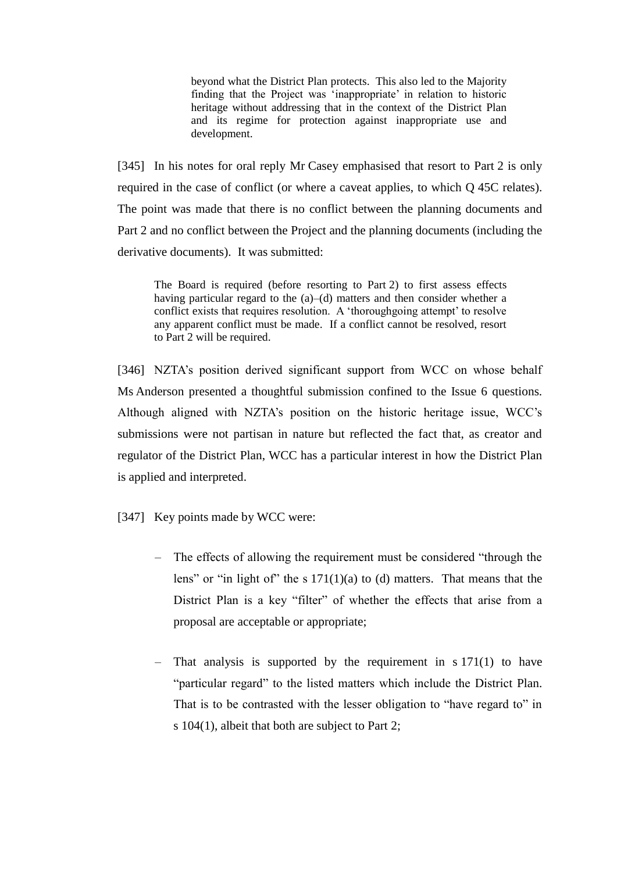beyond what the District Plan protects. This also led to the Majority finding that the Project was 'inappropriate' in relation to historic heritage without addressing that in the context of the District Plan and its regime for protection against inappropriate use and development.

[345] In his notes for oral reply Mr Casey emphasised that resort to Part 2 is only required in the case of conflict (or where a caveat applies, to which Q 45C relates). The point was made that there is no conflict between the planning documents and Part 2 and no conflict between the Project and the planning documents (including the derivative documents). It was submitted:

The Board is required (before resorting to Part 2) to first assess effects having particular regard to the (a)–(d) matters and then consider whether a conflict exists that requires resolution. A 'thoroughgoing attempt' to resolve any apparent conflict must be made. If a conflict cannot be resolved, resort to Part 2 will be required.

[346] NZTA's position derived significant support from WCC on whose behalf Ms Anderson presented a thoughtful submission confined to the Issue 6 questions. Although aligned with NZTA's position on the historic heritage issue, WCC's submissions were not partisan in nature but reflected the fact that, as creator and regulator of the District Plan, WCC has a particular interest in how the District Plan is applied and interpreted.

- [347] Key points made by WCC were:
	- The effects of allowing the requirement must be considered "through the lens" or "in light of" the s  $171(1)(a)$  to (d) matters. That means that the District Plan is a key "filter" of whether the effects that arise from a proposal are acceptable or appropriate;
	- That analysis is supported by the requirement in s 171(1) to have "particular regard" to the listed matters which include the District Plan. That is to be contrasted with the lesser obligation to "have regard to" in s 104(1), albeit that both are subject to Part 2;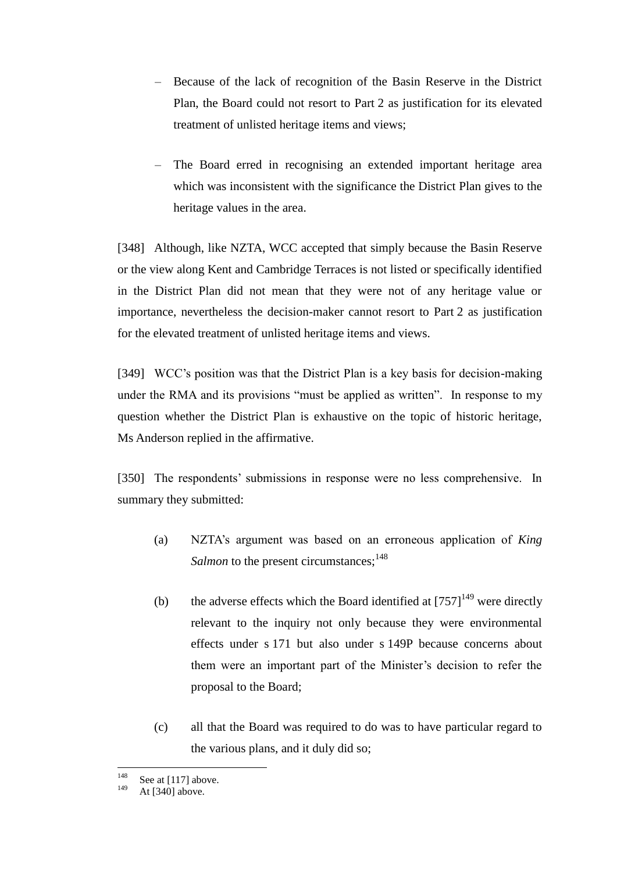- Because of the lack of recognition of the Basin Reserve in the District Plan, the Board could not resort to Part 2 as justification for its elevated treatment of unlisted heritage items and views;
- The Board erred in recognising an extended important heritage area which was inconsistent with the significance the District Plan gives to the heritage values in the area.

[348] Although, like NZTA, WCC accepted that simply because the Basin Reserve or the view along Kent and Cambridge Terraces is not listed or specifically identified in the District Plan did not mean that they were not of any heritage value or importance, nevertheless the decision-maker cannot resort to Part 2 as justification for the elevated treatment of unlisted heritage items and views.

[349] WCC's position was that the District Plan is a key basis for decision-making under the RMA and its provisions "must be applied as written". In response to my question whether the District Plan is exhaustive on the topic of historic heritage, Ms Anderson replied in the affirmative.

[350] The respondents' submissions in response were no less comprehensive. In summary they submitted:

- (a) NZTA's argument was based on an erroneous application of *King Salmon* to the present circumstances;<sup>148</sup>
- (b) the adverse effects which the Board identified at  $[757]^{149}$  were directly relevant to the inquiry not only because they were environmental effects under s 171 but also under s 149P because concerns about them were an important part of the Minister's decision to refer the proposal to the Board;
- (c) all that the Board was required to do was to have particular regard to the various plans, and it duly did so;

<sup>148</sup>  $148$  See at [117] above.

At [340] above.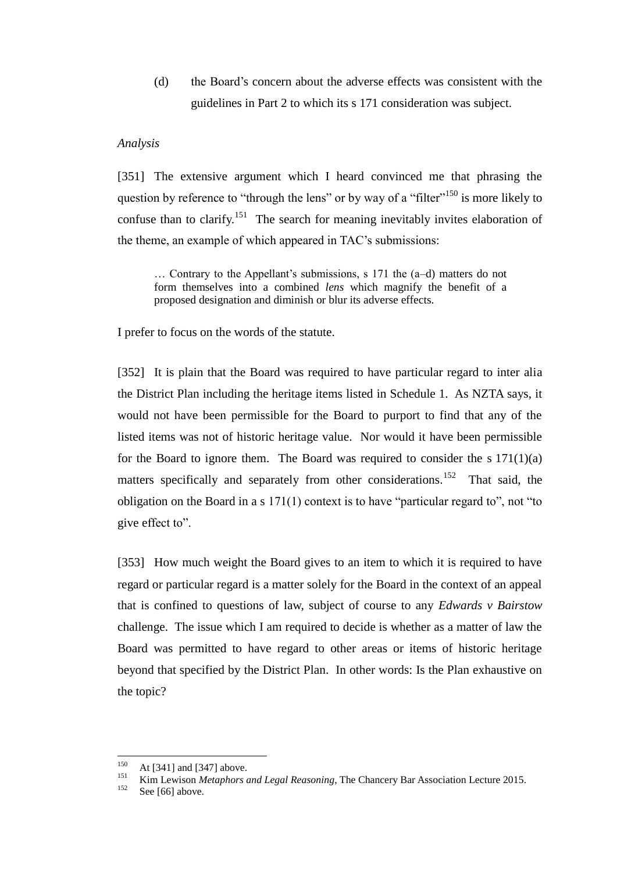(d) the Board's concern about the adverse effects was consistent with the guidelines in Part 2 to which its s 171 consideration was subject.

### *Analysis*

[351] The extensive argument which I heard convinced me that phrasing the question by reference to "through the lens" or by way of a "filter"<sup>150</sup> is more likely to confuse than to clarify.<sup>151</sup> The search for meaning inevitably invites elaboration of the theme, an example of which appeared in TAC's submissions:

… Contrary to the Appellant's submissions, s 171 the (a–d) matters do not form themselves into a combined *lens* which magnify the benefit of a proposed designation and diminish or blur its adverse effects.

I prefer to focus on the words of the statute.

[352] It is plain that the Board was required to have particular regard to inter alia the District Plan including the heritage items listed in Schedule 1. As NZTA says, it would not have been permissible for the Board to purport to find that any of the listed items was not of historic heritage value. Nor would it have been permissible for the Board to ignore them. The Board was required to consider the s  $171(1)(a)$ matters specifically and separately from other considerations.<sup>152</sup> That said, the obligation on the Board in a s 171(1) context is to have "particular regard to", not "to give effect to".

[353] How much weight the Board gives to an item to which it is required to have regard or particular regard is a matter solely for the Board in the context of an appeal that is confined to questions of law, subject of course to any *Edwards v Bairstow* challenge. The issue which I am required to decide is whether as a matter of law the Board was permitted to have regard to other areas or items of historic heritage beyond that specified by the District Plan. In other words: Is the Plan exhaustive on the topic?

<sup>150</sup>  $150$  At [341] and [347] above.

<sup>&</sup>lt;sup>151</sup> Kim Lewison *Metaphors and Legal Reasoning*, The Chancery Bar Association Lecture 2015.

See [66] above.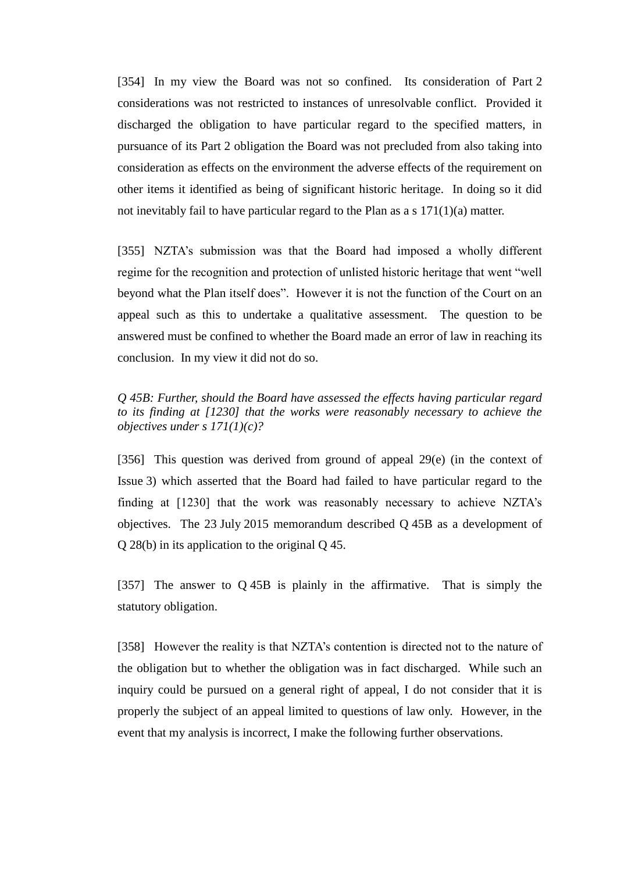[354] In my view the Board was not so confined. Its consideration of Part 2 considerations was not restricted to instances of unresolvable conflict. Provided it discharged the obligation to have particular regard to the specified matters, in pursuance of its Part 2 obligation the Board was not precluded from also taking into consideration as effects on the environment the adverse effects of the requirement on other items it identified as being of significant historic heritage. In doing so it did not inevitably fail to have particular regard to the Plan as a s 171(1)(a) matter.

[355] NZTA's submission was that the Board had imposed a wholly different regime for the recognition and protection of unlisted historic heritage that went "well beyond what the Plan itself does". However it is not the function of the Court on an appeal such as this to undertake a qualitative assessment. The question to be answered must be confined to whether the Board made an error of law in reaching its conclusion. In my view it did not do so.

*Q 45B: Further, should the Board have assessed the effects having particular regard to its finding at [1230] that the works were reasonably necessary to achieve the objectives under s 171(1)(c)?*

[356] This question was derived from ground of appeal 29(e) (in the context of Issue 3) which asserted that the Board had failed to have particular regard to the finding at [1230] that the work was reasonably necessary to achieve NZTA's objectives. The 23 July 2015 memorandum described Q 45B as a development of Q 28(b) in its application to the original Q 45.

[357] The answer to Q 45B is plainly in the affirmative. That is simply the statutory obligation.

[358] However the reality is that NZTA's contention is directed not to the nature of the obligation but to whether the obligation was in fact discharged. While such an inquiry could be pursued on a general right of appeal, I do not consider that it is properly the subject of an appeal limited to questions of law only. However, in the event that my analysis is incorrect, I make the following further observations.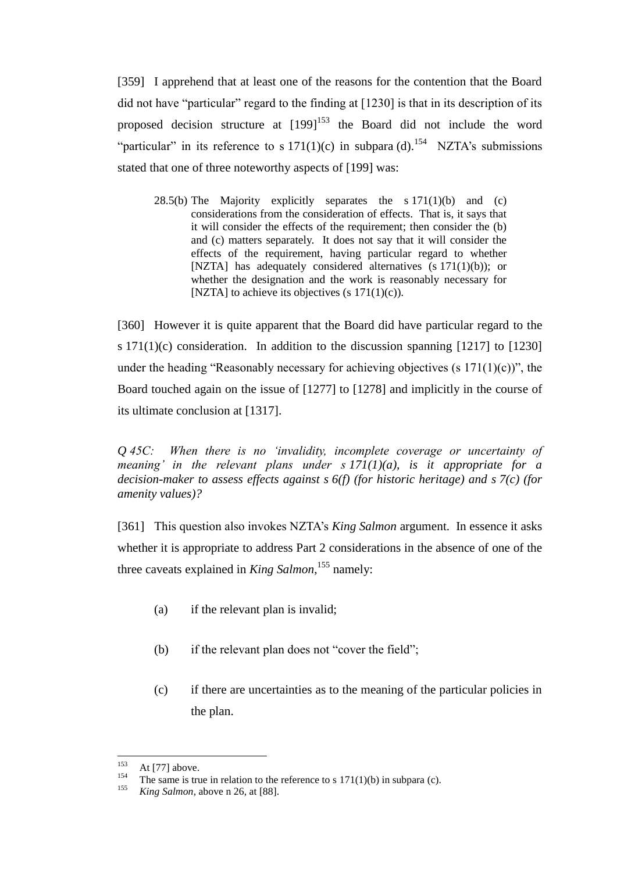[359] I apprehend that at least one of the reasons for the contention that the Board did not have "particular" regard to the finding at [1230] is that in its description of its proposed decision structure at  $[199]^{153}$  the Board did not include the word "particular" in its reference to s  $171(1)(c)$  in subpara (d).<sup>154</sup> NZTA's submissions stated that one of three noteworthy aspects of [199] was:

28.5(b) The Majority explicitly separates the s  $171(1)(b)$  and (c) considerations from the consideration of effects. That is, it says that it will consider the effects of the requirement; then consider the (b) and (c) matters separately. It does not say that it will consider the effects of the requirement, having particular regard to whether [NZTA] has adequately considered alternatives (s 171(1)(b)); or whether the designation and the work is reasonably necessary for [NZTA] to achieve its objectives (s  $171(1)(c)$ ).

[360] However it is quite apparent that the Board did have particular regard to the s  $171(1)(c)$  consideration. In addition to the discussion spanning [1217] to [1230] under the heading "Reasonably necessary for achieving objectives  $(s\ 171(1)(c))$ ", the Board touched again on the issue of [1277] to [1278] and implicitly in the course of its ultimate conclusion at [1317].

*Q 45C: When there is no 'invalidity, incomplete coverage or uncertainty of meaning' in the relevant plans under s 171(1)(a), is it appropriate for a decision-maker to assess effects against s 6(f) (for historic heritage) and s 7(c) (for amenity values)?*

[361] This question also invokes NZTA's *King Salmon* argument. In essence it asks whether it is appropriate to address Part 2 considerations in the absence of one of the three caveats explained in *King Salmon*, <sup>155</sup> namely:

- (a) if the relevant plan is invalid;
- (b) if the relevant plan does not "cover the field";
- (c) if there are uncertainties as to the meaning of the particular policies in the plan.

<sup>153</sup>  $153$  At [77] above.

<sup>&</sup>lt;sup>154</sup> The same is true in relation to the reference to s 171(1)(b) in subpara (c).<br><sup>155</sup> King Salman, above n 26 at <sup>[99]</sup>

King Salmon, above n 26, at [88].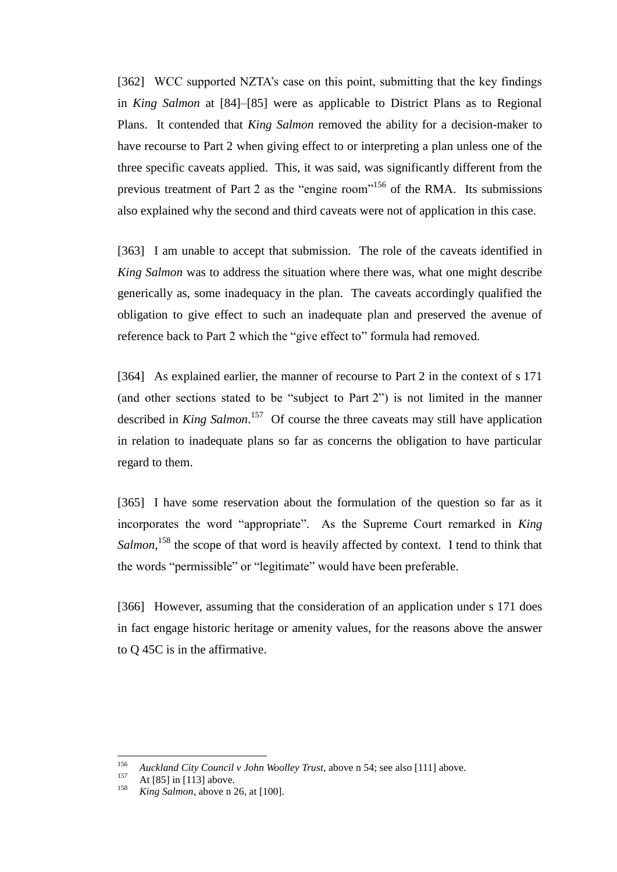[362] WCC supported NZTA's case on this point, submitting that the key findings in *King Salmon* at [84]–[85] were as applicable to District Plans as to Regional Plans. It contended that *King Salmon* removed the ability for a decision-maker to have recourse to Part 2 when giving effect to or interpreting a plan unless one of the three specific caveats applied. This, it was said, was significantly different from the previous treatment of Part 2 as the "engine room"<sup>156</sup> of the RMA. Its submissions also explained why the second and third caveats were not of application in this case.

[363] I am unable to accept that submission. The role of the caveats identified in *King Salmon* was to address the situation where there was, what one might describe generically as, some inadequacy in the plan. The caveats accordingly qualified the obligation to give effect to such an inadequate plan and preserved the avenue of reference back to Part 2 which the "give effect to" formula had removed.

[364] As explained earlier, the manner of recourse to Part 2 in the context of s 171 (and other sections stated to be "subject to Part 2") is not limited in the manner described in *King Salmon*. 157 Of course the three caveats may still have application in relation to inadequate plans so far as concerns the obligation to have particular regard to them.

[365] I have some reservation about the formulation of the question so far as it incorporates the word "appropriate". As the Supreme Court remarked in *King*  Salmon,<sup>158</sup> the scope of that word is heavily affected by context. I tend to think that the words "permissible" or "legitimate" would have been preferable.

[366] However, assuming that the consideration of an application under s 171 does in fact engage historic heritage or amenity values, for the reasons above the answer to Q 45C is in the affirmative.

<sup>156</sup> <sup>156</sup> *Auckland City Council v John Woolley Trust*, above n 54; see also [111] above.

<sup>&</sup>lt;sup>157</sup> At [85] in [113] above.

*King Salmon*, above n 26, at [100].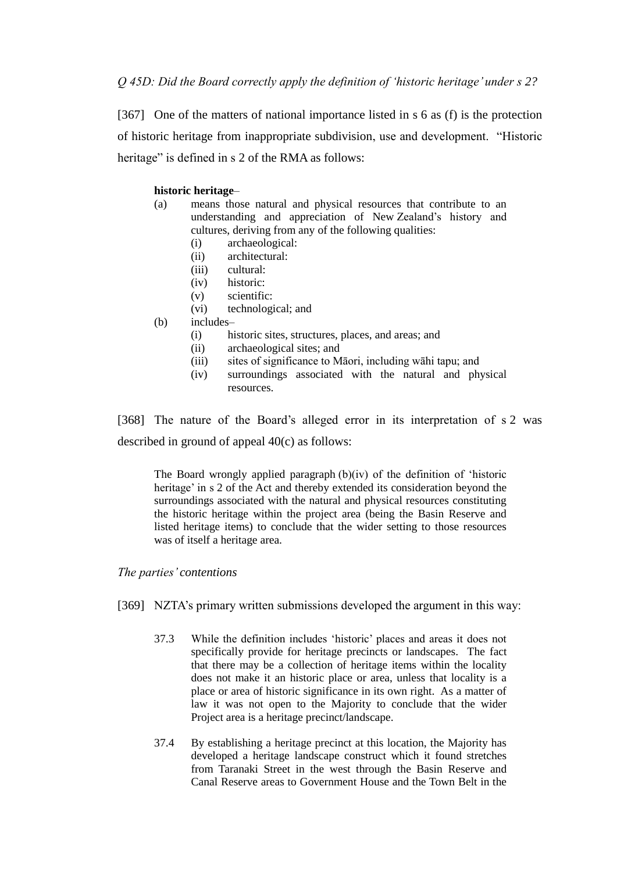[367] One of the matters of national importance listed in s 6 as (f) is the protection of historic heritage from inappropriate subdivision, use and development. "Historic heritage" is defined in s 2 of the RMA as follows:

### **historic heritage**–

- (a) means those natural and physical resources that contribute to an understanding and appreciation of New Zealand's history and cultures, deriving from any of the following qualities:
	- (i) archaeological:
	- (ii) architectural:
	- (iii) cultural:
	- (iv) historic:
	- (v) scientific:
	- (vi) technological; and
- (b) includes–
	- (i) historic sites, structures, places, and areas; and
	- (ii) archaeological sites; and
	- (iii) sites of significance to Māori, including wāhi tapu; and
	- (iv) surroundings associated with the natural and physical resources.

[368] The nature of the Board's alleged error in its interpretation of s 2 was described in ground of appeal 40(c) as follows:

The Board wrongly applied paragraph (b)(iv) of the definition of 'historic heritage' in s 2 of the Act and thereby extended its consideration beyond the surroundings associated with the natural and physical resources constituting the historic heritage within the project area (being the Basin Reserve and listed heritage items) to conclude that the wider setting to those resources was of itself a heritage area.

#### *The parties' contentions*

- [369] NZTA's primary written submissions developed the argument in this way:
	- 37.3 While the definition includes 'historic' places and areas it does not specifically provide for heritage precincts or landscapes. The fact that there may be a collection of heritage items within the locality does not make it an historic place or area, unless that locality is a place or area of historic significance in its own right. As a matter of law it was not open to the Majority to conclude that the wider Project area is a heritage precinct/landscape.
	- 37.4 By establishing a heritage precinct at this location, the Majority has developed a heritage landscape construct which it found stretches from Taranaki Street in the west through the Basin Reserve and Canal Reserve areas to Government House and the Town Belt in the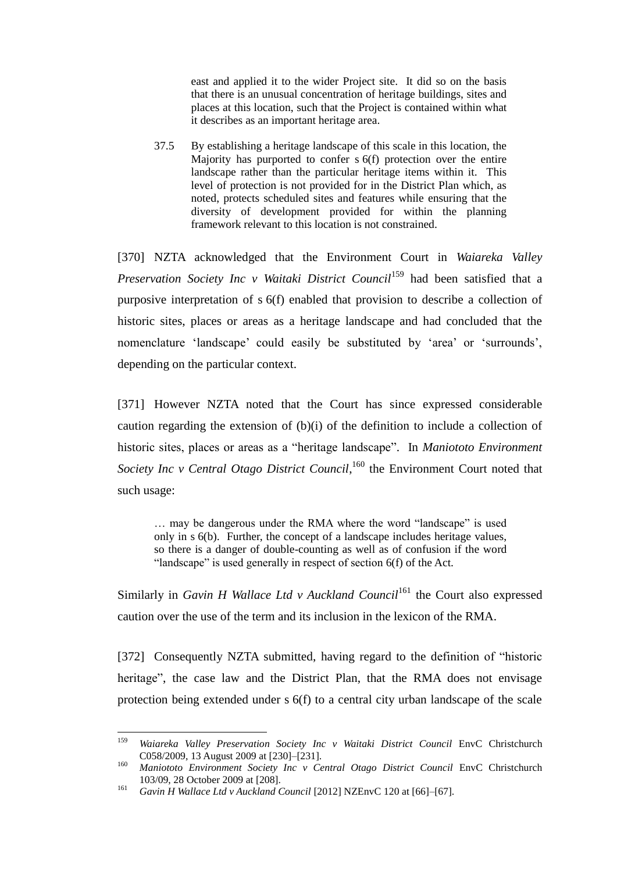east and applied it to the wider Project site. It did so on the basis that there is an unusual concentration of heritage buildings, sites and places at this location, such that the Project is contained within what it describes as an important heritage area.

37.5 By establishing a heritage landscape of this scale in this location, the Majority has purported to confer s 6(f) protection over the entire landscape rather than the particular heritage items within it. This level of protection is not provided for in the District Plan which, as noted, protects scheduled sites and features while ensuring that the diversity of development provided for within the planning framework relevant to this location is not constrained.

[370] NZTA acknowledged that the Environment Court in *Waiareka Valley Preservation Society Inc v Waitaki District Council*<sup>159</sup> had been satisfied that a purposive interpretation of s 6(f) enabled that provision to describe a collection of historic sites, places or areas as a heritage landscape and had concluded that the nomenclature 'landscape' could easily be substituted by 'area' or 'surrounds', depending on the particular context.

[371] However NZTA noted that the Court has since expressed considerable caution regarding the extension of (b)(i) of the definition to include a collection of historic sites, places or areas as a "heritage landscape". In *Maniototo Environment*  Society Inc v Central Otago District Council,<sup>160</sup> the Environment Court noted that such usage:

… may be dangerous under the RMA where the word "landscape" is used only in s 6(b). Further, the concept of a landscape includes heritage values, so there is a danger of double-counting as well as of confusion if the word "landscape" is used generally in respect of section 6(f) of the Act.

Similarly in *Gavin H Wallace Ltd v Auckland Council*<sup>161</sup> the Court also expressed caution over the use of the term and its inclusion in the lexicon of the RMA.

[372] Consequently NZTA submitted, having regard to the definition of "historic heritage", the case law and the District Plan, that the RMA does not envisage protection being extended under s 6(f) to a central city urban landscape of the scale

<sup>159</sup> <sup>159</sup> *Waiareka Valley Preservation Society Inc v Waitaki District Council* EnvC Christchurch C058/2009, 13 August 2009 at [230]–[231].

<sup>160</sup> *Maniototo Environment Society Inc v Central Otago District Council* EnvC Christchurch 103/09, 28 October 2009 at [208].

<sup>161</sup> *Gavin H Wallace Ltd v Auckland Council* [2012] NZEnvC 120 at [66]–[67].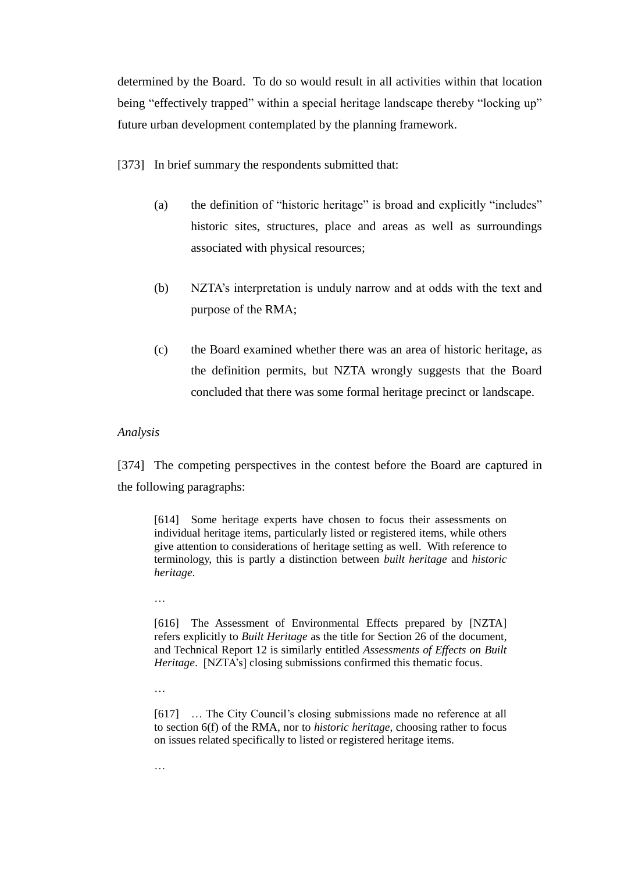determined by the Board. To do so would result in all activities within that location being "effectively trapped" within a special heritage landscape thereby "locking up" future urban development contemplated by the planning framework.

[373] In brief summary the respondents submitted that:

- (a) the definition of "historic heritage" is broad and explicitly "includes" historic sites, structures, place and areas as well as surroundings associated with physical resources;
- (b) NZTA's interpretation is unduly narrow and at odds with the text and purpose of the RMA;
- (c) the Board examined whether there was an area of historic heritage, as the definition permits, but NZTA wrongly suggests that the Board concluded that there was some formal heritage precinct or landscape.

# *Analysis*

[374] The competing perspectives in the contest before the Board are captured in the following paragraphs:

[614] Some heritage experts have chosen to focus their assessments on individual heritage items, particularly listed or registered items, while others give attention to considerations of heritage setting as well. With reference to terminology, this is partly a distinction between *built heritage* and *historic heritage*.

…

[616] The Assessment of Environmental Effects prepared by [NZTA] refers explicitly to *Built Heritage* as the title for Section 26 of the document, and Technical Report 12 is similarly entitled *Assessments of Effects on Built Heritage*. [NZTA's] closing submissions confirmed this thematic focus.

…

[617] ... The City Council's closing submissions made no reference at all to section 6(f) of the RMA, nor to *historic heritage*, choosing rather to focus on issues related specifically to listed or registered heritage items.

…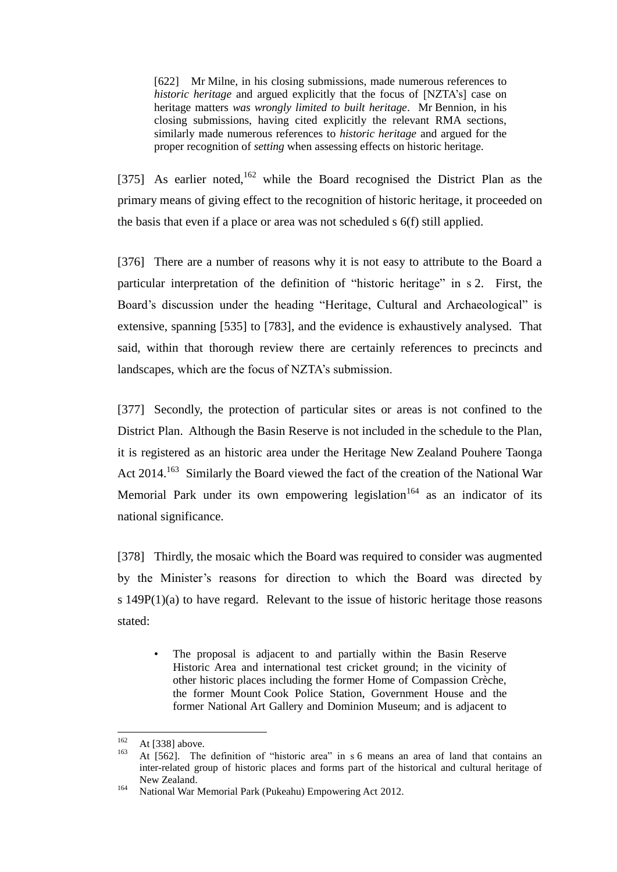[622] Mr Milne, in his closing submissions, made numerous references to *historic heritage* and argued explicitly that the focus of [NZTA's] case on heritage matters *was wrongly limited to built heritage*. Mr Bennion, in his closing submissions, having cited explicitly the relevant RMA sections, similarly made numerous references to *historic heritage* and argued for the proper recognition of *setting* when assessing effects on historic heritage.

[375] As earlier noted,<sup>162</sup> while the Board recognised the District Plan as the primary means of giving effect to the recognition of historic heritage, it proceeded on the basis that even if a place or area was not scheduled s 6(f) still applied.

[376] There are a number of reasons why it is not easy to attribute to the Board a particular interpretation of the definition of "historic heritage" in s 2. First, the Board's discussion under the heading "Heritage, Cultural and Archaeological" is extensive, spanning [535] to [783], and the evidence is exhaustively analysed. That said, within that thorough review there are certainly references to precincts and landscapes, which are the focus of NZTA's submission.

[377] Secondly, the protection of particular sites or areas is not confined to the District Plan. Although the Basin Reserve is not included in the schedule to the Plan, it is registered as an historic area under the Heritage New Zealand Pouhere Taonga Act 2014.<sup>163</sup> Similarly the Board viewed the fact of the creation of the National War Memorial Park under its own empowering legislation<sup>164</sup> as an indicator of its national significance.

[378] Thirdly, the mosaic which the Board was required to consider was augmented by the Minister's reasons for direction to which the Board was directed by s 149P(1)(a) to have regard. Relevant to the issue of historic heritage those reasons stated:

The proposal is adjacent to and partially within the Basin Reserve Historic Area and international test cricket ground; in the vicinity of other historic places including the former Home of Compassion Crèche, the former Mount Cook Police Station, Government House and the former National Art Gallery and Dominion Museum; and is adjacent to

<sup>162</sup>  $162 \text{ At } [338] \text{ above.}$ 

<sup>163</sup> At [562]. The definition of "historic area" in s 6 means an area of land that contains an inter-related group of historic places and forms part of the historical and cultural heritage of New Zealand.

<sup>164</sup> National War Memorial Park (Pukeahu) Empowering Act 2012.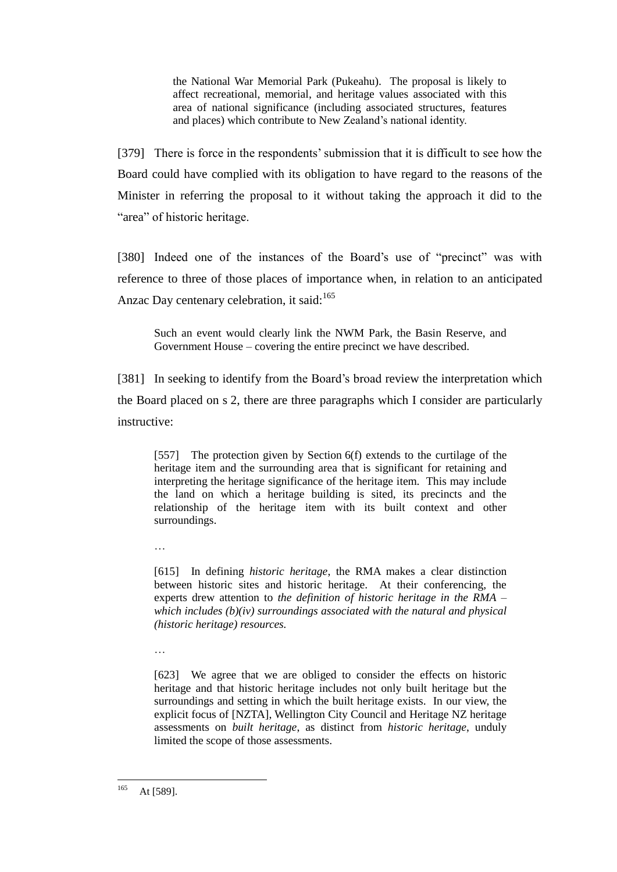the National War Memorial Park (Pukeahu). The proposal is likely to affect recreational, memorial, and heritage values associated with this area of national significance (including associated structures, features and places) which contribute to New Zealand's national identity.

[379] There is force in the respondents' submission that it is difficult to see how the Board could have complied with its obligation to have regard to the reasons of the Minister in referring the proposal to it without taking the approach it did to the "area" of historic heritage.

[380] Indeed one of the instances of the Board's use of "precinct" was with reference to three of those places of importance when, in relation to an anticipated Anzac Day centenary celebration, it said:<sup>165</sup>

Such an event would clearly link the NWM Park, the Basin Reserve, and Government House – covering the entire precinct we have described.

[381] In seeking to identify from the Board's broad review the interpretation which the Board placed on s 2, there are three paragraphs which I consider are particularly instructive:

[557] The protection given by Section 6(f) extends to the curtilage of the heritage item and the surrounding area that is significant for retaining and interpreting the heritage significance of the heritage item. This may include the land on which a heritage building is sited, its precincts and the relationship of the heritage item with its built context and other surroundings.

…

[615] In defining *historic heritage*, the RMA makes a clear distinction between historic sites and historic heritage. At their conferencing, the experts drew attention to *the definition of historic heritage in the RMA – which includes (b)(iv) surroundings associated with the natural and physical (historic heritage) resources.*

…

[623] We agree that we are obliged to consider the effects on historic heritage and that historic heritage includes not only built heritage but the surroundings and setting in which the built heritage exists. In our view, the explicit focus of [NZTA], Wellington City Council and Heritage NZ heritage assessments on *built heritage*, as distinct from *historic heritage*, unduly limited the scope of those assessments.

<sup>165</sup> At [589].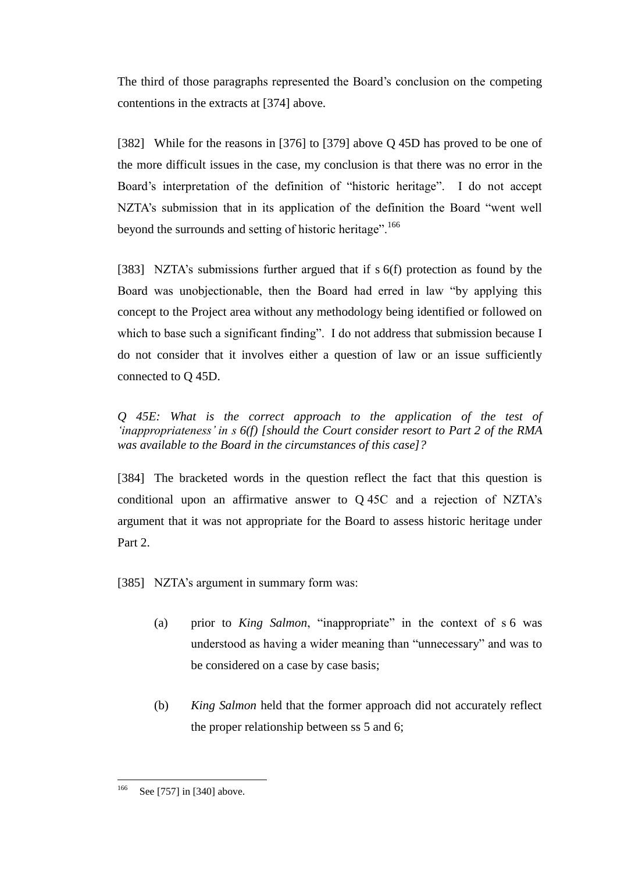The third of those paragraphs represented the Board's conclusion on the competing contentions in the extracts at [374] above.

[382] While for the reasons in [376] to [379] above Q 45D has proved to be one of the more difficult issues in the case, my conclusion is that there was no error in the Board's interpretation of the definition of "historic heritage". I do not accept NZTA's submission that in its application of the definition the Board "went well beyond the surrounds and setting of historic heritage".<sup>166</sup>

[383] NZTA's submissions further argued that if s 6(f) protection as found by the Board was unobjectionable, then the Board had erred in law "by applying this concept to the Project area without any methodology being identified or followed on which to base such a significant finding". I do not address that submission because I do not consider that it involves either a question of law or an issue sufficiently connected to Q 45D.

*Q 45E: What is the correct approach to the application of the test of 'inappropriateness' in s 6(f) [should the Court consider resort to Part 2 of the RMA was available to the Board in the circumstances of this case]?*

[384] The bracketed words in the question reflect the fact that this question is conditional upon an affirmative answer to Q 45C and a rejection of NZTA's argument that it was not appropriate for the Board to assess historic heritage under Part 2.

[385] NZTA's argument in summary form was:

- (a) prior to *King Salmon*, "inappropriate" in the context of s 6 was understood as having a wider meaning than "unnecessary" and was to be considered on a case by case basis;
- (b) *King Salmon* held that the former approach did not accurately reflect the proper relationship between ss 5 and 6;

<sup>166</sup> See [757] in [340] above.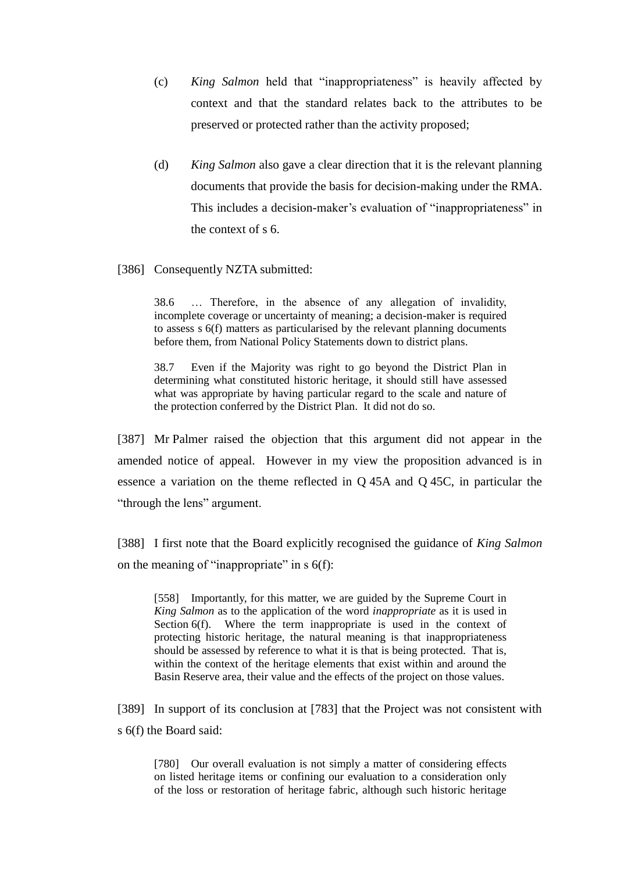- (c) *King Salmon* held that "inappropriateness" is heavily affected by context and that the standard relates back to the attributes to be preserved or protected rather than the activity proposed;
- (d) *King Salmon* also gave a clear direction that it is the relevant planning documents that provide the basis for decision-making under the RMA. This includes a decision-maker's evaluation of "inappropriateness" in the context of s 6.

# [386] Consequently NZTA submitted:

38.6 … Therefore, in the absence of any allegation of invalidity, incomplete coverage or uncertainty of meaning; a decision-maker is required to assess s 6(f) matters as particularised by the relevant planning documents before them, from National Policy Statements down to district plans.

38.7 Even if the Majority was right to go beyond the District Plan in determining what constituted historic heritage, it should still have assessed what was appropriate by having particular regard to the scale and nature of the protection conferred by the District Plan. It did not do so.

[387] Mr Palmer raised the objection that this argument did not appear in the amended notice of appeal. However in my view the proposition advanced is in essence a variation on the theme reflected in Q 45A and Q 45C, in particular the "through the lens" argument.

[388] I first note that the Board explicitly recognised the guidance of *King Salmon* on the meaning of "inappropriate" in  $s \, 6(f)$ :

[558] Importantly, for this matter, we are guided by the Supreme Court in *King Salmon* as to the application of the word *inappropriate* as it is used in Section 6(f). Where the term inappropriate is used in the context of protecting historic heritage, the natural meaning is that inappropriateness should be assessed by reference to what it is that is being protected. That is, within the context of the heritage elements that exist within and around the Basin Reserve area, their value and the effects of the project on those values.

[389] In support of its conclusion at [783] that the Project was not consistent with s 6(f) the Board said:

[780] Our overall evaluation is not simply a matter of considering effects on listed heritage items or confining our evaluation to a consideration only of the loss or restoration of heritage fabric, although such historic heritage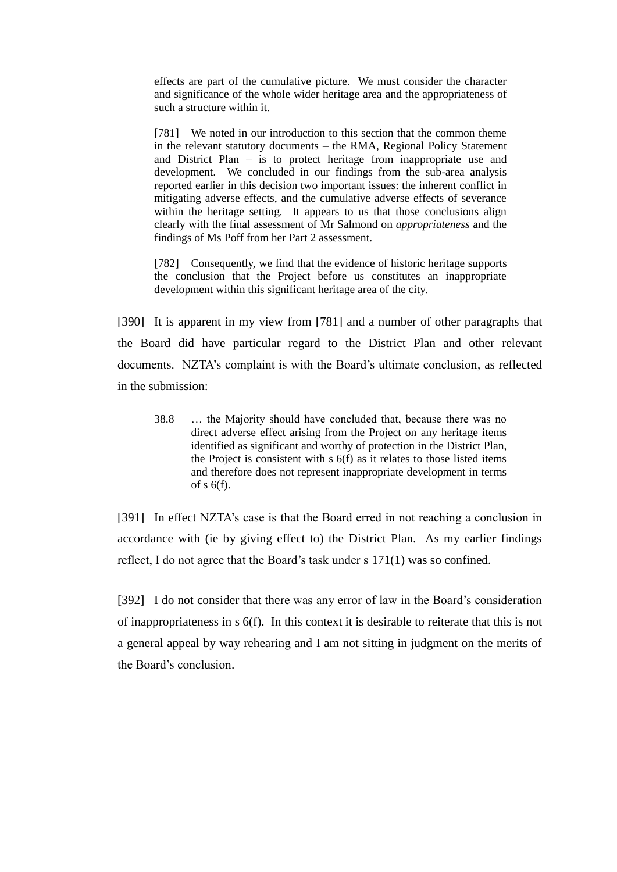effects are part of the cumulative picture. We must consider the character and significance of the whole wider heritage area and the appropriateness of such a structure within it.

[781] We noted in our introduction to this section that the common theme in the relevant statutory documents – the RMA, Regional Policy Statement and District Plan – is to protect heritage from inappropriate use and development. We concluded in our findings from the sub-area analysis reported earlier in this decision two important issues: the inherent conflict in mitigating adverse effects, and the cumulative adverse effects of severance within the heritage setting. It appears to us that those conclusions align clearly with the final assessment of Mr Salmond on *appropriateness* and the findings of Ms Poff from her Part 2 assessment.

[782] Consequently, we find that the evidence of historic heritage supports the conclusion that the Project before us constitutes an inappropriate development within this significant heritage area of the city.

[390] It is apparent in my view from [781] and a number of other paragraphs that the Board did have particular regard to the District Plan and other relevant documents. NZTA's complaint is with the Board's ultimate conclusion, as reflected in the submission:

38.8 … the Majority should have concluded that, because there was no direct adverse effect arising from the Project on any heritage items identified as significant and worthy of protection in the District Plan, the Project is consistent with  $s$   $6(f)$  as it relates to those listed items and therefore does not represent inappropriate development in terms of s 6(f).

[391] In effect NZTA's case is that the Board erred in not reaching a conclusion in accordance with (ie by giving effect to) the District Plan. As my earlier findings reflect, I do not agree that the Board's task under s 171(1) was so confined.

[392] I do not consider that there was any error of law in the Board's consideration of inappropriateness in s 6(f). In this context it is desirable to reiterate that this is not a general appeal by way rehearing and I am not sitting in judgment on the merits of the Board's conclusion.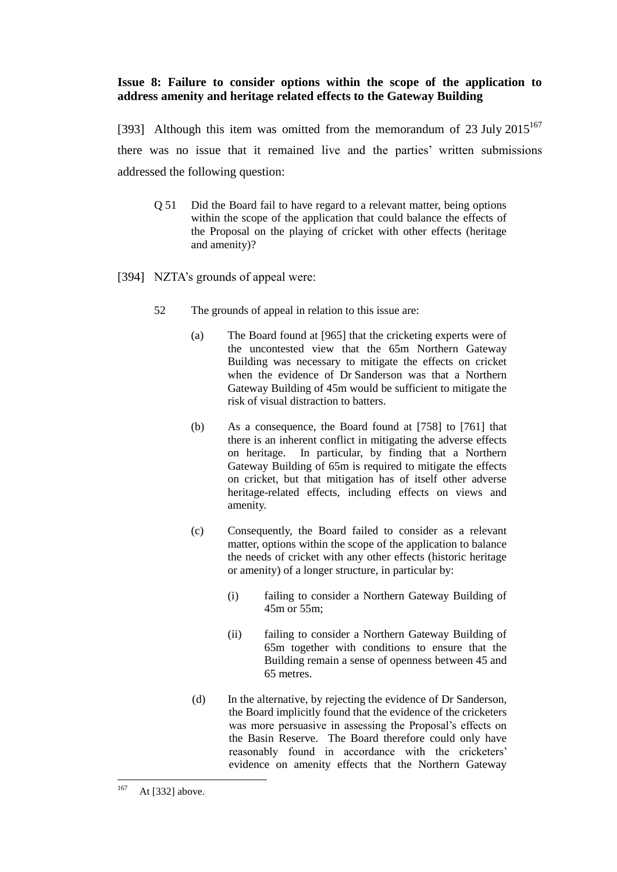# **Issue 8: Failure to consider options within the scope of the application to address amenity and heritage related effects to the Gateway Building**

[393] Although this item was omitted from the memorandum of 23 July  $2015^{167}$ there was no issue that it remained live and the parties' written submissions addressed the following question:

Q 51 Did the Board fail to have regard to a relevant matter, being options within the scope of the application that could balance the effects of the Proposal on the playing of cricket with other effects (heritage and amenity)?

[394] NZTA's grounds of appeal were:

- 52 The grounds of appeal in relation to this issue are:
	- (a) The Board found at [965] that the cricketing experts were of the uncontested view that the 65m Northern Gateway Building was necessary to mitigate the effects on cricket when the evidence of Dr Sanderson was that a Northern Gateway Building of 45m would be sufficient to mitigate the risk of visual distraction to batters.
	- (b) As a consequence, the Board found at [758] to [761] that there is an inherent conflict in mitigating the adverse effects on heritage. In particular, by finding that a Northern Gateway Building of 65m is required to mitigate the effects on cricket, but that mitigation has of itself other adverse heritage-related effects, including effects on views and amenity.
	- (c) Consequently, the Board failed to consider as a relevant matter, options within the scope of the application to balance the needs of cricket with any other effects (historic heritage or amenity) of a longer structure, in particular by:
		- (i) failing to consider a Northern Gateway Building of 45m or 55m;
		- (ii) failing to consider a Northern Gateway Building of 65m together with conditions to ensure that the Building remain a sense of openness between 45 and 65 metres.
	- (d) In the alternative, by rejecting the evidence of Dr Sanderson, the Board implicitly found that the evidence of the cricketers was more persuasive in assessing the Proposal's effects on the Basin Reserve. The Board therefore could only have reasonably found in accordance with the cricketers' evidence on amenity effects that the Northern Gateway

<sup>167</sup> At [332] above.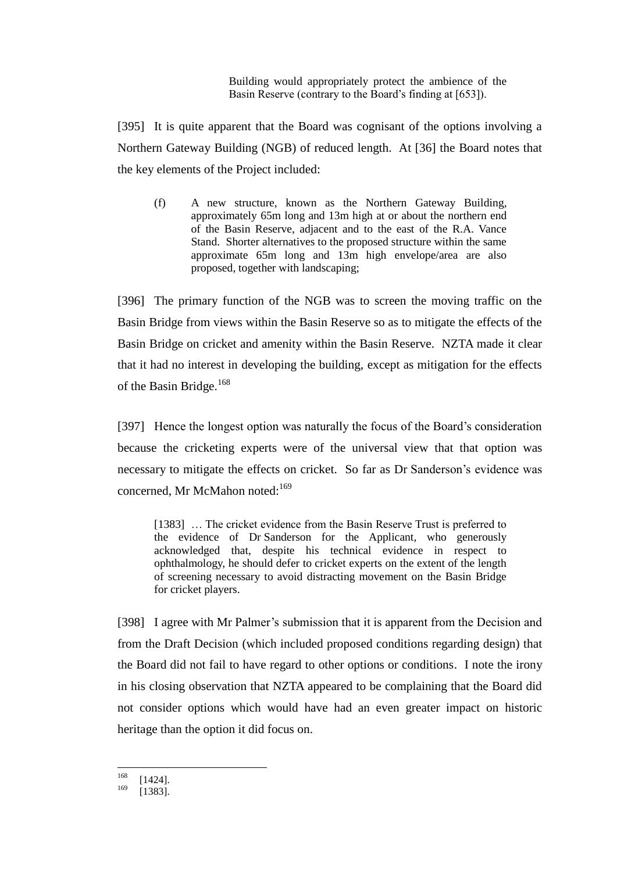Building would appropriately protect the ambience of the Basin Reserve (contrary to the Board's finding at [653]).

[395] It is quite apparent that the Board was cognisant of the options involving a Northern Gateway Building (NGB) of reduced length. At [36] the Board notes that the key elements of the Project included:

(f) A new structure, known as the Northern Gateway Building, approximately 65m long and 13m high at or about the northern end of the Basin Reserve, adjacent and to the east of the R.A. Vance Stand. Shorter alternatives to the proposed structure within the same approximate 65m long and 13m high envelope/area are also proposed, together with landscaping;

[396] The primary function of the NGB was to screen the moving traffic on the Basin Bridge from views within the Basin Reserve so as to mitigate the effects of the Basin Bridge on cricket and amenity within the Basin Reserve. NZTA made it clear that it had no interest in developing the building, except as mitigation for the effects of the Basin Bridge.<sup>168</sup>

[397] Hence the longest option was naturally the focus of the Board's consideration because the cricketing experts were of the universal view that that option was necessary to mitigate the effects on cricket. So far as Dr Sanderson's evidence was concerned, Mr McMahon noted:<sup>169</sup>

[1383] ... The cricket evidence from the Basin Reserve Trust is preferred to the evidence of Dr Sanderson for the Applicant, who generously acknowledged that, despite his technical evidence in respect to ophthalmology, he should defer to cricket experts on the extent of the length of screening necessary to avoid distracting movement on the Basin Bridge for cricket players.

[398] I agree with Mr Palmer's submission that it is apparent from the Decision and from the Draft Decision (which included proposed conditions regarding design) that the Board did not fail to have regard to other options or conditions. I note the irony in his closing observation that NZTA appeared to be complaining that the Board did not consider options which would have had an even greater impact on historic heritage than the option it did focus on.

<sup>168</sup>  $\begin{bmatrix} 168 \\ 169 \end{bmatrix}$  [1424].

<sup>[1383].</sup>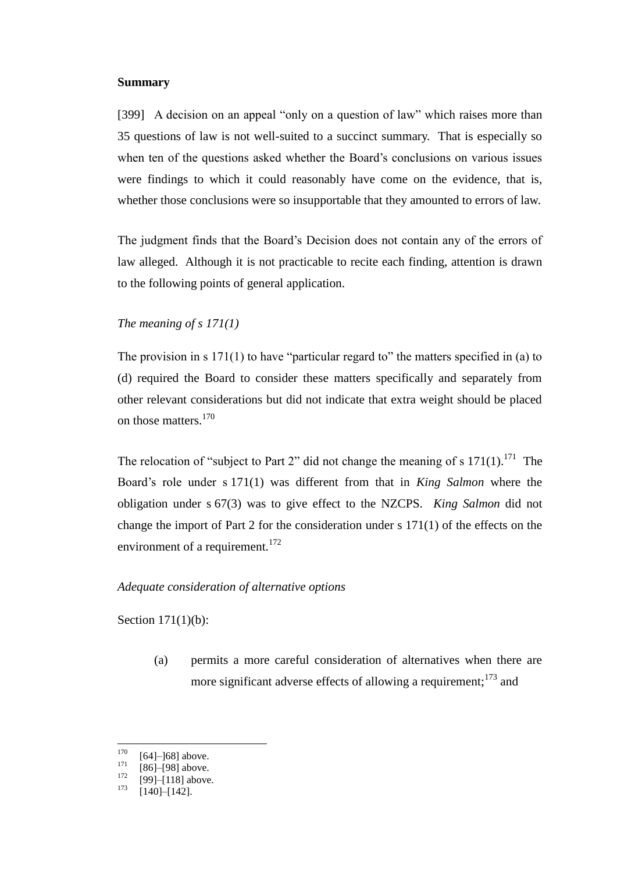#### **Summary**

[399] A decision on an appeal "only on a question of law" which raises more than 35 questions of law is not well-suited to a succinct summary. That is especially so when ten of the questions asked whether the Board's conclusions on various issues were findings to which it could reasonably have come on the evidence, that is, whether those conclusions were so insupportable that they amounted to errors of law.

The judgment finds that the Board's Decision does not contain any of the errors of law alleged. Although it is not practicable to recite each finding, attention is drawn to the following points of general application.

# *The meaning of s 171(1)*

The provision in s 171(1) to have "particular regard to" the matters specified in (a) to (d) required the Board to consider these matters specifically and separately from other relevant considerations but did not indicate that extra weight should be placed on those matters.<sup>170</sup>

The relocation of "subject to Part 2" did not change the meaning of s  $171(1)$ .<sup>171</sup> The Board's role under s 171(1) was different from that in *King Salmon* where the obligation under s 67(3) was to give effect to the NZCPS. *King Salmon* did not change the import of Part 2 for the consideration under s 171(1) of the effects on the environment of a requirement.<sup>172</sup>

# *Adequate consideration of alternative options*

Section 171(1)(b):

(a) permits a more careful consideration of alternatives when there are more significant adverse effects of allowing a requirement;<sup>173</sup> and

<sup>170</sup>  $^{170}_{171}$  [64]–]68] above.

 $\frac{171}{172}$  [86]–[98] above.

 $^{172}$  [99]–[118] above.

 $[140]$ – $[142]$ .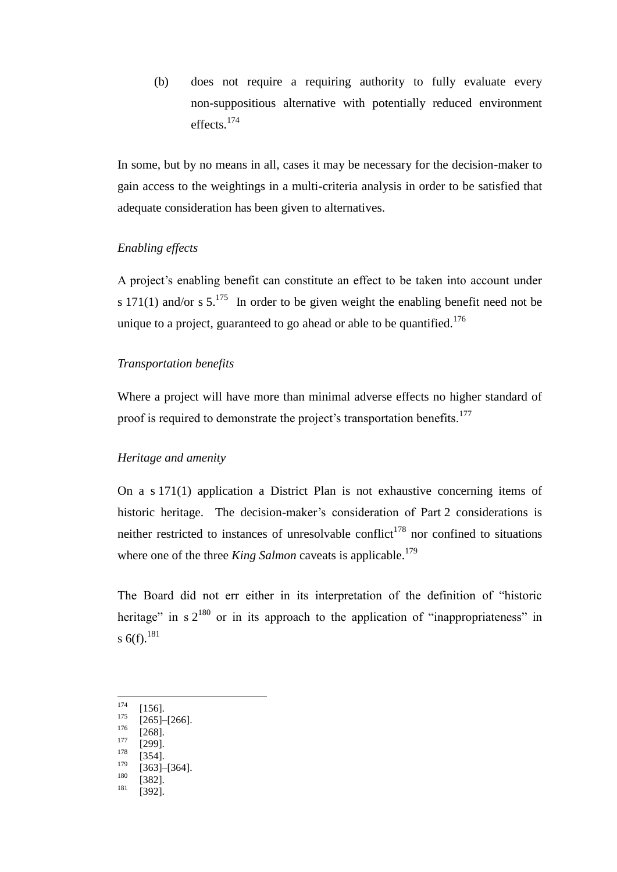(b) does not require a requiring authority to fully evaluate every non-suppositious alternative with potentially reduced environment effects.<sup>174</sup>

In some, but by no means in all, cases it may be necessary for the decision-maker to gain access to the weightings in a multi-criteria analysis in order to be satisfied that adequate consideration has been given to alternatives.

# *Enabling effects*

A project's enabling benefit can constitute an effect to be taken into account under s 171(1) and/or s  $5.^{175}$  In order to be given weight the enabling benefit need not be unique to a project, guaranteed to go ahead or able to be quantified.<sup>176</sup>

# *Transportation benefits*

Where a project will have more than minimal adverse effects no higher standard of proof is required to demonstrate the project's transportation benefits.<sup>177</sup>

## *Heritage and amenity*

On a s 171(1) application a District Plan is not exhaustive concerning items of historic heritage. The decision-maker's consideration of Part 2 considerations is neither restricted to instances of unresolvable conflict<sup>178</sup> nor confined to situations where one of the three *King Salmon* caveats is applicable.<sup>179</sup>

The Board did not err either in its interpretation of the definition of "historic heritage" in  $s$   $2^{180}$  or in its approach to the application of "inappropriateness" in s  $6(f).^{181}$ 

- 174  $\frac{174}{175}$  [156].
- $\frac{175}{176}$  [265]–[266].
- $\frac{176}{177}$  [268].
- $\frac{177}{178}$  [299].
- $\frac{178}{179}$  [354].
- $\frac{179}{180}$  [363]–[364].
- $\frac{180}{181}$  [382].
- [392].